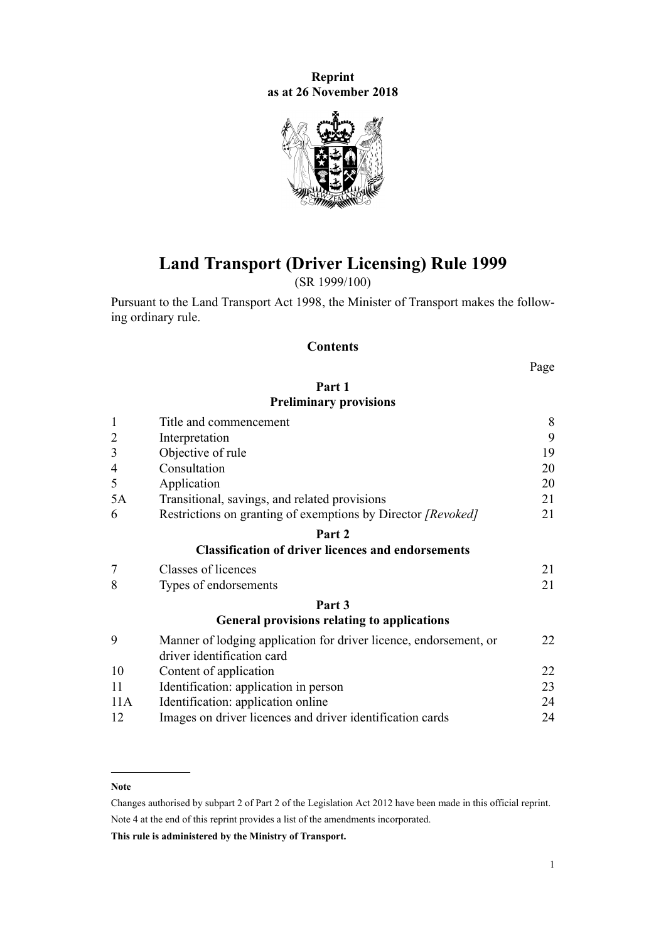**Reprint as at 26 November 2018**



# **Land Transport (Driver Licensing) Rule 1999**

(SR 1999/100)

Pursuant to the [Land Transport Act 1998,](http://legislation.govt.nz/pdflink.aspx?id=DLM433612) the Minister of Transport makes the following ordinary rule.

## **Contents**

Page

## **[Part 1](#page-7-0) [Preliminary provisions](#page-7-0)**

| $\mathbf{1}$   | Title and commencement                                                                          | 8  |
|----------------|-------------------------------------------------------------------------------------------------|----|
| $\overline{2}$ | Interpretation                                                                                  | 9  |
| 3              | Objective of rule                                                                               | 19 |
| 4              | Consultation                                                                                    | 20 |
| 5              | Application                                                                                     | 20 |
| 5A             | Transitional, savings, and related provisions                                                   | 21 |
| 6              | Restrictions on granting of exemptions by Director [Revoked]                                    | 21 |
|                | Part 2                                                                                          |    |
|                | <b>Classification of driver licences and endorsements</b>                                       |    |
| $\overline{7}$ | Classes of licences                                                                             | 21 |
| 8              | Types of endorsements                                                                           | 21 |
|                | Part 3                                                                                          |    |
|                | <b>General provisions relating to applications</b>                                              |    |
| 9              | Manner of lodging application for driver licence, endorsement, or<br>driver identification card | 22 |
| 10             | Content of application                                                                          | 22 |
| 11             | Identification: application in person                                                           | 23 |
| 11A            | Identification: application online                                                              | 24 |
| 12             | Images on driver licences and driver identification cards                                       | 24 |

#### **Note**

Changes authorised by [subpart 2](http://legislation.govt.nz/pdflink.aspx?id=DLM2998524) of Part 2 of the Legislation Act 2012 have been made in this official reprint. Note 4 at the end of this reprint provides a list of the amendments incorporated.

**This rule is administered by the Ministry of Transport.**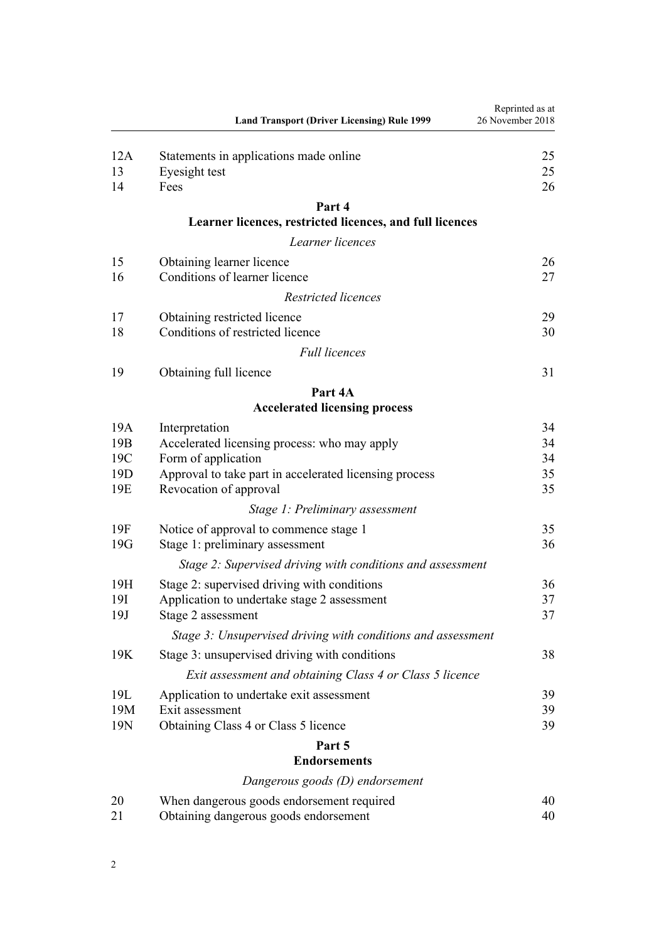|                 | <b>Land Transport (Driver Licensing) Rule 1999</b>                            | Reprinted as at<br>26 November 2018 |
|-----------------|-------------------------------------------------------------------------------|-------------------------------------|
| 12A<br>13       | Statements in applications made online<br>Eyesight test                       | 25<br>25                            |
| 14              | Fees                                                                          | 26                                  |
|                 | Part 4<br>Learner licences, restricted licences, and full licences            |                                     |
|                 | Learner licences                                                              |                                     |
| 15              | Obtaining learner licence                                                     | 26                                  |
| 16              | Conditions of learner licence                                                 | 27                                  |
|                 | Restricted licences                                                           |                                     |
| 17              | Obtaining restricted licence                                                  | 29                                  |
| 18              | Conditions of restricted licence                                              | 30                                  |
|                 | <b>Full licences</b>                                                          |                                     |
| 19              | Obtaining full licence                                                        | 31                                  |
|                 | Part 4A                                                                       |                                     |
|                 | <b>Accelerated licensing process</b>                                          |                                     |
| 19A             | Interpretation                                                                | 34                                  |
| 19 <sub>B</sub> | Accelerated licensing process: who may apply                                  | 34                                  |
| 19C<br>19D      | Form of application<br>Approval to take part in accelerated licensing process | 34<br>35                            |
| 19E             | Revocation of approval                                                        | 35                                  |
|                 | Stage 1: Preliminary assessment                                               |                                     |
| 19F             | Notice of approval to commence stage 1                                        | 35                                  |
| 19G             | Stage 1: preliminary assessment                                               | 36                                  |
|                 | Stage 2: Supervised driving with conditions and assessment                    |                                     |
| 19H             | Stage 2: supervised driving with conditions                                   | 36                                  |
| 19I             | Application to undertake stage 2 assessment                                   | 37                                  |
| 19J             | Stage 2 assessment                                                            | 37                                  |
|                 | Stage 3: Unsupervised driving with conditions and assessment                  |                                     |
| 19K             | Stage 3: unsupervised driving with conditions                                 | 38                                  |
|                 | Exit assessment and obtaining Class 4 or Class 5 licence                      |                                     |
| 19L<br>19M      | Application to undertake exit assessment<br>Exit assessment                   | 39<br>39                            |
| 19N             | Obtaining Class 4 or Class 5 licence                                          | 39                                  |
|                 | Part 5                                                                        |                                     |
|                 | <b>Endorsements</b>                                                           |                                     |
|                 | Dangerous goods (D) endorsement                                               |                                     |
| 20              | When dangerous goods endorsement required                                     | 40                                  |
| 21              | Obtaining dangerous goods endorsement                                         | 40                                  |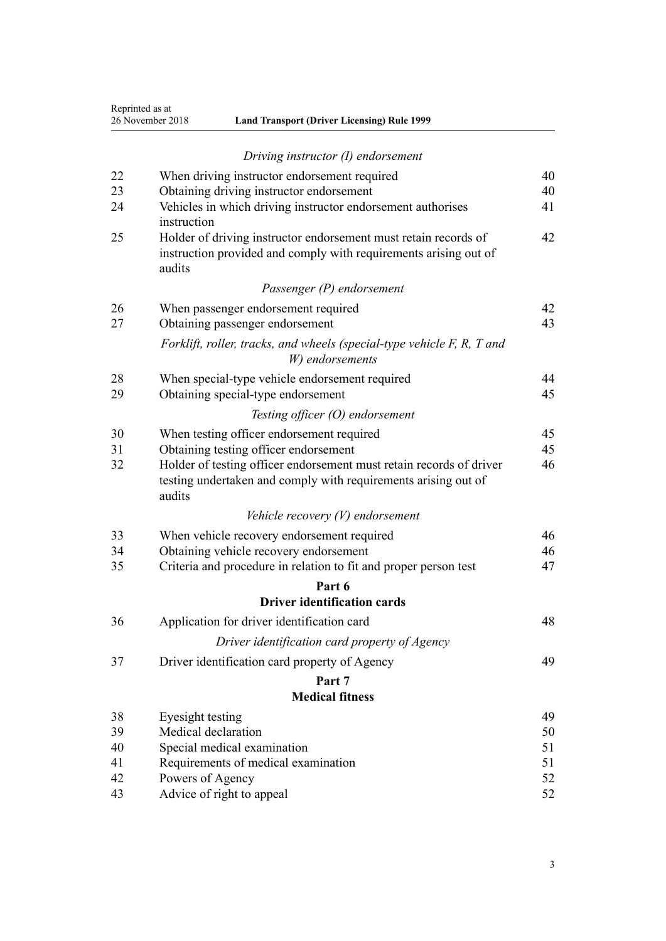| Reprinted as at  |
|------------------|
| 26 November 2018 |

| 26 November 2018 | <b>Land Transport (Driver Licensing) Rule 1999</b> |
|------------------|----------------------------------------------------|
|------------------|----------------------------------------------------|

|    | Driving instructor (I) endorsement                                                                                                              |    |
|----|-------------------------------------------------------------------------------------------------------------------------------------------------|----|
| 22 | When driving instructor endorsement required                                                                                                    | 40 |
| 23 | Obtaining driving instructor endorsement                                                                                                        | 40 |
| 24 | Vehicles in which driving instructor endorsement authorises<br>instruction                                                                      | 41 |
| 25 | Holder of driving instructor endorsement must retain records of<br>instruction provided and comply with requirements arising out of<br>audits   | 42 |
|    | Passenger (P) endorsement                                                                                                                       |    |
| 26 | When passenger endorsement required                                                                                                             | 42 |
| 27 | Obtaining passenger endorsement                                                                                                                 | 43 |
|    | Forklift, roller, tracks, and wheels (special-type vehicle F, R, T and<br>W) endorsements                                                       |    |
| 28 | When special-type vehicle endorsement required                                                                                                  | 44 |
| 29 | Obtaining special-type endorsement                                                                                                              | 45 |
|    | Testing officer (O) endorsement                                                                                                                 |    |
| 30 | When testing officer endorsement required                                                                                                       | 45 |
| 31 | Obtaining testing officer endorsement                                                                                                           | 45 |
| 32 | Holder of testing officer endorsement must retain records of driver<br>testing undertaken and comply with requirements arising out of<br>audits | 46 |
|    | Vehicle recovery $(V)$ endorsement                                                                                                              |    |
| 33 | When vehicle recovery endorsement required                                                                                                      | 46 |
| 34 | Obtaining vehicle recovery endorsement                                                                                                          | 46 |
| 35 | Criteria and procedure in relation to fit and proper person test                                                                                | 47 |
|    | Part 6                                                                                                                                          |    |
|    | <b>Driver identification cards</b>                                                                                                              |    |
| 36 | Application for driver identification card                                                                                                      | 48 |
|    | Driver identification card property of Agency                                                                                                   |    |
| 37 | Driver identification card property of Agency                                                                                                   | 49 |
|    | Part 7                                                                                                                                          |    |
|    | <b>Medical fitness</b>                                                                                                                          |    |
| 38 | Eyesight testing                                                                                                                                | 49 |
| 39 | Medical declaration                                                                                                                             | 50 |
| 40 | Special medical examination                                                                                                                     | 51 |
| 41 | Requirements of medical examination                                                                                                             | 51 |
| 42 | Powers of Agency                                                                                                                                | 52 |

[43](#page-51-0) [Advice of right to appeal](#page-51-0) [52](#page-51-0)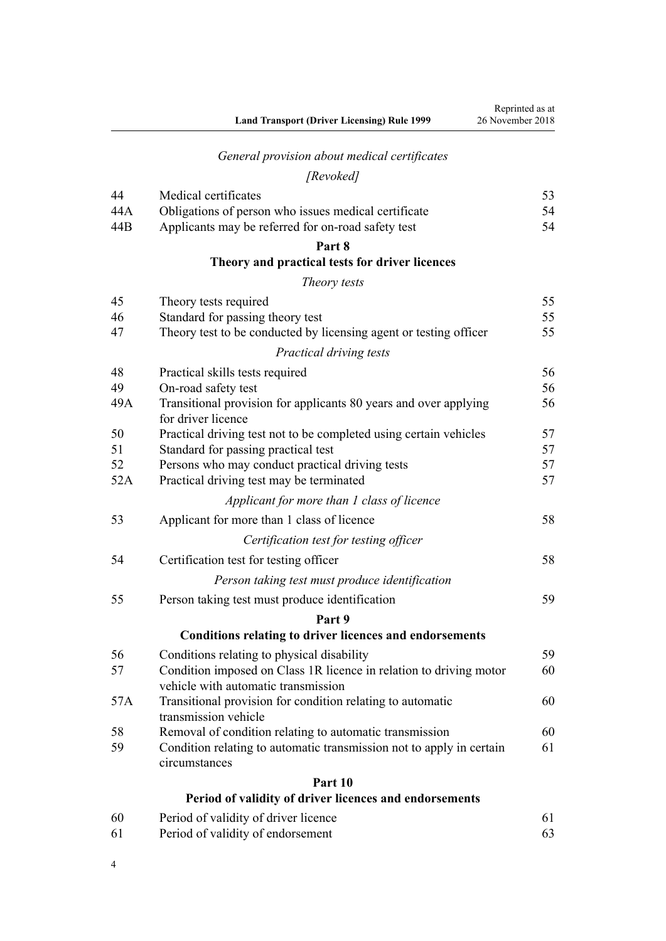# *[General provision about medical certificates](#page-52-0)*

## *[Revoked]*

| 44  | Medical certificates                                                                                      | 53 |
|-----|-----------------------------------------------------------------------------------------------------------|----|
| 44A | Obligations of person who issues medical certificate                                                      | 54 |
| 44B | Applicants may be referred for on-road safety test                                                        | 54 |
|     | Part 8                                                                                                    |    |
|     | Theory and practical tests for driver licences                                                            |    |
|     | Theory tests                                                                                              |    |
| 45  | Theory tests required                                                                                     | 55 |
| 46  | Standard for passing theory test                                                                          | 55 |
| 47  | Theory test to be conducted by licensing agent or testing officer                                         | 55 |
|     | Practical driving tests                                                                                   |    |
| 48  | Practical skills tests required                                                                           | 56 |
| 49  | On-road safety test                                                                                       | 56 |
| 49A | Transitional provision for applicants 80 years and over applying<br>for driver licence                    | 56 |
| 50  | Practical driving test not to be completed using certain vehicles                                         | 57 |
| 51  | Standard for passing practical test                                                                       | 57 |
| 52  | Persons who may conduct practical driving tests                                                           | 57 |
| 52A | Practical driving test may be terminated                                                                  | 57 |
|     | Applicant for more than 1 class of licence                                                                |    |
| 53  | Applicant for more than 1 class of licence                                                                | 58 |
|     | Certification test for testing officer                                                                    |    |
| 54  | Certification test for testing officer                                                                    | 58 |
|     | Person taking test must produce identification                                                            |    |
| 55  | Person taking test must produce identification                                                            | 59 |
|     | Part 9                                                                                                    |    |
|     | <b>Conditions relating to driver licences and endorsements</b>                                            |    |
| 56  | Conditions relating to physical disability                                                                | 59 |
| 57  | Condition imposed on Class 1R licence in relation to driving motor<br>vehicle with automatic transmission | 60 |
| 57A | Transitional provision for condition relating to automatic<br>transmission vehicle                        | 60 |
| 58  | Removal of condition relating to automatic transmission                                                   | 60 |
| 59  | Condition relating to automatic transmission not to apply in certain                                      | 61 |
|     | circumstances                                                                                             |    |
|     | Part 10                                                                                                   |    |
|     | Period of validity of driver licences and endorsements                                                    |    |
| 60  | Period of validity of driver licence                                                                      | 61 |

| 61 | Period of validity of endorsement |  |
|----|-----------------------------------|--|

4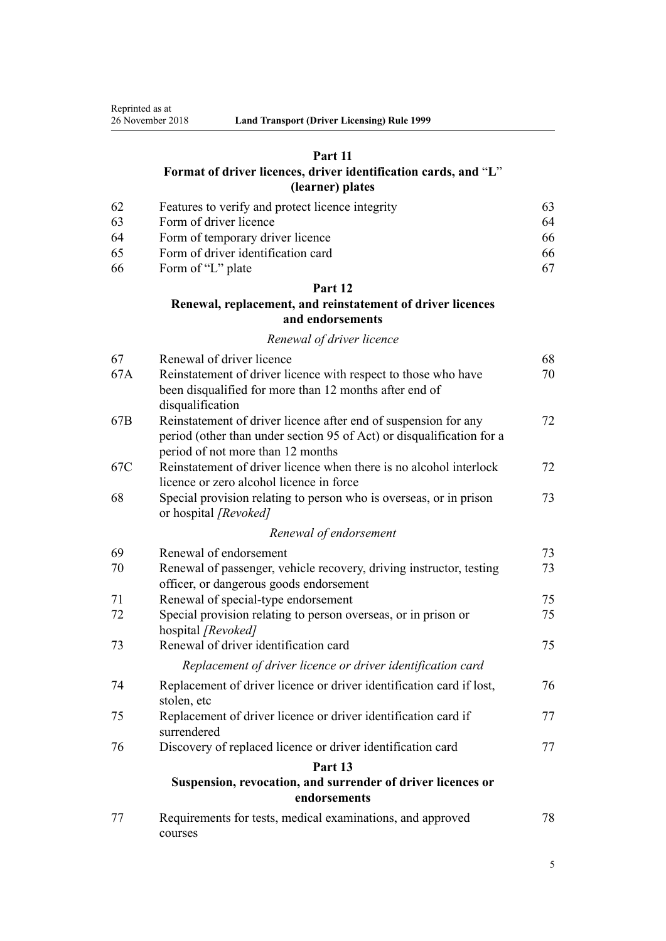## **[Part 11](#page-62-0)**

## **[Format of driver licences, driver identification cards, and](#page-62-0)** "**[L](#page-62-0)**" **[\(learner\) plates](#page-62-0)**

| -62 | Features to verify and protect licence integrity | 63. |
|-----|--------------------------------------------------|-----|
| -63 | Form of driver licence                           | 64  |
| -64 | Form of temporary driver licence                 | 66. |
| -65 | Form of driver identification card               | 66. |
| -66 | Form of "L" plate                                |     |

## **[Part 12](#page-67-0)**

## **[Renewal, replacement, and reinstatement of driver licences](#page-67-0) [and endorsements](#page-67-0)**

## *[Renewal of driver licence](#page-67-0)*

| 67  | Renewal of driver licence                                                                                                | 68 |
|-----|--------------------------------------------------------------------------------------------------------------------------|----|
| 67A | Reinstatement of driver licence with respect to those who have<br>been disqualified for more than 12 months after end of | 70 |
|     | disqualification                                                                                                         |    |
| 67B | Reinstatement of driver licence after end of suspension for any                                                          | 72 |
|     | period (other than under section 95 of Act) or disqualification for a<br>period of not more than 12 months               |    |
| 67C | Reinstatement of driver licence when there is no alcohol interlock                                                       | 72 |
|     | licence or zero alcohol licence in force                                                                                 |    |
| 68  | Special provision relating to person who is overseas, or in prison<br>or hospital [Revoked]                              | 73 |
|     | Renewal of endorsement                                                                                                   |    |
| 69  | Renewal of endorsement                                                                                                   | 73 |
| 70  | Renewal of passenger, vehicle recovery, driving instructor, testing                                                      | 73 |
|     | officer, or dangerous goods endorsement                                                                                  |    |
| 71  | Renewal of special-type endorsement                                                                                      | 75 |
| 72  | Special provision relating to person overseas, or in prison or<br>hospital [Revoked]                                     | 75 |
| 73  | Renewal of driver identification card                                                                                    | 75 |
|     | Replacement of driver licence or driver identification card                                                              |    |
| 74  | Replacement of driver licence or driver identification card if lost,<br>stolen, etc                                      | 76 |
| 75  | Replacement of driver licence or driver identification card if<br>surrendered                                            | 77 |
| 76  | Discovery of replaced licence or driver identification card                                                              | 77 |
|     | Part 13                                                                                                                  |    |
|     | Suspension, revocation, and surrender of driver licences or<br>endorsements                                              |    |
| 77  | Requirements for tests, medical examinations, and approved<br>courses                                                    | 78 |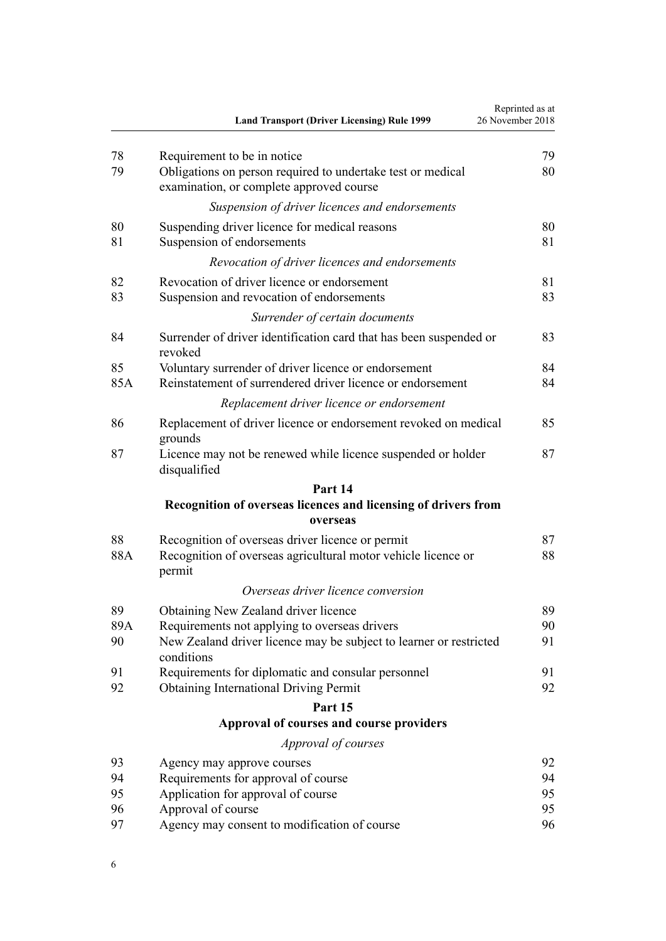|          | <b>Land Transport (Driver Licensing) Rule 1999</b>                                                      | Reprinted as at<br>26 November 2018 |
|----------|---------------------------------------------------------------------------------------------------------|-------------------------------------|
| 78       | Requirement to be in notice                                                                             | 79                                  |
| 79       | Obligations on person required to undertake test or medical<br>examination, or complete approved course | 80                                  |
|          | Suspension of driver licences and endorsements                                                          |                                     |
| 80<br>81 | Suspending driver licence for medical reasons<br>Suspension of endorsements                             | 80<br>81                            |
|          | Revocation of driver licences and endorsements                                                          |                                     |
| 82       | Revocation of driver licence or endorsement                                                             | 81                                  |
| 83       | Suspension and revocation of endorsements                                                               | 83                                  |
|          | Surrender of certain documents                                                                          |                                     |
| 84       | Surrender of driver identification card that has been suspended or<br>revoked                           | 83                                  |
| 85       | Voluntary surrender of driver licence or endorsement                                                    | 84                                  |
| 85A      | Reinstatement of surrendered driver licence or endorsement                                              | 84                                  |
|          | Replacement driver licence or endorsement                                                               |                                     |
| 86       | Replacement of driver licence or endorsement revoked on medical<br>grounds                              | 85                                  |
| 87       | Licence may not be renewed while licence suspended or holder<br>disqualified                            | 87                                  |
|          | Part 14                                                                                                 |                                     |
|          | Recognition of overseas licences and licensing of drivers from                                          |                                     |
|          | overseas                                                                                                |                                     |
| 88       | Recognition of overseas driver licence or permit                                                        | 87                                  |
| 88A      | Recognition of overseas agricultural motor vehicle licence or<br>permit                                 | 88                                  |
|          | Overseas driver licence conversion                                                                      |                                     |
| 89       | Obtaining New Zealand driver licence                                                                    | 89                                  |
| 89A      | Requirements not applying to overseas drivers                                                           | 90                                  |
| 90       | New Zealand driver licence may be subject to learner or restricted<br>conditions                        | 91                                  |
| 91       | Requirements for diplomatic and consular personnel                                                      | 91                                  |
| 92       | <b>Obtaining International Driving Permit</b>                                                           | 92                                  |
|          | Part 15                                                                                                 |                                     |
|          | Approval of courses and course providers                                                                |                                     |
|          | Approval of courses                                                                                     |                                     |
| 93       | Agency may approve courses                                                                              | 92                                  |
| 94       | Requirements for approval of course                                                                     | 94                                  |
| 95       | Application for approval of course                                                                      | 95                                  |
| 96       | Approval of course                                                                                      | 95                                  |
| 97       | Agency may consent to modification of course                                                            | 96                                  |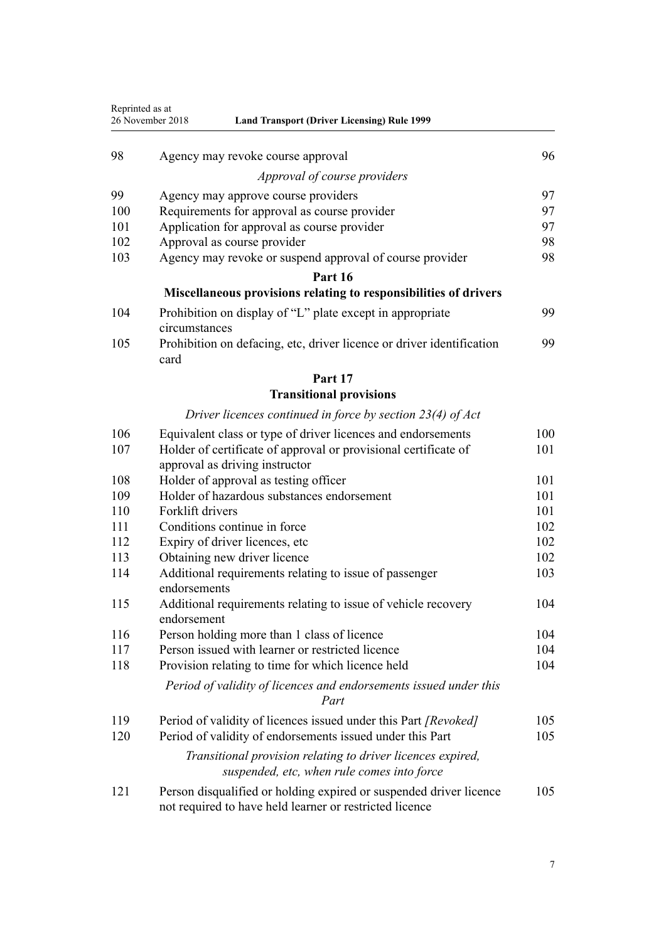| Reprinted as at<br>26 November 2018<br><b>Land Transport (Driver Licensing) Rule 1999</b> |                                                                                                                               |     |
|-------------------------------------------------------------------------------------------|-------------------------------------------------------------------------------------------------------------------------------|-----|
| 98                                                                                        | Agency may revoke course approval                                                                                             | 96  |
|                                                                                           | Approval of course providers                                                                                                  |     |
| 99                                                                                        | Agency may approve course providers                                                                                           | 97  |
| 100                                                                                       | Requirements for approval as course provider                                                                                  | 97  |
| 101                                                                                       | Application for approval as course provider                                                                                   | 97  |
| 102                                                                                       | Approval as course provider                                                                                                   | 98  |
| 103                                                                                       | Agency may revoke or suspend approval of course provider                                                                      | 98  |
|                                                                                           | Part 16                                                                                                                       |     |
|                                                                                           | Miscellaneous provisions relating to responsibilities of drivers                                                              |     |
| 104                                                                                       | Prohibition on display of "L" plate except in appropriate<br>circumstances                                                    | 99  |
| 105                                                                                       | Prohibition on defacing, etc, driver licence or driver identification<br>card                                                 | 99  |
|                                                                                           | Part 17                                                                                                                       |     |
|                                                                                           | <b>Transitional provisions</b>                                                                                                |     |
|                                                                                           | Driver licences continued in force by section $23(4)$ of Act                                                                  |     |
| 106                                                                                       | Equivalent class or type of driver licences and endorsements                                                                  | 100 |
| 107                                                                                       | Holder of certificate of approval or provisional certificate of<br>approval as driving instructor                             | 101 |
| 108                                                                                       | Holder of approval as testing officer                                                                                         | 101 |
| 109                                                                                       | Holder of hazardous substances endorsement                                                                                    | 101 |
| 110                                                                                       | Forklift drivers                                                                                                              | 101 |
| 111                                                                                       | Conditions continue in force                                                                                                  | 102 |
| 112                                                                                       | Expiry of driver licences, etc                                                                                                | 102 |
| 113                                                                                       | Obtaining new driver licence                                                                                                  | 102 |
| 114                                                                                       | Additional requirements relating to issue of passenger<br>endorsements                                                        | 103 |
| 115                                                                                       | Additional requirements relating to issue of vehicle recovery<br>endorsement                                                  | 104 |
| 116                                                                                       | Person holding more than 1 class of licence                                                                                   | 104 |
| 117                                                                                       | Person issued with learner or restricted licence                                                                              | 104 |
| 118                                                                                       | Provision relating to time for which licence held                                                                             | 104 |
|                                                                                           | Period of validity of licences and endorsements issued under this<br>Part                                                     |     |
| 119                                                                                       | Period of validity of licences issued under this Part [Revoked]                                                               | 105 |
| 120                                                                                       | Period of validity of endorsements issued under this Part                                                                     | 105 |
|                                                                                           | Transitional provision relating to driver licences expired,<br>suspended, etc, when rule comes into force                     |     |
| 121                                                                                       | Person disqualified or holding expired or suspended driver licence<br>not required to have held learner or restricted licence | 105 |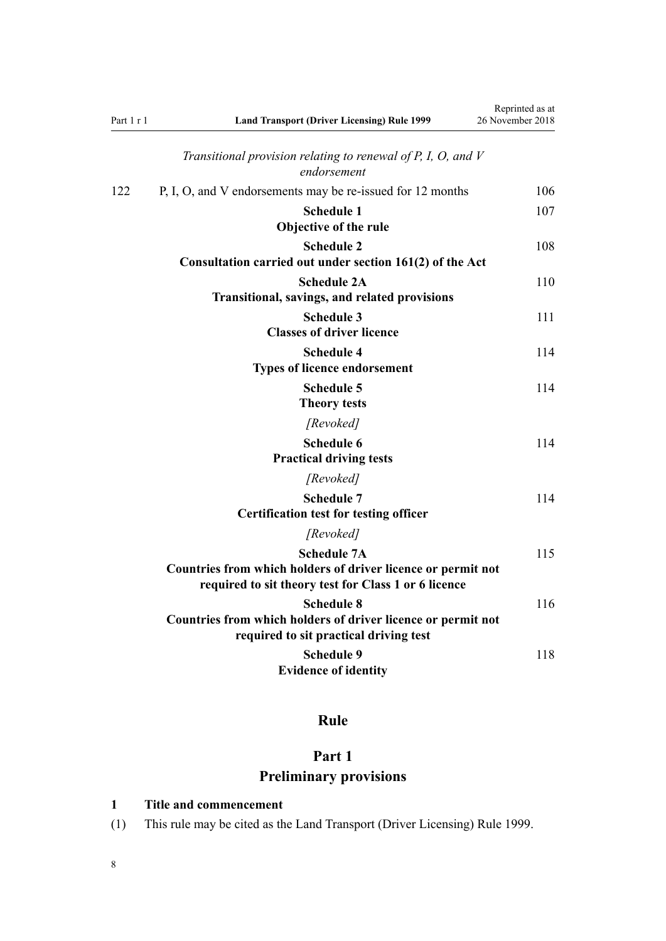<span id="page-7-0"></span>

| Part 1 r 1 | <b>Land Transport (Driver Licensing) Rule 1999</b>                                                                                         | Reprinted as at<br>26 November 2018 |
|------------|--------------------------------------------------------------------------------------------------------------------------------------------|-------------------------------------|
|            | Transitional provision relating to renewal of $P$ , $I$ , $O$ , and $V$<br>endorsement                                                     |                                     |
| 122        | P, I, O, and V endorsements may be re-issued for 12 months                                                                                 | 106                                 |
|            | <b>Schedule 1</b><br>Objective of the rule                                                                                                 | 107                                 |
|            | <b>Schedule 2</b><br>Consultation carried out under section 161(2) of the Act                                                              | 108                                 |
|            | <b>Schedule 2A</b><br><b>Transitional, savings, and related provisions</b>                                                                 | 110                                 |
|            | <b>Schedule 3</b><br><b>Classes of driver licence</b>                                                                                      | 111                                 |
|            | <b>Schedule 4</b><br><b>Types of licence endorsement</b>                                                                                   | 114                                 |
|            | <b>Schedule 5</b><br><b>Theory tests</b>                                                                                                   | 114                                 |
|            | [Revoked]                                                                                                                                  |                                     |
|            | <b>Schedule 6</b><br><b>Practical driving tests</b>                                                                                        | 114                                 |
|            | [Revoked]                                                                                                                                  |                                     |
|            | <b>Schedule 7</b><br><b>Certification test for testing officer</b>                                                                         | 114                                 |
|            | [Revoked]                                                                                                                                  |                                     |
|            | <b>Schedule 7A</b><br>Countries from which holders of driver licence or permit not<br>required to sit theory test for Class 1 or 6 licence | 115                                 |
|            | <b>Schedule 8</b><br>Countries from which holders of driver licence or permit not<br>required to sit practical driving test                | 116                                 |
|            | <b>Schedule 9</b><br><b>Evidence of identity</b>                                                                                           | 118                                 |

# **Rule**

# **Part 1 Preliminary provisions**

## **1 Title and commencement**

(1) This rule may be cited as the Land Transport (Driver Licensing) Rule 1999.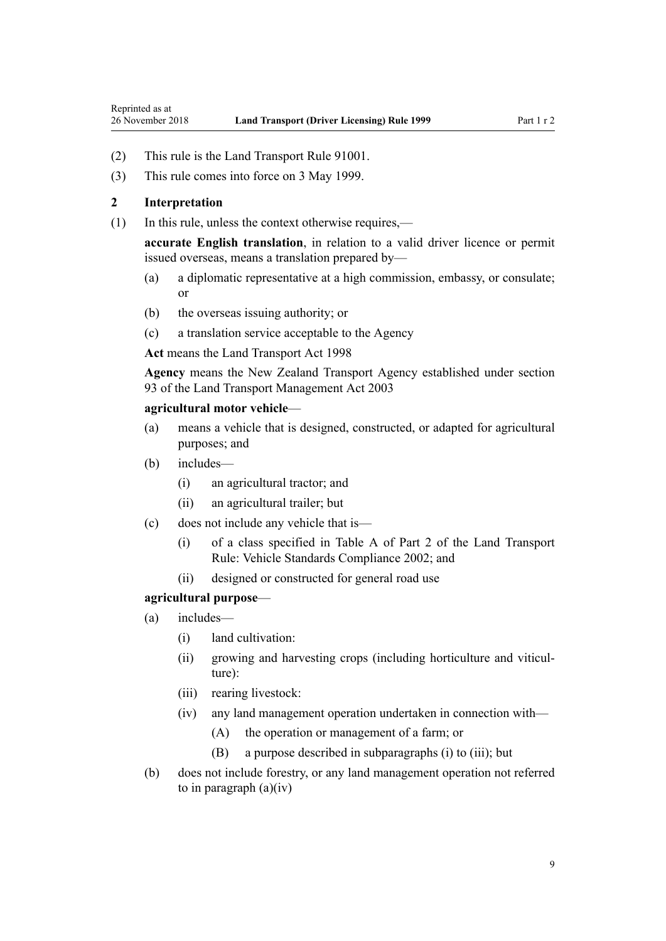- <span id="page-8-0"></span>(2) This rule is the Land Transport Rule 91001.
- (3) This rule comes into force on 3 May 1999.

## **2 Interpretation**

(1) In this rule, unless the context otherwise requires,—

**accurate English translation**, in relation to a valid driver licence or permit issued overseas, means a translation prepared by—

- (a) a diplomatic representative at a high commission, embassy, or consulate; or
- (b) the overseas issuing authority; or
- (c) a translation service acceptable to the Agency

**Act** means the [Land Transport Act 1998](http://legislation.govt.nz/pdflink.aspx?id=DLM433612)

**Agency** means the New Zealand Transport Agency established under [section](http://legislation.govt.nz/pdflink.aspx?id=DLM228044) [93](http://legislation.govt.nz/pdflink.aspx?id=DLM228044) of the Land Transport Management Act 2003

#### **agricultural motor vehicle**—

- (a) means a vehicle that is designed, constructed, or adapted for agricultural purposes; and
- (b) includes—
	- (i) an agricultural tractor; and
	- (ii) an agricultural trailer; but
- (c) does not include any vehicle that is—
	- (i) of a class specified in Table A of Part 2 of the Land Transport Rule: Vehicle Standards Compliance 2002; and
	- (ii) designed or constructed for general road use

#### **agricultural purpose**—

- (a) includes—
	- (i) land cultivation:
	- (ii) growing and harvesting crops (including horticulture and viticulture):
	- (iii) rearing livestock:
	- (iv) any land management operation undertaken in connection with—
		- (A) the operation or management of a farm; or
		- (B) a purpose described in subparagraphs (i) to (iii); but
- (b) does not include forestry, or any land management operation not referred to in paragraph  $(a)(iv)$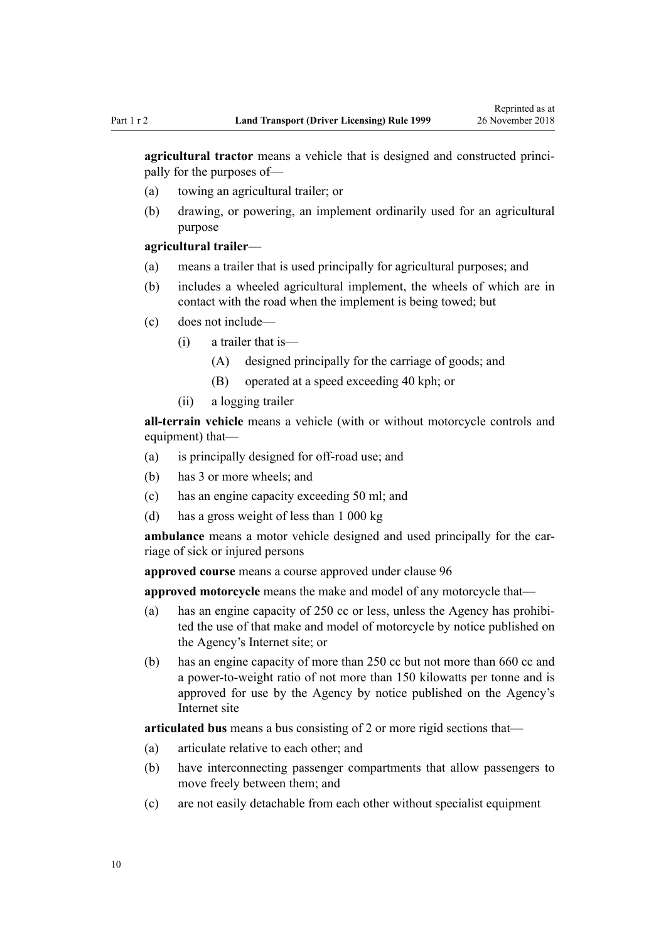**agricultural tractor** means a vehicle that is designed and constructed principally for the purposes of—

- (a) towing an agricultural trailer; or
- (b) drawing, or powering, an implement ordinarily used for an agricultural purpose

#### **agricultural trailer**—

- (a) means a trailer that is used principally for agricultural purposes; and
- (b) includes a wheeled agricultural implement, the wheels of which are in contact with the road when the implement is being towed; but
- (c) does not include—
	- (i) a trailer that is—
		- (A) designed principally for the carriage of goods; and
		- (B) operated at a speed exceeding 40 kph; or
	- (ii) a logging trailer

**all-terrain vehicle** means a vehicle (with or without motorcycle controls and equipment) that—

- (a) is principally designed for off-road use; and
- (b) has 3 or more wheels; and
- (c) has an engine capacity exceeding 50 ml; and
- (d) has a gross weight of less than 1 000 kg

**ambulance** means a motor vehicle designed and used principally for the carriage of sick or injured persons

**approved course** means a course approved under [clause 96](#page-94-0)

**approved motorcycle** means the make and model of any motorcycle that—

- (a) has an engine capacity of 250 cc or less, unless the Agency has prohibited the use of that make and model of motorcycle by notice published on the Agency's Internet site; or
- (b) has an engine capacity of more than 250 cc but not more than 660 cc and a power-to-weight ratio of not more than 150 kilowatts per tonne and is approved for use by the Agency by notice published on the Agency's Internet site

**articulated bus** means a bus consisting of 2 or more rigid sections that—

- (a) articulate relative to each other; and
- (b) have interconnecting passenger compartments that allow passengers to move freely between them; and
- (c) are not easily detachable from each other without specialist equipment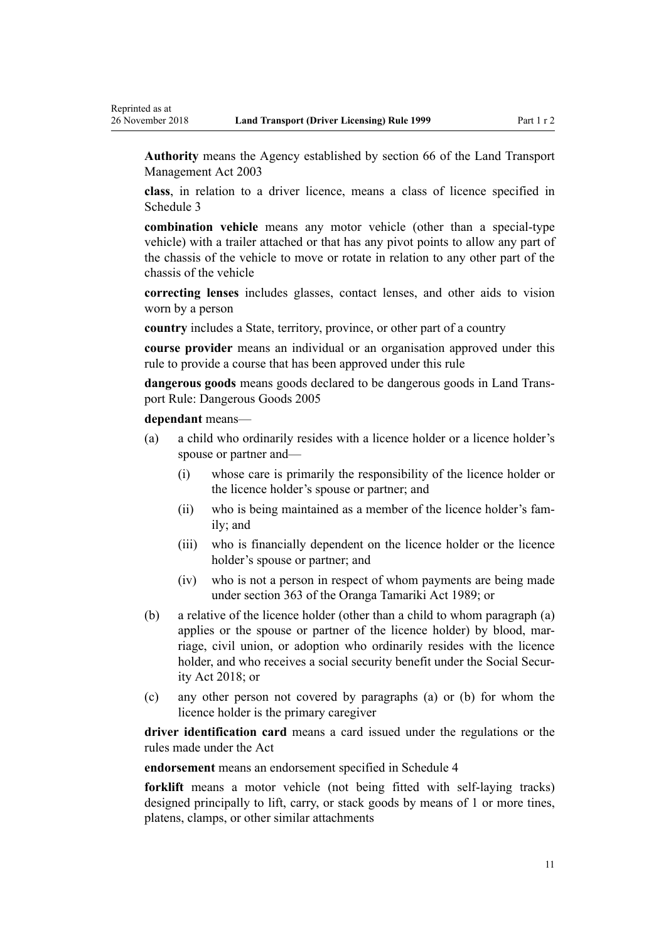**Authority** means the Agency established by [section 66](http://legislation.govt.nz/pdflink.aspx?id=DLM227581) of the Land Transport Management Act 2003

**class**, in relation to a driver licence, means a class of licence specified in [Schedule 3](#page-110-0)

**combination vehicle** means any motor vehicle (other than a special-type vehicle) with a trailer attached or that has any pivot points to allow any part of the chassis of the vehicle to move or rotate in relation to any other part of the chassis of the vehicle

**correcting lenses** includes glasses, contact lenses, and other aids to vision worn by a person

**country** includes a State, territory, province, or other part of a country

**course provider** means an individual or an organisation approved under this rule to provide a course that has been approved under this rule

**dangerous goods** means goods declared to be dangerous goods in Land Transport Rule: Dangerous Goods 2005

#### **dependant** means—

- (a) a child who ordinarily resides with a licence holder or a licence holder's spouse or partner and—
	- (i) whose care is primarily the responsibility of the licence holder or the licence holder's spouse or partner; and
	- (ii) who is being maintained as a member of the licence holder's family; and
	- (iii) who is financially dependent on the licence holder or the licence holder's spouse or partner; and
	- (iv) who is not a person in respect of whom payments are being made under [section 363](http://legislation.govt.nz/pdflink.aspx?id=DLM154316) of the Oranga Tamariki Act 1989; or
- (b) a relative of the licence holder (other than a child to whom paragraph (a) applies or the spouse or partner of the licence holder) by blood, marriage, civil union, or adoption who ordinarily resides with the licence holder, and who receives a social security benefit under the [Social Secur](http://legislation.govt.nz/pdflink.aspx?id=DLM6783102)[ity Act 2018;](http://legislation.govt.nz/pdflink.aspx?id=DLM6783102) or
- (c) any other person not covered by paragraphs (a) or (b) for whom the licence holder is the primary caregiver

**driver identification card** means a card issued under the regulations or the rules made under the Act

**endorsement** means an endorsement specified in [Schedule 4](#page-113-0)

**forklift** means a motor vehicle (not being fitted with self-laying tracks) designed principally to lift, carry, or stack goods by means of 1 or more tines, platens, clamps, or other similar attachments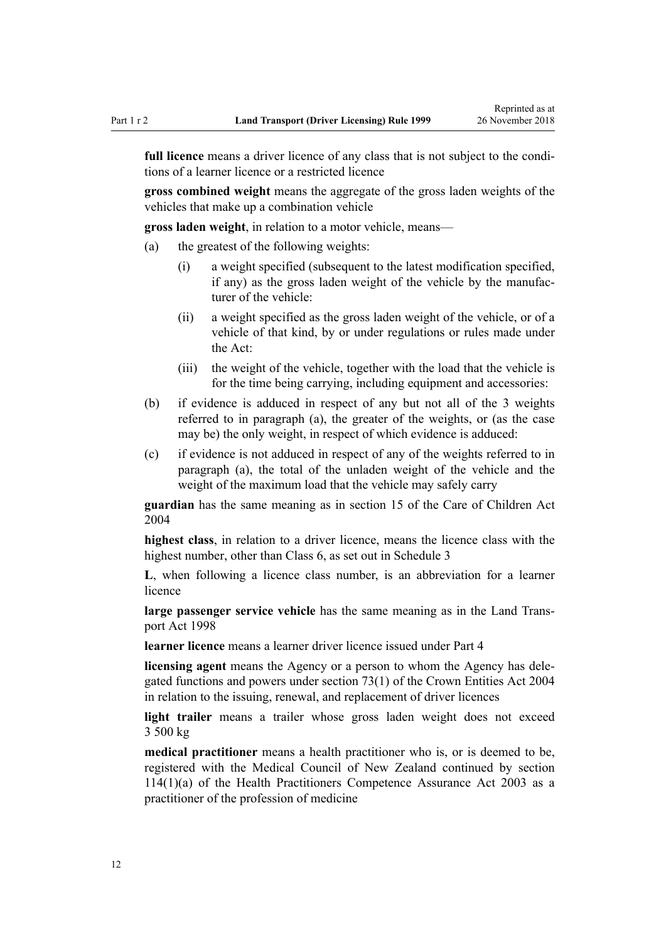**full licence** means a driver licence of any class that is not subject to the conditions of a learner licence or a restricted licence

**gross combined weight** means the aggregate of the gross laden weights of the vehicles that make up a combination vehicle

**gross laden weight**, in relation to a motor vehicle, means—

- (a) the greatest of the following weights:
	- (i) a weight specified (subsequent to the latest modification specified, if any) as the gross laden weight of the vehicle by the manufacturer of the vehicle:
	- (ii) a weight specified as the gross laden weight of the vehicle, or of a vehicle of that kind, by or under regulations or rules made under the Act:
	- (iii) the weight of the vehicle, together with the load that the vehicle is for the time being carrying, including equipment and accessories:
- (b) if evidence is adduced in respect of any but not all of the 3 weights referred to in paragraph (a), the greater of the weights, or (as the case may be) the only weight, in respect of which evidence is adduced:
- (c) if evidence is not adduced in respect of any of the weights referred to in paragraph (a), the total of the unladen weight of the vehicle and the weight of the maximum load that the vehicle may safely carry

**guardian** has the same meaning as in [section 15](http://legislation.govt.nz/pdflink.aspx?id=DLM317411) of the Care of Children Act 2004

**highest class**, in relation to a driver licence, means the licence class with the highest number, other than Class 6, as set out in [Schedule 3](#page-110-0)

**L**, when following a licence class number, is an abbreviation for a learner licence

**large passenger service vehicle** has the same meaning as in the [Land Trans](http://legislation.govt.nz/pdflink.aspx?id=DLM433612)[port Act 1998](http://legislation.govt.nz/pdflink.aspx?id=DLM433612)

**learner licence** means a learner driver licence issued under [Part 4](#page-25-0)

**licensing agent** means the Agency or a person to whom the Agency has delegated functions and powers under [section 73\(1\)](http://legislation.govt.nz/pdflink.aspx?id=DLM330308) of the Crown Entities Act 2004 in relation to the issuing, renewal, and replacement of driver licences

**light trailer** means a trailer whose gross laden weight does not exceed 3 500 kg

**medical practitioner** means a health practitioner who is, or is deemed to be, registered with the Medical Council of New Zealand continued by [section](http://legislation.govt.nz/pdflink.aspx?id=DLM204329) [114\(1\)\(a\)](http://legislation.govt.nz/pdflink.aspx?id=DLM204329) of the Health Practitioners Competence Assurance Act 2003 as a practitioner of the profession of medicine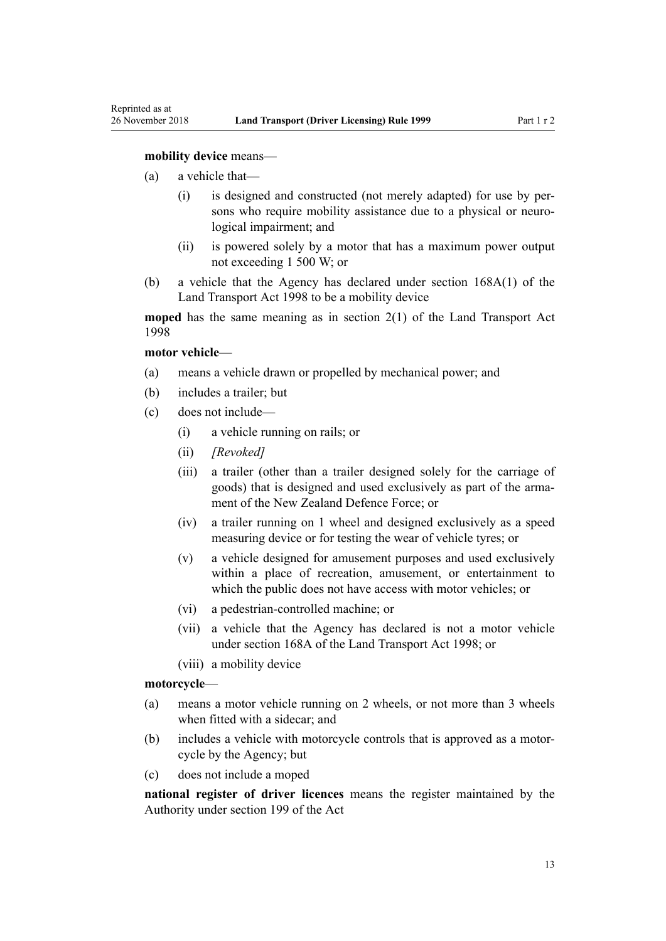#### **mobility device** means—

- (a) a vehicle that—
	- (i) is designed and constructed (not merely adapted) for use by persons who require mobility assistance due to a physical or neurological impairment; and
	- (ii) is powered solely by a motor that has a maximum power output not exceeding 1 500 W; or
- (b) a vehicle that the Agency has declared under [section 168A\(1\)](http://legislation.govt.nz/pdflink.aspx?id=DLM435415) of the Land Transport Act 1998 to be a mobility device

**moped** has the same meaning as in [section 2\(1\)](http://legislation.govt.nz/pdflink.aspx?id=DLM433619) of the Land Transport Act 1998

#### **motor vehicle**—

- (a) means a vehicle drawn or propelled by mechanical power; and
- (b) includes a trailer; but
- (c) does not include—
	- (i) a vehicle running on rails; or
	- (ii) *[Revoked]*
	- (iii) a trailer (other than a trailer designed solely for the carriage of goods) that is designed and used exclusively as part of the armament of the New Zealand Defence Force; or
	- (iv) a trailer running on 1 wheel and designed exclusively as a speed measuring device or for testing the wear of vehicle tyres; or
	- (v) a vehicle designed for amusement purposes and used exclusively within a place of recreation, amusement, or entertainment to which the public does not have access with motor vehicles; or
	- (vi) a pedestrian-controlled machine; or
	- (vii) a vehicle that the Agency has declared is not a motor vehicle under [section 168A](http://legislation.govt.nz/pdflink.aspx?id=DLM435415) of the Land Transport Act 1998; or
	- (viii) a mobility device

#### **motorcycle**—

- (a) means a motor vehicle running on 2 wheels, or not more than 3 wheels when fitted with a sidecar; and
- (b) includes a vehicle with motorcycle controls that is approved as a motorcycle by the Agency; but
- (c) does not include a moped

**national register of driver licences** means the register maintained by the Authority under [section 199](http://legislation.govt.nz/pdflink.aspx?id=DLM435603) of the Act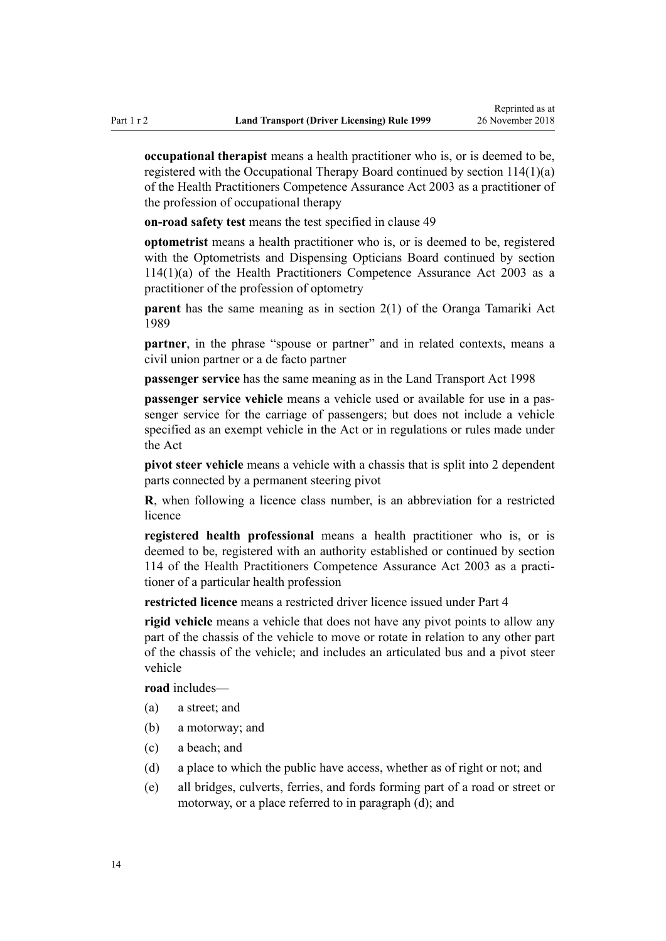**occupational therapist** means a health practitioner who is, or is deemed to be, registered with the Occupational Therapy Board continued by [section 114\(1\)\(a\)](http://legislation.govt.nz/pdflink.aspx?id=DLM204329) of the Health Practitioners Competence Assurance Act 2003 as a practitioner of the profession of occupational therapy

**on-road safety test** means the test specified in [clause 49](#page-55-0)

**optometrist** means a health practitioner who is, or is deemed to be, registered with the Optometrists and Dispensing Opticians Board continued by [section](http://legislation.govt.nz/pdflink.aspx?id=DLM204329) [114\(1\)\(a\)](http://legislation.govt.nz/pdflink.aspx?id=DLM204329) of the Health Practitioners Competence Assurance Act 2003 as a practitioner of the profession of optometry

**parent** has the same meaning as in [section 2\(1\)](http://legislation.govt.nz/pdflink.aspx?id=DLM147094) of the Oranga Tamariki Act 1989

**partner**, in the phrase "spouse or partner" and in related contexts, means a civil union partner or a de facto partner

**passenger service** has the same meaning as in the [Land Transport Act 1998](http://legislation.govt.nz/pdflink.aspx?id=DLM433612)

**passenger service vehicle** means a vehicle used or available for use in a passenger service for the carriage of passengers; but does not include a vehicle specified as an exempt vehicle in the Act or in regulations or rules made under the Act

**pivot steer vehicle** means a vehicle with a chassis that is split into 2 dependent parts connected by a permanent steering pivot

**R**, when following a licence class number, is an abbreviation for a restricted licence

**registered health professional** means a health practitioner who is, or is deemed to be, registered with an authority established or continued by [section](http://legislation.govt.nz/pdflink.aspx?id=DLM204329) [114](http://legislation.govt.nz/pdflink.aspx?id=DLM204329) of the Health Practitioners Competence Assurance Act 2003 as a practitioner of a particular health profession

**restricted licence** means a restricted driver licence issued under [Part 4](#page-25-0)

**rigid vehicle** means a vehicle that does not have any pivot points to allow any part of the chassis of the vehicle to move or rotate in relation to any other part of the chassis of the vehicle; and includes an articulated bus and a pivot steer vehicle

**road** includes—

- (a) a street; and
- (b) a motorway; and
- (c) a beach; and
- (d) a place to which the public have access, whether as of right or not; and
- (e) all bridges, culverts, ferries, and fords forming part of a road or street or motorway, or a place referred to in paragraph (d); and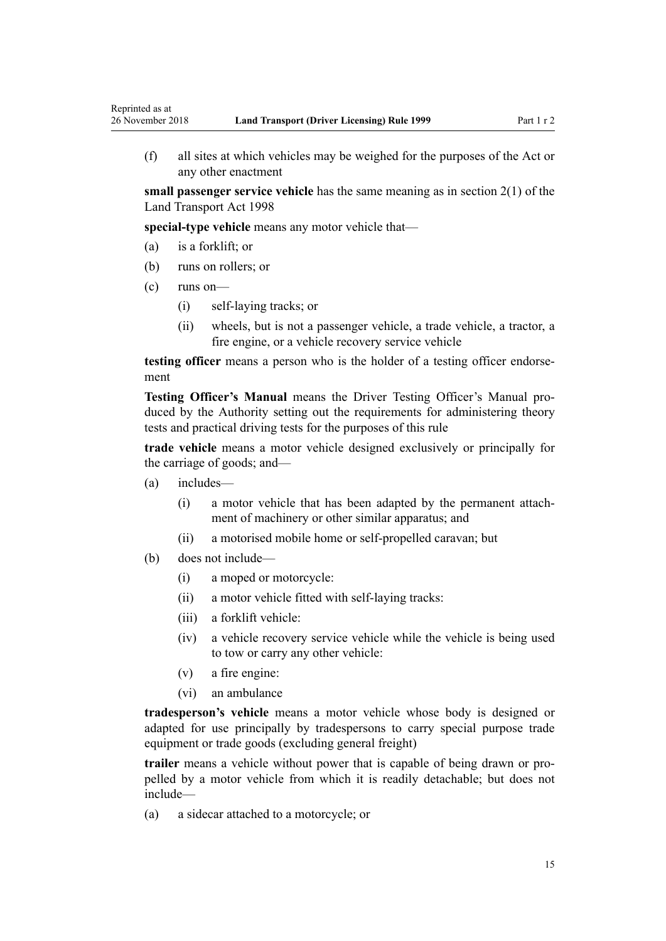(f) all sites at which vehicles may be weighed for the purposes of the Act or any other enactment

**small passenger service vehicle** has the same meaning as in [section 2\(1\)](http://legislation.govt.nz/pdflink.aspx?id=DLM433619) of the Land Transport Act 1998

**special-type vehicle** means any motor vehicle that—

- (a) is a forklift; or
- (b) runs on rollers; or
- (c) runs on—

Reprinted as at

- (i) self-laying tracks; or
- (ii) wheels, but is not a passenger vehicle, a trade vehicle, a tractor, a fire engine, or a vehicle recovery service vehicle

**testing officer** means a person who is the holder of a testing officer endorsement

**Testing Officer's Manual** means the Driver Testing Officer's Manual produced by the Authority setting out the requirements for administering theory tests and practical driving tests for the purposes of this rule

**trade vehicle** means a motor vehicle designed exclusively or principally for the carriage of goods; and—

- (a) includes—
	- (i) a motor vehicle that has been adapted by the permanent attachment of machinery or other similar apparatus; and
	- (ii) a motorised mobile home or self-propelled caravan; but
- (b) does not include—
	- (i) a moped or motorcycle:
	- (ii) a motor vehicle fitted with self-laying tracks:
	- (iii) a forklift vehicle:
	- (iv) a vehicle recovery service vehicle while the vehicle is being used to tow or carry any other vehicle:
	- (v) a fire engine:
	- (vi) an ambulance

**tradesperson's vehicle** means a motor vehicle whose body is designed or adapted for use principally by tradespersons to carry special purpose trade equipment or trade goods (excluding general freight)

**trailer** means a vehicle without power that is capable of being drawn or propelled by a motor vehicle from which it is readily detachable; but does not include—

(a) a sidecar attached to a motorcycle; or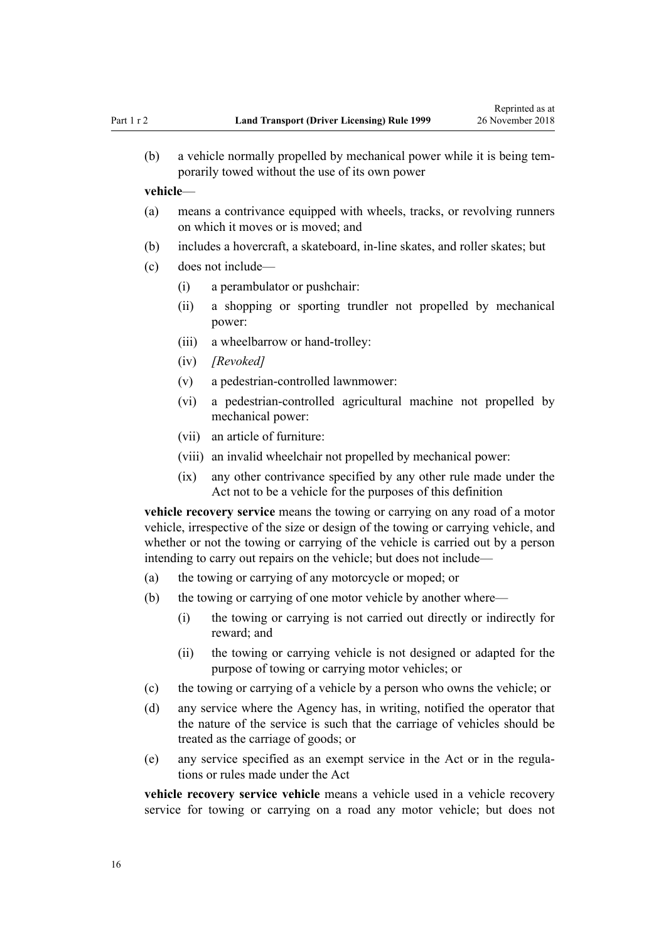(b) a vehicle normally propelled by mechanical power while it is being temporarily towed without the use of its own power

#### **vehicle**—

- (a) means a contrivance equipped with wheels, tracks, or revolving runners on which it moves or is moved; and
- (b) includes a hovercraft, a skateboard, in-line skates, and roller skates; but
- (c) does not include—
	- (i) a perambulator or pushchair:
	- (ii) a shopping or sporting trundler not propelled by mechanical power:
	- (iii) a wheelbarrow or hand-trolley:
	- (iv) *[Revoked]*
	- (v) a pedestrian-controlled lawnmower:
	- (vi) a pedestrian-controlled agricultural machine not propelled by mechanical power:
	- (vii) an article of furniture:
	- (viii) an invalid wheelchair not propelled by mechanical power:
	- (ix) any other contrivance specified by any other rule made under the Act not to be a vehicle for the purposes of this definition

**vehicle recovery service** means the towing or carrying on any road of a motor vehicle, irrespective of the size or design of the towing or carrying vehicle, and whether or not the towing or carrying of the vehicle is carried out by a person intending to carry out repairs on the vehicle; but does not include—

- (a) the towing or carrying of any motorcycle or moped; or
- (b) the towing or carrying of one motor vehicle by another where—
	- (i) the towing or carrying is not carried out directly or indirectly for reward; and
	- (ii) the towing or carrying vehicle is not designed or adapted for the purpose of towing or carrying motor vehicles; or
- (c) the towing or carrying of a vehicle by a person who owns the vehicle; or
- (d) any service where the Agency has, in writing, notified the operator that the nature of the service is such that the carriage of vehicles should be treated as the carriage of goods; or
- (e) any service specified as an exempt service in the Act or in the regulations or rules made under the Act

**vehicle recovery service vehicle** means a vehicle used in a vehicle recovery service for towing or carrying on a road any motor vehicle; but does not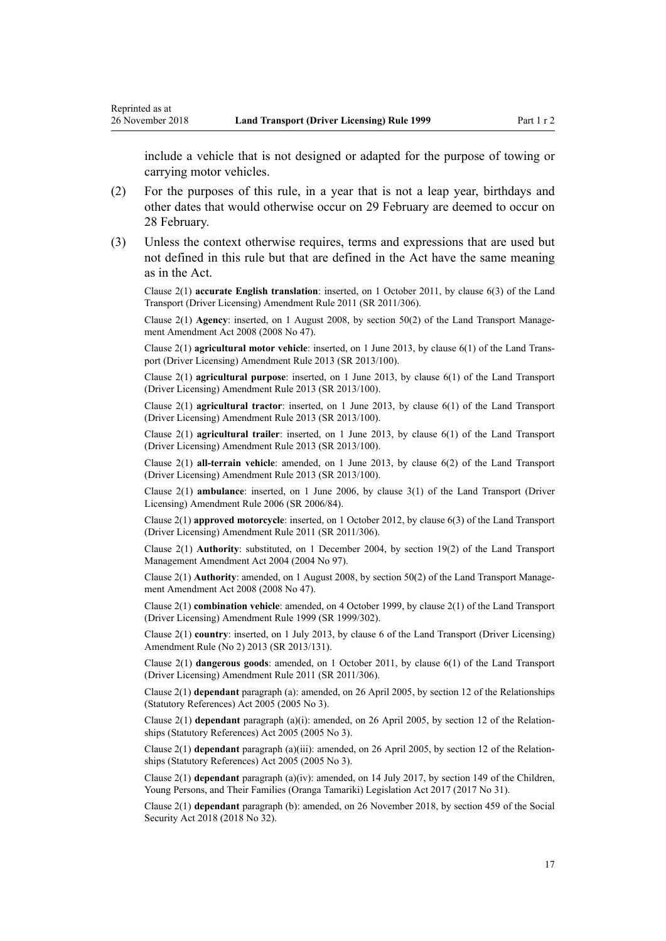Reprinted as at

include a vehicle that is not designed or adapted for the purpose of towing or carrying motor vehicles.

- (2) For the purposes of this rule, in a year that is not a leap year, birthdays and other dates that would otherwise occur on 29 February are deemed to occur on 28 February.
- (3) Unless the context otherwise requires, terms and expressions that are used but not defined in this rule but that are defined in the Act have the same meaning as in the Act.

Clause 2(1) **accurate English translation**: inserted, on 1 October 2011, by [clause 6\(3\)](http://legislation.govt.nz/pdflink.aspx?id=DLM3956501) of the Land Transport (Driver Licensing) Amendment Rule 2011 (SR 2011/306).

Clause 2(1) **Agency**: inserted, on 1 August 2008, by [section 50\(2\)](http://legislation.govt.nz/pdflink.aspx?id=DLM1313622) of the Land Transport Management Amendment Act 2008 (2008 No 47).

Clause 2(1) **agricultural motor vehicle**: inserted, on 1 June 2013, by [clause 6\(1\)](http://legislation.govt.nz/pdflink.aspx?id=DLM5102233) of the Land Transport (Driver Licensing) Amendment Rule 2013 (SR 2013/100).

Clause 2(1) **agricultural purpose**: inserted, on 1 June 2013, by [clause 6\(1\)](http://legislation.govt.nz/pdflink.aspx?id=DLM5102233) of the Land Transport (Driver Licensing) Amendment Rule 2013 (SR 2013/100).

Clause 2(1) **agricultural tractor**: inserted, on 1 June 2013, by [clause 6\(1\)](http://legislation.govt.nz/pdflink.aspx?id=DLM5102233) of the Land Transport (Driver Licensing) Amendment Rule 2013 (SR 2013/100).

Clause 2(1) **agricultural trailer**: inserted, on 1 June 2013, by [clause 6\(1\)](http://legislation.govt.nz/pdflink.aspx?id=DLM5102233) of the Land Transport (Driver Licensing) Amendment Rule 2013 (SR 2013/100).

Clause 2(1) **all-terrain vehicle**: amended, on 1 June 2013, by [clause 6\(2\)](http://legislation.govt.nz/pdflink.aspx?id=DLM5102233) of the Land Transport (Driver Licensing) Amendment Rule 2013 (SR 2013/100).

Clause 2(1) **ambulance**: inserted, on 1 June 2006, by [clause 3\(1\)](http://legislation.govt.nz/pdflink.aspx?id=DLM375678) of the Land Transport (Driver Licensing) Amendment Rule 2006 (SR 2006/84).

Clause 2(1) **approved motorcycle**: inserted, on 1 October 2012, by [clause 6\(3\)](http://legislation.govt.nz/pdflink.aspx?id=DLM3956501) of the Land Transport (Driver Licensing) Amendment Rule 2011 (SR 2011/306).

Clause 2(1) **Authority**: substituted, on 1 December 2004, by [section 19\(2\)](http://legislation.govt.nz/pdflink.aspx?id=DLM321838) of the Land Transport Management Amendment Act 2004 (2004 No 97).

Clause 2(1) **Authority**: amended, on 1 August 2008, by [section 50\(2\)](http://legislation.govt.nz/pdflink.aspx?id=DLM1313622) of the Land Transport Management Amendment Act 2008 (2008 No 47).

Clause 2(1) **combination vehicle**: amended, on 4 October 1999, by [clause 2\(1\)](http://legislation.govt.nz/pdflink.aspx?id=DLM293670) of the Land Transport (Driver Licensing) Amendment Rule 1999 (SR 1999/302).

Clause 2(1) **country**: inserted, on 1 July 2013, by [clause 6](http://legislation.govt.nz/pdflink.aspx?id=DLM5159809) of the Land Transport (Driver Licensing) Amendment Rule (No 2) 2013 (SR 2013/131).

Clause 2(1) **dangerous goods**: amended, on 1 October 2011, by [clause 6\(1\)](http://legislation.govt.nz/pdflink.aspx?id=DLM3956501) of the Land Transport (Driver Licensing) Amendment Rule 2011 (SR 2011/306).

Clause 2(1) **dependant** paragraph (a): amended, on 26 April 2005, by [section 12](http://legislation.govt.nz/pdflink.aspx?id=DLM334004) of the Relationships (Statutory References) Act 2005 (2005 No 3).

Clause 2(1) **dependant** paragraph (a)(i): amended, on 26 April 2005, by [section 12](http://legislation.govt.nz/pdflink.aspx?id=DLM334004) of the Relationships (Statutory References) Act 2005 (2005 No 3).

Clause 2(1) **dependant** paragraph (a)(iii): amended, on 26 April 2005, by [section 12](http://legislation.govt.nz/pdflink.aspx?id=DLM334004) of the Relationships (Statutory References) Act 2005 (2005 No 3).

Clause 2(1) **dependant** paragraph (a)(iv): amended, on 14 July 2017, by [section 149](http://legislation.govt.nz/pdflink.aspx?id=DLM7287401) of the Children, Young Persons, and Their Families (Oranga Tamariki) Legislation Act 2017 (2017 No 31).

Clause 2(1) **dependant** paragraph (b): amended, on 26 November 2018, by [section 459](http://legislation.govt.nz/pdflink.aspx?id=DLM6784038) of the Social Security Act 2018 (2018 No 32).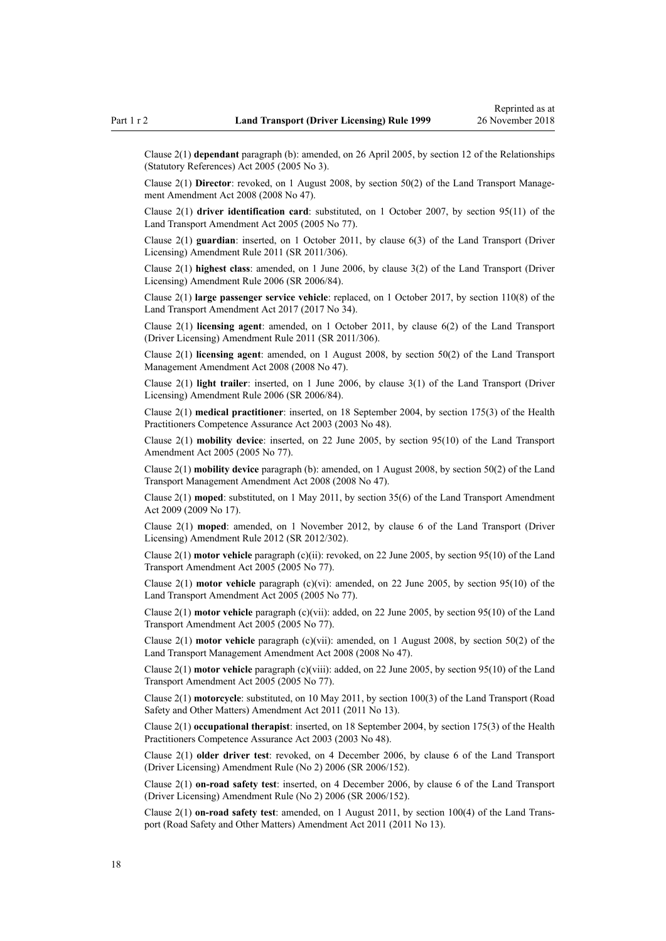Clause 2(1) **dependant** paragraph (b): amended, on 26 April 2005, by [section 12](http://legislation.govt.nz/pdflink.aspx?id=DLM334004) of the Relationships (Statutory References) Act 2005 (2005 No 3).

Clause 2(1) **Director**: revoked, on 1 August 2008, by [section 50\(2\)](http://legislation.govt.nz/pdflink.aspx?id=DLM1313622) of the Land Transport Management Amendment Act 2008 (2008 No 47).

Clause 2(1) **driver identification card**: substituted, on 1 October 2007, by [section 95\(11\)](http://legislation.govt.nz/pdflink.aspx?id=DLM353501) of the Land Transport Amendment Act 2005 (2005 No 77).

Clause 2(1) **guardian**: inserted, on 1 October 2011, by [clause 6\(3\)](http://legislation.govt.nz/pdflink.aspx?id=DLM3956501) of the Land Transport (Driver Licensing) Amendment Rule 2011 (SR 2011/306).

Clause 2(1) **highest class**: amended, on 1 June 2006, by [clause 3\(2\)](http://legislation.govt.nz/pdflink.aspx?id=DLM375678) of the Land Transport (Driver Licensing) Amendment Rule 2006 (SR 2006/84).

Clause 2(1) **large passenger service vehicle**: replaced, on 1 October 2017, by [section 110\(8\)](http://legislation.govt.nz/pdflink.aspx?id=DLM6960929) of the Land Transport Amendment Act 2017 (2017 No 34).

Clause 2(1) **licensing agent**: amended, on 1 October 2011, by [clause 6\(2\)](http://legislation.govt.nz/pdflink.aspx?id=DLM3956501) of the Land Transport (Driver Licensing) Amendment Rule 2011 (SR 2011/306).

Clause 2(1) **licensing agent**: amended, on 1 August 2008, by [section 50\(2\)](http://legislation.govt.nz/pdflink.aspx?id=DLM1313622) of the Land Transport Management Amendment Act 2008 (2008 No 47).

Clause 2(1) **light trailer**: inserted, on 1 June 2006, by [clause 3\(1\)](http://legislation.govt.nz/pdflink.aspx?id=DLM375678) of the Land Transport (Driver Licensing) Amendment Rule 2006 (SR 2006/84).

Clause 2(1) **medical practitioner**: inserted, on 18 September 2004, by [section 175\(3\)](http://legislation.govt.nz/pdflink.aspx?id=DLM205009) of the Health Practitioners Competence Assurance Act 2003 (2003 No 48).

Clause 2(1) **mobility device**: inserted, on 22 June 2005, by [section 95\(10\)](http://legislation.govt.nz/pdflink.aspx?id=DLM353501) of the Land Transport Amendment Act 2005 (2005 No 77).

Clause 2(1) **mobility device** paragraph (b): amended, on 1 August 2008, by [section 50\(2\)](http://legislation.govt.nz/pdflink.aspx?id=DLM1313622) of the Land Transport Management Amendment Act 2008 (2008 No 47).

Clause 2(1) **moped**: substituted, on 1 May 2011, by [section 35\(6\)](http://legislation.govt.nz/pdflink.aspx?id=DLM2015063) of the Land Transport Amendment Act 2009 (2009 No 17).

Clause 2(1) **moped**: amended, on 1 November 2012, by [clause 6](http://legislation.govt.nz/pdflink.aspx?id=DLM4773435) of the Land Transport (Driver Licensing) Amendment Rule 2012 (SR 2012/302).

Clause 2(1) **motor vehicle** paragraph (c)(ii): revoked, on 22 June 2005, by [section 95\(10\)](http://legislation.govt.nz/pdflink.aspx?id=DLM353501) of the Land Transport Amendment Act 2005 (2005 No 77).

Clause 2(1) **motor vehicle** paragraph (c)(vi): amended, on 22 June 2005, by [section 95\(10\)](http://legislation.govt.nz/pdflink.aspx?id=DLM353501) of the Land Transport Amendment Act 2005 (2005 No 77).

Clause 2(1) **motor vehicle** paragraph (c)(vii): added, on 22 June 2005, by [section 95\(10\)](http://legislation.govt.nz/pdflink.aspx?id=DLM353501) of the Land Transport Amendment Act 2005 (2005 No 77).

Clause 2(1) **motor vehicle** paragraph (c)(vii): amended, on 1 August 2008, by [section 50\(2\)](http://legislation.govt.nz/pdflink.aspx?id=DLM1313622) of the Land Transport Management Amendment Act 2008 (2008 No 47).

Clause 2(1) **motor vehicle** paragraph (c)(viii): added, on 22 June 2005, by [section 95\(10\)](http://legislation.govt.nz/pdflink.aspx?id=DLM353501) of the Land Transport Amendment Act 2005 (2005 No 77).

Clause 2(1) **motorcycle**: substituted, on 10 May 2011, by [section 100\(3\)](http://legislation.govt.nz/pdflink.aspx?id=DLM3231293) of the Land Transport (Road Safety and Other Matters) Amendment Act 2011 (2011 No 13).

Clause 2(1) **occupational therapist**: inserted, on 18 September 2004, by [section 175\(3\)](http://legislation.govt.nz/pdflink.aspx?id=DLM205009) of the Health Practitioners Competence Assurance Act 2003 (2003 No 48).

Clause 2(1) **older driver test**: revoked, on 4 December 2006, by [clause 6](http://legislation.govt.nz/pdflink.aspx?id=DLM386141) of the Land Transport (Driver Licensing) Amendment Rule (No 2) 2006 (SR 2006/152).

Clause 2(1) **on-road safety test**: inserted, on 4 December 2006, by [clause 6](http://legislation.govt.nz/pdflink.aspx?id=DLM386141) of the Land Transport (Driver Licensing) Amendment Rule (No 2) 2006 (SR 2006/152).

Clause 2(1) **on-road safety test**: amended, on 1 August 2011, by [section 100\(4\)](http://legislation.govt.nz/pdflink.aspx?id=DLM3231293) of the Land Transport (Road Safety and Other Matters) Amendment Act 2011 (2011 No 13).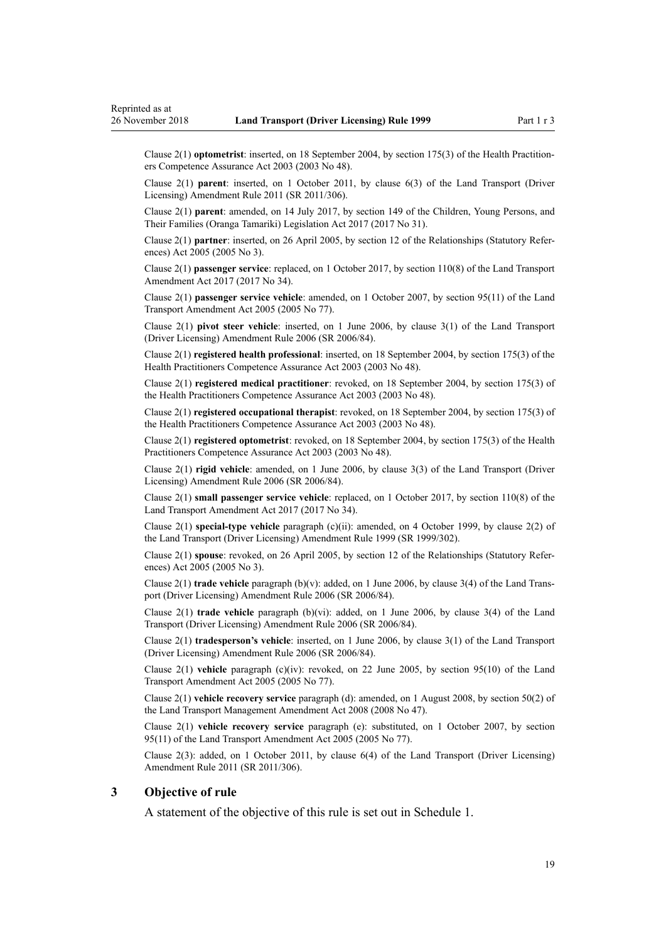<span id="page-18-0"></span>Clause 2(1) **optometrist**: inserted, on 18 September 2004, by [section 175\(3\)](http://legislation.govt.nz/pdflink.aspx?id=DLM205009) of the Health Practitioners Competence Assurance Act 2003 (2003 No 48).

Clause 2(1) **parent**: inserted, on 1 October 2011, by [clause 6\(3\)](http://legislation.govt.nz/pdflink.aspx?id=DLM3956501) of the Land Transport (Driver Licensing) Amendment Rule 2011 (SR 2011/306).

Clause 2(1) **parent**: amended, on 14 July 2017, by [section 149](http://legislation.govt.nz/pdflink.aspx?id=DLM7287401) of the Children, Young Persons, and Their Families (Oranga Tamariki) Legislation Act 2017 (2017 No 31).

Clause 2(1) **partner**: inserted, on 26 April 2005, by [section 12](http://legislation.govt.nz/pdflink.aspx?id=DLM334004) of the Relationships (Statutory References) Act 2005 (2005 No 3).

Clause 2(1) **passenger service**: replaced, on 1 October 2017, by [section 110\(8\)](http://legislation.govt.nz/pdflink.aspx?id=DLM6960929) of the Land Transport Amendment Act 2017 (2017 No 34).

Clause 2(1) **passenger service vehicle**: amended, on 1 October 2007, by [section 95\(11\)](http://legislation.govt.nz/pdflink.aspx?id=DLM353501) of the Land Transport Amendment Act 2005 (2005 No 77).

Clause 2(1) **pivot steer vehicle**: inserted, on 1 June 2006, by [clause 3\(1\)](http://legislation.govt.nz/pdflink.aspx?id=DLM375678) of the Land Transport (Driver Licensing) Amendment Rule 2006 (SR 2006/84).

Clause 2(1) **registered health professional**: inserted, on 18 September 2004, by [section 175\(3\)](http://legislation.govt.nz/pdflink.aspx?id=DLM205009) of the Health Practitioners Competence Assurance Act 2003 (2003 No 48).

Clause 2(1) **registered medical practitioner**: revoked, on 18 September 2004, by [section 175\(3\)](http://legislation.govt.nz/pdflink.aspx?id=DLM205009) of the Health Practitioners Competence Assurance Act 2003 (2003 No 48).

Clause 2(1) **registered occupational therapist**: revoked, on 18 September 2004, by [section 175\(3\)](http://legislation.govt.nz/pdflink.aspx?id=DLM205009) of the Health Practitioners Competence Assurance Act 2003 (2003 No 48).

Clause 2(1) **registered optometrist**: revoked, on 18 September 2004, by [section 175\(3\)](http://legislation.govt.nz/pdflink.aspx?id=DLM205009) of the Health Practitioners Competence Assurance Act 2003 (2003 No 48).

Clause 2(1) **rigid vehicle**: amended, on 1 June 2006, by [clause 3\(3\)](http://legislation.govt.nz/pdflink.aspx?id=DLM375678) of the Land Transport (Driver Licensing) Amendment Rule 2006 (SR 2006/84).

Clause 2(1) **small passenger service vehicle**: replaced, on 1 October 2017, by [section 110\(8\)](http://legislation.govt.nz/pdflink.aspx?id=DLM6960929) of the Land Transport Amendment Act 2017 (2017 No 34).

Clause 2(1) **special-type vehicle** paragraph (c)(ii): amended, on 4 October 1999, by [clause 2\(2\)](http://legislation.govt.nz/pdflink.aspx?id=DLM293670) of the Land Transport (Driver Licensing) Amendment Rule 1999 (SR 1999/302).

Clause 2(1) **spouse**: revoked, on 26 April 2005, by [section 12](http://legislation.govt.nz/pdflink.aspx?id=DLM334004) of the Relationships (Statutory References) Act 2005 (2005 No 3).

Clause 2(1) **trade vehicle** paragraph (b)(v): added, on 1 June 2006, by [clause 3\(4\)](http://legislation.govt.nz/pdflink.aspx?id=DLM375678) of the Land Transport (Driver Licensing) Amendment Rule 2006 (SR 2006/84).

Clause 2(1) **trade vehicle** paragraph (b)(vi): added, on 1 June 2006, by [clause 3\(4\)](http://legislation.govt.nz/pdflink.aspx?id=DLM375678) of the Land Transport (Driver Licensing) Amendment Rule 2006 (SR 2006/84).

Clause 2(1) **tradesperson's vehicle**: inserted, on 1 June 2006, by [clause 3\(1\)](http://legislation.govt.nz/pdflink.aspx?id=DLM375678) of the Land Transport (Driver Licensing) Amendment Rule 2006 (SR 2006/84).

Clause 2(1) **vehicle** paragraph (c)(iv): revoked, on 22 June 2005, by [section 95\(10\)](http://legislation.govt.nz/pdflink.aspx?id=DLM353501) of the Land Transport Amendment Act 2005 (2005 No 77).

Clause 2(1) **vehicle recovery service** paragraph (d): amended, on 1 August 2008, by [section 50\(2\)](http://legislation.govt.nz/pdflink.aspx?id=DLM1313622) of the Land Transport Management Amendment Act 2008 (2008 No 47).

Clause 2(1) **vehicle recovery service** paragraph (e): substituted, on 1 October 2007, by [section](http://legislation.govt.nz/pdflink.aspx?id=DLM353501) [95\(11\)](http://legislation.govt.nz/pdflink.aspx?id=DLM353501) of the Land Transport Amendment Act 2005 (2005 No 77).

Clause 2(3): added, on 1 October 2011, by [clause 6\(4\)](http://legislation.govt.nz/pdflink.aspx?id=DLM3956501) of the Land Transport (Driver Licensing) Amendment Rule 2011 (SR 2011/306).

#### **3 Objective of rule**

A statement of the objective of this rule is set out in [Schedule 1.](#page-106-0)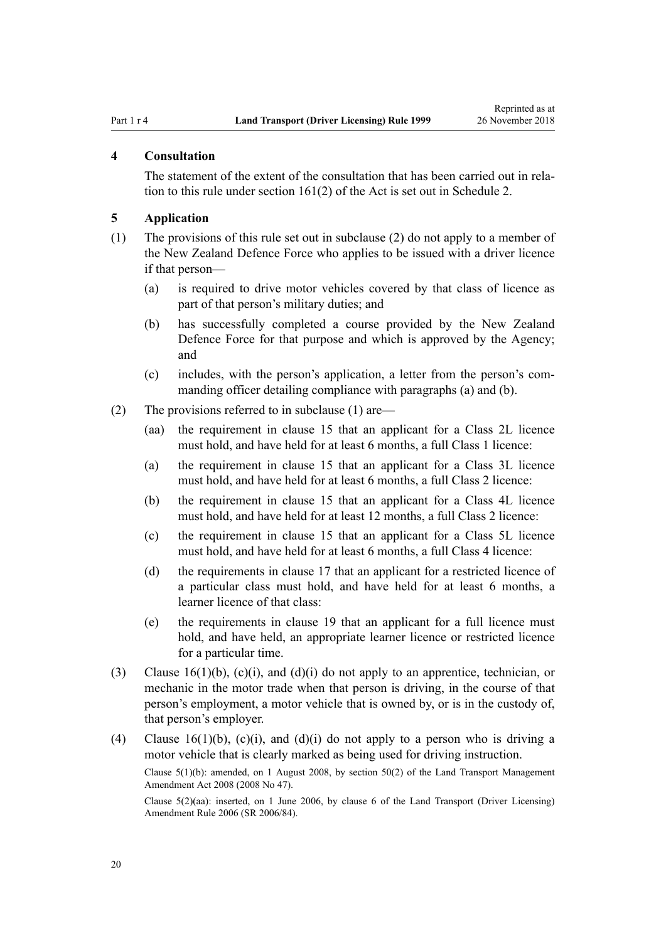#### <span id="page-19-0"></span>**4 Consultation**

The statement of the extent of the consultation that has been carried out in relation to this rule under [section 161\(2\)](http://legislation.govt.nz/pdflink.aspx?id=DLM435195) of the Act is set out in [Schedule 2](#page-107-0).

### **5 Application**

- (1) The provisions of this rule set out in subclause (2) do not apply to a member of the New Zealand Defence Force who applies to be issued with a driver licence if that person—
	- (a) is required to drive motor vehicles covered by that class of licence as part of that person's military duties; and
	- (b) has successfully completed a course provided by the New Zealand Defence Force for that purpose and which is approved by the Agency; and
	- (c) includes, with the person's application, a letter from the person's commanding officer detailing compliance with paragraphs (a) and (b).
- (2) The provisions referred to in subclause (1) are—
	- (aa) the requirement in [clause 15](#page-25-0) that an applicant for a Class 2L licence must hold, and have held for at least 6 months, a full Class 1 licence:
	- (a) the requirement in [clause 15](#page-25-0) that an applicant for a Class 3L licence must hold, and have held for at least 6 months, a full Class 2 licence:
	- (b) the requirement in [clause 15](#page-25-0) that an applicant for a Class 4L licence must hold, and have held for at least 12 months, a full Class 2 licence:
	- (c) the requirement in [clause 15](#page-25-0) that an applicant for a Class 5L licence must hold, and have held for at least 6 months, a full Class 4 licence:
	- (d) the requirements in [clause 17](#page-28-0) that an applicant for a restricted licence of a particular class must hold, and have held for at least 6 months, a learner licence of that class:
	- (e) the requirements in [clause 19](#page-30-0) that an applicant for a full licence must hold, and have held, an appropriate learner licence or restricted licence for a particular time.
- (3) Clause  $16(1)(b)$ , (c)(i), and (d)(i) do not apply to an apprentice, technician, or mechanic in the motor trade when that person is driving, in the course of that person's employment, a motor vehicle that is owned by, or is in the custody of, that person's employer.
- (4) [Clause 16\(1\)\(b\), \(c\)\(i\), and \(d\)\(i\)](#page-26-0) do not apply to a person who is driving a motor vehicle that is clearly marked as being used for driving instruction.

Clause 5(1)(b): amended, on 1 August 2008, by [section 50\(2\)](http://legislation.govt.nz/pdflink.aspx?id=DLM1313622) of the Land Transport Management Amendment Act 2008 (2008 No 47).

Clause 5(2)(aa): inserted, on 1 June 2006, by [clause 6](http://legislation.govt.nz/pdflink.aspx?id=DLM375691) of the Land Transport (Driver Licensing) Amendment Rule 2006 (SR 2006/84).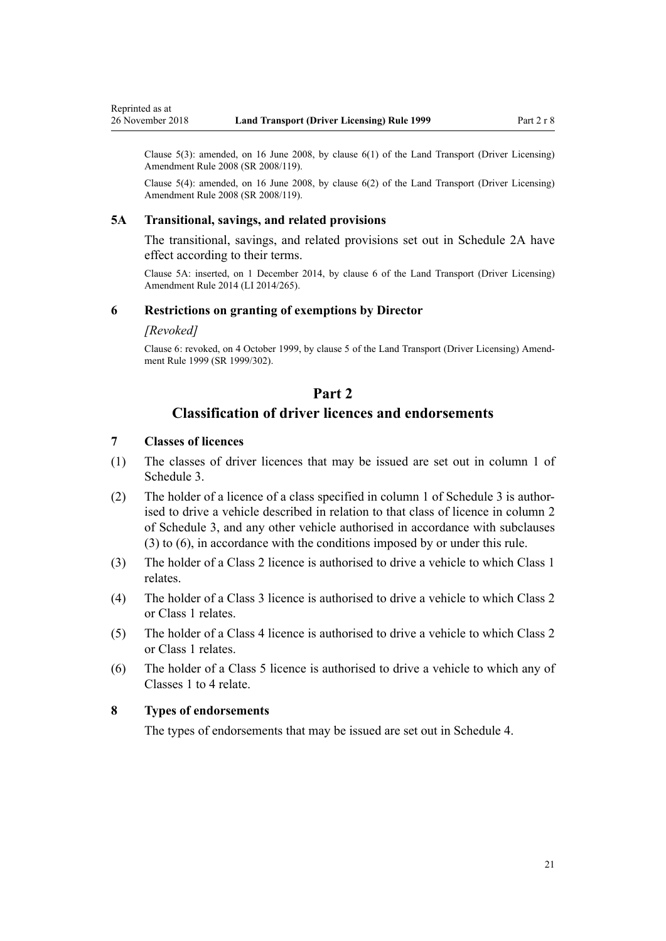<span id="page-20-0"></span>Reprinted as at

Clause  $5(3)$ : amended, on 16 June 2008, by clause  $6(1)$  of the Land Transport (Driver Licensing) Amendment Rule 2008 (SR 2008/119).

Clause 5(4): amended, on 16 June 2008, by [clause 6\(2\)](http://legislation.govt.nz/pdflink.aspx?id=DLM1317909) of the Land Transport (Driver Licensing) Amendment Rule 2008 (SR 2008/119).

#### **5A Transitional, savings, and related provisions**

The transitional, savings, and related provisions set out in [Schedule 2A](#page-109-0) have effect according to their terms.

Clause 5A: inserted, on 1 December 2014, by [clause 6](http://legislation.govt.nz/pdflink.aspx?id=DLM6216910) of the Land Transport (Driver Licensing) Amendment Rule 2014 (LI 2014/265).

## **6 Restrictions on granting of exemptions by Director**

#### *[Revoked]*

Clause 6: revoked, on 4 October 1999, by [clause 5](http://legislation.govt.nz/pdflink.aspx?id=DLM293673) of the Land Transport (Driver Licensing) Amendment Rule 1999 (SR 1999/302).

## **Part 2**

## **Classification of driver licences and endorsements**

## **7 Classes of licences**

- (1) The classes of driver licences that may be issued are set out in column 1 of [Schedule 3.](#page-110-0)
- (2) The holder of a licence of a class specified in column 1 of [Schedule 3](#page-110-0) is authorised to drive a vehicle described in relation to that class of licence in column 2 of Schedule 3, and any other vehicle authorised in accordance with subclauses (3) to (6), in accordance with the conditions imposed by or under this rule.
- (3) The holder of a Class 2 licence is authorised to drive a vehicle to which Class 1 relates.
- (4) The holder of a Class 3 licence is authorised to drive a vehicle to which Class 2 or Class 1 relates.
- (5) The holder of a Class 4 licence is authorised to drive a vehicle to which Class 2 or Class 1 relates.
- (6) The holder of a Class 5 licence is authorised to drive a vehicle to which any of Classes 1 to 4 relate.

## **8 Types of endorsements**

The types of endorsements that may be issued are set out in [Schedule 4.](#page-113-0)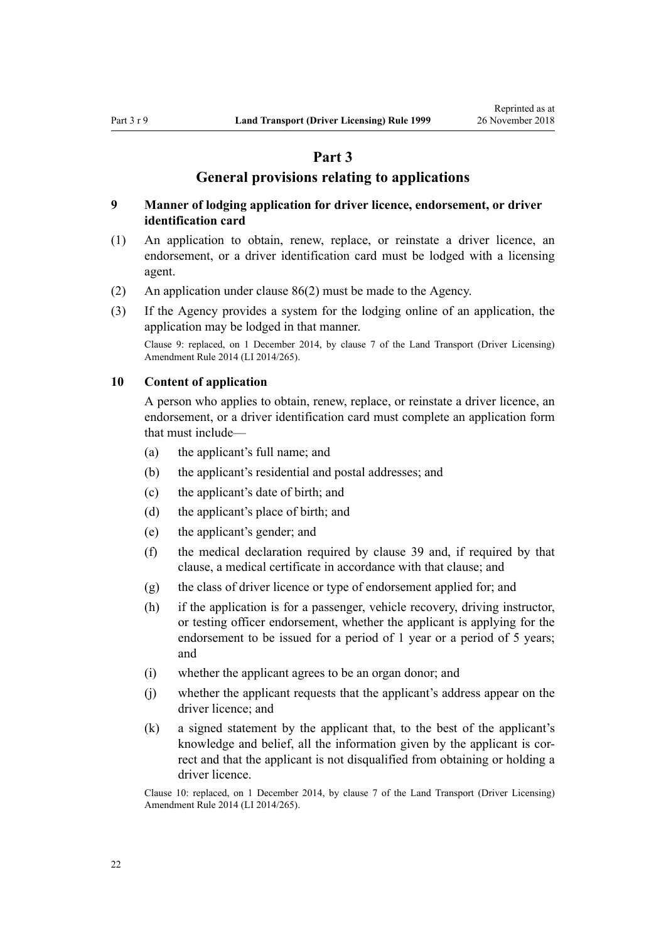## **Part 3**

## **General provisions relating to applications**

## <span id="page-21-0"></span>**9 Manner of lodging application for driver licence, endorsement, or driver identification card**

- (1) An application to obtain, renew, replace, or reinstate a driver licence, an endorsement, or a driver identification card must be lodged with a licensing agent.
- (2) An application under [clause 86\(2\)](#page-84-0) must be made to the Agency.
- (3) If the Agency provides a system for the lodging online of an application, the application may be lodged in that manner.

Clause 9: replaced, on 1 December 2014, by [clause 7](http://legislation.govt.nz/pdflink.aspx?id=DLM6216912) of the Land Transport (Driver Licensing) Amendment Rule 2014 (LI 2014/265).

#### **10 Content of application**

A person who applies to obtain, renew, replace, or reinstate a driver licence, an endorsement, or a driver identification card must complete an application form that must include—

- (a) the applicant's full name; and
- (b) the applicant's residential and postal addresses; and
- (c) the applicant's date of birth; and
- (d) the applicant's place of birth; and
- (e) the applicant's gender; and
- (f) the medical declaration required by [clause 39](#page-49-0) and, if required by that clause, a medical certificate in accordance with that clause; and
- (g) the class of driver licence or type of endorsement applied for; and
- (h) if the application is for a passenger, vehicle recovery, driving instructor, or testing officer endorsement, whether the applicant is applying for the endorsement to be issued for a period of 1 year or a period of 5 years; and
- (i) whether the applicant agrees to be an organ donor; and
- (j) whether the applicant requests that the applicant's address appear on the driver licence; and
- (k) a signed statement by the applicant that, to the best of the applicant's knowledge and belief, all the information given by the applicant is correct and that the applicant is not disqualified from obtaining or holding a driver licence.

Clause 10: replaced, on 1 December 2014, by [clause 7](http://legislation.govt.nz/pdflink.aspx?id=DLM6216912) of the Land Transport (Driver Licensing) Amendment Rule 2014 (LI 2014/265).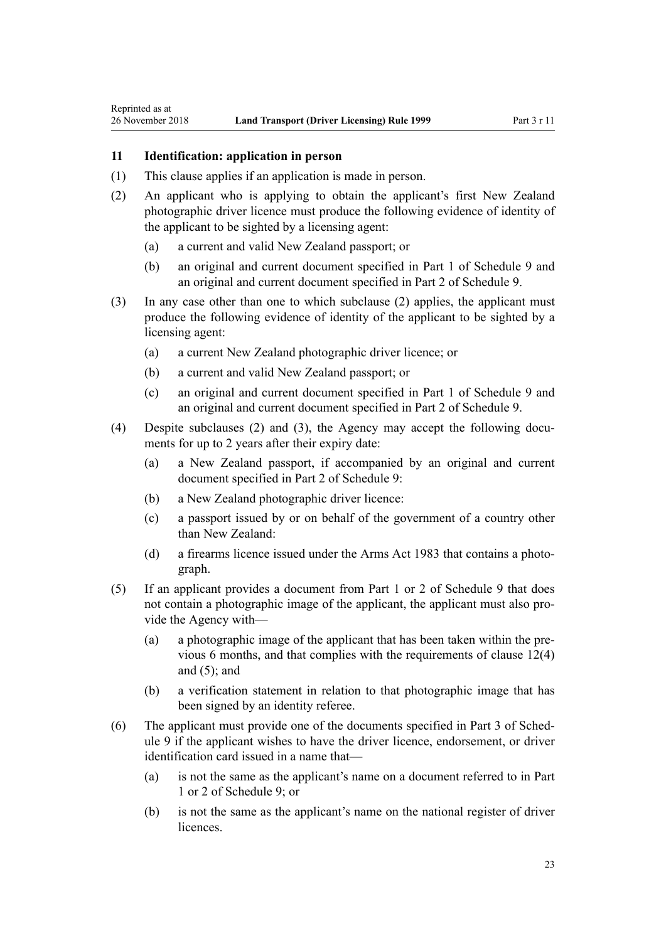## **11 Identification: application in person**

<span id="page-22-0"></span>Reprinted as at

- (1) This clause applies if an application is made in person.
- (2) An applicant who is applying to obtain the applicant's first New Zealand photographic driver licence must produce the following evidence of identity of the applicant to be sighted by a licensing agent:
	- (a) a current and valid New Zealand passport; or
	- (b) an original and current document specified in [Part 1](#page-117-0) of Schedule 9 and an original and current document specified in [Part 2](#page-117-0) of Schedule 9.
- (3) In any case other than one to which subclause (2) applies, the applicant must produce the following evidence of identity of the applicant to be sighted by a licensing agent:
	- (a) a current New Zealand photographic driver licence; or
	- (b) a current and valid New Zealand passport; or
	- (c) an original and current document specified in [Part 1](#page-117-0) of Schedule 9 and an original and current document specified in [Part 2](#page-117-0) of Schedule 9.
- (4) Despite subclauses (2) and (3), the Agency may accept the following documents for up to 2 years after their expiry date:
	- (a) a New Zealand passport, if accompanied by an original and current document specified in [Part 2](#page-117-0) of Schedule 9:
	- (b) a New Zealand photographic driver licence:
	- (c) a passport issued by or on behalf of the government of a country other than New Zealand:
	- (d) a firearms licence issued under the [Arms Act 1983](http://legislation.govt.nz/pdflink.aspx?id=DLM72621) that contains a photograph.
- (5) If an applicant provides a document from [Part 1](#page-117-0) or [2](#page-117-0) of Schedule 9 that does not contain a photographic image of the applicant, the applicant must also provide the Agency with—
	- (a) a photographic image of the applicant that has been taken within the previous 6 months, and that complies with the requirements of [clause 12\(4\)](#page-23-0) and  $(5)$ ; and
	- (b) a verification statement in relation to that photographic image that has been signed by an identity referee.
- (6) The applicant must provide one of the documents specified in [Part 3](#page-118-0) of Schedule 9 if the applicant wishes to have the driver licence, endorsement, or driver identification card issued in a name that—
	- (a) is not the same as the applicant's name on a document referred to in [Part](#page-117-0) [1](#page-117-0) or [2](#page-117-0) of Schedule 9; or
	- (b) is not the same as the applicant's name on the national register of driver licences.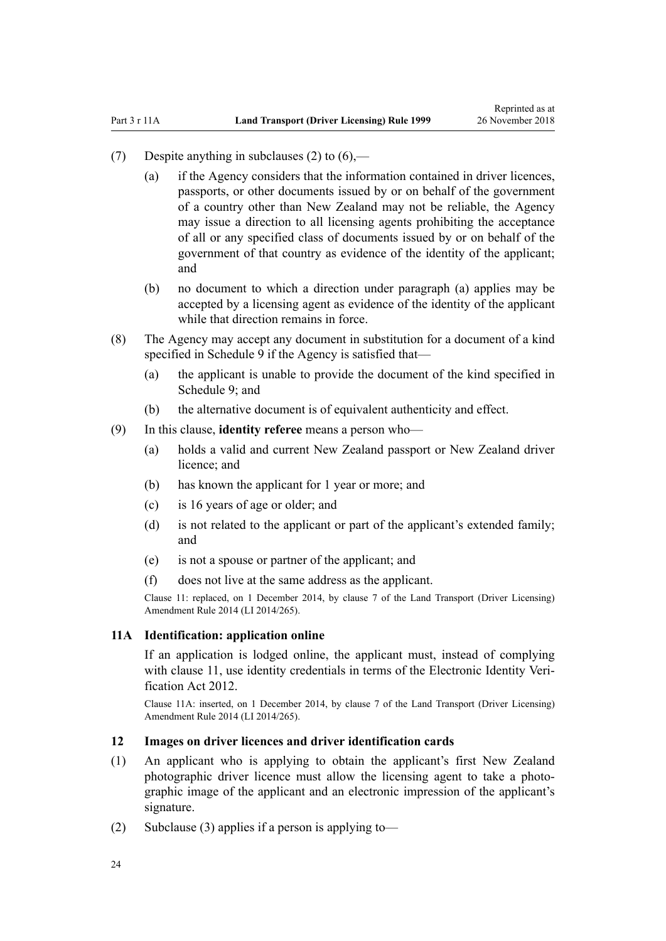- <span id="page-23-0"></span>(7) Despite anything in subclauses (2) to  $(6)$ —
	- (a) if the Agency considers that the information contained in driver licences, passports, or other documents issued by or on behalf of the government of a country other than New Zealand may not be reliable, the Agency may issue a direction to all licensing agents prohibiting the acceptance of all or any specified class of documents issued by or on behalf of the government of that country as evidence of the identity of the applicant; and
	- (b) no document to which a direction under paragraph (a) applies may be accepted by a licensing agent as evidence of the identity of the applicant while that direction remains in force.
- (8) The Agency may accept any document in substitution for a document of a kind specified in [Schedule 9](#page-117-0) if the Agency is satisfied that—
	- (a) the applicant is unable to provide the document of the kind specified in Schedule 9: and
	- (b) the alternative document is of equivalent authenticity and effect.
- (9) In this clause, **identity referee** means a person who—
	- (a) holds a valid and current New Zealand passport or New Zealand driver licence; and
	- (b) has known the applicant for 1 year or more; and
	- (c) is 16 years of age or older; and
	- (d) is not related to the applicant or part of the applicant's extended family; and
	- (e) is not a spouse or partner of the applicant; and
	- (f) does not live at the same address as the applicant.

Clause 11: replaced, on 1 December 2014, by [clause 7](http://legislation.govt.nz/pdflink.aspx?id=DLM6216912) of the Land Transport (Driver Licensing) Amendment Rule 2014 (LI 2014/265).

#### **11A Identification: application online**

If an application is lodged online, the applicant must, instead of complying with [clause 11](#page-22-0), use identity credentials in terms of the [Electronic Identity Veri](http://legislation.govt.nz/pdflink.aspx?id=DLM1777800)[fication Act 2012.](http://legislation.govt.nz/pdflink.aspx?id=DLM1777800)

Clause 11A: inserted, on 1 December 2014, by [clause 7](http://legislation.govt.nz/pdflink.aspx?id=DLM6216912) of the Land Transport (Driver Licensing) Amendment Rule 2014 (LI 2014/265).

#### **12 Images on driver licences and driver identification cards**

- (1) An applicant who is applying to obtain the applicant's first New Zealand photographic driver licence must allow the licensing agent to take a photographic image of the applicant and an electronic impression of the applicant's signature.
- (2) Subclause (3) applies if a person is applying to-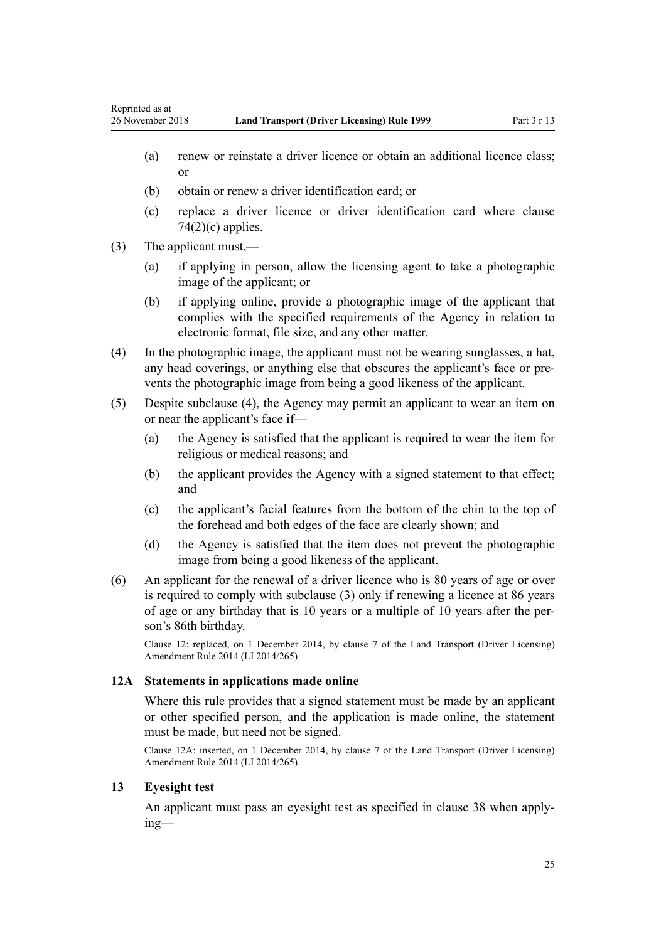- <span id="page-24-0"></span>(a) renew or reinstate a driver licence or obtain an additional licence class; or
- (b) obtain or renew a driver identification card; or
- (c) replace a driver licence or driver identification card where [clause](#page-75-0)  $74(2)(c)$  applies.
- (3) The applicant must,—
	- (a) if applying in person, allow the licensing agent to take a photographic image of the applicant; or
	- (b) if applying online, provide a photographic image of the applicant that complies with the specified requirements of the Agency in relation to electronic format, file size, and any other matter.
- (4) In the photographic image, the applicant must not be wearing sunglasses, a hat, any head coverings, or anything else that obscures the applicant's face or prevents the photographic image from being a good likeness of the applicant.
- (5) Despite subclause (4), the Agency may permit an applicant to wear an item on or near the applicant's face if—
	- (a) the Agency is satisfied that the applicant is required to wear the item for religious or medical reasons; and
	- (b) the applicant provides the Agency with a signed statement to that effect; and
	- (c) the applicant's facial features from the bottom of the chin to the top of the forehead and both edges of the face are clearly shown; and
	- (d) the Agency is satisfied that the item does not prevent the photographic image from being a good likeness of the applicant.
- (6) An applicant for the renewal of a driver licence who is 80 years of age or over is required to comply with subclause (3) only if renewing a licence at 86 years of age or any birthday that is 10 years or a multiple of 10 years after the person's 86th birthday.

Clause 12: replaced, on 1 December 2014, by [clause 7](http://legislation.govt.nz/pdflink.aspx?id=DLM6216912) of the Land Transport (Driver Licensing) Amendment Rule 2014 (LI 2014/265).

## **12A Statements in applications made online**

Where this rule provides that a signed statement must be made by an applicant or other specified person, and the application is made online, the statement must be made, but need not be signed.

Clause 12A: inserted, on 1 December 2014, by [clause 7](http://legislation.govt.nz/pdflink.aspx?id=DLM6216912) of the Land Transport (Driver Licensing) Amendment Rule 2014 (LI 2014/265).

### **13 Eyesight test**

An applicant must pass an eyesight test as specified in [clause 38](#page-48-0) when applying—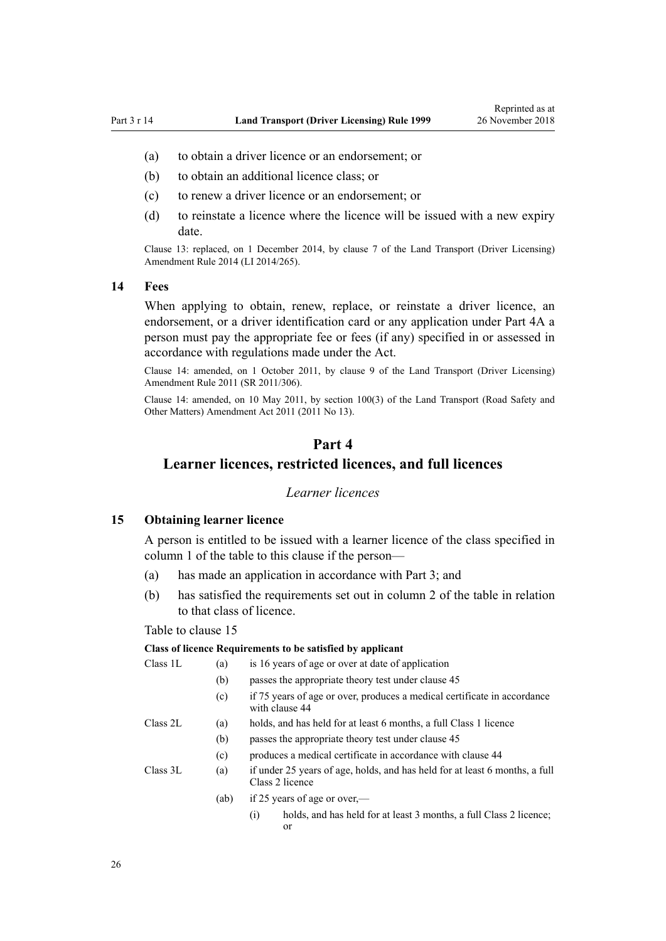- <span id="page-25-0"></span>(a) to obtain a driver licence or an endorsement; or
- (b) to obtain an additional licence class; or
- (c) to renew a driver licence or an endorsement; or
- (d) to reinstate a licence where the licence will be issued with a new expiry date.

Clause 13: replaced, on 1 December 2014, by [clause 7](http://legislation.govt.nz/pdflink.aspx?id=DLM6216912) of the Land Transport (Driver Licensing) Amendment Rule 2014 (LI 2014/265).

#### **14 Fees**

When applying to obtain, renew, replace, or reinstate a driver licence, an endorsement, or a driver identification card or any application under [Part 4A](#page-33-0) a person must pay the appropriate fee or fees (if any) specified in or assessed in accordance with regulations made under the Act.

Clause 14: amended, on 1 October 2011, by [clause 9](http://legislation.govt.nz/pdflink.aspx?id=DLM3956593) of the Land Transport (Driver Licensing) Amendment Rule 2011 (SR 2011/306).

Clause 14: amended, on 10 May 2011, by [section 100\(3\)](http://legislation.govt.nz/pdflink.aspx?id=DLM3231293) of the Land Transport (Road Safety and Other Matters) Amendment Act 2011 (2011 No 13).

## **Part 4**

## **Learner licences, restricted licences, and full licences**

#### *Learner licences*

#### **15 Obtaining learner licence**

A person is entitled to be issued with a learner licence of the class specified in column 1 of the table to this clause if the person—

- (a) has made an application in accordance with [Part 3;](#page-21-0) and
- (b) has satisfied the requirements set out in column 2 of the table in relation to that class of licence.

#### Table to clause 15

#### **Class of licence Requirements to be satisfied by applicant**

| Class 1L | (a)  | is 16 years of age or over at date of application                                              |  |  |  |  |  |
|----------|------|------------------------------------------------------------------------------------------------|--|--|--|--|--|
|          | (b)  | passes the appropriate theory test under clause 45                                             |  |  |  |  |  |
|          | (c)  | if 75 years of age or over, produces a medical certificate in accordance<br>with clause 44     |  |  |  |  |  |
| Class 2L | (a)  | holds, and has held for at least 6 months, a full Class 1 licence                              |  |  |  |  |  |
|          | (b)  | passes the appropriate theory test under clause 45                                             |  |  |  |  |  |
|          | (c)  | produces a medical certificate in accordance with clause 44                                    |  |  |  |  |  |
| Class 3L | (a)  | if under 25 years of age, holds, and has held for at least 6 months, a full<br>Class 2 licence |  |  |  |  |  |
|          | (ab) | if 25 years of age or over,—                                                                   |  |  |  |  |  |
|          |      | holds, and has held for at least 3 months, a full Class 2 licence;<br>$\left( 1\right)$<br>or  |  |  |  |  |  |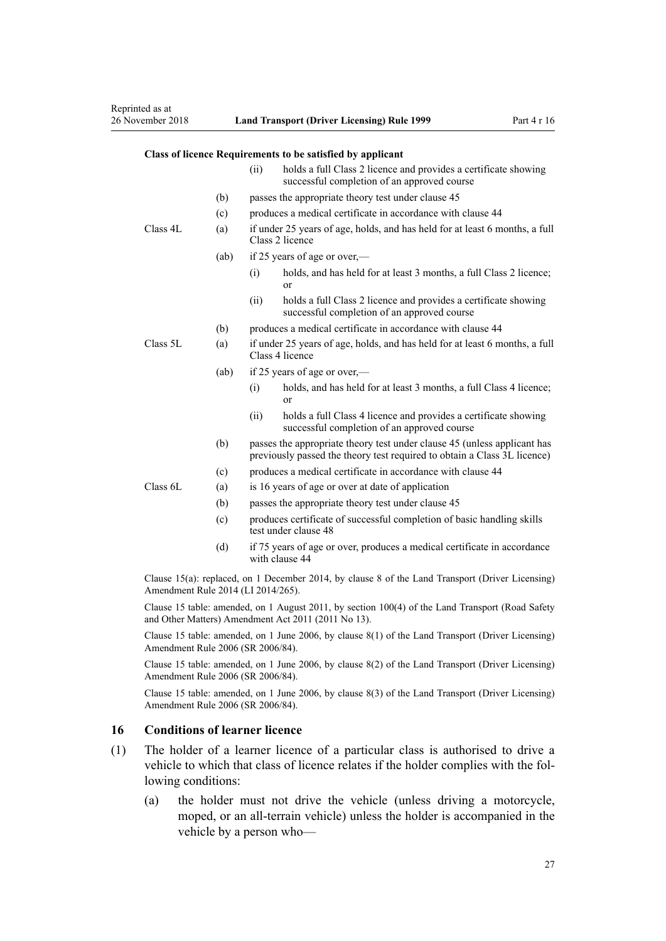#### <span id="page-26-0"></span>**Class of licence Requirements to be satisfied by applicant**

|          |      | (ii)                                                                                                                                                 | holds a full Class 2 licence and provides a certificate showing<br>successful completion of an approved course |  |  |  |
|----------|------|------------------------------------------------------------------------------------------------------------------------------------------------------|----------------------------------------------------------------------------------------------------------------|--|--|--|
|          | (b)  | passes the appropriate theory test under clause 45                                                                                                   |                                                                                                                |  |  |  |
|          | (c)  | produces a medical certificate in accordance with clause 44                                                                                          |                                                                                                                |  |  |  |
| Class 4L | (a)  | if under 25 years of age, holds, and has held for at least 6 months, a full<br>Class 2 licence                                                       |                                                                                                                |  |  |  |
|          | (ab) | if 25 years of age or over,—                                                                                                                         |                                                                                                                |  |  |  |
|          |      | (i)                                                                                                                                                  | holds, and has held for at least 3 months, a full Class 2 licence;<br>or                                       |  |  |  |
|          |      | (ii)                                                                                                                                                 | holds a full Class 2 licence and provides a certificate showing<br>successful completion of an approved course |  |  |  |
|          | (b)  | produces a medical certificate in accordance with clause 44                                                                                          |                                                                                                                |  |  |  |
| Class 5L | (a)  | if under 25 years of age, holds, and has held for at least 6 months, a full<br>Class 4 licence                                                       |                                                                                                                |  |  |  |
|          | (ab) | if 25 years of age or over,—                                                                                                                         |                                                                                                                |  |  |  |
|          |      | (i)                                                                                                                                                  | holds, and has held for at least 3 months, a full Class 4 licence;<br>or                                       |  |  |  |
|          |      | (ii)                                                                                                                                                 | holds a full Class 4 licence and provides a certificate showing<br>successful completion of an approved course |  |  |  |
|          | (b)  | passes the appropriate theory test under clause 45 (unless applicant has<br>previously passed the theory test required to obtain a Class 3L licence) |                                                                                                                |  |  |  |
|          | (c)  | produces a medical certificate in accordance with clause 44                                                                                          |                                                                                                                |  |  |  |
| Class 6L | (a)  | is 16 years of age or over at date of application                                                                                                    |                                                                                                                |  |  |  |
|          | (b)  | passes the appropriate theory test under clause 45                                                                                                   |                                                                                                                |  |  |  |
|          | (c)  | produces certificate of successful completion of basic handling skills<br>test under clause 48                                                       |                                                                                                                |  |  |  |
|          | (d)  |                                                                                                                                                      | if 75 years of age or over, produces a medical certificate in accordance<br>with clause 44                     |  |  |  |
|          |      |                                                                                                                                                      |                                                                                                                |  |  |  |

Clause 15(a): replaced, on 1 December 2014, by [clause 8](http://legislation.govt.nz/pdflink.aspx?id=DLM6216921) of the Land Transport (Driver Licensing) Amendment Rule 2014 (LI 2014/265).

Clause 15 table: amended, on 1 August 2011, by [section 100\(4\)](http://legislation.govt.nz/pdflink.aspx?id=DLM3231293) of the Land Transport (Road Safety and Other Matters) Amendment Act 2011 (2011 No 13).

Clause 15 table: amended, on 1 June 2006, by [clause 8\(1\)](http://legislation.govt.nz/pdflink.aspx?id=DLM375693) of the Land Transport (Driver Licensing) Amendment Rule 2006 (SR 2006/84).

Clause 15 table: amended, on 1 June 2006, by [clause 8\(2\)](http://legislation.govt.nz/pdflink.aspx?id=DLM375693) of the Land Transport (Driver Licensing) Amendment Rule 2006 (SR 2006/84).

Clause 15 table: amended, on 1 June 2006, by [clause 8\(3\)](http://legislation.govt.nz/pdflink.aspx?id=DLM375693) of the Land Transport (Driver Licensing) Amendment Rule 2006 (SR 2006/84).

#### **16 Conditions of learner licence**

- (1) The holder of a learner licence of a particular class is authorised to drive a vehicle to which that class of licence relates if the holder complies with the following conditions:
	- (a) the holder must not drive the vehicle (unless driving a motorcycle, moped, or an all-terrain vehicle) unless the holder is accompanied in the vehicle by a person who—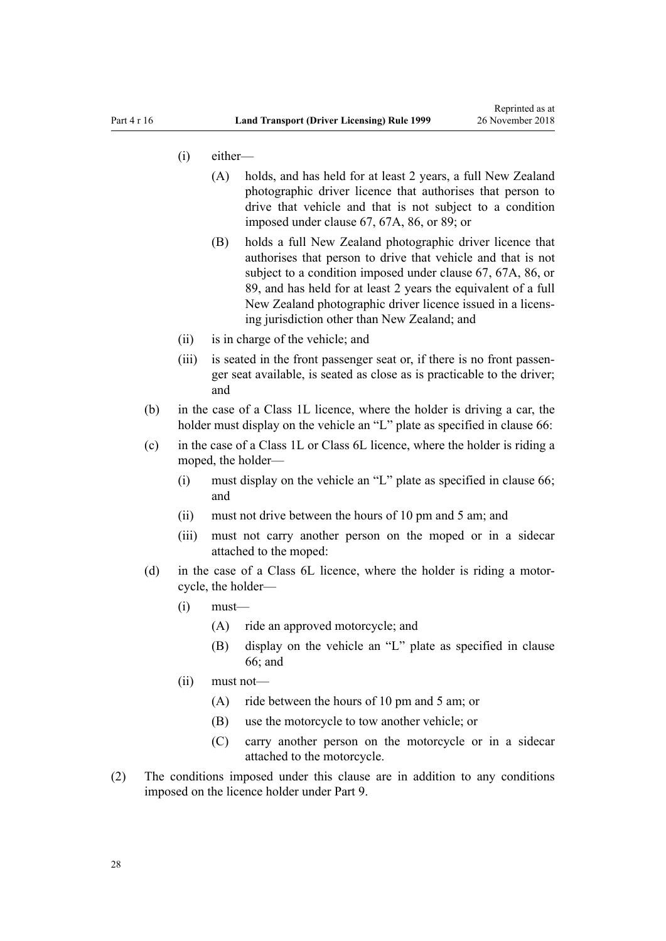- (i) either—
	- (A) holds, and has held for at least 2 years, a full New Zealand photographic driver licence that authorises that person to drive that vehicle and that is not subject to a condition imposed under [clause 67](#page-67-0), [67A,](#page-69-0) [86](#page-84-0), or [89;](#page-88-0) or
	- (B) holds a full New Zealand photographic driver licence that authorises that person to drive that vehicle and that is not subject to a condition imposed under [clause 67,](#page-67-0) [67A,](#page-69-0) [86](#page-84-0), or [89,](#page-88-0) and has held for at least 2 years the equivalent of a full New Zealand photographic driver licence issued in a licensing jurisdiction other than New Zealand; and
- (ii) is in charge of the vehicle; and
- (iii) is seated in the front passenger seat or, if there is no front passenger seat available, is seated as close as is practicable to the driver; and
- (b) in the case of a Class 1L licence, where the holder is driving a car, the holder must display on the vehicle an "L" plate as specified in [clause 66](#page-66-0):
- (c) in the case of a Class 1L or Class 6L licence, where the holder is riding a moped, the holder—
	- (i) must display on the vehicle an "L" plate as specified in [clause 66;](#page-66-0) and
	- (ii) must not drive between the hours of 10 pm and 5 am; and
	- (iii) must not carry another person on the moped or in a sidecar attached to the moped:
- (d) in the case of a Class 6L licence, where the holder is riding a motorcycle, the holder—
	- $(i)$  must—
		- (A) ride an approved motorcycle; and
		- (B) display on the vehicle an "L" plate as specified in [clause](#page-66-0) [66;](#page-66-0) and
	- (ii) must not—
		- (A) ride between the hours of 10 pm and 5 am; or
		- (B) use the motorcycle to tow another vehicle; or
		- (C) carry another person on the motorcycle or in a sidecar attached to the motorcycle.
- (2) The conditions imposed under this clause are in addition to any conditions imposed on the licence holder under [Part 9](#page-58-0).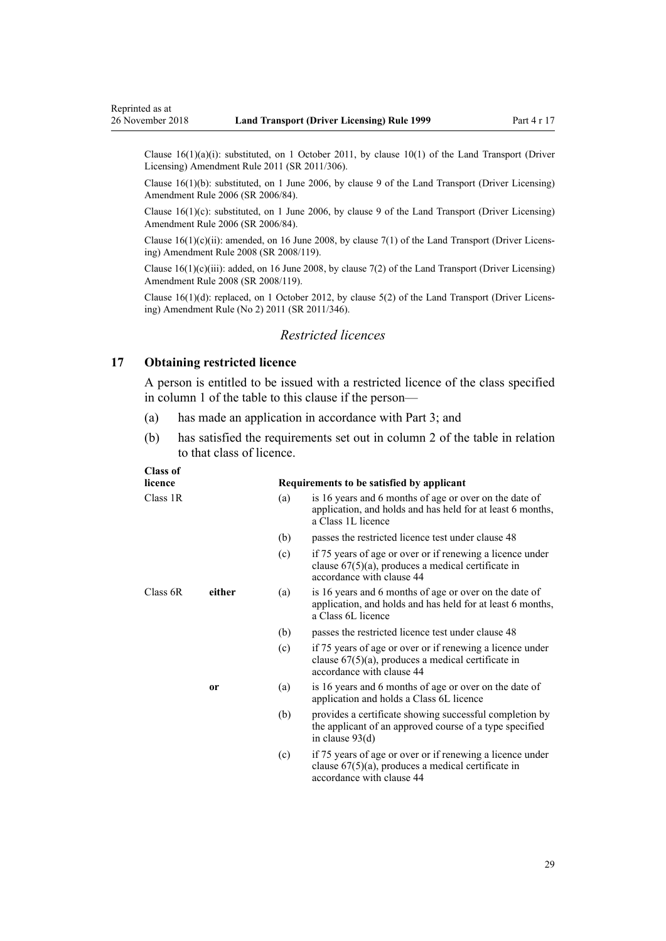<span id="page-28-0"></span>Clause 16(1)(a)(i): substituted, on 1 October 2011, by [clause 10\(1\)](http://legislation.govt.nz/pdflink.aspx?id=DLM3956503) of the Land Transport (Driver Licensing) Amendment Rule 2011 (SR 2011/306).

Clause 16(1)(b): substituted, on 1 June 2006, by [clause 9](http://legislation.govt.nz/pdflink.aspx?id=DLM375694) of the Land Transport (Driver Licensing) Amendment Rule 2006 (SR 2006/84).

Clause 16(1)(c): substituted, on 1 June 2006, by [clause 9](http://legislation.govt.nz/pdflink.aspx?id=DLM375694) of the Land Transport (Driver Licensing) Amendment Rule 2006 (SR 2006/84).

Clause  $16(1)(c)(ii)$ : amended, on 16 June 2008, by [clause 7\(1\)](http://legislation.govt.nz/pdflink.aspx?id=DLM1317910) of the Land Transport (Driver Licensing) Amendment Rule 2008 (SR 2008/119).

Clause  $16(1)(c)(iii)$ : added, on 16 June 2008, by [clause 7\(2\)](http://legislation.govt.nz/pdflink.aspx?id=DLM1317910) of the Land Transport (Driver Licensing) Amendment Rule 2008 (SR 2008/119).

Clause 16(1)(d): replaced, on 1 October 2012, by [clause 5\(2\)](http://legislation.govt.nz/pdflink.aspx?id=DLM4064302) of the Land Transport (Driver Licensing) Amendment Rule (No 2) 2011 (SR 2011/346).

## *Restricted licences*

## **17 Obtaining restricted licence**

A person is entitled to be issued with a restricted licence of the class specified in column 1 of the table to this clause if the person—

- (a) has made an application in accordance with [Part 3;](#page-21-0) and
- (b) has satisfied the requirements set out in column 2 of the table in relation to that class of licence.

## **Class of**

| licence  |               |     | Requirements to be satisfied by applicant                                                                                                       |
|----------|---------------|-----|-------------------------------------------------------------------------------------------------------------------------------------------------|
| Class 1R |               | (a) | is 16 years and 6 months of age or over on the date of<br>application, and holds and has held for at least 6 months,<br>a Class 1L licence      |
|          |               | (b) | passes the restricted licence test under clause 48                                                                                              |
|          |               | (c) | if 75 years of age or over or if renewing a licence under<br>clause $67(5)(a)$ , produces a medical certificate in<br>accordance with clause 44 |
| Class 6R | either        | (a) | is 16 years and 6 months of age or over on the date of<br>application, and holds and has held for at least 6 months,<br>a Class 6L licence      |
|          |               | (b) | passes the restricted licence test under clause 48                                                                                              |
|          |               | (c) | if 75 years of age or over or if renewing a licence under<br>clause $67(5)(a)$ , produces a medical certificate in<br>accordance with clause 44 |
|          | <sub>or</sub> | (a) | is 16 years and 6 months of age or over on the date of<br>application and holds a Class 6L licence                                              |
|          |               | (b) | provides a certificate showing successful completion by<br>the applicant of an approved course of a type specified<br>in clause $93(d)$         |
|          |               | (c) | if 75 years of age or over or if renewing a licence under<br>clause $67(5)(a)$ , produces a medical certificate in<br>accordance with clause 44 |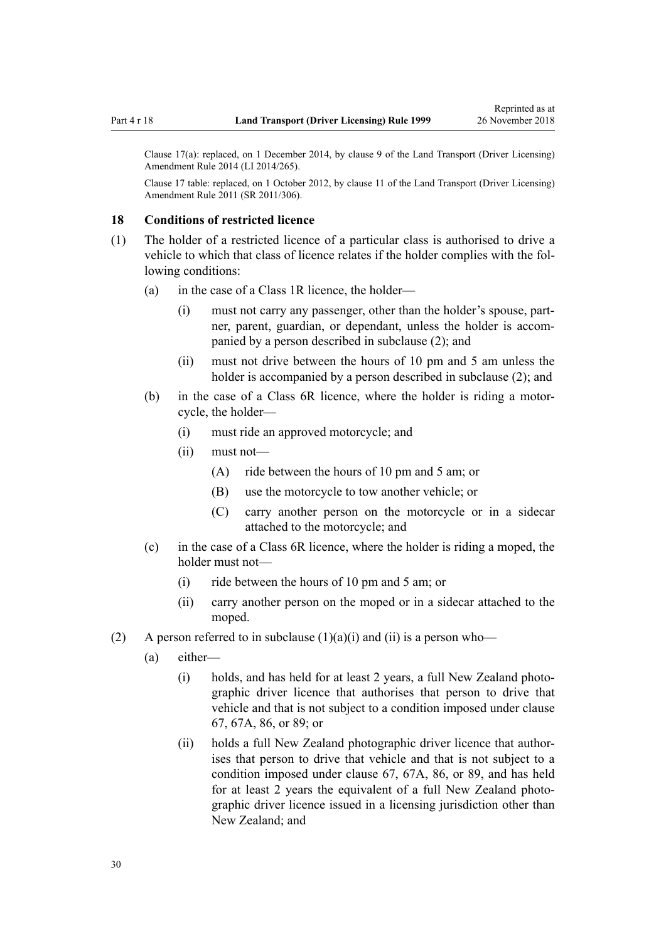<span id="page-29-0"></span>Clause 17(a): replaced, on 1 December 2014, by [clause 9](http://legislation.govt.nz/pdflink.aspx?id=DLM6216922) of the Land Transport (Driver Licensing) Amendment Rule 2014 (LI 2014/265).

Clause 17 table: replaced, on 1 October 2012, by [clause 11](http://legislation.govt.nz/pdflink.aspx?id=DLM3956505) of the Land Transport (Driver Licensing) Amendment Rule 2011 (SR 2011/306).

#### **18 Conditions of restricted licence**

- (1) The holder of a restricted licence of a particular class is authorised to drive a vehicle to which that class of licence relates if the holder complies with the following conditions:
	- (a) in the case of a Class 1R licence, the holder—
		- (i) must not carry any passenger, other than the holder's spouse, partner, parent, guardian, or dependant, unless the holder is accompanied by a person described in subclause (2); and
		- (ii) must not drive between the hours of 10 pm and 5 am unless the holder is accompanied by a person described in subclause (2); and
	- (b) in the case of a Class 6R licence, where the holder is riding a motorcycle, the holder—
		- (i) must ride an approved motorcycle; and
		- (ii) must not—
			- (A) ride between the hours of 10 pm and 5 am; or
			- (B) use the motorcycle to tow another vehicle; or
			- (C) carry another person on the motorcycle or in a sidecar attached to the motorcycle; and
	- (c) in the case of a Class 6R licence, where the holder is riding a moped, the holder must not—
		- (i) ride between the hours of 10 pm and 5 am; or
		- (ii) carry another person on the moped or in a sidecar attached to the moped.
- (2) A person referred to in subclause  $(1)(a)(i)$  and  $(ii)$  is a person who—
	- (a) either—
		- (i) holds, and has held for at least 2 years, a full New Zealand photographic driver licence that authorises that person to drive that vehicle and that is not subject to a condition imposed under [clause](#page-67-0) [67,](#page-67-0) [67A](#page-69-0), [86,](#page-84-0) or [89](#page-88-0); or
		- (ii) holds a full New Zealand photographic driver licence that authorises that person to drive that vehicle and that is not subject to a condition imposed under [clause 67](#page-67-0), [67A,](#page-69-0) [86](#page-84-0), or [89,](#page-88-0) and has held for at least 2 years the equivalent of a full New Zealand photographic driver licence issued in a licensing jurisdiction other than New Zealand; and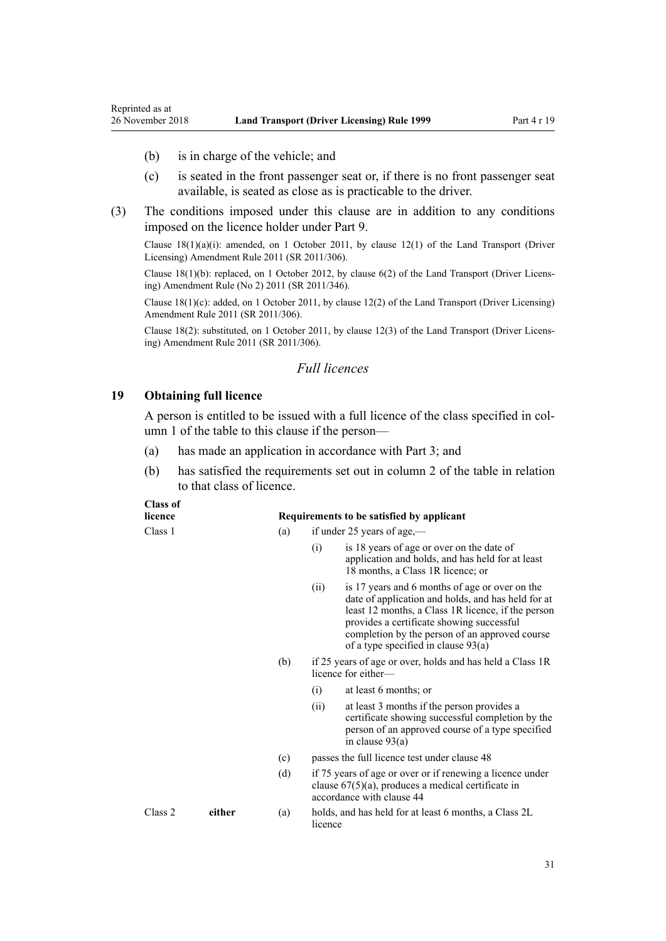- (b) is in charge of the vehicle; and
- (c) is seated in the front passenger seat or, if there is no front passenger seat available, is seated as close as is practicable to the driver.
- (3) The conditions imposed under this clause are in addition to any conditions imposed on the licence holder under [Part 9](#page-58-0).

Clause  $18(1)(a)(i)$ : amended, on 1 October 2011, by [clause 12\(1\)](http://legislation.govt.nz/pdflink.aspx?id=DLM3956507) of the Land Transport (Driver Licensing) Amendment Rule 2011 (SR 2011/306).

Clause 18(1)(b): replaced, on 1 October 2012, by [clause 6\(2\)](http://legislation.govt.nz/pdflink.aspx?id=DLM4064304) of the Land Transport (Driver Licensing) Amendment Rule (No 2) 2011 (SR 2011/346).

Clause 18(1)(c): added, on 1 October 2011, by [clause 12\(2\)](http://legislation.govt.nz/pdflink.aspx?id=DLM3956507) of the Land Transport (Driver Licensing) Amendment Rule 2011 (SR 2011/306).

Clause 18(2): substituted, on 1 October 2011, by [clause 12\(3\)](http://legislation.govt.nz/pdflink.aspx?id=DLM3956507) of the Land Transport (Driver Licensing) Amendment Rule 2011 (SR 2011/306).

#### *Full licences*

#### **19 Obtaining full licence**

**Class of**

<span id="page-30-0"></span>Reprinted as at

A person is entitled to be issued with a full licence of the class specified in column 1 of the table to this clause if the person—

- (a) has made an application in accordance with [Part 3;](#page-21-0) and
- (b) has satisfied the requirements set out in column 2 of the table in relation to that class of licence.

| Смээ ог<br>licence |        |     | Requirements to be satisfied by applicant |                                                                                                                                                                                                                                                                                                    |  |  |
|--------------------|--------|-----|-------------------------------------------|----------------------------------------------------------------------------------------------------------------------------------------------------------------------------------------------------------------------------------------------------------------------------------------------------|--|--|
| Class 1            |        | (a) |                                           | if under 25 years of age,—                                                                                                                                                                                                                                                                         |  |  |
|                    |        |     | (i)                                       | is 18 years of age or over on the date of<br>application and holds, and has held for at least<br>18 months, a Class 1R licence; or                                                                                                                                                                 |  |  |
|                    |        |     | (ii)                                      | is 17 years and 6 months of age or over on the<br>date of application and holds, and has held for at<br>least 12 months, a Class 1R licence, if the person<br>provides a certificate showing successful<br>completion by the person of an approved course<br>of a type specified in clause $93(a)$ |  |  |
|                    |        | (b) |                                           | if 25 years of age or over, holds and has held a Class 1R<br>licence for either—                                                                                                                                                                                                                   |  |  |
|                    |        |     | (i)                                       | at least 6 months; or                                                                                                                                                                                                                                                                              |  |  |
|                    |        |     | (ii)                                      | at least 3 months if the person provides a<br>certificate showing successful completion by the<br>person of an approved course of a type specified<br>in clause $93(a)$                                                                                                                            |  |  |
|                    |        | (c) |                                           | passes the full licence test under clause 48                                                                                                                                                                                                                                                       |  |  |
|                    |        | (d) |                                           | if 75 years of age or over or if renewing a licence under<br>clause $67(5)(a)$ , produces a medical certificate in<br>accordance with clause 44                                                                                                                                                    |  |  |
| Class 2            | either | (a) | licence                                   | holds, and has held for at least 6 months, a Class 2L                                                                                                                                                                                                                                              |  |  |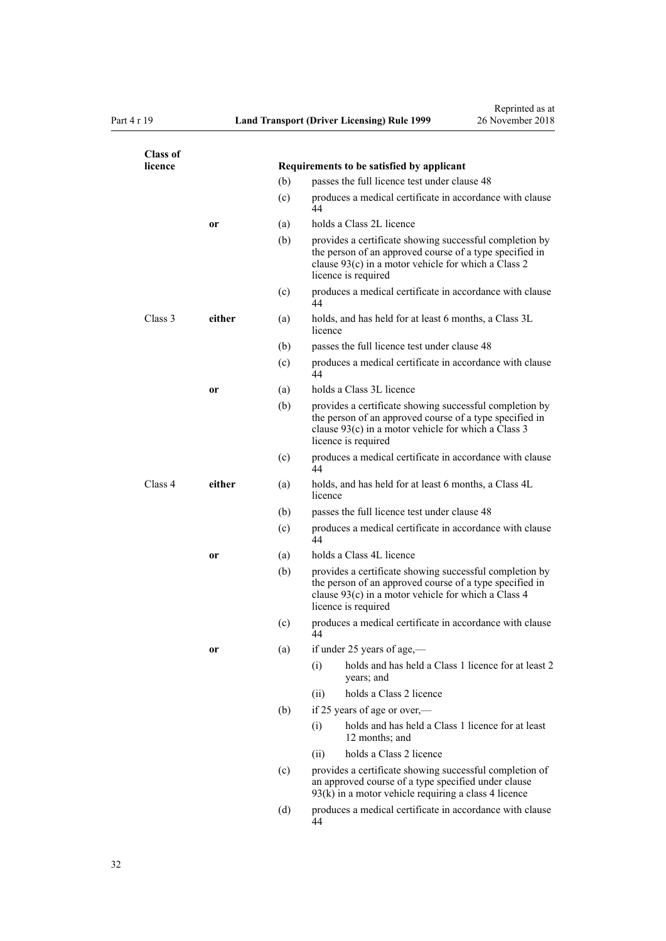| <b>Class of</b><br>licence |               |            | Requirements to be satisfied by applicant                                                                                                                                                        |  |  |
|----------------------------|---------------|------------|--------------------------------------------------------------------------------------------------------------------------------------------------------------------------------------------------|--|--|
|                            |               |            | passes the full licence test under clause 48<br>(b)                                                                                                                                              |  |  |
|                            |               | (c)        | produces a medical certificate in accordance with clause<br>44                                                                                                                                   |  |  |
|                            |               |            | holds a Class 2L licence                                                                                                                                                                         |  |  |
|                            | or            | (a)<br>(b) | provides a certificate showing successful completion by<br>the person of an approved course of a type specified in<br>clause 93(c) in a motor vehicle for which a Class 2<br>licence is required |  |  |
|                            |               | (c)        | produces a medical certificate in accordance with clause<br>44                                                                                                                                   |  |  |
| Class 3                    | either        | (a)        | holds, and has held for at least 6 months, a Class 3L<br>licence                                                                                                                                 |  |  |
|                            |               | (b)        | passes the full licence test under clause 48                                                                                                                                                     |  |  |
|                            |               | (c)        | produces a medical certificate in accordance with clause<br>44                                                                                                                                   |  |  |
|                            | or            | (a)        | holds a Class 3L licence                                                                                                                                                                         |  |  |
|                            |               | (b)        | provides a certificate showing successful completion by<br>the person of an approved course of a type specified in<br>clause 93(c) in a motor vehicle for which a Class 3<br>licence is required |  |  |
|                            |               | (c)        | produces a medical certificate in accordance with clause<br>44                                                                                                                                   |  |  |
| Class 4                    | either<br>(a) |            | holds, and has held for at least 6 months, a Class 4L<br>licence                                                                                                                                 |  |  |
|                            | (b)           |            | passes the full licence test under clause 48                                                                                                                                                     |  |  |
|                            |               | (c)        | produces a medical certificate in accordance with clause<br>44                                                                                                                                   |  |  |
|                            | or            | (a)        | holds a Class 4L licence                                                                                                                                                                         |  |  |
|                            |               | (b)        | provides a certificate showing successful completion by<br>the person of an approved course of a type specified in<br>clause 93(c) in a motor vehicle for which a Class 4<br>licence is required |  |  |
|                            |               | (c)        | produces a medical certificate in accordance with clause<br>44                                                                                                                                   |  |  |
|                            | or            | (a)        | if under 25 years of age,-                                                                                                                                                                       |  |  |
|                            |               |            | holds and has held a Class 1 licence for at least 2<br>(i)<br>years; and                                                                                                                         |  |  |
|                            |               |            | holds a Class 2 licence<br>(ii)                                                                                                                                                                  |  |  |
|                            |               | (b)        | if 25 years of age or over,—                                                                                                                                                                     |  |  |
|                            |               |            | holds and has held a Class 1 licence for at least<br>(i)<br>12 months; and                                                                                                                       |  |  |
|                            |               |            | holds a Class 2 licence<br>(i)                                                                                                                                                                   |  |  |
|                            |               | (c)        | provides a certificate showing successful completion of<br>an approved course of a type specified under clause<br>$93(k)$ in a motor vehicle requiring a class 4 licence                         |  |  |
|                            |               | (d)        | produces a medical certificate in accordance with clause<br>44                                                                                                                                   |  |  |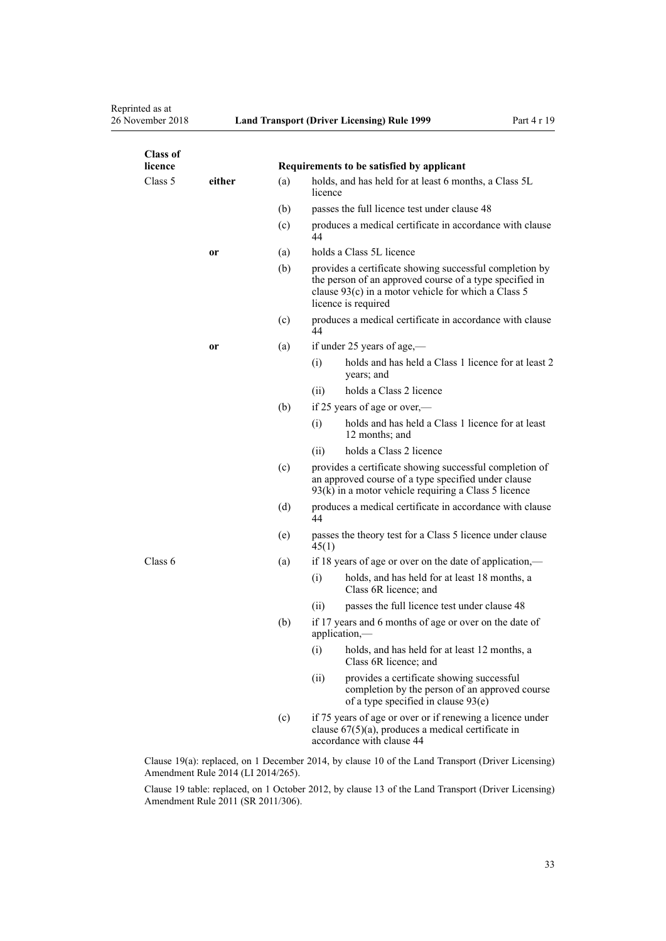Reprinted as at<br>26 November 2018

| <b>Class of</b><br>licence |        |     |                                                                                                                                                                                                  | Requirements to be satisfied by applicant                                                                                                       |  |
|----------------------------|--------|-----|--------------------------------------------------------------------------------------------------------------------------------------------------------------------------------------------------|-------------------------------------------------------------------------------------------------------------------------------------------------|--|
| Class 5                    | either | (a) | holds, and has held for at least 6 months, a Class 5L<br>licence                                                                                                                                 |                                                                                                                                                 |  |
|                            |        | (b) |                                                                                                                                                                                                  | passes the full licence test under clause 48                                                                                                    |  |
|                            |        | (c) | 44                                                                                                                                                                                               | produces a medical certificate in accordance with clause                                                                                        |  |
|                            | or     | (a) | holds a Class 5L licence                                                                                                                                                                         |                                                                                                                                                 |  |
| (b)                        |        |     | provides a certificate showing successful completion by<br>the person of an approved course of a type specified in<br>clause 93(c) in a motor vehicle for which a Class 5<br>licence is required |                                                                                                                                                 |  |
|                            |        | (c) | produces a medical certificate in accordance with clause<br>44                                                                                                                                   |                                                                                                                                                 |  |
|                            | or     | (a) | if under 25 years of age,—                                                                                                                                                                       |                                                                                                                                                 |  |
|                            |        |     | (i)                                                                                                                                                                                              | holds and has held a Class 1 licence for at least 2<br>years; and                                                                               |  |
|                            |        |     | (ii)                                                                                                                                                                                             | holds a Class 2 licence                                                                                                                         |  |
|                            |        | (b) |                                                                                                                                                                                                  | if 25 years of age or over,—                                                                                                                    |  |
|                            |        |     | (i)                                                                                                                                                                                              | holds and has held a Class 1 licence for at least<br>12 months; and                                                                             |  |
|                            |        |     | (ii)                                                                                                                                                                                             | holds a Class 2 licence                                                                                                                         |  |
|                            |        | (c) | provides a certificate showing successful completion of<br>an approved course of a type specified under clause<br>$93(k)$ in a motor vehicle requiring a Class 5 licence                         |                                                                                                                                                 |  |
|                            |        | (d) | 44                                                                                                                                                                                               | produces a medical certificate in accordance with clause                                                                                        |  |
|                            |        | (e) | 45(1)                                                                                                                                                                                            | passes the theory test for a Class 5 licence under clause                                                                                       |  |
| Class 6                    |        | (a) |                                                                                                                                                                                                  | if 18 years of age or over on the date of application,—                                                                                         |  |
|                            |        |     | (i)                                                                                                                                                                                              | holds, and has held for at least 18 months, a<br>Class 6R licence; and                                                                          |  |
|                            |        |     | (11)                                                                                                                                                                                             | passes the full licence test under clause 48                                                                                                    |  |
|                            |        | (b) | if 17 years and 6 months of age or over on the date of<br>application,-                                                                                                                          |                                                                                                                                                 |  |
|                            |        |     | (i)                                                                                                                                                                                              | holds, and has held for at least 12 months, a<br>Class 6R licence; and                                                                          |  |
|                            |        |     | (ii)                                                                                                                                                                                             | provides a certificate showing successful<br>completion by the person of an approved course<br>of a type specified in clause 93(e)              |  |
|                            |        | (c) |                                                                                                                                                                                                  | if 75 years of age or over or if renewing a licence under<br>clause $67(5)(a)$ , produces a medical certificate in<br>accordance with clause 44 |  |
|                            |        |     |                                                                                                                                                                                                  | Clause 19(a): replaced, on 1 December 2014, by clause 10 of the Land Transport (Driver Licensing)                                               |  |

Amendment Rule 2014 (LI 2014/265).

Clause 19 table: replaced, on 1 October 2012, by [clause 13](http://legislation.govt.nz/pdflink.aspx?id=DLM3956509) of the Land Transport (Driver Licensing) Amendment Rule 2011 (SR 2011/306).

33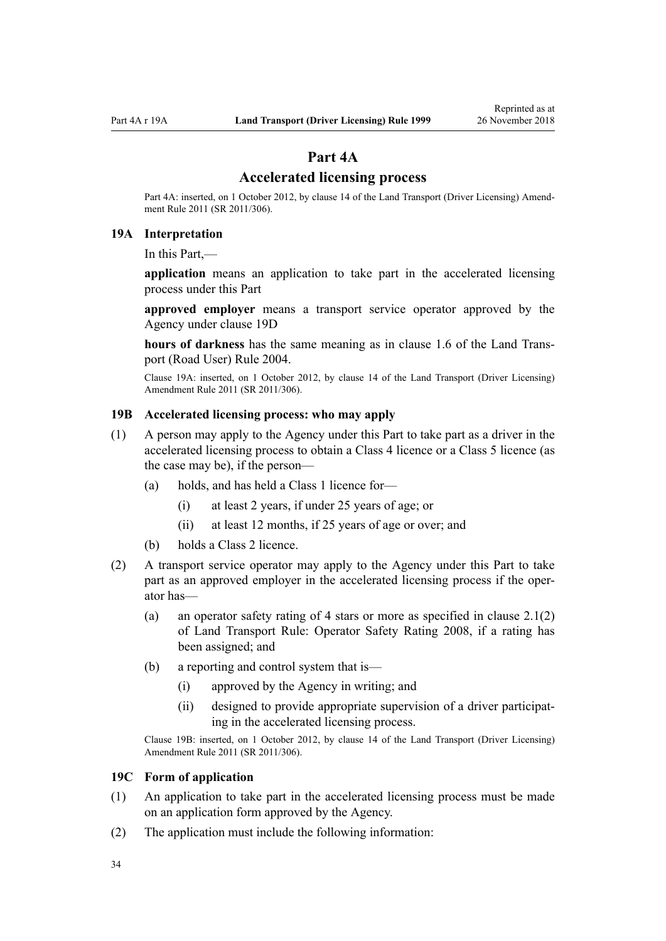## **Part 4A**

## **Accelerated licensing process**

<span id="page-33-0"></span>Part 4A: inserted, on 1 October 2012, by [clause 14](http://legislation.govt.nz/pdflink.aspx?id=DLM3956511) of the Land Transport (Driver Licensing) Amendment Rule 2011 (SR 2011/306).

## **19A Interpretation**

In this Part,—

**application** means an application to take part in the accelerated licensing process under this Part

**approved employer** means a transport service operator approved by the Agency under [clause 19D](#page-34-0)

**hours of darkness** has the same meaning as in [clause 1.6](http://legislation.govt.nz/pdflink.aspx?id=DLM302197) of the Land Transport (Road User) Rule 2004.

Clause 19A: inserted, on 1 October 2012, by [clause 14](http://legislation.govt.nz/pdflink.aspx?id=DLM3956511) of the Land Transport (Driver Licensing) Amendment Rule 2011 (SR 2011/306).

### **19B Accelerated licensing process: who may apply**

- (1) A person may apply to the Agency under this Part to take part as a driver in the accelerated licensing process to obtain a Class 4 licence or a Class 5 licence (as the case may be), if the person—
	- (a) holds, and has held a Class 1 licence for—
		- (i) at least 2 years, if under 25 years of age; or
		- (ii) at least 12 months, if 25 years of age or over; and
	- (b) holds a Class 2 licence.
- (2) A transport service operator may apply to the Agency under this Part to take part as an approved employer in the accelerated licensing process if the operator has—
	- (a) an operator safety rating of 4 stars or more as specified in clause 2.1(2) of Land Transport Rule: Operator Safety Rating 2008, if a rating has been assigned; and
	- (b) a reporting and control system that is—
		- (i) approved by the Agency in writing; and
		- (ii) designed to provide appropriate supervision of a driver participating in the accelerated licensing process.

Clause 19B: inserted, on 1 October 2012, by [clause 14](http://legislation.govt.nz/pdflink.aspx?id=DLM3956511) of the Land Transport (Driver Licensing) Amendment Rule 2011 (SR 2011/306).

#### **19C Form of application**

- (1) An application to take part in the accelerated licensing process must be made on an application form approved by the Agency.
- (2) The application must include the following information: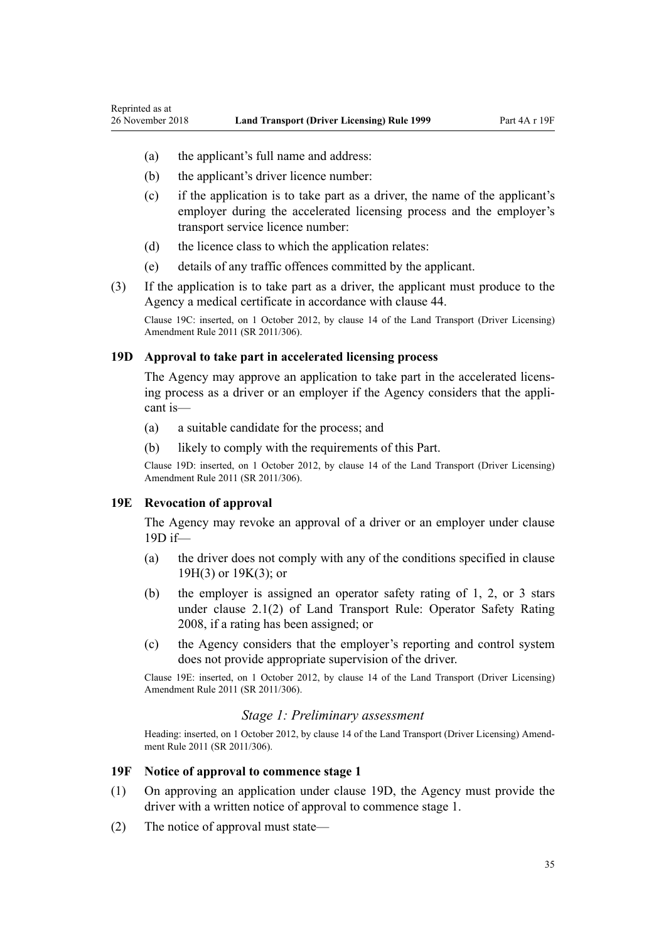- <span id="page-34-0"></span>(a) the applicant's full name and address:
- (b) the applicant's driver licence number:
- (c) if the application is to take part as a driver, the name of the applicant's employer during the accelerated licensing process and the employer's transport service licence number:
- (d) the licence class to which the application relates:
- (e) details of any traffic offences committed by the applicant.
- (3) If the application is to take part as a driver, the applicant must produce to the Agency a medical certificate in accordance with [clause 44.](#page-52-0)

Clause 19C: inserted, on 1 October 2012, by [clause 14](http://legislation.govt.nz/pdflink.aspx?id=DLM3956511) of the Land Transport (Driver Licensing) Amendment Rule 2011 (SR 2011/306).

#### **19D Approval to take part in accelerated licensing process**

The Agency may approve an application to take part in the accelerated licensing process as a driver or an employer if the Agency considers that the applicant is—

- (a) a suitable candidate for the process; and
- (b) likely to comply with the requirements of this Part.

Clause 19D: inserted, on 1 October 2012, by [clause 14](http://legislation.govt.nz/pdflink.aspx?id=DLM3956511) of the Land Transport (Driver Licensing) Amendment Rule 2011 (SR 2011/306).

#### **19E Revocation of approval**

The Agency may revoke an approval of a driver or an employer under clause 19D if—

- (a) the driver does not comply with any of the conditions specified in [clause](#page-35-0) [19H\(3\)](#page-35-0) or [19K\(3\);](#page-37-0) or
- (b) the employer is assigned an operator safety rating of 1, 2, or 3 stars under clause 2.1(2) of Land Transport Rule: Operator Safety Rating 2008, if a rating has been assigned; or
- (c) the Agency considers that the employer's reporting and control system does not provide appropriate supervision of the driver.

Clause 19E: inserted, on 1 October 2012, by [clause 14](http://legislation.govt.nz/pdflink.aspx?id=DLM3956511) of the Land Transport (Driver Licensing) Amendment Rule 2011 (SR 2011/306).

### *Stage 1: Preliminary assessment*

Heading: inserted, on 1 October 2012, by [clause 14](http://legislation.govt.nz/pdflink.aspx?id=DLM3956511) of the Land Transport (Driver Licensing) Amendment Rule 2011 (SR 2011/306).

#### **19F Notice of approval to commence stage 1**

- (1) On approving an application under clause 19D, the Agency must provide the driver with a written notice of approval to commence stage 1.
- (2) The notice of approval must state—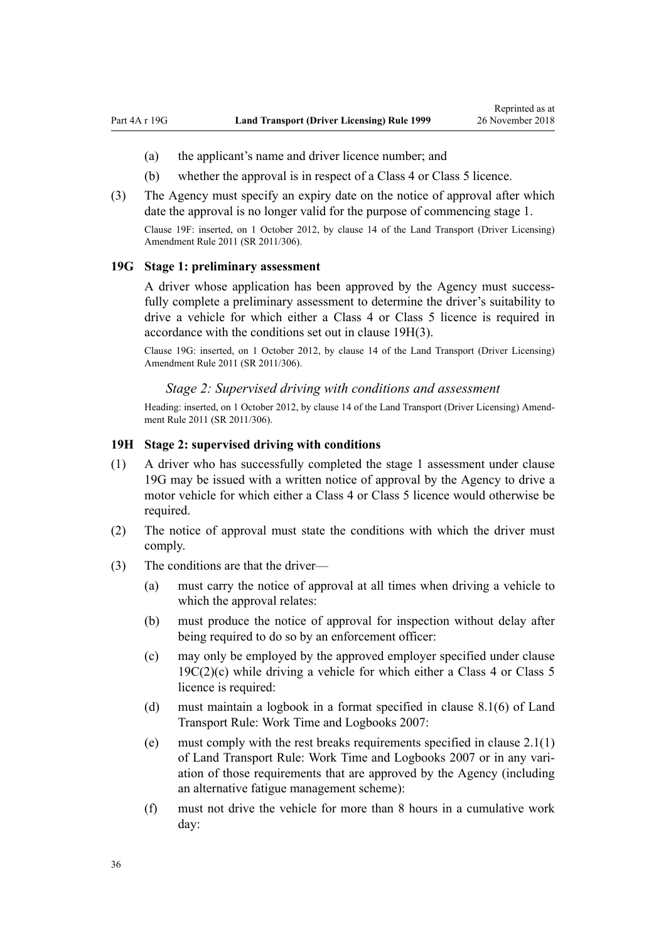- <span id="page-35-0"></span>(a) the applicant's name and driver licence number; and
- (b) whether the approval is in respect of a Class 4 or Class 5 licence.
- (3) The Agency must specify an expiry date on the notice of approval after which date the approval is no longer valid for the purpose of commencing stage 1. Clause 19F: inserted, on 1 October 2012, by [clause 14](http://legislation.govt.nz/pdflink.aspx?id=DLM3956511) of the Land Transport (Driver Licensing)

**19G Stage 1: preliminary assessment**

Amendment Rule 2011 (SR 2011/306).

A driver whose application has been approved by the Agency must successfully complete a preliminary assessment to determine the driver's suitability to drive a vehicle for which either a Class 4 or Class 5 licence is required in accordance with the conditions set out in clause 19H(3).

Clause 19G: inserted, on 1 October 2012, by [clause 14](http://legislation.govt.nz/pdflink.aspx?id=DLM3956511) of the Land Transport (Driver Licensing) Amendment Rule 2011 (SR 2011/306).

#### *Stage 2: Supervised driving with conditions and assessment*

Heading: inserted, on 1 October 2012, by [clause 14](http://legislation.govt.nz/pdflink.aspx?id=DLM3956511) of the Land Transport (Driver Licensing) Amendment Rule 2011 (SR 2011/306).

#### **19H Stage 2: supervised driving with conditions**

- (1) A driver who has successfully completed the stage 1 assessment under clause 19G may be issued with a written notice of approval by the Agency to drive a motor vehicle for which either a Class 4 or Class 5 licence would otherwise be required.
- (2) The notice of approval must state the conditions with which the driver must comply.
- (3) The conditions are that the driver—
	- (a) must carry the notice of approval at all times when driving a vehicle to which the approval relates:
	- (b) must produce the notice of approval for inspection without delay after being required to do so by an enforcement officer:
	- (c) may only be employed by the approved employer specified under [clause](#page-33-0)  $19C(2)(c)$  while driving a vehicle for which either a Class 4 or Class 5 licence is required:
	- (d) must maintain a logbook in a format specified in clause 8.1(6) of Land Transport Rule: Work Time and Logbooks 2007:
	- (e) must comply with the rest breaks requirements specified in clause 2.1(1) of Land Transport Rule: Work Time and Logbooks 2007 or in any variation of those requirements that are approved by the Agency (including an alternative fatigue management scheme):
	- (f) must not drive the vehicle for more than 8 hours in a cumulative work day: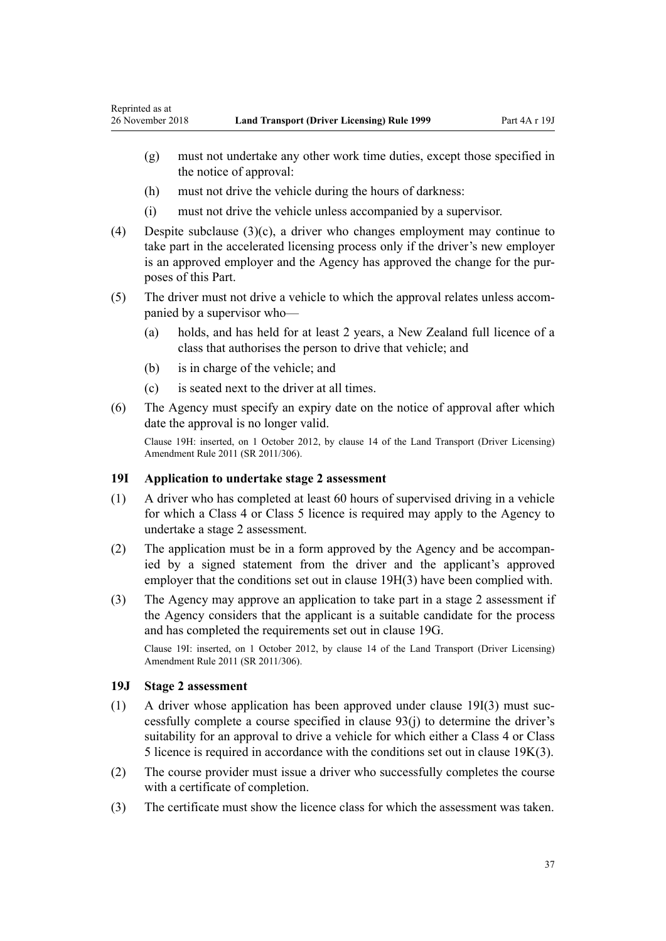- <span id="page-36-0"></span>(g) must not undertake any other work time duties, except those specified in the notice of approval:
- (h) must not drive the vehicle during the hours of darkness:
- (i) must not drive the vehicle unless accompanied by a supervisor.
- (4) Despite subclause  $(3)(c)$ , a driver who changes employment may continue to take part in the accelerated licensing process only if the driver's new employer is an approved employer and the Agency has approved the change for the purposes of this Part.
- (5) The driver must not drive a vehicle to which the approval relates unless accompanied by a supervisor who—
	- (a) holds, and has held for at least 2 years, a New Zealand full licence of a class that authorises the person to drive that vehicle; and
	- (b) is in charge of the vehicle; and
	- (c) is seated next to the driver at all times.
- (6) The Agency must specify an expiry date on the notice of approval after which date the approval is no longer valid.

Clause 19H: inserted, on 1 October 2012, by [clause 14](http://legislation.govt.nz/pdflink.aspx?id=DLM3956511) of the Land Transport (Driver Licensing) Amendment Rule 2011 (SR 2011/306).

#### **19I Application to undertake stage 2 assessment**

- (1) A driver who has completed at least 60 hours of supervised driving in a vehicle for which a Class 4 or Class 5 licence is required may apply to the Agency to undertake a stage 2 assessment.
- (2) The application must be in a form approved by the Agency and be accompanied by a signed statement from the driver and the applicant's approved employer that the conditions set out in [clause 19H\(3\)](#page-35-0) have been complied with.
- (3) The Agency may approve an application to take part in a stage 2 assessment if the Agency considers that the applicant is a suitable candidate for the process and has completed the requirements set out in [clause 19G.](#page-35-0)

Clause 19I: inserted, on 1 October 2012, by [clause 14](http://legislation.govt.nz/pdflink.aspx?id=DLM3956511) of the Land Transport (Driver Licensing) Amendment Rule 2011 (SR 2011/306).

## **19J Stage 2 assessment**

- (1) A driver whose application has been approved under clause 19I(3) must successfully complete a course specified in [clause 93\(j\)](#page-91-0) to determine the driver's suitability for an approval to drive a vehicle for which either a Class 4 or Class 5 licence is required in accordance with the conditions set out in [clause 19K\(3\)](#page-37-0).
- (2) The course provider must issue a driver who successfully completes the course with a certificate of completion.
- (3) The certificate must show the licence class for which the assessment was taken.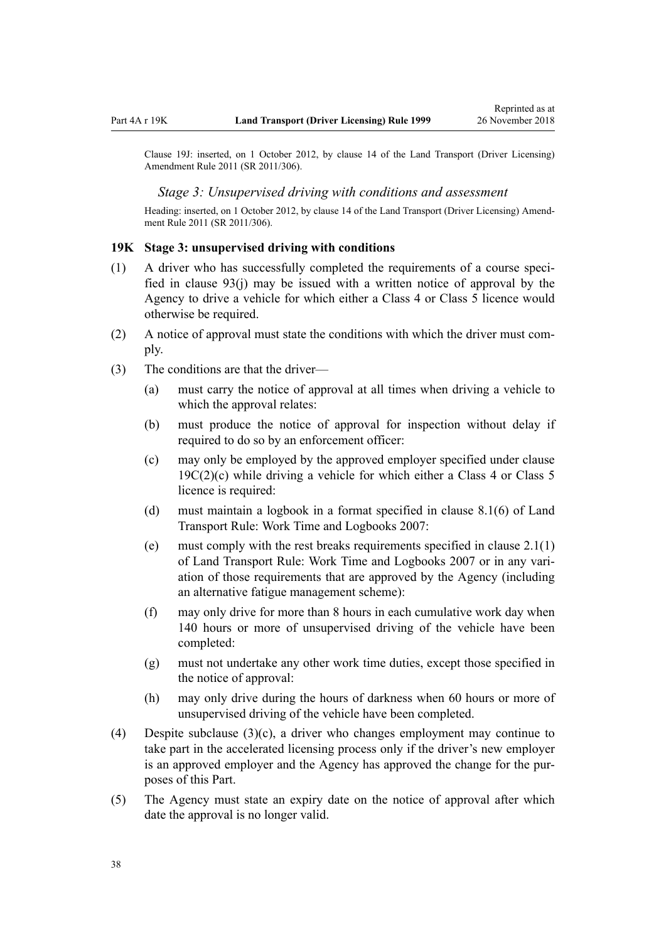<span id="page-37-0"></span>Clause 19J: inserted, on 1 October 2012, by [clause 14](http://legislation.govt.nz/pdflink.aspx?id=DLM3956511) of the Land Transport (Driver Licensing) Amendment Rule 2011 (SR 2011/306).

#### *Stage 3: Unsupervised driving with conditions and assessment*

Heading: inserted, on 1 October 2012, by [clause 14](http://legislation.govt.nz/pdflink.aspx?id=DLM3956511) of the Land Transport (Driver Licensing) Amendment Rule 2011 (SR 2011/306).

#### **19K Stage 3: unsupervised driving with conditions**

- (1) A driver who has successfully completed the requirements of a course specified in [clause 93\(j\)](#page-91-0) may be issued with a written notice of approval by the Agency to drive a vehicle for which either a Class 4 or Class 5 licence would otherwise be required.
- (2) A notice of approval must state the conditions with which the driver must comply.
- (3) The conditions are that the driver—
	- (a) must carry the notice of approval at all times when driving a vehicle to which the approval relates:
	- (b) must produce the notice of approval for inspection without delay if required to do so by an enforcement officer:
	- (c) may only be employed by the approved employer specified under [clause](#page-33-0)  $19C(2)(c)$  while driving a vehicle for which either a Class 4 or Class 5 licence is required:
	- (d) must maintain a logbook in a format specified in clause 8.1(6) of Land Transport Rule: Work Time and Logbooks 2007:
	- (e) must comply with the rest breaks requirements specified in clause 2.1(1) of Land Transport Rule: Work Time and Logbooks 2007 or in any variation of those requirements that are approved by the Agency (including an alternative fatigue management scheme):
	- (f) may only drive for more than 8 hours in each cumulative work day when 140 hours or more of unsupervised driving of the vehicle have been completed:
	- (g) must not undertake any other work time duties, except those specified in the notice of approval:
	- (h) may only drive during the hours of darkness when 60 hours or more of unsupervised driving of the vehicle have been completed.
- (4) Despite subclause (3)(c), a driver who changes employment may continue to take part in the accelerated licensing process only if the driver's new employer is an approved employer and the Agency has approved the change for the purposes of this Part.
- (5) The Agency must state an expiry date on the notice of approval after which date the approval is no longer valid.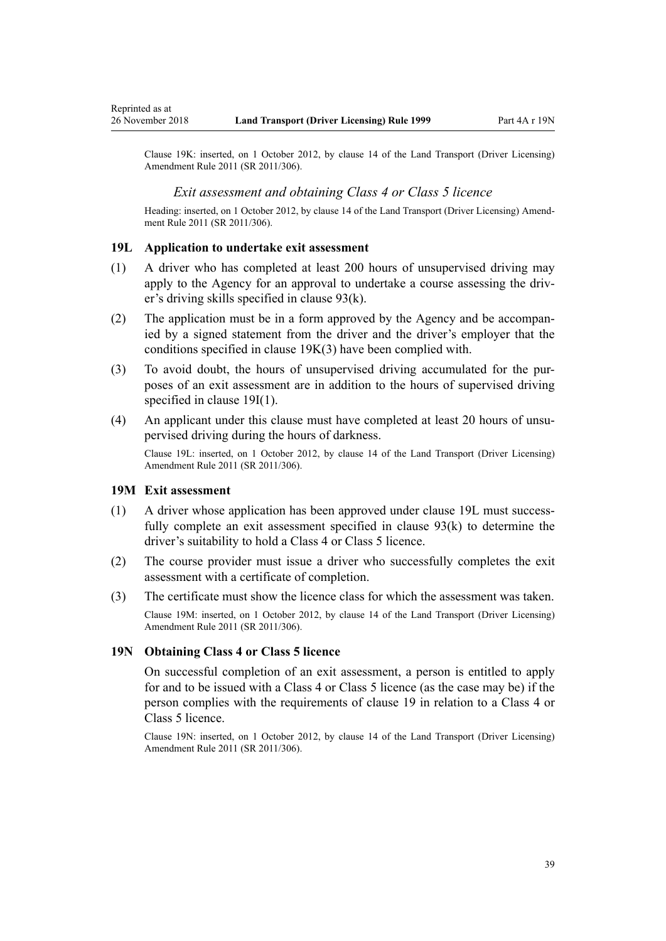Clause 19K: inserted, on 1 October 2012, by [clause 14](http://legislation.govt.nz/pdflink.aspx?id=DLM3956511) of the Land Transport (Driver Licensing) Amendment Rule 2011 (SR 2011/306).

### *Exit assessment and obtaining Class 4 or Class 5 licence*

Heading: inserted, on 1 October 2012, by [clause 14](http://legislation.govt.nz/pdflink.aspx?id=DLM3956511) of the Land Transport (Driver Licensing) Amendment Rule 2011 (SR 2011/306).

### **19L Application to undertake exit assessment**

- (1) A driver who has completed at least 200 hours of unsupervised driving may apply to the Agency for an approval to undertake a course assessing the driver's driving skills specified in [clause 93\(k\)](#page-91-0).
- (2) The application must be in a form approved by the Agency and be accompanied by a signed statement from the driver and the driver's employer that the conditions specified in [clause 19K\(3\)](#page-37-0) have been complied with.
- (3) To avoid doubt, the hours of unsupervised driving accumulated for the purposes of an exit assessment are in addition to the hours of supervised driving specified in [clause 19I\(1\).](#page-36-0)
- (4) An applicant under this clause must have completed at least 20 hours of unsupervised driving during the hours of darkness.

Clause 19L: inserted, on 1 October 2012, by [clause 14](http://legislation.govt.nz/pdflink.aspx?id=DLM3956511) of the Land Transport (Driver Licensing) Amendment Rule 2011 (SR 2011/306).

#### **19M Exit assessment**

- (1) A driver whose application has been approved under clause 19L must successfully complete an exit assessment specified in [clause 93\(k\)](#page-91-0) to determine the driver's suitability to hold a Class 4 or Class 5 licence.
- (2) The course provider must issue a driver who successfully completes the exit assessment with a certificate of completion.
- (3) The certificate must show the licence class for which the assessment was taken. Clause 19M: inserted, on 1 October 2012, by [clause 14](http://legislation.govt.nz/pdflink.aspx?id=DLM3956511) of the Land Transport (Driver Licensing) Amendment Rule 2011 (SR 2011/306).

#### **19N Obtaining Class 4 or Class 5 licence**

On successful completion of an exit assessment, a person is entitled to apply for and to be issued with a Class 4 or Class 5 licence (as the case may be) if the person complies with the requirements of [clause 19](#page-30-0) in relation to a Class 4 or Class 5 licence.

Clause 19N: inserted, on 1 October 2012, by [clause 14](http://legislation.govt.nz/pdflink.aspx?id=DLM3956511) of the Land Transport (Driver Licensing) Amendment Rule 2011 (SR 2011/306).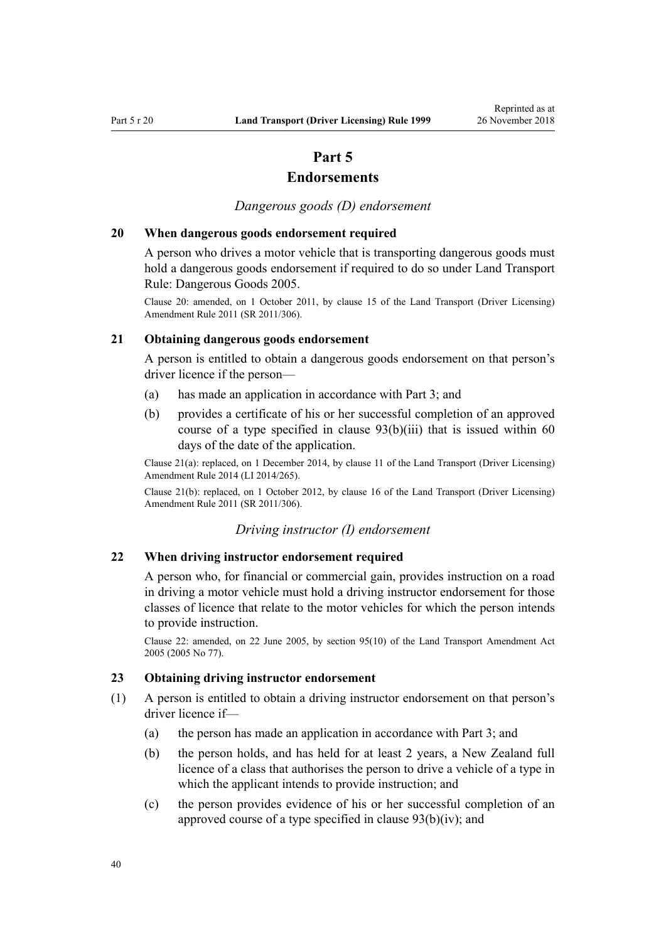# **Part 5**

# **Endorsements**

*Dangerous goods (D) endorsement*

### **20 When dangerous goods endorsement required**

A person who drives a motor vehicle that is transporting dangerous goods must hold a dangerous goods endorsement if required to do so under Land Transport Rule: Dangerous Goods 2005.

Clause 20: amended, on 1 October 2011, by [clause 15](http://legislation.govt.nz/pdflink.aspx?id=DLM3956721) of the Land Transport (Driver Licensing) Amendment Rule 2011 (SR 2011/306).

## **21 Obtaining dangerous goods endorsement**

A person is entitled to obtain a dangerous goods endorsement on that person's driver licence if the person—

- (a) has made an application in accordance with [Part 3;](#page-21-0) and
- (b) provides a certificate of his or her successful completion of an approved course of a type specified in clause  $93(b)(iii)$  that is issued within 60 days of the date of the application.

Clause 21(a): replaced, on 1 December 2014, by [clause 11](http://legislation.govt.nz/pdflink.aspx?id=DLM6216924) of the Land Transport (Driver Licensing) Amendment Rule 2014 (LI 2014/265).

Clause 21(b): replaced, on 1 October 2012, by [clause 16](http://legislation.govt.nz/pdflink.aspx?id=DLM3956513) of the Land Transport (Driver Licensing) Amendment Rule 2011 (SR 2011/306).

#### *Driving instructor (I) endorsement*

### **22 When driving instructor endorsement required**

A person who, for financial or commercial gain, provides instruction on a road in driving a motor vehicle must hold a driving instructor endorsement for those classes of licence that relate to the motor vehicles for which the person intends to provide instruction.

Clause 22: amended, on 22 June 2005, by [section 95\(10\)](http://legislation.govt.nz/pdflink.aspx?id=DLM353501) of the Land Transport Amendment Act 2005 (2005 No 77).

## **23 Obtaining driving instructor endorsement**

- (1) A person is entitled to obtain a driving instructor endorsement on that person's driver licence if—
	- (a) the person has made an application in accordance with [Part 3](#page-21-0); and
	- (b) the person holds, and has held for at least 2 years, a New Zealand full licence of a class that authorises the person to drive a vehicle of a type in which the applicant intends to provide instruction; and
	- (c) the person provides evidence of his or her successful completion of an approved course of a type specified in [clause 93\(b\)\(iv\)](#page-91-0); and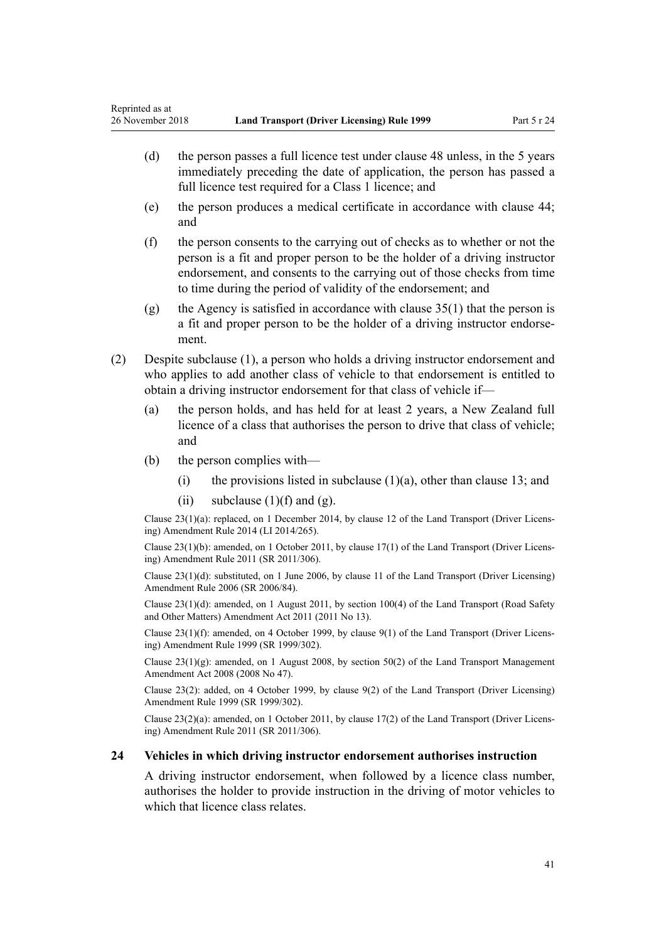- (d) the person passes a full licence test under [clause 48](#page-55-0) unless, in the 5 years immediately preceding the date of application, the person has passed a full licence test required for a Class 1 licence; and
- (e) the person produces a medical certificate in accordance with [clause 44;](#page-52-0) and
- (f) the person consents to the carrying out of checks as to whether or not the person is a fit and proper person to be the holder of a driving instructor endorsement, and consents to the carrying out of those checks from time to time during the period of validity of the endorsement; and
- (g) the Agency is satisfied in accordance with clause  $35(1)$  that the person is a fit and proper person to be the holder of a driving instructor endorsement.
- (2) Despite subclause (1), a person who holds a driving instructor endorsement and who applies to add another class of vehicle to that endorsement is entitled to obtain a driving instructor endorsement for that class of vehicle if—
	- (a) the person holds, and has held for at least 2 years, a New Zealand full licence of a class that authorises the person to drive that class of vehicle; and
	- (b) the person complies with—
		- (i) the provisions listed in subclause  $(1)(a)$ , other than [clause 13](#page-24-0); and
		- (ii) subclause  $(1)(f)$  and  $(g)$ .

Clause 23(1)(a): replaced, on 1 December 2014, by [clause 12](http://legislation.govt.nz/pdflink.aspx?id=DLM6216925) of the Land Transport (Driver Licensing) Amendment Rule 2014 (LI 2014/265).

Clause 23(1)(b): amended, on 1 October 2011, by [clause 17\(1\)](http://legislation.govt.nz/pdflink.aspx?id=DLM3956722) of the Land Transport (Driver Licensing) Amendment Rule 2011 (SR 2011/306).

Clause 23(1)(d): substituted, on 1 June 2006, by [clause 11](http://legislation.govt.nz/pdflink.aspx?id=DLM375696) of the Land Transport (Driver Licensing) Amendment Rule 2006 (SR 2006/84).

Clause 23(1)(d): amended, on 1 August 2011, by [section 100\(4\)](http://legislation.govt.nz/pdflink.aspx?id=DLM3231293) of the Land Transport (Road Safety and Other Matters) Amendment Act 2011 (2011 No 13).

Clause 23(1)(f): amended, on 4 October 1999, by [clause 9\(1\)](http://legislation.govt.nz/pdflink.aspx?id=DLM293677) of the Land Transport (Driver Licensing) Amendment Rule 1999 (SR 1999/302).

Clause 23(1)(g): amended, on 1 August 2008, by [section 50\(2\)](http://legislation.govt.nz/pdflink.aspx?id=DLM1313622) of the Land Transport Management Amendment Act 2008 (2008 No 47).

Clause 23(2): added, on 4 October 1999, by [clause 9\(2\)](http://legislation.govt.nz/pdflink.aspx?id=DLM293677) of the Land Transport (Driver Licensing) Amendment Rule 1999 (SR 1999/302).

Clause 23(2)(a): amended, on 1 October 2011, by [clause 17\(2\)](http://legislation.govt.nz/pdflink.aspx?id=DLM3956722) of the Land Transport (Driver Licensing) Amendment Rule 2011 (SR 2011/306).

#### **24 Vehicles in which driving instructor endorsement authorises instruction**

A driving instructor endorsement, when followed by a licence class number, authorises the holder to provide instruction in the driving of motor vehicles to which that licence class relates.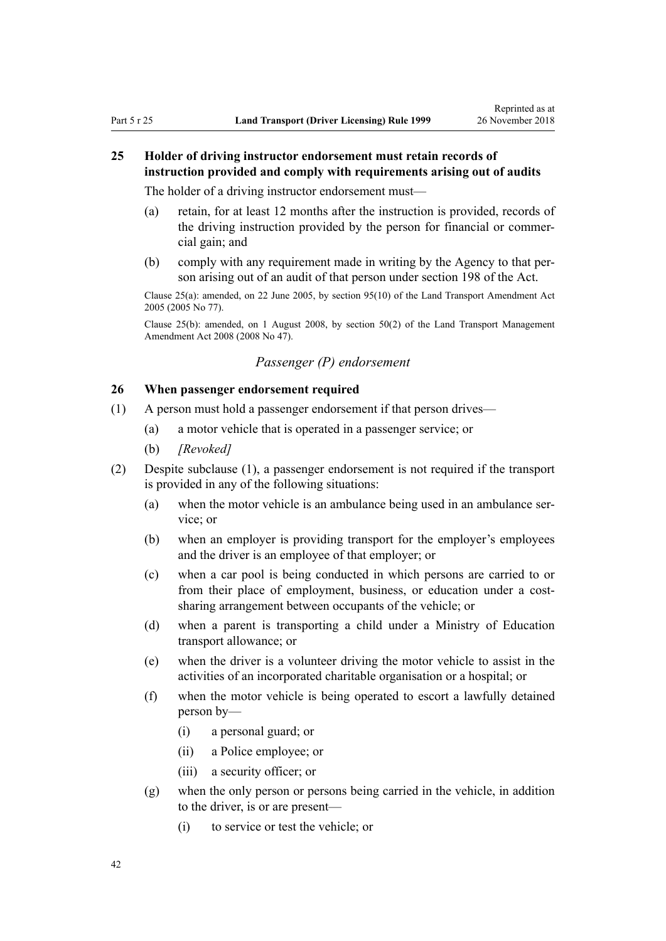# **25 Holder of driving instructor endorsement must retain records of instruction provided and comply with requirements arising out of audits**

The holder of a driving instructor endorsement must—

- (a) retain, for at least 12 months after the instruction is provided, records of the driving instruction provided by the person for financial or commercial gain; and
- (b) comply with any requirement made in writing by the Agency to that person arising out of an audit of that person under [section 198](http://legislation.govt.nz/pdflink.aspx?id=DLM435602) of the Act.

Clause 25(a): amended, on 22 June 2005, by [section 95\(10\)](http://legislation.govt.nz/pdflink.aspx?id=DLM353501) of the Land Transport Amendment Act 2005 (2005 No 77).

Clause 25(b): amended, on 1 August 2008, by [section 50\(2\)](http://legislation.govt.nz/pdflink.aspx?id=DLM1313622) of the Land Transport Management Amendment Act 2008 (2008 No 47).

# *Passenger (P) endorsement*

## **26 When passenger endorsement required**

- (1) A person must hold a passenger endorsement if that person drives—
	- (a) a motor vehicle that is operated in a passenger service; or
	- (b) *[Revoked]*
- (2) Despite subclause (1), a passenger endorsement is not required if the transport is provided in any of the following situations:
	- (a) when the motor vehicle is an ambulance being used in an ambulance service; or
	- (b) when an employer is providing transport for the employer's employees and the driver is an employee of that employer; or
	- (c) when a car pool is being conducted in which persons are carried to or from their place of employment, business, or education under a costsharing arrangement between occupants of the vehicle; or
	- (d) when a parent is transporting a child under a Ministry of Education transport allowance; or
	- (e) when the driver is a volunteer driving the motor vehicle to assist in the activities of an incorporated charitable organisation or a hospital; or
	- (f) when the motor vehicle is being operated to escort a lawfully detained person by—
		- (i) a personal guard; or
		- (ii) a Police employee; or
		- (iii) a security officer; or
	- (g) when the only person or persons being carried in the vehicle, in addition to the driver, is or are present—
		- (i) to service or test the vehicle; or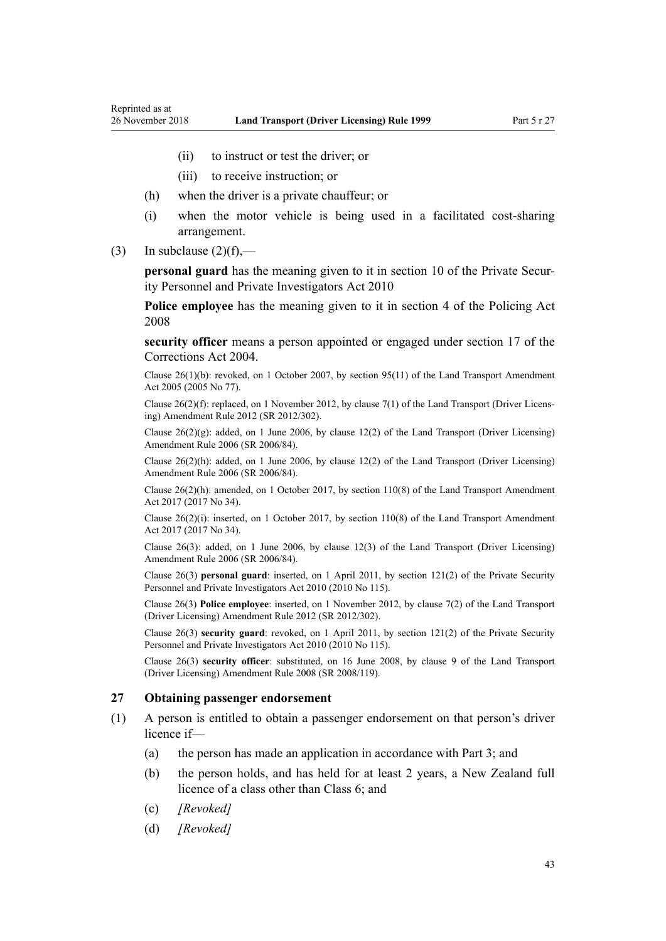- (ii) to instruct or test the driver; or
- (iii) to receive instruction; or
- (h) when the driver is a private chauffeur; or
- (i) when the motor vehicle is being used in a facilitated cost-sharing arrangement.
- (3) In subclause  $(2)(f)$ ,—

**personal guard** has the meaning given to it in [section 10](http://legislation.govt.nz/pdflink.aspx?id=DLM1594507) of the Private Security Personnel and Private Investigators Act 2010

**Police employee** has the meaning given to it in [section 4](http://legislation.govt.nz/pdflink.aspx?id=DLM1102132) of the Policing Act 2008

**security officer** means a person appointed or engaged under [section 17](http://legislation.govt.nz/pdflink.aspx?id=DLM295415) of the Corrections Act 2004.

Clause 26(1)(b): revoked, on 1 October 2007, by [section 95\(11\)](http://legislation.govt.nz/pdflink.aspx?id=DLM353501) of the Land Transport Amendment Act 2005 (2005 No 77).

Clause 26(2)(f): replaced, on 1 November 2012, by [clause 7\(1\)](http://legislation.govt.nz/pdflink.aspx?id=DLM4773437) of the Land Transport (Driver Licensing) Amendment Rule 2012 (SR 2012/302).

Clause 26(2)(g): added, on 1 June 2006, by [clause 12\(2\)](http://legislation.govt.nz/pdflink.aspx?id=DLM375697) of the Land Transport (Driver Licensing) Amendment Rule 2006 (SR 2006/84).

Clause  $26(2)(h)$ : added, on 1 June 2006, by [clause 12\(2\)](http://legislation.govt.nz/pdflink.aspx?id=DLM375697) of the Land Transport (Driver Licensing) Amendment Rule 2006 (SR 2006/84).

Clause 26(2)(h): amended, on 1 October 2017, by [section 110\(8\)](http://legislation.govt.nz/pdflink.aspx?id=DLM6960929) of the Land Transport Amendment Act 2017 (2017 No 34).

Clause 26(2)(i): inserted, on 1 October 2017, by [section 110\(8\)](http://legislation.govt.nz/pdflink.aspx?id=DLM6960929) of the Land Transport Amendment Act 2017 (2017 No 34).

Clause 26(3): added, on 1 June 2006, by [clause 12\(3\)](http://legislation.govt.nz/pdflink.aspx?id=DLM375697) of the Land Transport (Driver Licensing) Amendment Rule 2006 (SR 2006/84).

Clause 26(3) **personal guard**: inserted, on 1 April 2011, by [section 121\(2\)](http://legislation.govt.nz/pdflink.aspx?id=DLM1594656) of the Private Security Personnel and Private Investigators Act 2010 (2010 No 115).

Clause 26(3) **Police employee**: inserted, on 1 November 2012, by [clause 7\(2\)](http://legislation.govt.nz/pdflink.aspx?id=DLM4773437) of the Land Transport (Driver Licensing) Amendment Rule 2012 (SR 2012/302).

Clause 26(3) **security guard**: revoked, on 1 April 2011, by [section 121\(2\)](http://legislation.govt.nz/pdflink.aspx?id=DLM1594656) of the Private Security Personnel and Private Investigators Act 2010 (2010 No 115).

Clause 26(3) **security officer**: substituted, on 16 June 2008, by [clause 9](http://legislation.govt.nz/pdflink.aspx?id=DLM1317912) of the Land Transport (Driver Licensing) Amendment Rule 2008 (SR 2008/119).

### **27 Obtaining passenger endorsement**

- (1) A person is entitled to obtain a passenger endorsement on that person's driver licence if—
	- (a) the person has made an application in accordance with [Part 3](#page-21-0); and
	- (b) the person holds, and has held for at least 2 years, a New Zealand full licence of a class other than Class 6; and
	- (c) *[Revoked]*
	- (d) *[Revoked]*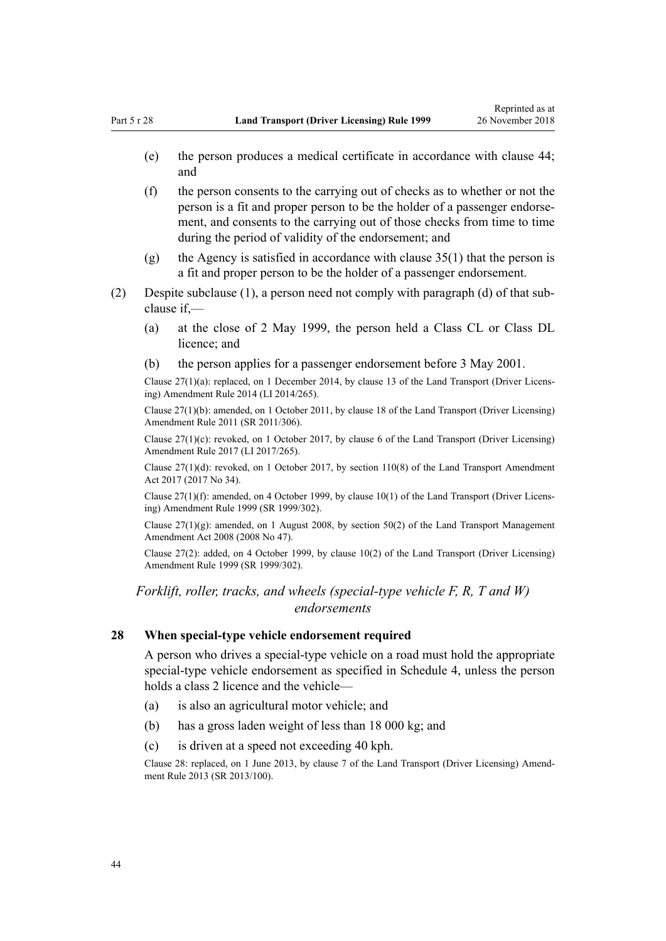- (e) the person produces a medical certificate in accordance with [clause 44;](#page-52-0) and
- (f) the person consents to the carrying out of checks as to whether or not the person is a fit and proper person to be the holder of a passenger endorsement, and consents to the carrying out of those checks from time to time during the period of validity of the endorsement; and
- (g) the Agency is satisfied in accordance with [clause 35\(1\)](#page-46-0) that the person is a fit and proper person to be the holder of a passenger endorsement.
- (2) Despite subclause (1), a person need not comply with paragraph (d) of that subclause if,—
	- (a) at the close of 2 May 1999, the person held a Class CL or Class DL licence; and
	- (b) the person applies for a passenger endorsement before 3 May 2001.

Clause 27(1)(a): replaced, on 1 December 2014, by [clause 13](http://legislation.govt.nz/pdflink.aspx?id=DLM6216926) of the Land Transport (Driver Licensing) Amendment Rule 2014 (LI 2014/265).

Clause 27(1)(b): amended, on 1 October 2011, by [clause 18](http://legislation.govt.nz/pdflink.aspx?id=DLM3956723) of the Land Transport (Driver Licensing) Amendment Rule 2011 (SR 2011/306).

Clause  $27(1)(c)$ : revoked, on 1 October 2017, by [clause 6](http://legislation.govt.nz/pdflink.aspx?id=DLM7420930) of the Land Transport (Driver Licensing) Amendment Rule 2017 (LI 2017/265).

Clause  $27(1)(d)$ : revoked, on 1 October 2017, by [section 110\(8\)](http://legislation.govt.nz/pdflink.aspx?id=DLM6960929) of the Land Transport Amendment Act 2017 (2017 No 34).

Clause 27(1)(f): amended, on 4 October 1999, by [clause 10\(1\)](http://legislation.govt.nz/pdflink.aspx?id=DLM293678) of the Land Transport (Driver Licensing) Amendment Rule 1999 (SR 1999/302).

Clause  $27(1)(g)$ : amended, on 1 August 2008, by [section 50\(2\)](http://legislation.govt.nz/pdflink.aspx?id=DLM1313622) of the Land Transport Management Amendment Act 2008 (2008 No 47).

Clause 27(2): added, on 4 October 1999, by [clause 10\(2\)](http://legislation.govt.nz/pdflink.aspx?id=DLM293678) of the Land Transport (Driver Licensing) Amendment Rule 1999 (SR 1999/302).

*Forklift, roller, tracks, and wheels (special-type vehicle F, R, T and W) endorsements*

## **28 When special-type vehicle endorsement required**

A person who drives a special-type vehicle on a road must hold the appropriate special-type vehicle endorsement as specified in [Schedule 4](#page-113-0), unless the person holds a class 2 licence and the vehicle—

- (a) is also an agricultural motor vehicle; and
- (b) has a gross laden weight of less than 18 000 kg; and
- (c) is driven at a speed not exceeding 40 kph.

Clause 28: replaced, on 1 June 2013, by [clause 7](http://legislation.govt.nz/pdflink.aspx?id=DLM5102242) of the Land Transport (Driver Licensing) Amendment Rule 2013 (SR 2013/100).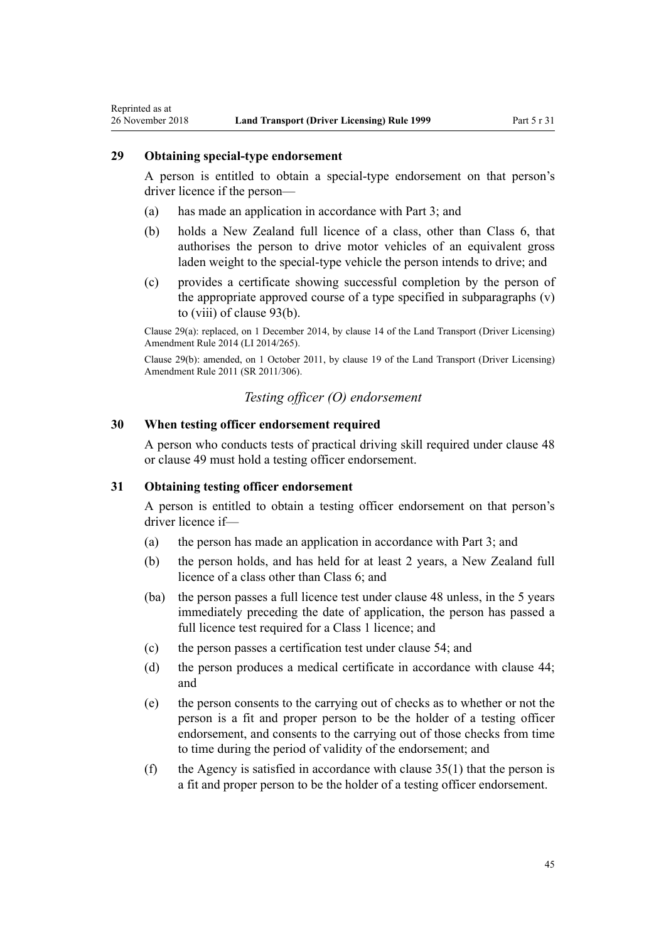# **29 Obtaining special-type endorsement**

Reprinted as at

A person is entitled to obtain a special-type endorsement on that person's driver licence if the person—

- (a) has made an application in accordance with [Part 3;](#page-21-0) and
- (b) holds a New Zealand full licence of a class, other than Class 6, that authorises the person to drive motor vehicles of an equivalent gross laden weight to the special-type vehicle the person intends to drive; and
- (c) provides a certificate showing successful completion by the person of the appropriate approved course of a type specified in subparagraphs (v) to (viii) of [clause 93\(b\).](#page-91-0)

Clause 29(a): replaced, on 1 December 2014, by [clause 14](http://legislation.govt.nz/pdflink.aspx?id=DLM6216927) of the Land Transport (Driver Licensing) Amendment Rule 2014 (LI 2014/265).

Clause 29(b): amended, on 1 October 2011, by [clause 19](http://legislation.govt.nz/pdflink.aspx?id=DLM3956724) of the Land Transport (Driver Licensing) Amendment Rule 2011 (SR 2011/306).

# *Testing officer (O) endorsement*

# **30 When testing officer endorsement required**

A person who conducts tests of practical driving skill required under [clause 48](#page-55-0) or [clause 49](#page-55-0) must hold a testing officer endorsement.

## **31 Obtaining testing officer endorsement**

A person is entitled to obtain a testing officer endorsement on that person's driver licence if—

- (a) the person has made an application in accordance with [Part 3](#page-21-0); and
- (b) the person holds, and has held for at least 2 years, a New Zealand full licence of a class other than Class 6; and
- (ba) the person passes a full licence test under [clause 48](#page-55-0) unless, in the 5 years immediately preceding the date of application, the person has passed a full licence test required for a Class 1 licence; and
- (c) the person passes a certification test under [clause 54](#page-57-0); and
- (d) the person produces a medical certificate in accordance with [clause 44;](#page-52-0) and
- (e) the person consents to the carrying out of checks as to whether or not the person is a fit and proper person to be the holder of a testing officer endorsement, and consents to the carrying out of those checks from time to time during the period of validity of the endorsement; and
- (f) the Agency is satisfied in accordance with clause  $35(1)$  that the person is a fit and proper person to be the holder of a testing officer endorsement.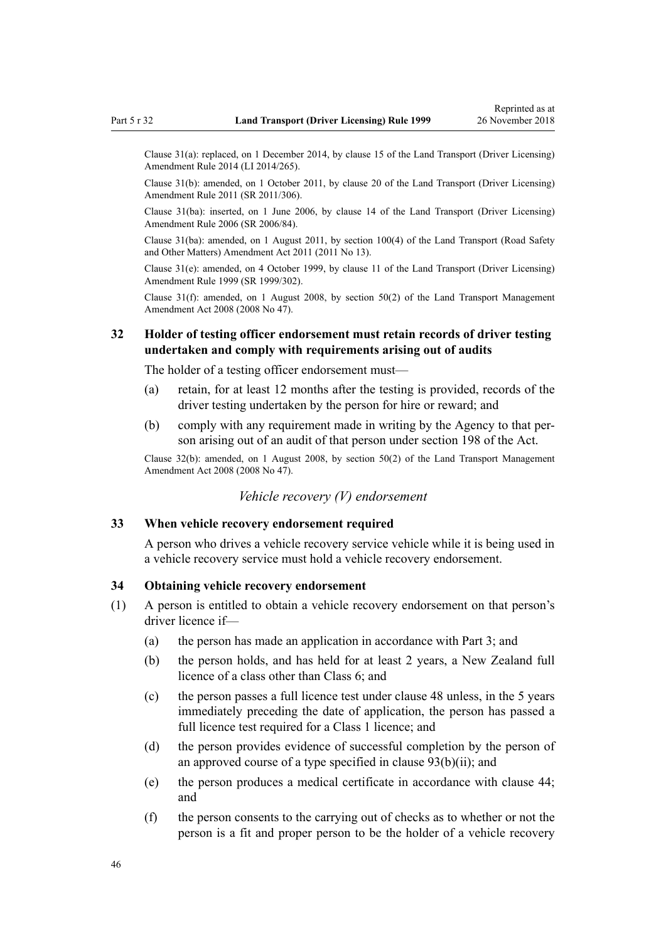Clause 31(a): replaced, on 1 December 2014, by [clause 15](http://legislation.govt.nz/pdflink.aspx?id=DLM6216928) of the Land Transport (Driver Licensing) Amendment Rule 2014 (LI 2014/265).

Clause 31(b): amended, on 1 October 2011, by [clause 20](http://legislation.govt.nz/pdflink.aspx?id=DLM3956725) of the Land Transport (Driver Licensing) Amendment Rule 2011 (SR 2011/306).

Clause 31(ba): inserted, on 1 June 2006, by [clause 14](http://legislation.govt.nz/pdflink.aspx?id=DLM376103) of the Land Transport (Driver Licensing) Amendment Rule 2006 (SR 2006/84).

Clause 31(ba): amended, on 1 August 2011, by [section 100\(4\)](http://legislation.govt.nz/pdflink.aspx?id=DLM3231293) of the Land Transport (Road Safety and Other Matters) Amendment Act 2011 (2011 No 13).

Clause 31(e): amended, on 4 October 1999, by [clause 11](http://legislation.govt.nz/pdflink.aspx?id=DLM293679) of the Land Transport (Driver Licensing) Amendment Rule 1999 (SR 1999/302).

Clause 31(f): amended, on 1 August 2008, by [section 50\(2\)](http://legislation.govt.nz/pdflink.aspx?id=DLM1313622) of the Land Transport Management Amendment Act 2008 (2008 No 47).

# **32 Holder of testing officer endorsement must retain records of driver testing undertaken and comply with requirements arising out of audits**

The holder of a testing officer endorsement must—

- (a) retain, for at least 12 months after the testing is provided, records of the driver testing undertaken by the person for hire or reward; and
- (b) comply with any requirement made in writing by the Agency to that person arising out of an audit of that person under [section 198](http://legislation.govt.nz/pdflink.aspx?id=DLM435602) of the Act.

Clause 32(b): amended, on 1 August 2008, by [section 50\(2\)](http://legislation.govt.nz/pdflink.aspx?id=DLM1313622) of the Land Transport Management Amendment Act 2008 (2008 No 47).

# *Vehicle recovery (V) endorsement*

### **33 When vehicle recovery endorsement required**

A person who drives a vehicle recovery service vehicle while it is being used in a vehicle recovery service must hold a vehicle recovery endorsement.

#### **34 Obtaining vehicle recovery endorsement**

- (1) A person is entitled to obtain a vehicle recovery endorsement on that person's driver licence if—
	- (a) the person has made an application in accordance with [Part 3](#page-21-0); and
	- (b) the person holds, and has held for at least 2 years, a New Zealand full licence of a class other than Class 6; and
	- (c) the person passes a full licence test under [clause 48](#page-55-0) unless, in the 5 years immediately preceding the date of application, the person has passed a full licence test required for a Class 1 licence; and
	- (d) the person provides evidence of successful completion by the person of an approved course of a type specified in [clause 93\(b\)\(ii\)](#page-91-0); and
	- (e) the person produces a medical certificate in accordance with [clause 44;](#page-52-0) and
	- (f) the person consents to the carrying out of checks as to whether or not the person is a fit and proper person to be the holder of a vehicle recovery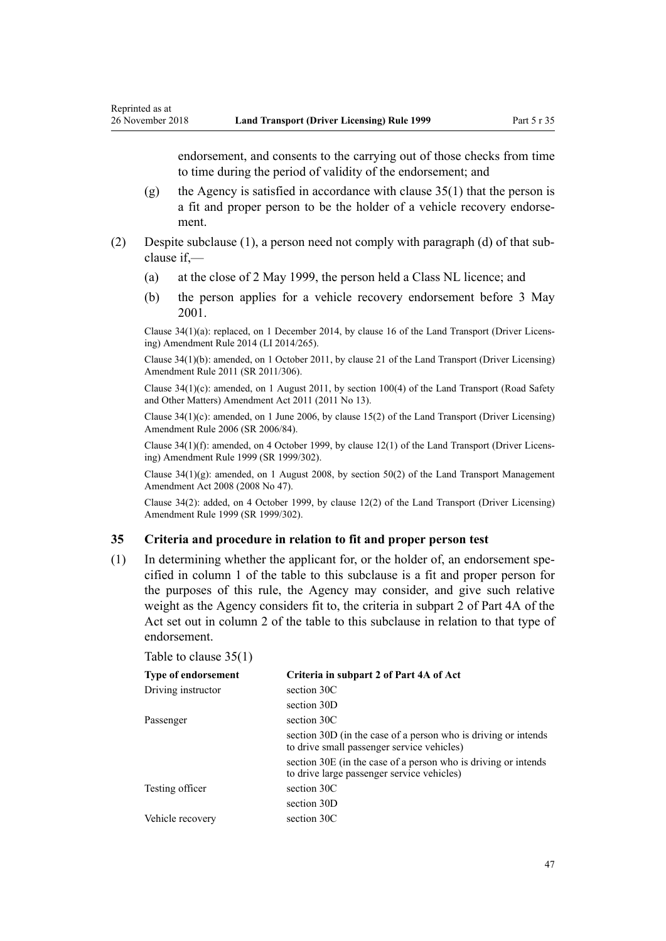<span id="page-46-0"></span>endorsement, and consents to the carrying out of those checks from time to time during the period of validity of the endorsement; and

- (g) the Agency is satisfied in accordance with clause  $35(1)$  that the person is a fit and proper person to be the holder of a vehicle recovery endorsement.
- (2) Despite subclause (1), a person need not comply with paragraph (d) of that subclause if,—
	- (a) at the close of 2 May 1999, the person held a Class NL licence; and
	- (b) the person applies for a vehicle recovery endorsement before 3 May 2001.

Clause 34(1)(a): replaced, on 1 December 2014, by [clause 16](http://legislation.govt.nz/pdflink.aspx?id=DLM6216929) of the Land Transport (Driver Licensing) Amendment Rule 2014 (LI 2014/265).

Clause 34(1)(b): amended, on 1 October 2011, by [clause 21](http://legislation.govt.nz/pdflink.aspx?id=DLM3956726) of the Land Transport (Driver Licensing) Amendment Rule 2011 (SR 2011/306).

Clause 34(1)(c): amended, on 1 August 2011, by [section 100\(4\)](http://legislation.govt.nz/pdflink.aspx?id=DLM3231293) of the Land Transport (Road Safety and Other Matters) Amendment Act 2011 (2011 No 13).

Clause 34(1)(c): amended, on 1 June 2006, by [clause 15\(2\)](http://legislation.govt.nz/pdflink.aspx?id=DLM376104) of the Land Transport (Driver Licensing) Amendment Rule 2006 (SR 2006/84).

Clause 34(1)(f): amended, on 4 October 1999, by [clause 12\(1\)](http://legislation.govt.nz/pdflink.aspx?id=DLM293680) of the Land Transport (Driver Licensing) Amendment Rule 1999 (SR 1999/302).

Clause 34(1)(g): amended, on 1 August 2008, by [section 50\(2\)](http://legislation.govt.nz/pdflink.aspx?id=DLM1313622) of the Land Transport Management Amendment Act 2008 (2008 No 47).

Clause 34(2): added, on 4 October 1999, by [clause 12\(2\)](http://legislation.govt.nz/pdflink.aspx?id=DLM293680) of the Land Transport (Driver Licensing) Amendment Rule 1999 (SR 1999/302).

#### **35 Criteria and procedure in relation to fit and proper person test**

(1) In determining whether the applicant for, or the holder of, an endorsement specified in column 1 of the table to this subclause is a fit and proper person for the purposes of this rule, the Agency may consider, and give such relative weight as the Agency considers fit to, the criteria in subpart 2 of [Part 4A](http://legislation.govt.nz/pdflink.aspx?id=DLM434587) of the Act set out in column 2 of the table to this subclause in relation to that type of endorsement.

|  | Table to clause $35(1)$ |  |
|--|-------------------------|--|
|  |                         |  |

| <b>Type of endorsement</b> | Criteria in subpart 2 of Part 4A of Act                                                                      |
|----------------------------|--------------------------------------------------------------------------------------------------------------|
| Driving instructor         | section 30C                                                                                                  |
|                            | section 30D                                                                                                  |
| Passenger                  | section 30C                                                                                                  |
|                            | section 30D (in the case of a person who is driving or intends<br>to drive small passenger service vehicles) |
|                            | section 30E (in the case of a person who is driving or intends<br>to drive large passenger service vehicles) |
| Testing officer            | section 30C                                                                                                  |
|                            | section 30D                                                                                                  |
| Vehicle recovery           | section 30C                                                                                                  |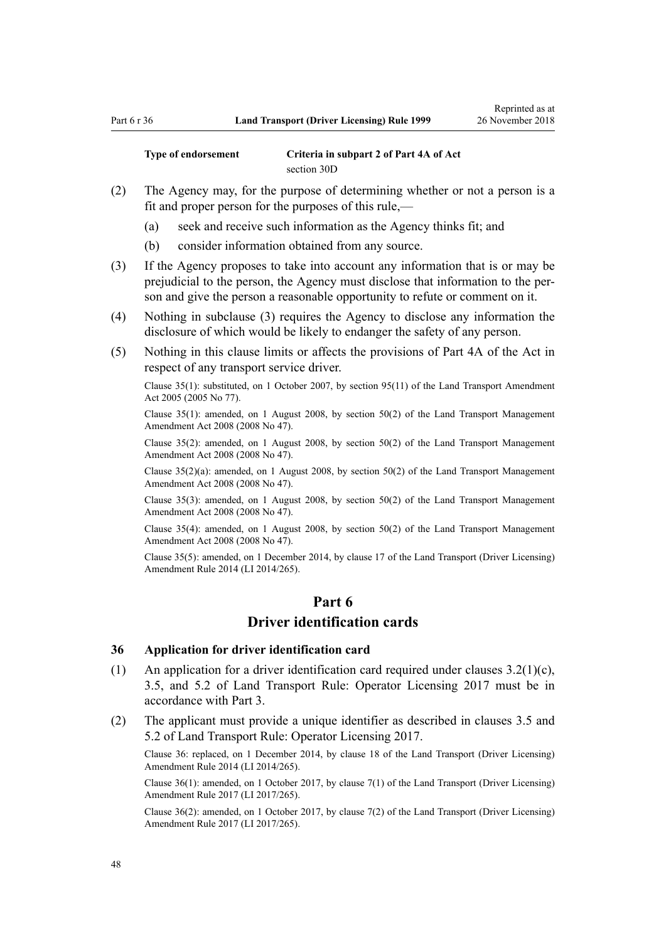**Type of endorsement Criteria in subpart 2 of [Part 4A](http://legislation.govt.nz/pdflink.aspx?id=DLM434587) of Act** [section 30D](http://legislation.govt.nz/pdflink.aspx?id=DLM434594)

- (2) The Agency may, for the purpose of determining whether or not a person is a fit and proper person for the purposes of this rule,—
	- (a) seek and receive such information as the Agency thinks fit; and
	- (b) consider information obtained from any source.
- (3) If the Agency proposes to take into account any information that is or may be prejudicial to the person, the Agency must disclose that information to the person and give the person a reasonable opportunity to refute or comment on it.
- (4) Nothing in subclause (3) requires the Agency to disclose any information the disclosure of which would be likely to endanger the safety of any person.
- (5) Nothing in this clause limits or affects the provisions of [Part 4A](http://legislation.govt.nz/pdflink.aspx?id=DLM434587) of the Act in respect of any transport service driver.

Clause 35(1): substituted, on 1 October 2007, by [section 95\(11\)](http://legislation.govt.nz/pdflink.aspx?id=DLM353501) of the Land Transport Amendment Act 2005 (2005 No 77).

Clause 35(1): amended, on 1 August 2008, by [section 50\(2\)](http://legislation.govt.nz/pdflink.aspx?id=DLM1313622) of the Land Transport Management Amendment Act 2008 (2008 No 47).

Clause 35(2): amended, on 1 August 2008, by [section 50\(2\)](http://legislation.govt.nz/pdflink.aspx?id=DLM1313622) of the Land Transport Management Amendment Act 2008 (2008 No 47).

Clause 35(2)(a): amended, on 1 August 2008, by [section 50\(2\)](http://legislation.govt.nz/pdflink.aspx?id=DLM1313622) of the Land Transport Management Amendment Act 2008 (2008 No 47).

Clause 35(3): amended, on 1 August 2008, by [section 50\(2\)](http://legislation.govt.nz/pdflink.aspx?id=DLM1313622) of the Land Transport Management Amendment Act 2008 (2008 No 47).

Clause 35(4): amended, on 1 August 2008, by [section 50\(2\)](http://legislation.govt.nz/pdflink.aspx?id=DLM1313622) of the Land Transport Management Amendment Act 2008 (2008 No 47).

Clause 35(5): amended, on 1 December 2014, by [clause 17](http://legislation.govt.nz/pdflink.aspx?id=DLM6216930) of the Land Transport (Driver Licensing) Amendment Rule 2014 (LI 2014/265).

# **Part 6 Driver identification cards**

#### **36 Application for driver identification card**

- (1) An application for a driver identification card required under clauses 3.2(1)(c), 3.5, and 5.2 of Land Transport Rule: Operator Licensing 2017 must be in accordance with [Part 3](#page-21-0).
- (2) The applicant must provide a unique identifier as described in clauses 3.5 and 5.2 of Land Transport Rule: Operator Licensing 2017.

Clause 36: replaced, on 1 December 2014, by [clause 18](http://legislation.govt.nz/pdflink.aspx?id=DLM6216931) of the Land Transport (Driver Licensing) Amendment Rule 2014 (LI 2014/265).

Clause 36(1): amended, on 1 October 2017, by [clause 7\(1\)](http://legislation.govt.nz/pdflink.aspx?id=DLM7420931) of the Land Transport (Driver Licensing) Amendment Rule 2017 (LI 2017/265).

Clause 36(2): amended, on 1 October 2017, by [clause 7\(2\)](http://legislation.govt.nz/pdflink.aspx?id=DLM7420931) of the Land Transport (Driver Licensing) Amendment Rule 2017 (LI 2017/265).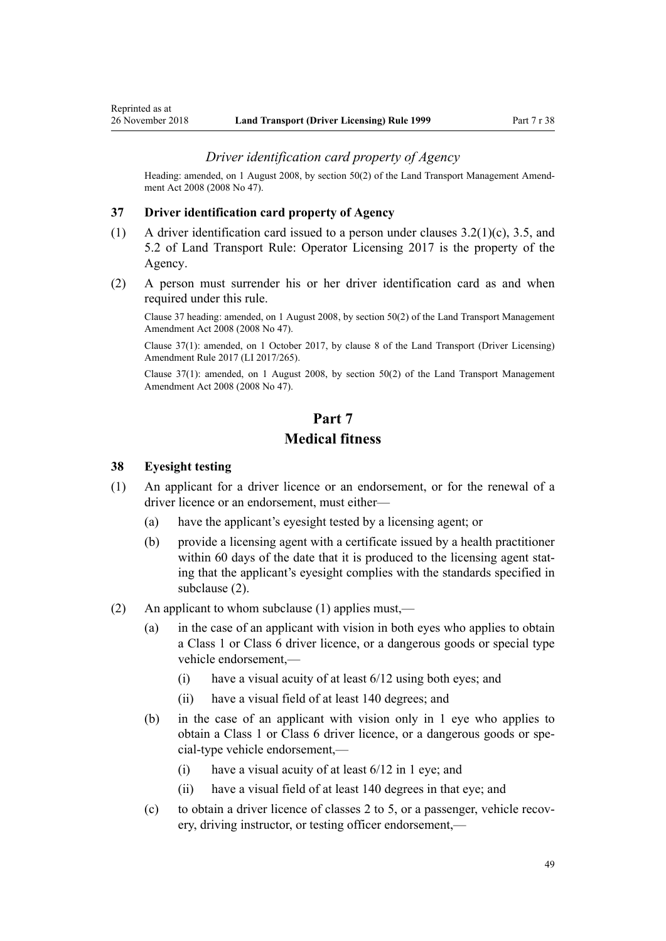### *Driver identification card property of Agency*

<span id="page-48-0"></span>Heading: amended, on 1 August 2008, by [section 50\(2\)](http://legislation.govt.nz/pdflink.aspx?id=DLM1313622) of the Land Transport Management Amendment Act 2008 (2008 No 47).

#### **37 Driver identification card property of Agency**

- (1) A driver identification card issued to a person under clauses 3.2(1)(c), 3.5, and 5.2 of Land Transport Rule: Operator Licensing 2017 is the property of the Agency.
- (2) A person must surrender his or her driver identification card as and when required under this rule.

Clause 37 heading: amended, on 1 August 2008, by [section 50\(2\)](http://legislation.govt.nz/pdflink.aspx?id=DLM1313622) of the Land Transport Management Amendment Act 2008 (2008 No 47).

Clause 37(1): amended, on 1 October 2017, by [clause 8](http://legislation.govt.nz/pdflink.aspx?id=DLM7420932) of the Land Transport (Driver Licensing) Amendment Rule 2017 (LI 2017/265).

Clause 37(1): amended, on 1 August 2008, by [section 50\(2\)](http://legislation.govt.nz/pdflink.aspx?id=DLM1313622) of the Land Transport Management Amendment Act 2008 (2008 No 47).

# **Part 7 Medical fitness**

#### **38 Eyesight testing**

- (1) An applicant for a driver licence or an endorsement, or for the renewal of a driver licence or an endorsement, must either—
	- (a) have the applicant's eyesight tested by a licensing agent; or
	- (b) provide a licensing agent with a certificate issued by a health practitioner within 60 days of the date that it is produced to the licensing agent stating that the applicant's eyesight complies with the standards specified in subclause (2).
- (2) An applicant to whom subclause (1) applies must,—
	- (a) in the case of an applicant with vision in both eyes who applies to obtain a Class 1 or Class 6 driver licence, or a dangerous goods or special type vehicle endorsement,—
		- (i) have a visual acuity of at least 6/12 using both eyes; and
		- (ii) have a visual field of at least 140 degrees; and
	- (b) in the case of an applicant with vision only in 1 eye who applies to obtain a Class 1 or Class 6 driver licence, or a dangerous goods or special-type vehicle endorsement,—
		- (i) have a visual acuity of at least  $6/12$  in 1 eye; and
		- (ii) have a visual field of at least 140 degrees in that eye; and
	- (c) to obtain a driver licence of classes 2 to 5, or a passenger, vehicle recovery, driving instructor, or testing officer endorsement,—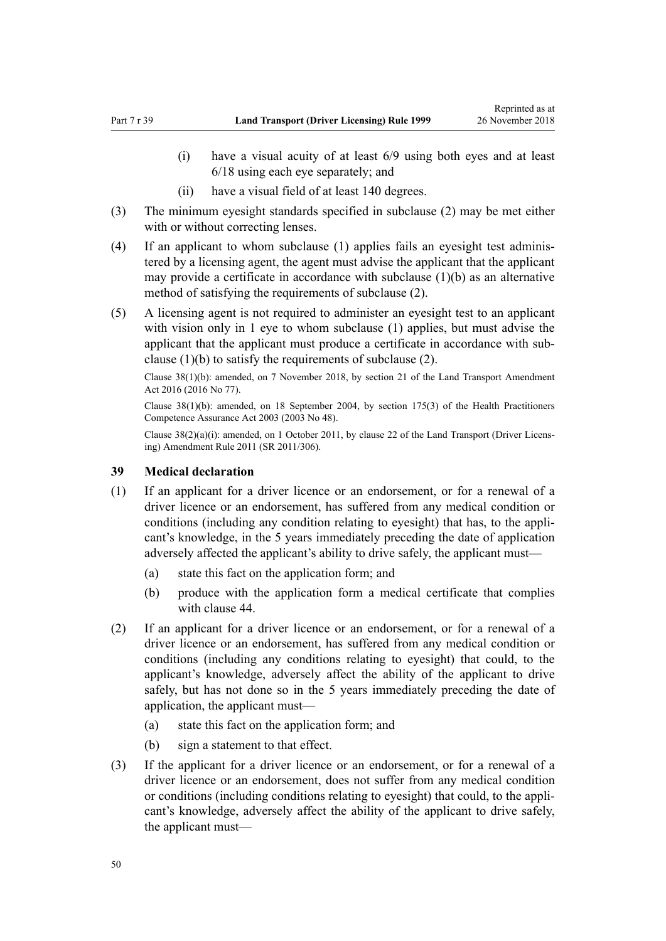- (i) have a visual acuity of at least 6/9 using both eyes and at least 6/18 using each eye separately; and
- (ii) have a visual field of at least 140 degrees.
- (3) The minimum eyesight standards specified in subclause (2) may be met either with or without correcting lenses.
- (4) If an applicant to whom subclause (1) applies fails an eyesight test administered by a licensing agent, the agent must advise the applicant that the applicant may provide a certificate in accordance with subclause (1)(b) as an alternative method of satisfying the requirements of subclause (2).
- (5) A licensing agent is not required to administer an eyesight test to an applicant with vision only in 1 eye to whom subclause (1) applies, but must advise the applicant that the applicant must produce a certificate in accordance with subclause (1)(b) to satisfy the requirements of subclause (2).

Clause 38(1)(b): amended, on 7 November 2018, by [section 21](http://legislation.govt.nz/pdflink.aspx?id=DLM6984133) of the Land Transport Amendment Act 2016 (2016 No 77).

Clause 38(1)(b): amended, on 18 September 2004, by [section 175\(3\)](http://legislation.govt.nz/pdflink.aspx?id=DLM205009) of the Health Practitioners Competence Assurance Act 2003 (2003 No 48).

Clause 38(2)(a)(i): amended, on 1 October 2011, by [clause 22](http://legislation.govt.nz/pdflink.aspx?id=DLM3956727) of the Land Transport (Driver Licensing) Amendment Rule 2011 (SR 2011/306).

## **39 Medical declaration**

- (1) If an applicant for a driver licence or an endorsement, or for a renewal of a driver licence or an endorsement, has suffered from any medical condition or conditions (including any condition relating to eyesight) that has, to the applicant's knowledge, in the 5 years immediately preceding the date of application adversely affected the applicant's ability to drive safely, the applicant must—
	- (a) state this fact on the application form; and
	- (b) produce with the application form a medical certificate that complies with [clause 44.](#page-52-0)
- (2) If an applicant for a driver licence or an endorsement, or for a renewal of a driver licence or an endorsement, has suffered from any medical condition or conditions (including any conditions relating to eyesight) that could, to the applicant's knowledge, adversely affect the ability of the applicant to drive safely, but has not done so in the 5 years immediately preceding the date of application, the applicant must—
	- (a) state this fact on the application form; and
	- (b) sign a statement to that effect.
- (3) If the applicant for a driver licence or an endorsement, or for a renewal of a driver licence or an endorsement, does not suffer from any medical condition or conditions (including conditions relating to eyesight) that could, to the applicant's knowledge, adversely affect the ability of the applicant to drive safely, the applicant must—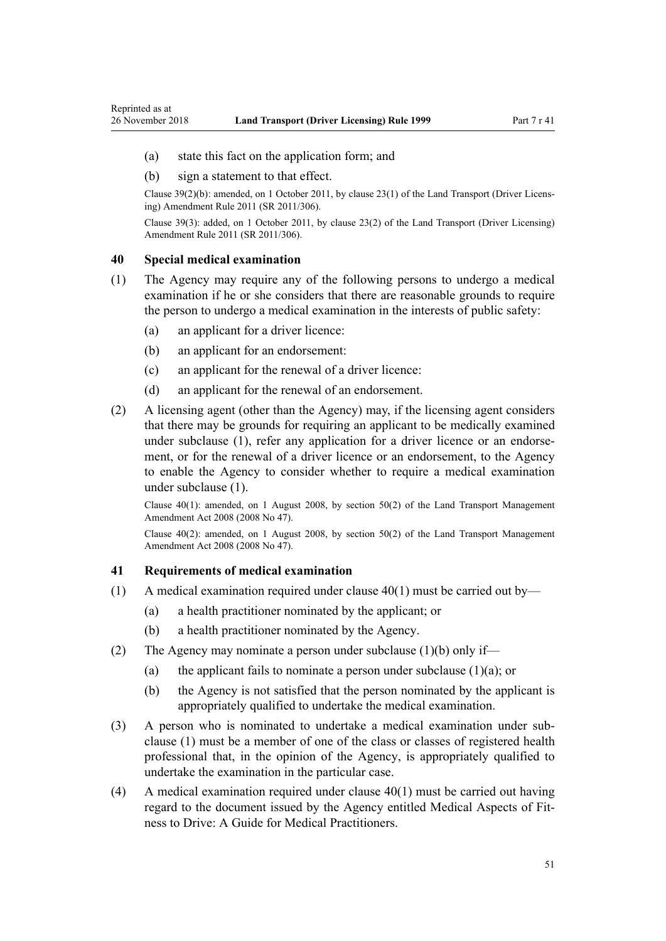(a) state this fact on the application form; and

#### (b) sign a statement to that effect.

Clause 39(2)(b): amended, on 1 October 2011, by [clause 23\(1\)](http://legislation.govt.nz/pdflink.aspx?id=DLM3956728) of the Land Transport (Driver Licensing) Amendment Rule 2011 (SR 2011/306).

Clause 39(3): added, on 1 October 2011, by [clause 23\(2\)](http://legislation.govt.nz/pdflink.aspx?id=DLM3956728) of the Land Transport (Driver Licensing) Amendment Rule 2011 (SR 2011/306).

#### **40 Special medical examination**

<span id="page-50-0"></span>Reprinted as at

- (1) The Agency may require any of the following persons to undergo a medical examination if he or she considers that there are reasonable grounds to require the person to undergo a medical examination in the interests of public safety:
	- (a) an applicant for a driver licence:
	- (b) an applicant for an endorsement:
	- (c) an applicant for the renewal of a driver licence:
	- (d) an applicant for the renewal of an endorsement.
- (2) A licensing agent (other than the Agency) may, if the licensing agent considers that there may be grounds for requiring an applicant to be medically examined under subclause (1), refer any application for a driver licence or an endorsement, or for the renewal of a driver licence or an endorsement, to the Agency to enable the Agency to consider whether to require a medical examination under subclause (1).

Clause 40(1): amended, on 1 August 2008, by [section 50\(2\)](http://legislation.govt.nz/pdflink.aspx?id=DLM1313622) of the Land Transport Management Amendment Act 2008 (2008 No 47).

Clause 40(2): amended, on 1 August 2008, by [section 50\(2\)](http://legislation.govt.nz/pdflink.aspx?id=DLM1313622) of the Land Transport Management Amendment Act 2008 (2008 No 47).

#### **41 Requirements of medical examination**

- (1) A medical examination required under clause  $40(1)$  must be carried out by—
	- (a) a health practitioner nominated by the applicant; or
	- (b) a health practitioner nominated by the Agency.
- (2) The Agency may nominate a person under subclause (1)(b) only if—
	- (a) the applicant fails to nominate a person under subclause  $(1)(a)$ ; or
	- (b) the Agency is not satisfied that the person nominated by the applicant is appropriately qualified to undertake the medical examination.
- (3) A person who is nominated to undertake a medical examination under subclause (1) must be a member of one of the class or classes of registered health professional that, in the opinion of the Agency, is appropriately qualified to undertake the examination in the particular case.
- (4) A medical examination required under clause 40(1) must be carried out having regard to the document issued by the Agency entitled Medical Aspects of Fitness to Drive: A Guide for Medical Practitioners.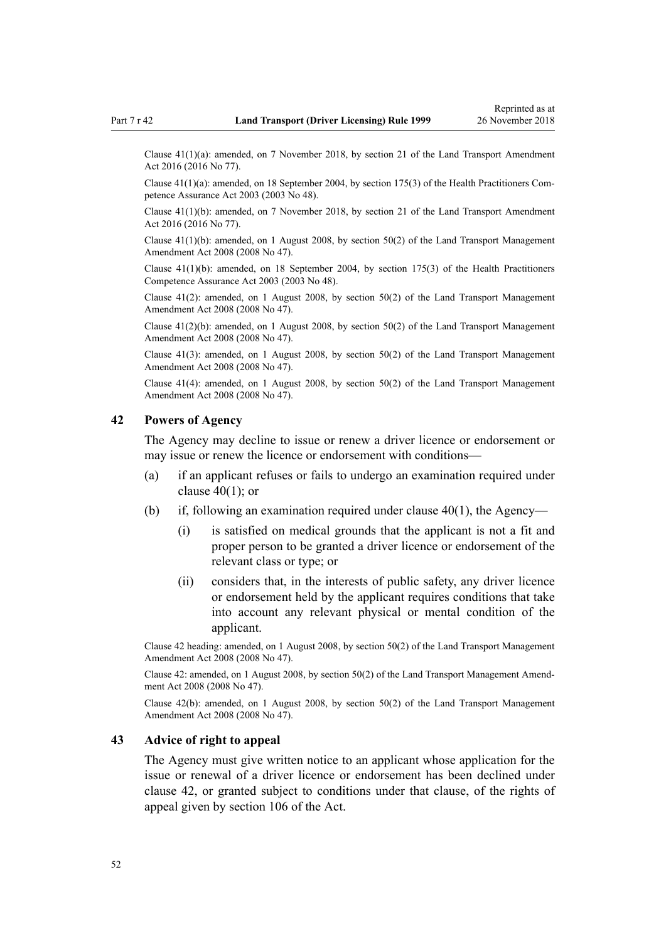Clause 41(1)(a): amended, on 7 November 2018, by [section 21](http://legislation.govt.nz/pdflink.aspx?id=DLM6984133) of the Land Transport Amendment Act 2016 (2016 No 77).

Clause 41(1)(a): amended, on 18 September 2004, by [section 175\(3\)](http://legislation.govt.nz/pdflink.aspx?id=DLM205009) of the Health Practitioners Competence Assurance Act 2003 (2003 No 48).

Clause 41(1)(b): amended, on 7 November 2018, by [section 21](http://legislation.govt.nz/pdflink.aspx?id=DLM6984133) of the Land Transport Amendment Act 2016 (2016 No 77).

Clause  $41(1)(b)$ : amended, on 1 August 2008, by [section 50\(2\)](http://legislation.govt.nz/pdflink.aspx?id=DLM1313622) of the Land Transport Management Amendment Act 2008 (2008 No 47).

Clause  $41(1)(b)$ : amended, on 18 September 2004, by [section 175\(3\)](http://legislation.govt.nz/pdflink.aspx?id=DLM205009) of the Health Practitioners Competence Assurance Act 2003 (2003 No 48).

Clause 41(2): amended, on 1 August 2008, by [section 50\(2\)](http://legislation.govt.nz/pdflink.aspx?id=DLM1313622) of the Land Transport Management Amendment Act 2008 (2008 No 47).

Clause 41(2)(b): amended, on 1 August 2008, by [section 50\(2\)](http://legislation.govt.nz/pdflink.aspx?id=DLM1313622) of the Land Transport Management Amendment Act 2008 (2008 No 47).

Clause 41(3): amended, on 1 August 2008, by [section 50\(2\)](http://legislation.govt.nz/pdflink.aspx?id=DLM1313622) of the Land Transport Management Amendment Act 2008 (2008 No 47).

Clause 41(4): amended, on 1 August 2008, by [section 50\(2\)](http://legislation.govt.nz/pdflink.aspx?id=DLM1313622) of the Land Transport Management Amendment Act 2008 (2008 No 47).

## **42 Powers of Agency**

The Agency may decline to issue or renew a driver licence or endorsement or may issue or renew the licence or endorsement with conditions—

- (a) if an applicant refuses or fails to undergo an examination required under clause  $40(1)$ ; or
- (b) if, following an examination required under clause  $40(1)$ , the Agency—
	- (i) is satisfied on medical grounds that the applicant is not a fit and proper person to be granted a driver licence or endorsement of the relevant class or type; or
	- (ii) considers that, in the interests of public safety, any driver licence or endorsement held by the applicant requires conditions that take into account any relevant physical or mental condition of the applicant.

Clause 42 heading: amended, on 1 August 2008, by [section 50\(2\)](http://legislation.govt.nz/pdflink.aspx?id=DLM1313622) of the Land Transport Management Amendment Act 2008 (2008 No 47).

Clause 42: amended, on 1 August 2008, by [section 50\(2\)](http://legislation.govt.nz/pdflink.aspx?id=DLM1313622) of the Land Transport Management Amendment Act 2008 (2008 No 47).

Clause 42(b): amended, on 1 August 2008, by [section 50\(2\)](http://legislation.govt.nz/pdflink.aspx?id=DLM1313622) of the Land Transport Management Amendment Act 2008 (2008 No 47).

#### **43 Advice of right to appeal**

The Agency must give written notice to an applicant whose application for the issue or renewal of a driver licence or endorsement has been declined under clause 42, or granted subject to conditions under that clause, of the rights of appeal given by [section 106](http://legislation.govt.nz/pdflink.aspx?id=DLM435083) of the Act.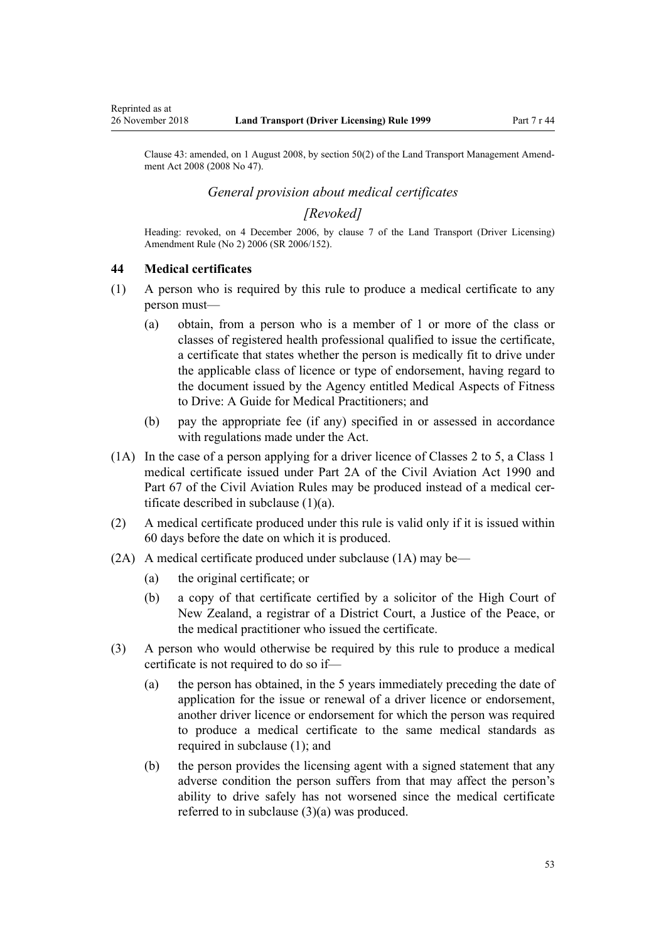Clause 43: amended, on 1 August 2008, by [section 50\(2\)](http://legislation.govt.nz/pdflink.aspx?id=DLM1313622) of the Land Transport Management Amend-

*General provision about medical certificates*

## *[Revoked]*

Heading: revoked, on 4 December 2006, by [clause 7](http://legislation.govt.nz/pdflink.aspx?id=DLM386144) of the Land Transport (Driver Licensing) Amendment Rule (No 2) 2006 (SR 2006/152).

### **44 Medical certificates**

<span id="page-52-0"></span>Reprinted as at

ment Act 2008 (2008 No 47).

- (1) A person who is required by this rule to produce a medical certificate to any person must—
	- (a) obtain, from a person who is a member of 1 or more of the class or classes of registered health professional qualified to issue the certificate, a certificate that states whether the person is medically fit to drive under the applicable class of licence or type of endorsement, having regard to the document issued by the Agency entitled Medical Aspects of Fitness to Drive: A Guide for Medical Practitioners; and
	- (b) pay the appropriate fee (if any) specified in or assessed in accordance with regulations made under the Act.
- (1A) In the case of a person applying for a driver licence of Classes 2 to 5, a Class 1 medical certificate issued under [Part 2A](http://legislation.govt.nz/pdflink.aspx?id=DLM216176) of the Civil Aviation Act 1990 and Part 67 of the Civil Aviation Rules may be produced instead of a medical certificate described in subclause  $(1)(a)$ .
- (2) A medical certificate produced under this rule is valid only if it is issued within 60 days before the date on which it is produced.
- (2A) A medical certificate produced under subclause (1A) may be—
	- (a) the original certificate; or
	- (b) a copy of that certificate certified by a solicitor of the High Court of New Zealand, a registrar of a District Court, a Justice of the Peace, or the medical practitioner who issued the certificate.
- (3) A person who would otherwise be required by this rule to produce a medical certificate is not required to do so if—
	- (a) the person has obtained, in the 5 years immediately preceding the date of application for the issue or renewal of a driver licence or endorsement, another driver licence or endorsement for which the person was required to produce a medical certificate to the same medical standards as required in subclause (1); and
	- (b) the person provides the licensing agent with a signed statement that any adverse condition the person suffers from that may affect the person's ability to drive safely has not worsened since the medical certificate referred to in subclause (3)(a) was produced.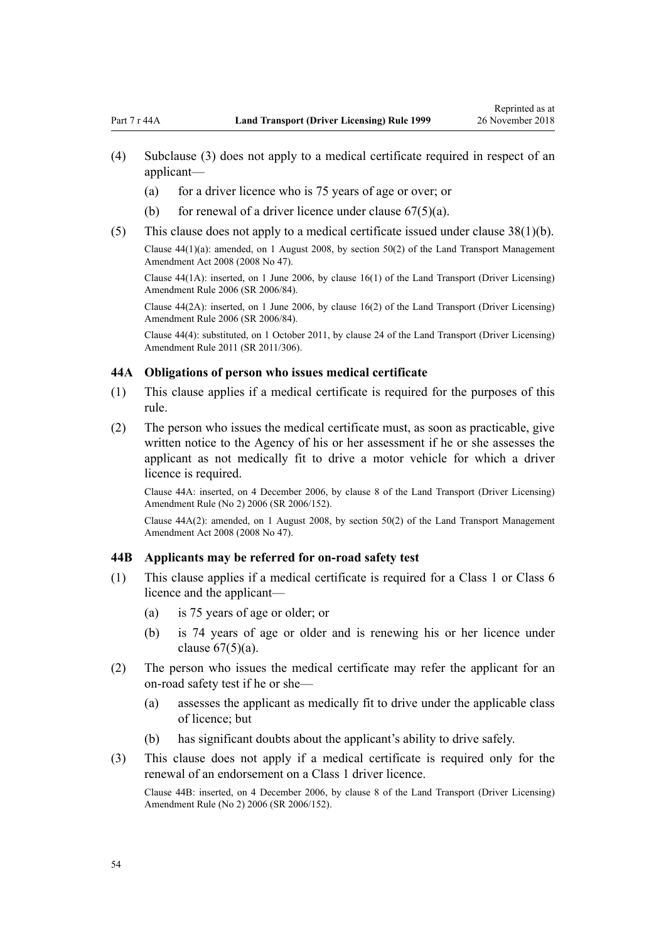- <span id="page-53-0"></span>(4) Subclause (3) does not apply to a medical certificate required in respect of an applicant—
	- (a) for a driver licence who is 75 years of age or over; or
	- (b) for renewal of a driver licence under clause  $67(5)(a)$ .
- (5) This clause does not apply to a medical certificate issued under [clause 38\(1\)\(b\).](#page-48-0)

Clause 44(1)(a): amended, on 1 August 2008, by [section 50\(2\)](http://legislation.govt.nz/pdflink.aspx?id=DLM1313622) of the Land Transport Management Amendment Act 2008 (2008 No 47).

Clause 44(1A): inserted, on 1 June 2006, by [clause 16\(1\)](http://legislation.govt.nz/pdflink.aspx?id=DLM376105) of the Land Transport (Driver Licensing) Amendment Rule 2006 (SR 2006/84).

Clause 44(2A): inserted, on 1 June 2006, by [clause 16\(2\)](http://legislation.govt.nz/pdflink.aspx?id=DLM376105) of the Land Transport (Driver Licensing) Amendment Rule 2006 (SR 2006/84).

Clause 44(4): substituted, on 1 October 2011, by [clause 24](http://legislation.govt.nz/pdflink.aspx?id=DLM3956729) of the Land Transport (Driver Licensing) Amendment Rule 2011 (SR 2011/306).

#### **44A Obligations of person who issues medical certificate**

- (1) This clause applies if a medical certificate is required for the purposes of this rule.
- (2) The person who issues the medical certificate must, as soon as practicable, give written notice to the Agency of his or her assessment if he or she assesses the applicant as not medically fit to drive a motor vehicle for which a driver licence is required.

Clause 44A: inserted, on 4 December 2006, by [clause 8](http://legislation.govt.nz/pdflink.aspx?id=DLM386145) of the Land Transport (Driver Licensing) Amendment Rule (No 2) 2006 (SR 2006/152).

Clause 44A(2): amended, on 1 August 2008, by [section 50\(2\)](http://legislation.govt.nz/pdflink.aspx?id=DLM1313622) of the Land Transport Management Amendment Act 2008 (2008 No 47).

## **44B Applicants may be referred for on-road safety test**

- (1) This clause applies if a medical certificate is required for a Class 1 or Class 6 licence and the applicant—
	- (a) is 75 years of age or older; or
	- (b) is 74 years of age or older and is renewing his or her licence under clause  $67(5)(a)$ .
- (2) The person who issues the medical certificate may refer the applicant for an on-road safety test if he or she—
	- (a) assesses the applicant as medically fit to drive under the applicable class of licence; but
	- (b) has significant doubts about the applicant's ability to drive safely.
- (3) This clause does not apply if a medical certificate is required only for the renewal of an endorsement on a Class 1 driver licence.

Clause 44B: inserted, on 4 December 2006, by [clause 8](http://legislation.govt.nz/pdflink.aspx?id=DLM386145) of the Land Transport (Driver Licensing) Amendment Rule (No 2) 2006 (SR 2006/152).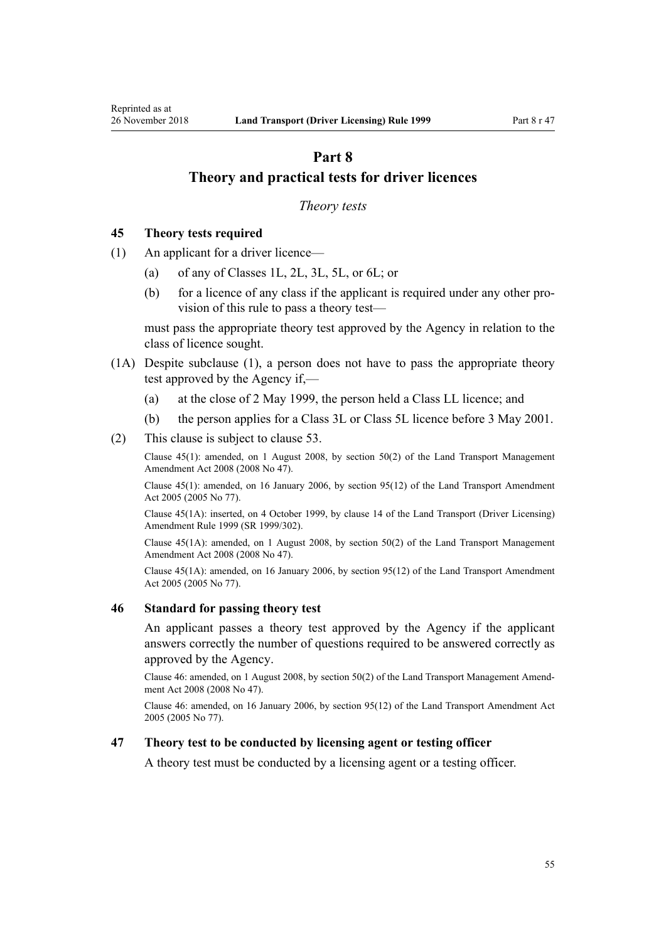# <span id="page-54-0"></span>**Part 8 Theory and practical tests for driver licences**

#### *Theory tests*

### **45 Theory tests required**

- (1) An applicant for a driver licence—
	- (a) of any of Classes 1L, 2L, 3L, 5L, or 6L; or
	- (b) for a licence of any class if the applicant is required under any other provision of this rule to pass a theory test—

must pass the appropriate theory test approved by the Agency in relation to the class of licence sought.

- (1A) Despite subclause (1), a person does not have to pass the appropriate theory test approved by the Agency if,—
	- (a) at the close of 2 May 1999, the person held a Class LL licence; and
	- (b) the person applies for a Class 3L or Class 5L licence before 3 May 2001.
- (2) This clause is subject to [clause 53](#page-57-0).

Clause 45(1): amended, on 1 August 2008, by [section 50\(2\)](http://legislation.govt.nz/pdflink.aspx?id=DLM1313622) of the Land Transport Management Amendment Act 2008 (2008 No 47).

Clause 45(1): amended, on 16 January 2006, by [section 95\(12\)](http://legislation.govt.nz/pdflink.aspx?id=DLM353501) of the Land Transport Amendment Act 2005 (2005 No 77).

Clause 45(1A): inserted, on 4 October 1999, by [clause 14](http://legislation.govt.nz/pdflink.aspx?id=DLM293682) of the Land Transport (Driver Licensing) Amendment Rule 1999 (SR 1999/302).

Clause 45(1A): amended, on 1 August 2008, by [section 50\(2\)](http://legislation.govt.nz/pdflink.aspx?id=DLM1313622) of the Land Transport Management Amendment Act 2008 (2008 No 47).

Clause 45(1A): amended, on 16 January 2006, by [section 95\(12\)](http://legislation.govt.nz/pdflink.aspx?id=DLM353501) of the Land Transport Amendment Act 2005 (2005 No 77).

#### **46 Standard for passing theory test**

An applicant passes a theory test approved by the Agency if the applicant answers correctly the number of questions required to be answered correctly as approved by the Agency.

Clause 46: amended, on 1 August 2008, by [section 50\(2\)](http://legislation.govt.nz/pdflink.aspx?id=DLM1313622) of the Land Transport Management Amendment Act 2008 (2008 No 47).

Clause 46: amended, on 16 January 2006, by [section 95\(12\)](http://legislation.govt.nz/pdflink.aspx?id=DLM353501) of the Land Transport Amendment Act 2005 (2005 No 77).

## **47 Theory test to be conducted by licensing agent or testing officer**

A theory test must be conducted by a licensing agent or a testing officer.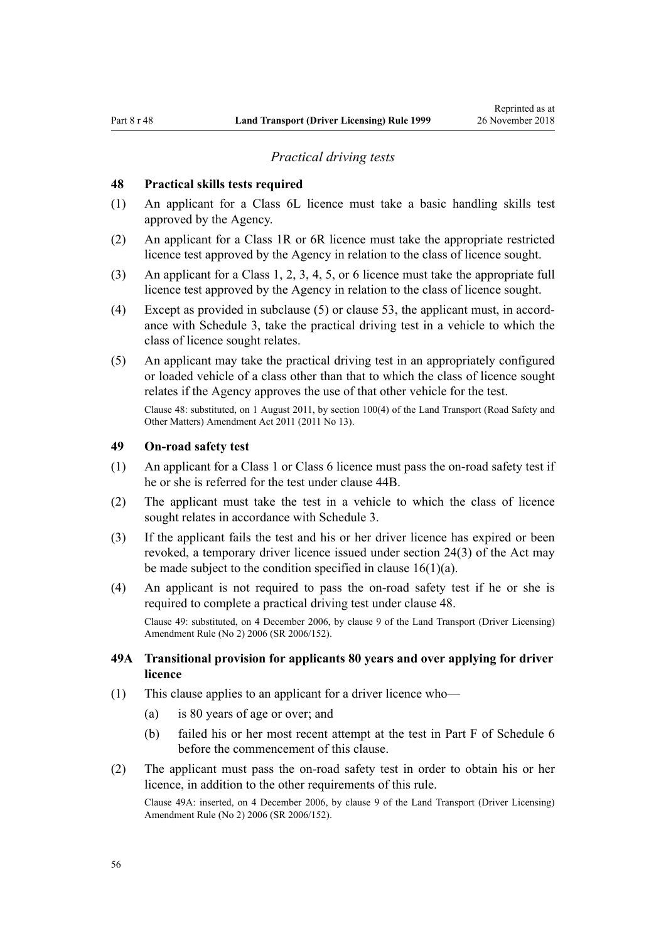#### *Practical driving tests*

#### <span id="page-55-0"></span>**48 Practical skills tests required**

- (1) An applicant for a Class 6L licence must take a basic handling skills test approved by the Agency.
- (2) An applicant for a Class 1R or 6R licence must take the appropriate restricted licence test approved by the Agency in relation to the class of licence sought.
- (3) An applicant for a Class 1, 2, 3, 4, 5, or 6 licence must take the appropriate full licence test approved by the Agency in relation to the class of licence sought.
- (4) Except as provided in subclause (5) or [clause 53](#page-57-0), the applicant must, in accordance with [Schedule 3](#page-110-0), take the practical driving test in a vehicle to which the class of licence sought relates.
- (5) An applicant may take the practical driving test in an appropriately configured or loaded vehicle of a class other than that to which the class of licence sought relates if the Agency approves the use of that other vehicle for the test.

Clause 48: substituted, on 1 August 2011, by [section 100\(4\)](http://legislation.govt.nz/pdflink.aspx?id=DLM3231293) of the Land Transport (Road Safety and Other Matters) Amendment Act 2011 (2011 No 13).

# **49 On-road safety test**

- (1) An applicant for a Class 1 or Class 6 licence must pass the on-road safety test if he or she is referred for the test under [clause 44B](#page-53-0).
- (2) The applicant must take the test in a vehicle to which the class of licence sought relates in accordance with [Schedule 3](#page-110-0).
- (3) If the applicant fails the test and his or her driver licence has expired or been revoked, a temporary driver licence issued under [section 24\(3\)](http://legislation.govt.nz/pdflink.aspx?id=DLM434553) of the Act may be made subject to the condition specified in clause  $16(1)(a)$ .
- (4) An applicant is not required to pass the on-road safety test if he or she is required to complete a practical driving test under clause 48.

Clause 49: substituted, on 4 December 2006, by [clause 9](http://legislation.govt.nz/pdflink.aspx?id=DLM386148) of the Land Transport (Driver Licensing) Amendment Rule (No 2) 2006 (SR 2006/152).

## **49A Transitional provision for applicants 80 years and over applying for driver licence**

- (1) This clause applies to an applicant for a driver licence who—
	- (a) is 80 years of age or over; and
	- (b) failed his or her most recent attempt at the test in [Part F](http://legislation.govt.nz/pdflink.aspx?id=DLM282294) of Schedule 6 before the commencement of this clause.
- (2) The applicant must pass the on-road safety test in order to obtain his or her licence, in addition to the other requirements of this rule.

Clause 49A: inserted, on 4 December 2006, by [clause 9](http://legislation.govt.nz/pdflink.aspx?id=DLM386148) of the Land Transport (Driver Licensing) Amendment Rule (No 2) 2006 (SR 2006/152).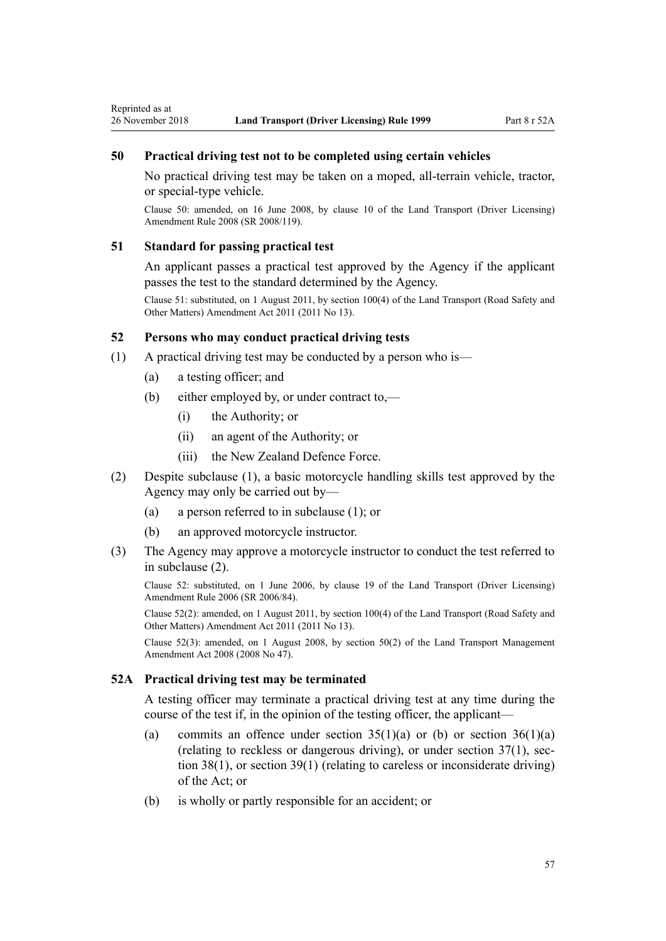## <span id="page-56-0"></span>**50 Practical driving test not to be completed using certain vehicles**

No practical driving test may be taken on a moped, all-terrain vehicle, tractor, or special-type vehicle.

Clause 50: amended, on 16 June 2008, by [clause 10](http://legislation.govt.nz/pdflink.aspx?id=DLM1317916) of the Land Transport (Driver Licensing) Amendment Rule 2008 (SR 2008/119).

#### **51 Standard for passing practical test**

An applicant passes a practical test approved by the Agency if the applicant passes the test to the standard determined by the Agency.

Clause 51: substituted, on 1 August 2011, by [section 100\(4\)](http://legislation.govt.nz/pdflink.aspx?id=DLM3231293) of the Land Transport (Road Safety and Other Matters) Amendment Act 2011 (2011 No 13).

### **52 Persons who may conduct practical driving tests**

- (1) A practical driving test may be conducted by a person who is—
	- (a) a testing officer; and
	- (b) either employed by, or under contract to,—
		- (i) the Authority; or
		- (ii) an agent of the Authority; or
		- (iii) the New Zealand Defence Force.
- (2) Despite subclause (1), a basic motorcycle handling skills test approved by the Agency may only be carried out by—
	- (a) a person referred to in subclause (1); or
	- (b) an approved motorcycle instructor.
- (3) The Agency may approve a motorcycle instructor to conduct the test referred to in subclause (2).

Clause 52: substituted, on 1 June 2006, by [clause 19](http://legislation.govt.nz/pdflink.aspx?id=DLM376108) of the Land Transport (Driver Licensing) Amendment Rule 2006 (SR 2006/84).

Clause 52(2): amended, on 1 August 2011, by [section 100\(4\)](http://legislation.govt.nz/pdflink.aspx?id=DLM3231293) of the Land Transport (Road Safety and Other Matters) Amendment Act 2011 (2011 No 13).

Clause 52(3): amended, on 1 August 2008, by [section 50\(2\)](http://legislation.govt.nz/pdflink.aspx?id=DLM1313622) of the Land Transport Management Amendment Act 2008 (2008 No 47).

### **52A Practical driving test may be terminated**

A testing officer may terminate a practical driving test at any time during the course of the test if, in the opinion of the testing officer, the applicant—

- (a) commits an offence under section  $35(1)(a)$  or (b) or section  $36(1)(a)$ (relating to reckless or dangerous driving), or under [section 37\(1\),](http://legislation.govt.nz/pdflink.aspx?id=DLM434658) [sec](http://legislation.govt.nz/pdflink.aspx?id=DLM434659)[tion 38\(1\)](http://legislation.govt.nz/pdflink.aspx?id=DLM434659), or [section 39\(1\)](http://legislation.govt.nz/pdflink.aspx?id=DLM434662) (relating to careless or inconsiderate driving) of the Act; or
- (b) is wholly or partly responsible for an accident; or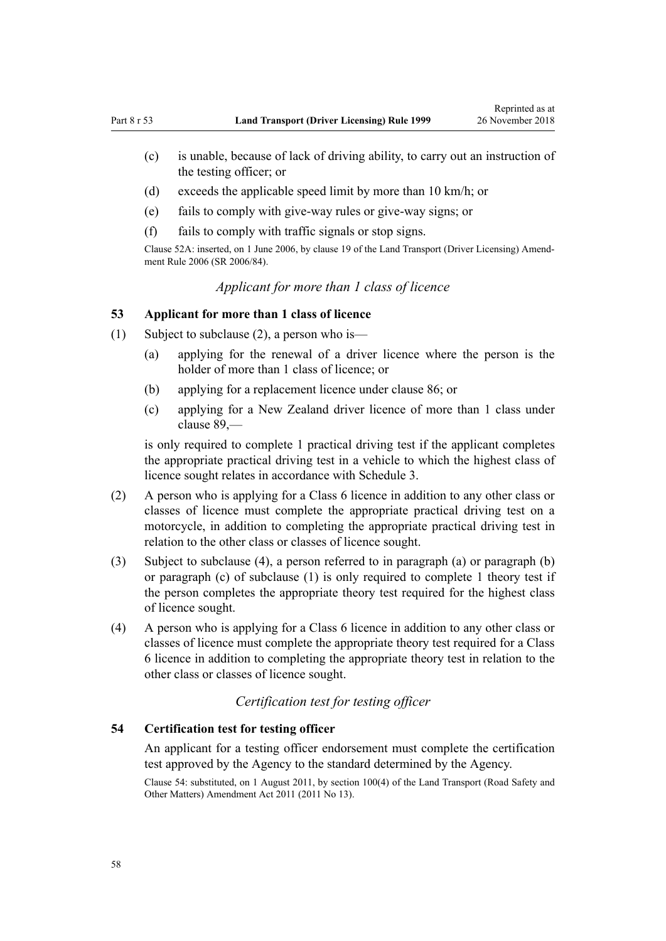- <span id="page-57-0"></span>(c) is unable, because of lack of driving ability, to carry out an instruction of the testing officer; or
- (d) exceeds the applicable speed limit by more than 10 km/h; or
- (e) fails to comply with give-way rules or give-way signs; or
- (f) fails to comply with traffic signals or stop signs.

Clause 52A: inserted, on 1 June 2006, by [clause 19](http://legislation.govt.nz/pdflink.aspx?id=DLM376108) of the Land Transport (Driver Licensing) Amendment Rule 2006 (SR 2006/84).

# *Applicant for more than 1 class of licence*

### **53 Applicant for more than 1 class of licence**

- (1) Subject to subclause (2), a person who is—
	- (a) applying for the renewal of a driver licence where the person is the holder of more than 1 class of licence; or
	- (b) applying for a replacement licence under [clause 86](#page-84-0); or
	- (c) applying for a New Zealand driver licence of more than 1 class under [clause 89](#page-88-0),—

is only required to complete 1 practical driving test if the applicant completes the appropriate practical driving test in a vehicle to which the highest class of licence sought relates in accordance with [Schedule 3.](#page-110-0)

- (2) A person who is applying for a Class 6 licence in addition to any other class or classes of licence must complete the appropriate practical driving test on a motorcycle, in addition to completing the appropriate practical driving test in relation to the other class or classes of licence sought.
- (3) Subject to subclause (4), a person referred to in paragraph (a) or paragraph (b) or paragraph (c) of subclause (1) is only required to complete 1 theory test if the person completes the appropriate theory test required for the highest class of licence sought.
- (4) A person who is applying for a Class 6 licence in addition to any other class or classes of licence must complete the appropriate theory test required for a Class 6 licence in addition to completing the appropriate theory test in relation to the other class or classes of licence sought.

# *Certification test for testing officer*

## **54 Certification test for testing officer**

An applicant for a testing officer endorsement must complete the certification test approved by the Agency to the standard determined by the Agency.

Clause 54: substituted, on 1 August 2011, by [section 100\(4\)](http://legislation.govt.nz/pdflink.aspx?id=DLM3231293) of the Land Transport (Road Safety and Other Matters) Amendment Act 2011 (2011 No 13).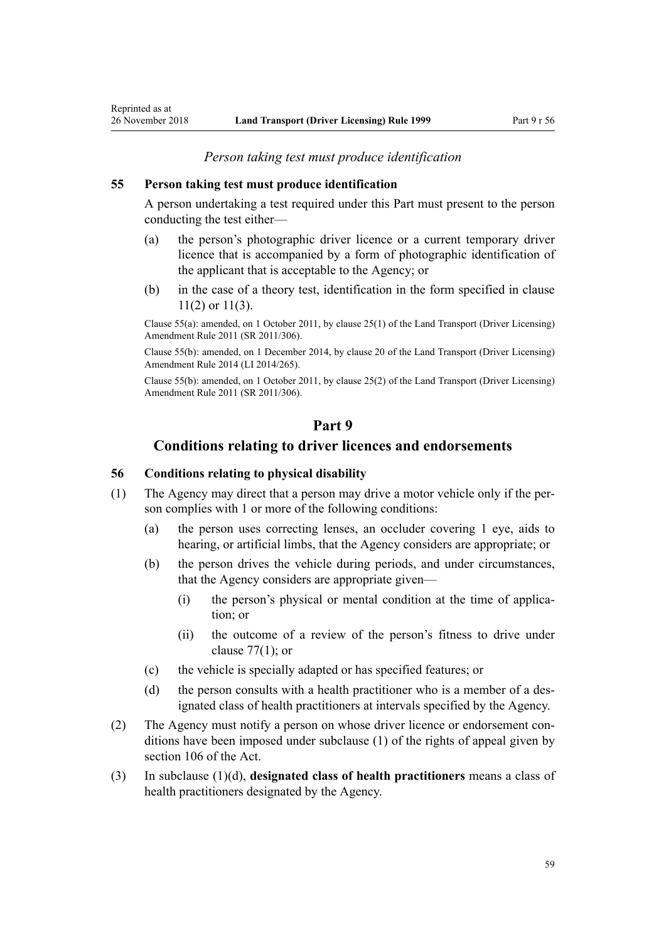## **55 Person taking test must produce identification**

Reprinted as at

A person undertaking a test required under this Part must present to the person conducting the test either—

- (a) the person's photographic driver licence or a current temporary driver licence that is accompanied by a form of photographic identification of the applicant that is acceptable to the Agency; or
- (b) in the case of a theory test, identification in the form specified in [clause](#page-22-0) [11\(2\) or 11\(3\).](#page-22-0)

Clause 55(a): amended, on 1 October 2011, by [clause 25\(1\)](http://legislation.govt.nz/pdflink.aspx?id=DLM3956730) of the Land Transport (Driver Licensing) Amendment Rule 2011 (SR 2011/306).

Clause 55(b): amended, on 1 December 2014, by [clause 20](http://legislation.govt.nz/pdflink.aspx?id=DLM6216934) of the Land Transport (Driver Licensing) Amendment Rule 2014 (LI 2014/265).

Clause 55(b): amended, on 1 October 2011, by [clause 25\(2\)](http://legislation.govt.nz/pdflink.aspx?id=DLM3956730) of the Land Transport (Driver Licensing) Amendment Rule 2011 (SR 2011/306).

# **Part 9**

## **Conditions relating to driver licences and endorsements**

## **56 Conditions relating to physical disability**

- (1) The Agency may direct that a person may drive a motor vehicle only if the person complies with 1 or more of the following conditions:
	- (a) the person uses correcting lenses, an occluder covering 1 eye, aids to hearing, or artificial limbs, that the Agency considers are appropriate; or
	- (b) the person drives the vehicle during periods, and under circumstances, that the Agency considers are appropriate given—
		- (i) the person's physical or mental condition at the time of application; or
		- (ii) the outcome of a review of the person's fitness to drive under clause  $77(1)$ ; or
	- (c) the vehicle is specially adapted or has specified features; or
	- (d) the person consults with a health practitioner who is a member of a designated class of health practitioners at intervals specified by the Agency.
- (2) The Agency must notify a person on whose driver licence or endorsement conditions have been imposed under subclause (1) of the rights of appeal given by [section 106](http://legislation.govt.nz/pdflink.aspx?id=DLM435083) of the Act.
- (3) In subclause (1)(d), **designated class of health practitioners** means a class of health practitioners designated by the Agency.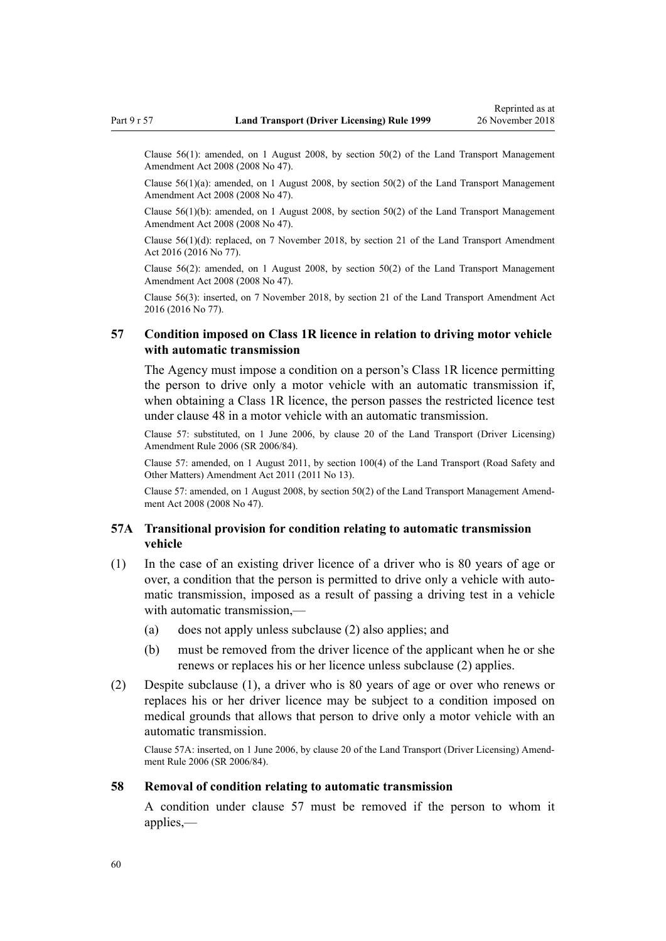<span id="page-59-0"></span>Clause 56(1): amended, on 1 August 2008, by [section 50\(2\)](http://legislation.govt.nz/pdflink.aspx?id=DLM1313622) of the Land Transport Management Amendment Act 2008 (2008 No 47).

Clause  $56(1)(a)$ : amended, on 1 August 2008, by section  $50(2)$  of the Land Transport Management Amendment Act 2008 (2008 No 47).

Clause 56(1)(b): amended, on 1 August 2008, by [section 50\(2\)](http://legislation.govt.nz/pdflink.aspx?id=DLM1313622) of the Land Transport Management Amendment Act 2008 (2008 No 47).

Clause 56(1)(d): replaced, on 7 November 2018, by [section 21](http://legislation.govt.nz/pdflink.aspx?id=DLM6984133) of the Land Transport Amendment Act 2016 (2016 No 77).

Clause 56(2): amended, on 1 August 2008, by [section 50\(2\)](http://legislation.govt.nz/pdflink.aspx?id=DLM1313622) of the Land Transport Management Amendment Act 2008 (2008 No 47).

Clause 56(3): inserted, on 7 November 2018, by [section 21](http://legislation.govt.nz/pdflink.aspx?id=DLM6984133) of the Land Transport Amendment Act 2016 (2016 No 77).

## **57 Condition imposed on Class 1R licence in relation to driving motor vehicle with automatic transmission**

The Agency must impose a condition on a person's Class 1R licence permitting the person to drive only a motor vehicle with an automatic transmission if, when obtaining a Class 1R licence, the person passes the restricted licence test under [clause 48](#page-55-0) in a motor vehicle with an automatic transmission.

Clause 57: substituted, on 1 June 2006, by [clause 20](http://legislation.govt.nz/pdflink.aspx?id=DLM376111) of the Land Transport (Driver Licensing) Amendment Rule 2006 (SR 2006/84).

Clause 57: amended, on 1 August 2011, by [section 100\(4\)](http://legislation.govt.nz/pdflink.aspx?id=DLM3231293) of the Land Transport (Road Safety and Other Matters) Amendment Act 2011 (2011 No 13).

Clause 57: amended, on 1 August 2008, by [section 50\(2\)](http://legislation.govt.nz/pdflink.aspx?id=DLM1313622) of the Land Transport Management Amendment Act 2008 (2008 No 47).

### **57A Transitional provision for condition relating to automatic transmission vehicle**

- (1) In the case of an existing driver licence of a driver who is 80 years of age or over, a condition that the person is permitted to drive only a vehicle with automatic transmission, imposed as a result of passing a driving test in a vehicle with automatic transmission,—
	- (a) does not apply unless subclause (2) also applies; and
	- (b) must be removed from the driver licence of the applicant when he or she renews or replaces his or her licence unless subclause (2) applies.
- (2) Despite subclause (1), a driver who is 80 years of age or over who renews or replaces his or her driver licence may be subject to a condition imposed on medical grounds that allows that person to drive only a motor vehicle with an automatic transmission.

Clause 57A: inserted, on 1 June 2006, by [clause 20](http://legislation.govt.nz/pdflink.aspx?id=DLM376111) of the Land Transport (Driver Licensing) Amendment Rule 2006 (SR 2006/84).

#### **58 Removal of condition relating to automatic transmission**

A condition under clause 57 must be removed if the person to whom it applies,—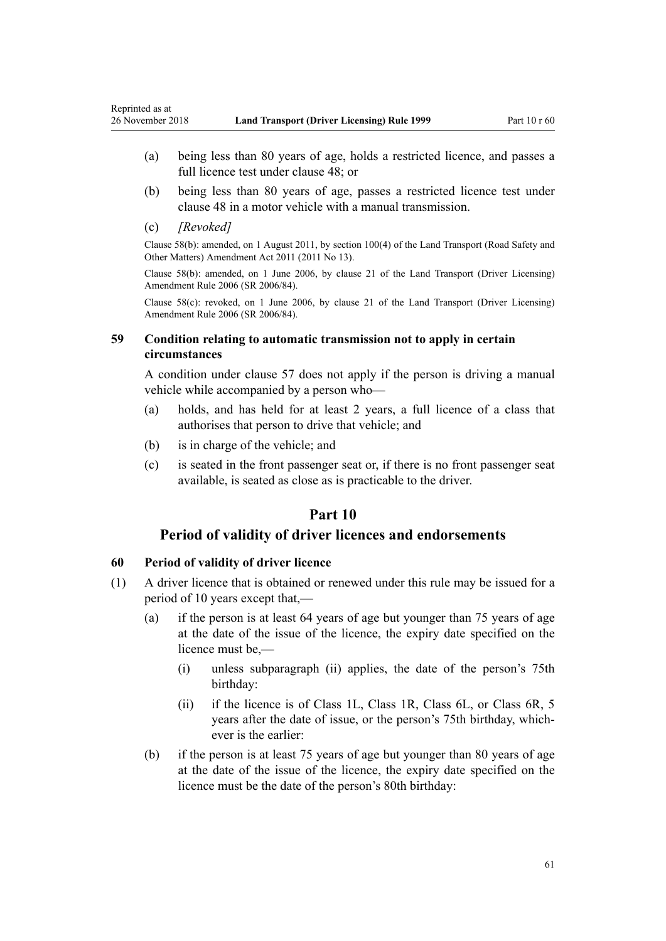- (a) being less than 80 years of age, holds a restricted licence, and passes a full licence test under [clause 48;](#page-55-0) or
- (b) being less than 80 years of age, passes a restricted licence test under [clause 48](#page-55-0) in a motor vehicle with a manual transmission.
- (c) *[Revoked]*

Clause 58(b): amended, on 1 August 2011, by [section 100\(4\)](http://legislation.govt.nz/pdflink.aspx?id=DLM3231293) of the Land Transport (Road Safety and Other Matters) Amendment Act 2011 (2011 No 13).

Clause 58(b): amended, on 1 June 2006, by [clause 21](http://legislation.govt.nz/pdflink.aspx?id=DLM376114) of the Land Transport (Driver Licensing) Amendment Rule 2006 (SR 2006/84).

Clause 58(c): revoked, on 1 June 2006, by [clause 21](http://legislation.govt.nz/pdflink.aspx?id=DLM376114) of the Land Transport (Driver Licensing) Amendment Rule 2006 (SR 2006/84).

## **59 Condition relating to automatic transmission not to apply in certain circumstances**

A condition under [clause 57](#page-59-0) does not apply if the person is driving a manual vehicle while accompanied by a person who—

- (a) holds, and has held for at least 2 years, a full licence of a class that authorises that person to drive that vehicle; and
- (b) is in charge of the vehicle; and
- (c) is seated in the front passenger seat or, if there is no front passenger seat available, is seated as close as is practicable to the driver.

# **Part 10**

# **Period of validity of driver licences and endorsements**

# **60 Period of validity of driver licence**

- (1) A driver licence that is obtained or renewed under this rule may be issued for a period of 10 years except that,—
	- (a) if the person is at least 64 years of age but younger than 75 years of age at the date of the issue of the licence, the expiry date specified on the licence must be,—
		- (i) unless subparagraph (ii) applies, the date of the person's 75th birthday:
		- (ii) if the licence is of Class 1L, Class 1R, Class 6L, or Class 6R, 5 years after the date of issue, or the person's 75th birthday, whichever is the earlier:
	- (b) if the person is at least 75 years of age but younger than 80 years of age at the date of the issue of the licence, the expiry date specified on the licence must be the date of the person's 80th birthday: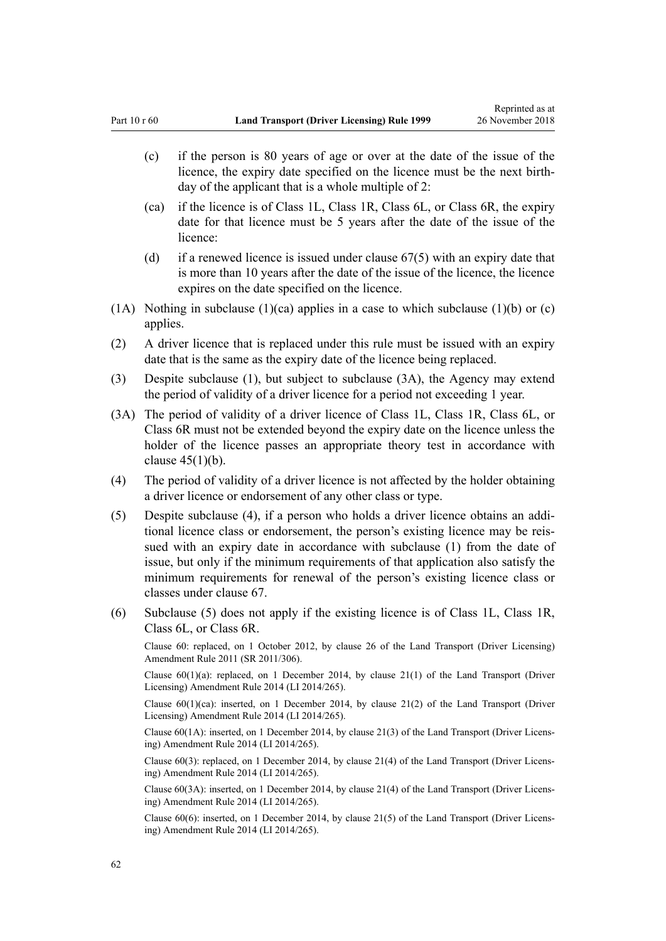- (c) if the person is 80 years of age or over at the date of the issue of the licence, the expiry date specified on the licence must be the next birthday of the applicant that is a whole multiple of 2:
- (ca) if the licence is of Class 1L, Class 1R, Class 6L, or Class 6R, the expiry date for that licence must be 5 years after the date of the issue of the licence:
- (d) if a renewed licence is issued under [clause 67\(5\)](#page-67-0) with an expiry date that is more than 10 years after the date of the issue of the licence, the licence expires on the date specified on the licence.
- (1A) Nothing in subclause (1)(ca) applies in a case to which subclause (1)(b) or (c) applies.
- (2) A driver licence that is replaced under this rule must be issued with an expiry date that is the same as the expiry date of the licence being replaced.
- (3) Despite subclause (1), but subject to subclause (3A), the Agency may extend the period of validity of a driver licence for a period not exceeding 1 year.
- (3A) The period of validity of a driver licence of Class 1L, Class 1R, Class 6L, or Class 6R must not be extended beyond the expiry date on the licence unless the holder of the licence passes an appropriate theory test in accordance with clause  $45(1)(b)$ .
- (4) The period of validity of a driver licence is not affected by the holder obtaining a driver licence or endorsement of any other class or type.
- (5) Despite subclause (4), if a person who holds a driver licence obtains an additional licence class or endorsement, the person's existing licence may be reissued with an expiry date in accordance with subclause (1) from the date of issue, but only if the minimum requirements of that application also satisfy the minimum requirements for renewal of the person's existing licence class or classes under [clause 67](#page-67-0).
- (6) Subclause (5) does not apply if the existing licence is of Class 1L, Class 1R, Class 6L, or Class 6R.

Clause 60: replaced, on 1 October 2012, by [clause 26](http://legislation.govt.nz/pdflink.aspx?id=DLM3956515) of the Land Transport (Driver Licensing) Amendment Rule 2011 (SR 2011/306).

Clause  $60(1)(a)$ : replaced, on 1 December 2014, by [clause 21\(1\)](http://legislation.govt.nz/pdflink.aspx?id=DLM6216935) of the Land Transport (Driver Licensing) Amendment Rule 2014 (LI 2014/265).

Clause  $60(1)(ca)$ : inserted, on 1 December 2014, by [clause 21\(2\)](http://legislation.govt.nz/pdflink.aspx?id=DLM6216935) of the Land Transport (Driver Licensing) Amendment Rule 2014 (LI 2014/265).

Clause 60(1A): inserted, on 1 December 2014, by [clause 21\(3\)](http://legislation.govt.nz/pdflink.aspx?id=DLM6216935) of the Land Transport (Driver Licensing) Amendment Rule 2014 (LI 2014/265).

Clause 60(3): replaced, on 1 December 2014, by [clause 21\(4\)](http://legislation.govt.nz/pdflink.aspx?id=DLM6216935) of the Land Transport (Driver Licensing) Amendment Rule 2014 (LI 2014/265).

Clause 60(3A): inserted, on 1 December 2014, by [clause 21\(4\)](http://legislation.govt.nz/pdflink.aspx?id=DLM6216935) of the Land Transport (Driver Licensing) Amendment Rule 2014 (LI 2014/265).

Clause 60(6): inserted, on 1 December 2014, by [clause 21\(5\)](http://legislation.govt.nz/pdflink.aspx?id=DLM6216935) of the Land Transport (Driver Licensing) Amendment Rule 2014 (LI 2014/265).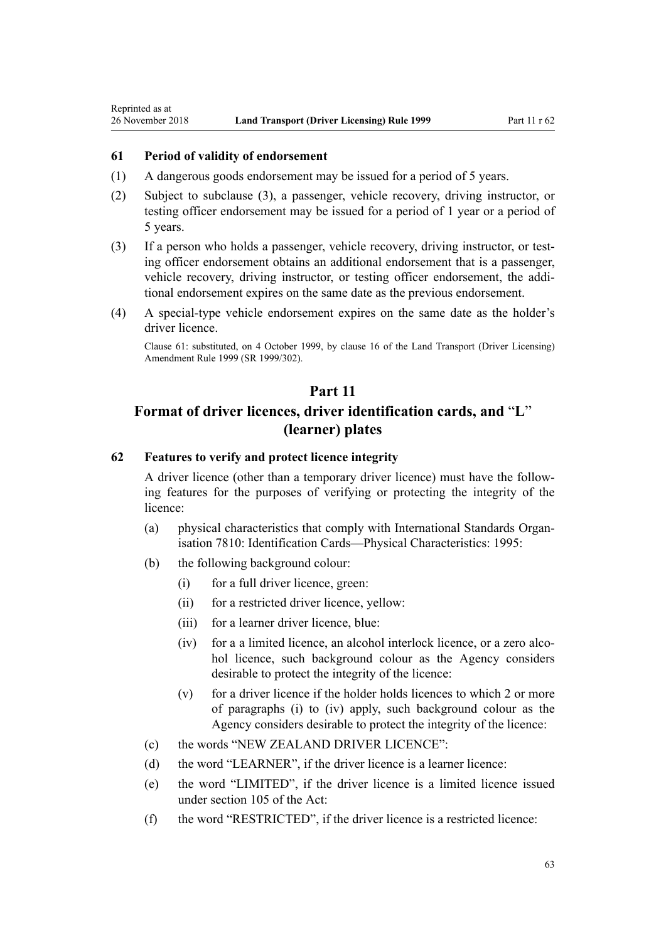<span id="page-62-0"></span>Reprinted as at

## **61 Period of validity of endorsement**

- (1) A dangerous goods endorsement may be issued for a period of 5 years.
- (2) Subject to subclause (3), a passenger, vehicle recovery, driving instructor, or testing officer endorsement may be issued for a period of 1 year or a period of 5 years.
- (3) If a person who holds a passenger, vehicle recovery, driving instructor, or testing officer endorsement obtains an additional endorsement that is a passenger, vehicle recovery, driving instructor, or testing officer endorsement, the additional endorsement expires on the same date as the previous endorsement.
- (4) A special-type vehicle endorsement expires on the same date as the holder's driver licence.

Clause 61: substituted, on 4 October 1999, by [clause 16](http://legislation.govt.nz/pdflink.aspx?id=DLM293684) of the Land Transport (Driver Licensing) Amendment Rule 1999 (SR 1999/302).

# **Part 11**

# **Format of driver licences, driver identification cards, and** "**L**" **(learner) plates**

# **62 Features to verify and protect licence integrity**

A driver licence (other than a temporary driver licence) must have the following features for the purposes of verifying or protecting the integrity of the licence:

- (a) physical characteristics that comply with International Standards Organisation 7810: Identification Cards—Physical Characteristics: 1995:
- (b) the following background colour:
	- (i) for a full driver licence, green:
	- (ii) for a restricted driver licence, yellow:
	- (iii) for a learner driver licence, blue:
	- (iv) for a a limited licence, an alcohol interlock licence, or a zero alcohol licence, such background colour as the Agency considers desirable to protect the integrity of the licence:
	- (v) for a driver licence if the holder holds licences to which 2 or more of paragraphs (i) to (iv) apply, such background colour as the Agency considers desirable to protect the integrity of the licence:
- (c) the words "NEW ZEALAND DRIVER LICENCE":
- (d) the word "LEARNER", if the driver licence is a learner licence:
- (e) the word "LIMITED", if the driver licence is a limited licence issued under [section 105](http://legislation.govt.nz/pdflink.aspx?id=DLM435080) of the Act:
- (f) the word "RESTRICTED", if the driver licence is a restricted licence: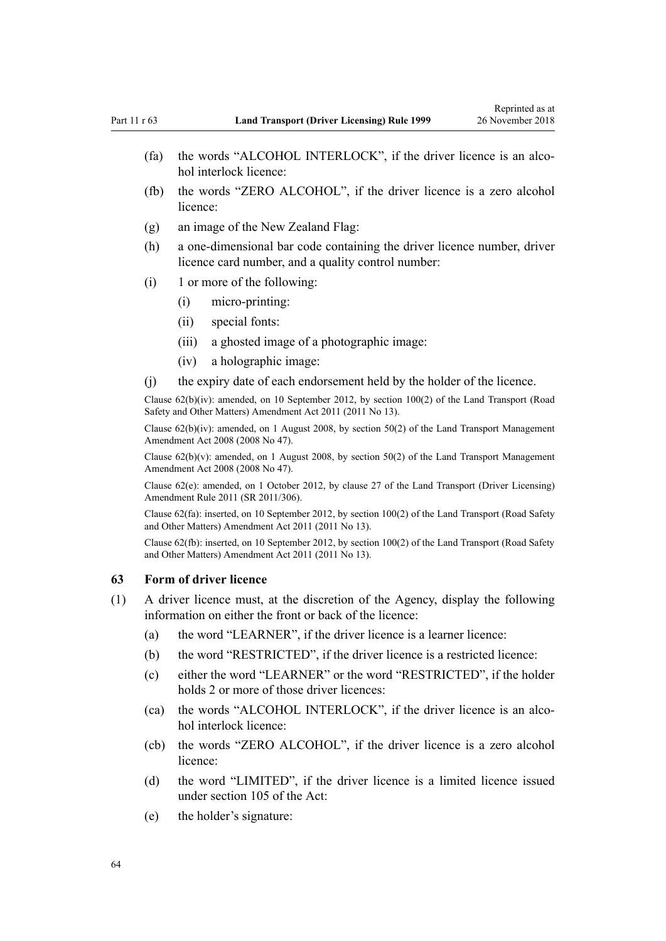- (fa) the words "ALCOHOL INTERLOCK", if the driver licence is an alcohol interlock licence:
- (fb) the words "ZERO ALCOHOL", if the driver licence is a zero alcohol licence:
- (g) an image of the New Zealand Flag:
- (h) a one-dimensional bar code containing the driver licence number, driver licence card number, and a quality control number:
- (i) 1 or more of the following:
	- (i) micro-printing:
	- (ii) special fonts:
	- (iii) a ghosted image of a photographic image:
	- (iv) a holographic image:
- (j) the expiry date of each endorsement held by the holder of the licence.

Clause 62(b)(iv): amended, on 10 September 2012, by [section 100\(2\)](http://legislation.govt.nz/pdflink.aspx?id=DLM3231293) of the Land Transport (Road Safety and Other Matters) Amendment Act 2011 (2011 No 13).

Clause  $62(b)(iv)$ : amended, on 1 August 2008, by [section 50\(2\)](http://legislation.govt.nz/pdflink.aspx?id=DLM1313622) of the Land Transport Management Amendment Act 2008 (2008 No 47).

Clause  $62(b)(v)$ : amended, on 1 August 2008, by [section 50\(2\)](http://legislation.govt.nz/pdflink.aspx?id=DLM1313622) of the Land Transport Management Amendment Act 2008 (2008 No 47).

Clause 62(e): amended, on 1 October 2012, by [clause 27](http://legislation.govt.nz/pdflink.aspx?id=DLM3956517) of the Land Transport (Driver Licensing) Amendment Rule 2011 (SR 2011/306).

Clause 62(fa): inserted, on 10 September 2012, by [section 100\(2\)](http://legislation.govt.nz/pdflink.aspx?id=DLM3231293) of the Land Transport (Road Safety and Other Matters) Amendment Act 2011 (2011 No 13).

Clause 62(fb): inserted, on 10 September 2012, by [section 100\(2\)](http://legislation.govt.nz/pdflink.aspx?id=DLM3231293) of the Land Transport (Road Safety and Other Matters) Amendment Act 2011 (2011 No 13).

#### **63 Form of driver licence**

- (1) A driver licence must, at the discretion of the Agency, display the following information on either the front or back of the licence:
	- (a) the word "LEARNER", if the driver licence is a learner licence:
	- (b) the word "RESTRICTED", if the driver licence is a restricted licence:
	- (c) either the word "LEARNER" or the word "RESTRICTED", if the holder holds 2 or more of those driver licences:
	- (ca) the words "ALCOHOL INTERLOCK", if the driver licence is an alcohol interlock licence:
	- (cb) the words "ZERO ALCOHOL", if the driver licence is a zero alcohol licence:
	- (d) the word "LIMITED", if the driver licence is a limited licence issued under [section 105](http://legislation.govt.nz/pdflink.aspx?id=DLM435080) of the Act:
	- (e) the holder's signature: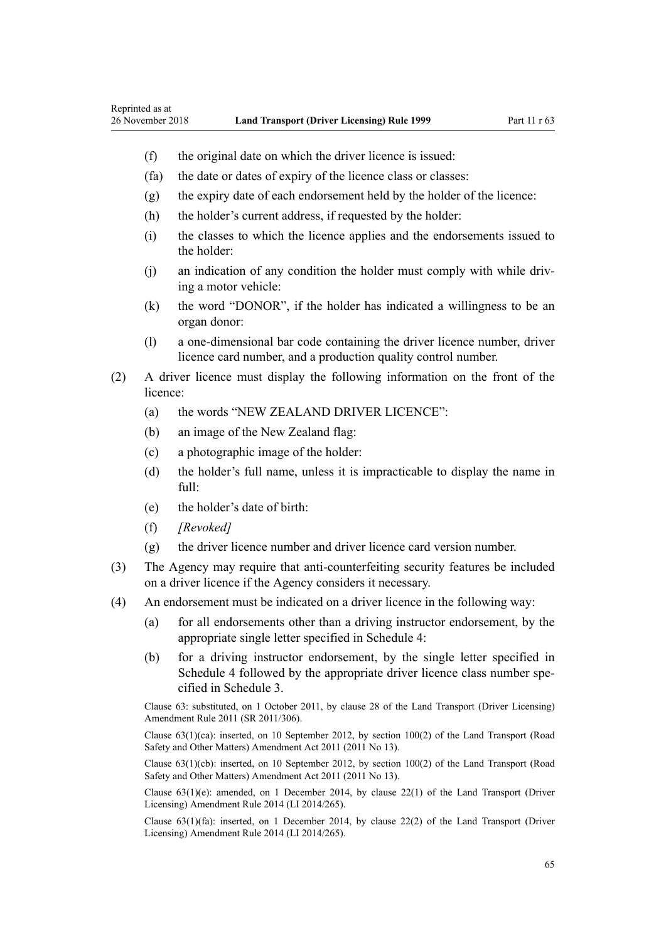- (f) the original date on which the driver licence is issued:
- (fa) the date or dates of expiry of the licence class or classes:
- (g) the expiry date of each endorsement held by the holder of the licence:
- (h) the holder's current address, if requested by the holder:
- (i) the classes to which the licence applies and the endorsements issued to the holder:
- (j) an indication of any condition the holder must comply with while driving a motor vehicle:
- (k) the word "DONOR", if the holder has indicated a willingness to be an organ donor:
- (l) a one-dimensional bar code containing the driver licence number, driver licence card number, and a production quality control number.
- (2) A driver licence must display the following information on the front of the licence:
	- (a) the words "NEW ZEALAND DRIVER LICENCE":
	- (b) an image of the New Zealand flag:
	- (c) a photographic image of the holder:
	- (d) the holder's full name, unless it is impracticable to display the name in full:
	- (e) the holder's date of birth:
	- (f) *[Revoked]*
	- (g) the driver licence number and driver licence card version number.
- (3) The Agency may require that anti-counterfeiting security features be included on a driver licence if the Agency considers it necessary.
- (4) An endorsement must be indicated on a driver licence in the following way:
	- (a) for all endorsements other than a driving instructor endorsement, by the appropriate single letter specified in [Schedule 4](#page-113-0):
	- (b) for a driving instructor endorsement, by the single letter specified in [Schedule 4](#page-113-0) followed by the appropriate driver licence class number specified in [Schedule 3.](#page-110-0)

Clause 63: substituted, on 1 October 2011, by [clause 28](http://legislation.govt.nz/pdflink.aspx?id=DLM3956732) of the Land Transport (Driver Licensing) Amendment Rule 2011 (SR 2011/306).

Clause 63(1)(ca): inserted, on 10 September 2012, by [section 100\(2\)](http://legislation.govt.nz/pdflink.aspx?id=DLM3231293) of the Land Transport (Road Safety and Other Matters) Amendment Act 2011 (2011 No 13).

Clause 63(1)(cb): inserted, on 10 September 2012, by [section 100\(2\)](http://legislation.govt.nz/pdflink.aspx?id=DLM3231293) of the Land Transport (Road Safety and Other Matters) Amendment Act 2011 (2011 No 13).

Clause  $63(1)(e)$ : amended, on 1 December 2014, by [clause 22\(1\)](http://legislation.govt.nz/pdflink.aspx?id=DLM6216936) of the Land Transport (Driver Licensing) Amendment Rule 2014 (LI 2014/265).

Clause  $63(1)(fa)$ : inserted, on 1 December 2014, by [clause 22\(2\)](http://legislation.govt.nz/pdflink.aspx?id=DLM6216936) of the Land Transport (Driver Licensing) Amendment Rule 2014 (LI 2014/265).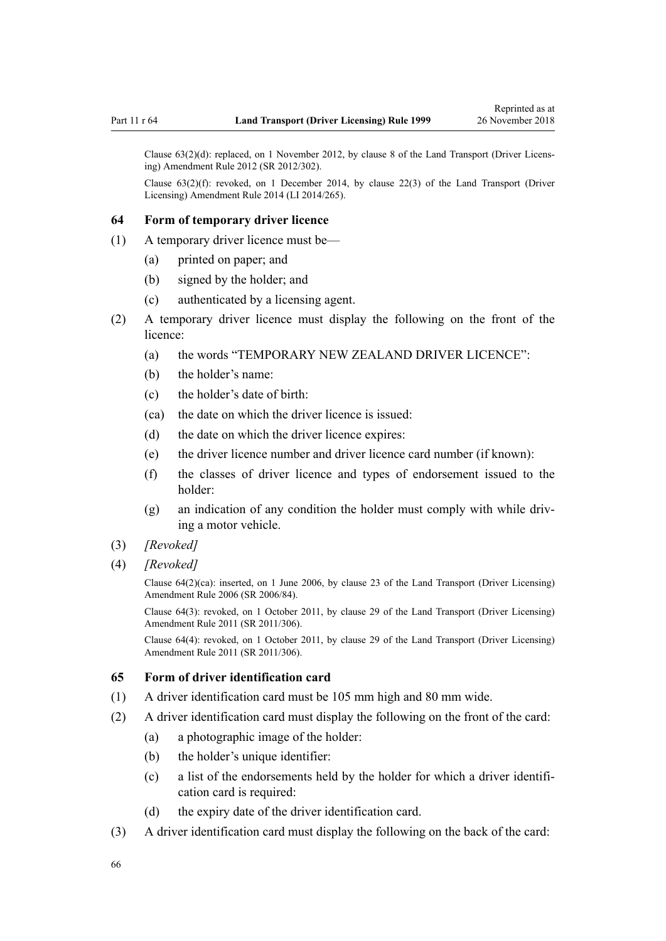Clause 63(2)(d): replaced, on 1 November 2012, by [clause 8](http://legislation.govt.nz/pdflink.aspx?id=DLM4773440) of the Land Transport (Driver Licensing) Amendment Rule 2012 (SR 2012/302).

Clause  $63(2)(f)$ : revoked, on 1 December 2014, by [clause 22\(3\)](http://legislation.govt.nz/pdflink.aspx?id=DLM6216936) of the Land Transport (Driver Licensing) Amendment Rule 2014 (LI 2014/265).

#### **64 Form of temporary driver licence**

- (1) A temporary driver licence must be—
	- (a) printed on paper; and
	- (b) signed by the holder; and
	- (c) authenticated by a licensing agent.
- (2) A temporary driver licence must display the following on the front of the licence:
	- (a) the words "TEMPORARY NEW ZEALAND DRIVER LICENCE":
	- (b) the holder's name:
	- (c) the holder's date of birth:
	- (ca) the date on which the driver licence is issued:
	- (d) the date on which the driver licence expires:
	- (e) the driver licence number and driver licence card number (if known):
	- (f) the classes of driver licence and types of endorsement issued to the holder:
	- (g) an indication of any condition the holder must comply with while driving a motor vehicle.
- (3) *[Revoked]*
- (4) *[Revoked]*

Clause 64(2)(ca): inserted, on 1 June 2006, by [clause 23](http://legislation.govt.nz/pdflink.aspx?id=DLM376116) of the Land Transport (Driver Licensing) Amendment Rule 2006 (SR 2006/84).

Clause 64(3): revoked, on 1 October 2011, by [clause 29](http://legislation.govt.nz/pdflink.aspx?id=DLM3956734) of the Land Transport (Driver Licensing) Amendment Rule 2011 (SR 2011/306).

Clause 64(4): revoked, on 1 October 2011, by [clause 29](http://legislation.govt.nz/pdflink.aspx?id=DLM3956734) of the Land Transport (Driver Licensing) Amendment Rule 2011 (SR 2011/306).

#### **65 Form of driver identification card**

- (1) A driver identification card must be 105 mm high and 80 mm wide.
- (2) A driver identification card must display the following on the front of the card:
	- (a) a photographic image of the holder:
	- (b) the holder's unique identifier:
	- (c) a list of the endorsements held by the holder for which a driver identification card is required:
	- (d) the expiry date of the driver identification card.
- (3) A driver identification card must display the following on the back of the card: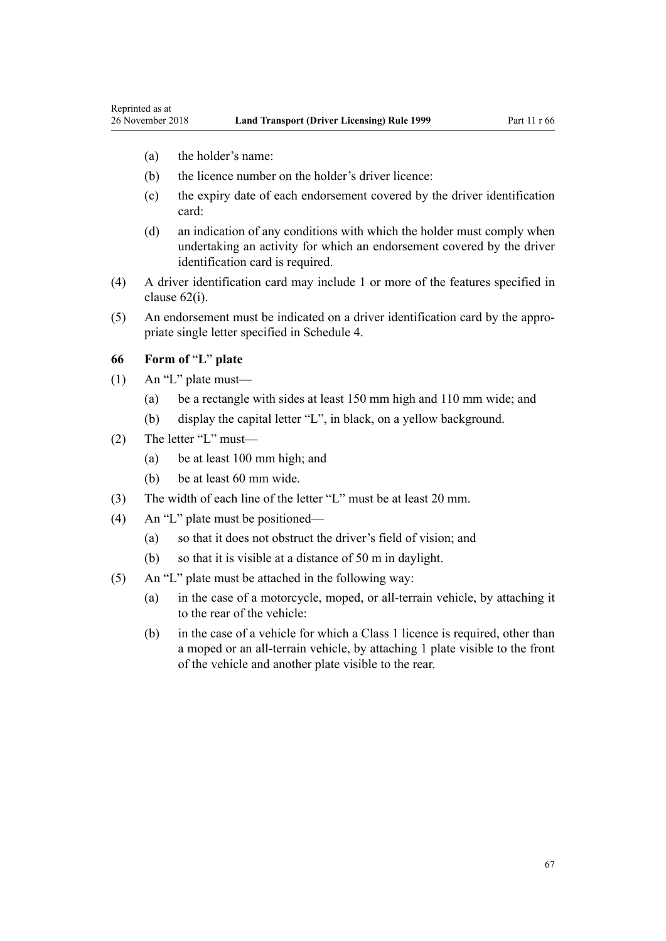(a) the holder's name:

Reprinted as at

- (b) the licence number on the holder's driver licence:
- (c) the expiry date of each endorsement covered by the driver identification card:
- (d) an indication of any conditions with which the holder must comply when undertaking an activity for which an endorsement covered by the driver identification card is required.
- (4) A driver identification card may include 1 or more of the features specified in [clause 62\(i\)](#page-62-0).
- (5) An endorsement must be indicated on a driver identification card by the appropriate single letter specified in [Schedule 4](#page-113-0).

### **66 Form of** "**L**" **plate**

- (1) An "L" plate must—
	- (a) be a rectangle with sides at least 150 mm high and 110 mm wide; and
	- (b) display the capital letter "L", in black, on a yellow background.
- (2) The letter "L" must—
	- (a) be at least 100 mm high; and
	- (b) be at least 60 mm wide.
- (3) The width of each line of the letter "L" must be at least 20 mm.
- (4) An "L" plate must be positioned—
	- (a) so that it does not obstruct the driver's field of vision; and
	- (b) so that it is visible at a distance of 50 m in daylight.
- (5) An "L" plate must be attached in the following way:
	- (a) in the case of a motorcycle, moped, or all-terrain vehicle, by attaching it to the rear of the vehicle:
	- (b) in the case of a vehicle for which a Class 1 licence is required, other than a moped or an all-terrain vehicle, by attaching 1 plate visible to the front of the vehicle and another plate visible to the rear.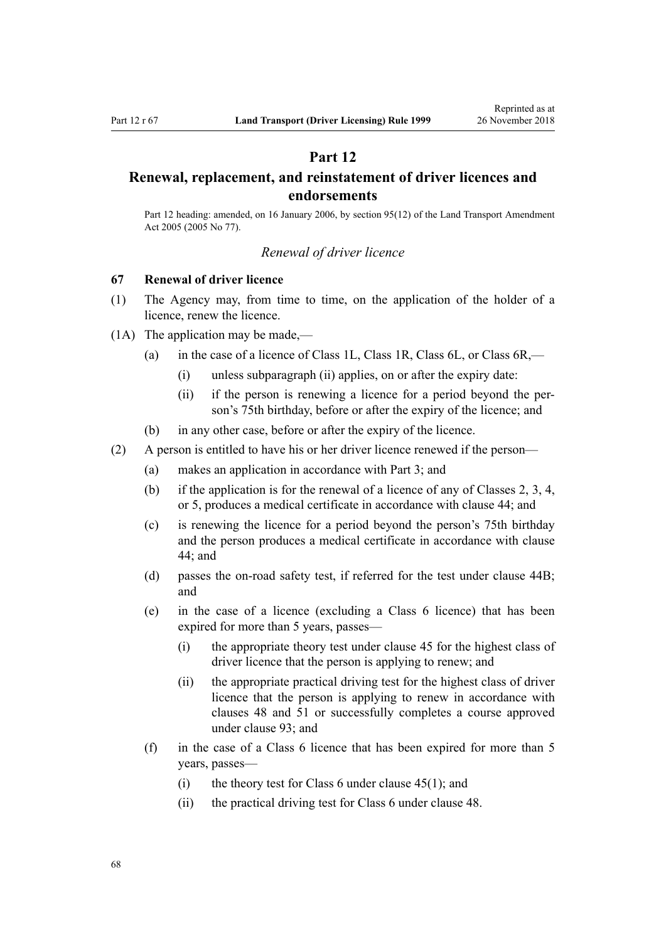# **Part 12**

# <span id="page-67-0"></span>**Renewal, replacement, and reinstatement of driver licences and endorsements**

Part 12 heading: amended, on 16 January 2006, by [section 95\(12\)](http://legislation.govt.nz/pdflink.aspx?id=DLM353501) of the Land Transport Amendment Act 2005 (2005 No 77).

#### *Renewal of driver licence*

### **67 Renewal of driver licence**

- (1) The Agency may, from time to time, on the application of the holder of a licence, renew the licence.
- (1A) The application may be made,—
	- (a) in the case of a licence of Class 1L, Class 1R, Class 6L, or Class 6R,—
		- (i) unless subparagraph (ii) applies, on or after the expiry date:
		- (ii) if the person is renewing a licence for a period beyond the person's 75th birthday, before or after the expiry of the licence; and
	- (b) in any other case, before or after the expiry of the licence.
- (2) A person is entitled to have his or her driver licence renewed if the person—
	- (a) makes an application in accordance with [Part 3](#page-21-0); and
	- (b) if the application is for the renewal of a licence of any of Classes 2, 3, 4, or 5, produces a medical certificate in accordance with [clause 44](#page-52-0); and
	- (c) is renewing the licence for a period beyond the person's 75th birthday and the person produces a medical certificate in accordance with [clause](#page-52-0) [44;](#page-52-0) and
	- (d) passes the on-road safety test, if referred for the test under [clause 44B;](#page-53-0) and
	- (e) in the case of a licence (excluding a Class 6 licence) that has been expired for more than 5 years, passes—
		- (i) the appropriate theory test under [clause 45](#page-54-0) for the highest class of driver licence that the person is applying to renew; and
		- (ii) the appropriate practical driving test for the highest class of driver licence that the person is applying to renew in accordance with [clauses 48](#page-55-0) and [51](#page-56-0) or successfully completes a course approved under [clause 93](#page-91-0); and
	- (f) in the case of a Class 6 licence that has been expired for more than 5 years, passes—
		- (i) the theory test for Class 6 under clause  $45(1)$ ; and
		- (ii) the practical driving test for Class 6 under [clause 48](#page-55-0).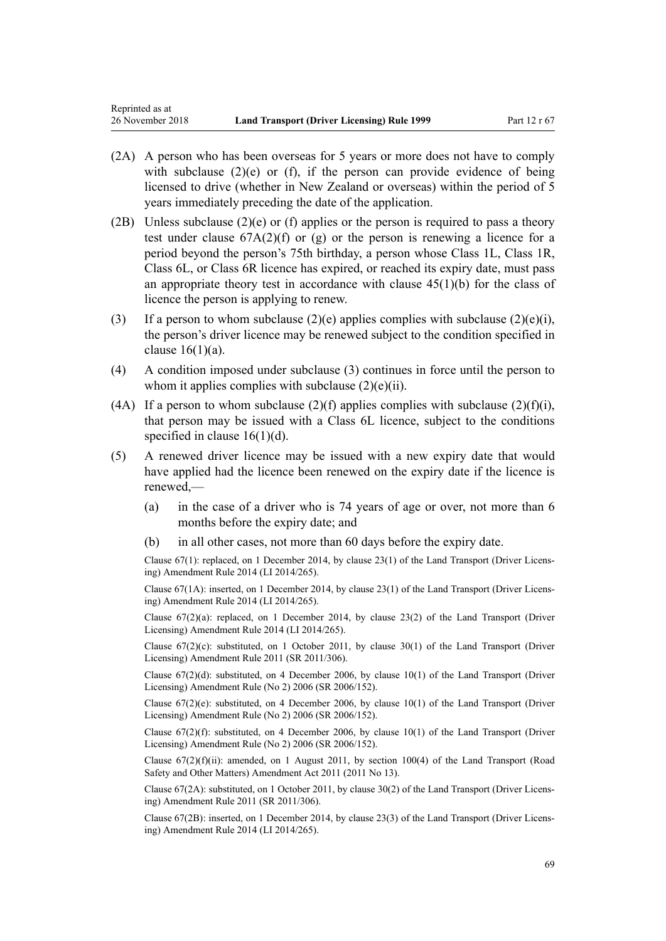- (2A) A person who has been overseas for 5 years or more does not have to comply with subclause  $(2)(e)$  or  $(f)$ , if the person can provide evidence of being licensed to drive (whether in New Zealand or overseas) within the period of 5 years immediately preceding the date of the application.
- (2B) Unless subclause (2)(e) or (f) applies or the person is required to pass a theory test under clause  $67A(2)(f)$  or (g) or the person is renewing a licence for a period beyond the person's 75th birthday, a person whose Class 1L, Class 1R, Class 6L, or Class 6R licence has expired, or reached its expiry date, must pass an appropriate theory test in accordance with clause  $45(1)(b)$  for the class of licence the person is applying to renew.
- (3) If a person to whom subclause  $(2)(e)$  applies complies with subclause  $(2)(e)(i)$ , the person's driver licence may be renewed subject to the condition specified in clause  $16(1)(a)$ .
- (4) A condition imposed under subclause (3) continues in force until the person to whom it applies complies with subclause  $(2)(e)(ii)$ .
- (4A) If a person to whom subclause (2)(f) applies complies with subclause (2)(f)(i), that person may be issued with a Class 6L licence, subject to the conditions specified in clause  $16(1)(d)$ .
- (5) A renewed driver licence may be issued with a new expiry date that would have applied had the licence been renewed on the expiry date if the licence is renewed,—
	- (a) in the case of a driver who is 74 years of age or over, not more than 6 months before the expiry date; and
	- (b) in all other cases, not more than 60 days before the expiry date.

Clause 67(1): replaced, on 1 December 2014, by [clause 23\(1\)](http://legislation.govt.nz/pdflink.aspx?id=DLM6216937) of the Land Transport (Driver Licensing) Amendment Rule 2014 (LI 2014/265).

Clause 67(1A): inserted, on 1 December 2014, by [clause 23\(1\)](http://legislation.govt.nz/pdflink.aspx?id=DLM6216937) of the Land Transport (Driver Licensing) Amendment Rule 2014 (LI 2014/265).

Clause  $67(2)(a)$ : replaced, on 1 December 2014, by clause  $23(2)$  of the Land Transport (Driver Licensing) Amendment Rule 2014 (LI 2014/265).

Clause  $67(2)(c)$ : substituted, on 1 October 2011, by [clause 30\(1\)](http://legislation.govt.nz/pdflink.aspx?id=DLM3956735) of the Land Transport (Driver Licensing) Amendment Rule 2011 (SR 2011/306).

Clause 67(2)(d): substituted, on 4 December 2006, by [clause 10\(1\)](http://legislation.govt.nz/pdflink.aspx?id=DLM386151) of the Land Transport (Driver Licensing) Amendment Rule (No 2) 2006 (SR 2006/152).

Clause  $67(2)(e)$ : substituted, on 4 December 2006, by [clause 10\(1\)](http://legislation.govt.nz/pdflink.aspx?id=DLM386151) of the Land Transport (Driver Licensing) Amendment Rule (No 2) 2006 (SR 2006/152).

Clause  $67(2)(f)$ : substituted, on 4 December 2006, by clause  $10(1)$  of the Land Transport (Driver Licensing) Amendment Rule (No 2) 2006 (SR 2006/152).

Clause  $67(2)(f)(ii)$ : amended, on 1 August 2011, by [section 100\(4\)](http://legislation.govt.nz/pdflink.aspx?id=DLM3231293) of the Land Transport (Road Safety and Other Matters) Amendment Act 2011 (2011 No 13).

Clause 67(2A): substituted, on 1 October 2011, by [clause 30\(2\)](http://legislation.govt.nz/pdflink.aspx?id=DLM3956735) of the Land Transport (Driver Licensing) Amendment Rule 2011 (SR 2011/306).

Clause 67(2B): inserted, on 1 December 2014, by [clause 23\(3\)](http://legislation.govt.nz/pdflink.aspx?id=DLM6216937) of the Land Transport (Driver Licensing) Amendment Rule 2014 (LI 2014/265).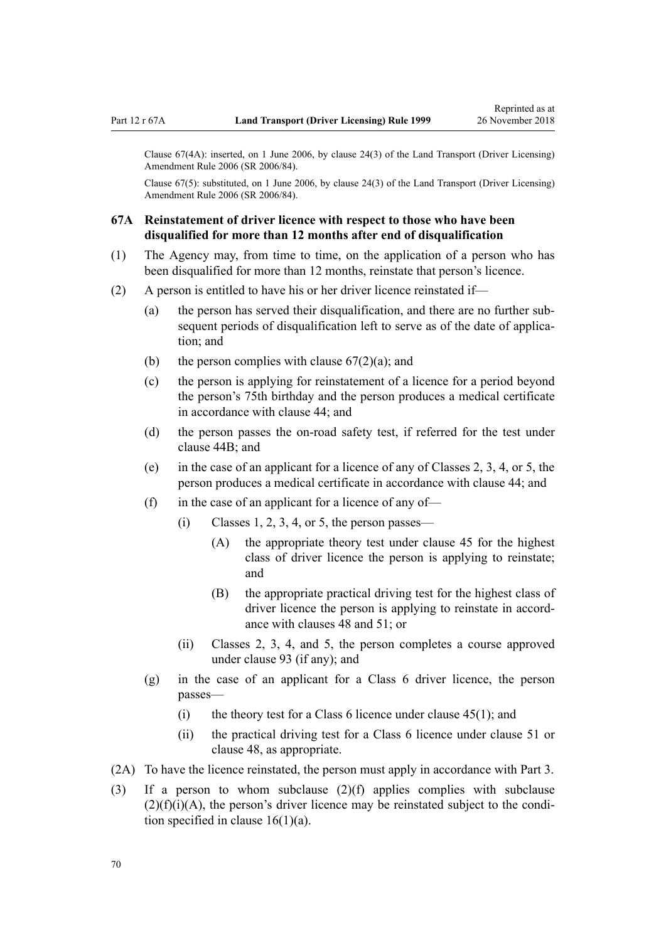<span id="page-69-0"></span>Clause 67(4A): inserted, on 1 June 2006, by [clause 24\(3\)](http://legislation.govt.nz/pdflink.aspx?id=DLM376117) of the Land Transport (Driver Licensing) Amendment Rule 2006 (SR 2006/84).

Clause 67(5): substituted, on 1 June 2006, by [clause 24\(3\)](http://legislation.govt.nz/pdflink.aspx?id=DLM376117) of the Land Transport (Driver Licensing) Amendment Rule 2006 (SR 2006/84).

## **67A Reinstatement of driver licence with respect to those who have been disqualified for more than 12 months after end of disqualification**

- (1) The Agency may, from time to time, on the application of a person who has been disqualified for more than 12 months, reinstate that person's licence.
- (2) A person is entitled to have his or her driver licence reinstated if—
	- (a) the person has served their disqualification, and there are no further subsequent periods of disqualification left to serve as of the date of application; and
	- (b) the person complies with clause  $67(2)(a)$ ; and
	- (c) the person is applying for reinstatement of a licence for a period beyond the person's 75th birthday and the person produces a medical certificate in accordance with [clause 44](#page-52-0); and
	- (d) the person passes the on-road safety test, if referred for the test under [clause 44B;](#page-53-0) and
	- (e) in the case of an applicant for a licence of any of Classes 2, 3, 4, or 5, the person produces a medical certificate in accordance with [clause 44](#page-52-0); and
	- (f) in the case of an applicant for a licence of any of—
		- $(i)$  Classes 1, 2, 3, 4, or 5, the person passes—
			- (A) the appropriate theory test under [clause 45](#page-54-0) for the highest class of driver licence the person is applying to reinstate; and
			- (B) the appropriate practical driving test for the highest class of driver licence the person is applying to reinstate in accordance with [clauses 48](#page-55-0) and [51;](#page-56-0) or
		- (ii) Classes 2, 3, 4, and 5, the person completes a course approved under [clause 93](#page-91-0) (if any); and
	- (g) in the case of an applicant for a Class 6 driver licence, the person passes—
		- (i) the theory test for a Class 6 licence under clause  $45(1)$ ; and
		- (ii) the practical driving test for a Class 6 licence under [clause 51](#page-56-0) or [clause 48](#page-55-0), as appropriate.
- (2A) To have the licence reinstated, the person must apply in accordance with [Part 3](#page-21-0).
- (3) If a person to whom subclause (2)(f) applies complies with subclause  $(2)(f)(i)(A)$ , the person's driver licence may be reinstated subject to the condition specified in clause  $16(1)(a)$ .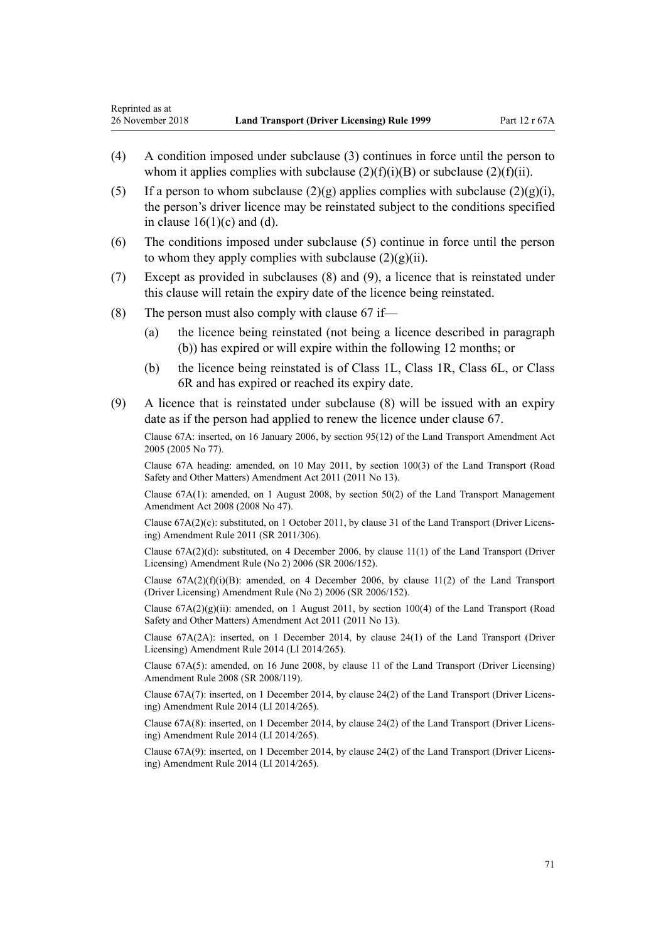- (4) A condition imposed under subclause (3) continues in force until the person to whom it applies complies with subclause  $(2)(f)(i)(B)$  or subclause  $(2)(f)(ii)$ .
- (5) If a person to whom subclause  $(2)(g)$  applies complies with subclause  $(2)(g)(i)$ . the person's driver licence may be reinstated subject to the conditions specified in clause  $16(1)(c)$  and (d).
- (6) The conditions imposed under subclause (5) continue in force until the person to whom they apply complies with subclause  $(2)(g)(ii)$ .
- (7) Except as provided in subclauses (8) and (9), a licence that is reinstated under this clause will retain the expiry date of the licence being reinstated.
- (8) The person must also comply with clause  $67$  if—
	- (a) the licence being reinstated (not being a licence described in paragraph (b)) has expired or will expire within the following 12 months; or
	- (b) the licence being reinstated is of Class 1L, Class 1R, Class 6L, or Class 6R and has expired or reached its expiry date.
- (9) A licence that is reinstated under subclause (8) will be issued with an expiry date as if the person had applied to renew the licence under [clause 67.](#page-67-0)

Clause 67A: inserted, on 16 January 2006, by [section 95\(12\)](http://legislation.govt.nz/pdflink.aspx?id=DLM353501) of the Land Transport Amendment Act 2005 (2005 No 77).

Clause 67A heading: amended, on 10 May 2011, by [section 100\(3\)](http://legislation.govt.nz/pdflink.aspx?id=DLM3231293) of the Land Transport (Road Safety and Other Matters) Amendment Act 2011 (2011 No 13).

Clause 67A(1): amended, on 1 August 2008, by [section 50\(2\)](http://legislation.govt.nz/pdflink.aspx?id=DLM1313622) of the Land Transport Management Amendment Act 2008 (2008 No 47).

Clause 67A(2)(c): substituted, on 1 October 2011, by [clause 31](http://legislation.govt.nz/pdflink.aspx?id=DLM3956736) of the Land Transport (Driver Licensing) Amendment Rule 2011 (SR 2011/306).

Clause 67A(2)(d): substituted, on 4 December 2006, by [clause 11\(1\)](http://legislation.govt.nz/pdflink.aspx?id=DLM386152) of the Land Transport (Driver Licensing) Amendment Rule (No 2) 2006 (SR 2006/152).

Clause  $67A(2)(f)(i)(B)$ : amended, on 4 December 2006, by [clause 11\(2\)](http://legislation.govt.nz/pdflink.aspx?id=DLM386152) of the Land Transport (Driver Licensing) Amendment Rule (No 2) 2006 (SR 2006/152).

Clause  $67A(2)(g)(ii)$ : amended, on 1 August 2011, by [section 100\(4\)](http://legislation.govt.nz/pdflink.aspx?id=DLM3231293) of the Land Transport (Road Safety and Other Matters) Amendment Act 2011 (2011 No 13).

Clause 67A(2A): inserted, on 1 December 2014, by [clause 24\(1\)](http://legislation.govt.nz/pdflink.aspx?id=DLM6216938) of the Land Transport (Driver Licensing) Amendment Rule 2014 (LI 2014/265).

Clause 67A(5): amended, on 16 June 2008, by [clause 11](http://legislation.govt.nz/pdflink.aspx?id=DLM1317917) of the Land Transport (Driver Licensing) Amendment Rule 2008 (SR 2008/119).

Clause 67A(7): inserted, on 1 December 2014, by [clause 24\(2\)](http://legislation.govt.nz/pdflink.aspx?id=DLM6216938) of the Land Transport (Driver Licensing) Amendment Rule 2014 (LI 2014/265).

Clause 67A(8): inserted, on 1 December 2014, by [clause 24\(2\)](http://legislation.govt.nz/pdflink.aspx?id=DLM6216938) of the Land Transport (Driver Licensing) Amendment Rule 2014 (LI 2014/265).

Clause 67A(9): inserted, on 1 December 2014, by [clause 24\(2\)](http://legislation.govt.nz/pdflink.aspx?id=DLM6216938) of the Land Transport (Driver Licensing) Amendment Rule 2014 (LI 2014/265).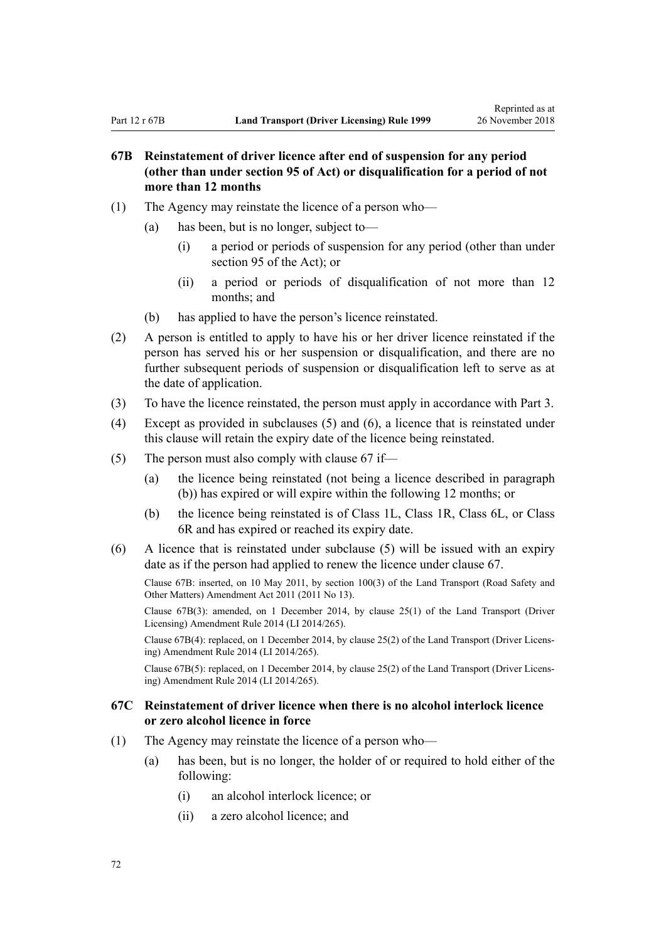# **67B Reinstatement of driver licence after end of suspension for any period (other than under section 95 of Act) or disqualification for a period of not more than 12 months**

- (1) The Agency may reinstate the licence of a person who—
	- (a) has been, but is no longer, subject to—
		- (i) a period or periods of suspension for any period (other than under [section 95](http://legislation.govt.nz/pdflink.aspx?id=DLM435024) of the Act); or
		- (ii) a period or periods of disqualification of not more than 12 months; and
	- (b) has applied to have the person's licence reinstated.
- (2) A person is entitled to apply to have his or her driver licence reinstated if the person has served his or her suspension or disqualification, and there are no further subsequent periods of suspension or disqualification left to serve as at the date of application.
- (3) To have the licence reinstated, the person must apply in accordance with [Part 3](#page-21-0).
- (4) Except as provided in subclauses (5) and (6), a licence that is reinstated under this clause will retain the expiry date of the licence being reinstated.
- (5) The person must also comply with [clause 67](#page-67-0) if—
	- (a) the licence being reinstated (not being a licence described in paragraph (b)) has expired or will expire within the following 12 months; or
	- (b) the licence being reinstated is of Class 1L, Class 1R, Class 6L, or Class 6R and has expired or reached its expiry date.
- (6) A licence that is reinstated under subclause (5) will be issued with an expiry date as if the person had applied to renew the licence under [clause 67.](#page-67-0)

Clause 67B: inserted, on 10 May 2011, by [section 100\(3\)](http://legislation.govt.nz/pdflink.aspx?id=DLM3231293) of the Land Transport (Road Safety and Other Matters) Amendment Act 2011 (2011 No 13).

Clause 67B(3): amended, on 1 December 2014, by [clause 25\(1\)](http://legislation.govt.nz/pdflink.aspx?id=DLM6216939) of the Land Transport (Driver Licensing) Amendment Rule 2014 (LI 2014/265).

Clause 67B(4): replaced, on 1 December 2014, by [clause 25\(2\)](http://legislation.govt.nz/pdflink.aspx?id=DLM6216939) of the Land Transport (Driver Licensing) Amendment Rule 2014 (LI 2014/265).

Clause 67B(5): replaced, on 1 December 2014, by [clause 25\(2\)](http://legislation.govt.nz/pdflink.aspx?id=DLM6216939) of the Land Transport (Driver Licensing) Amendment Rule 2014 (LI 2014/265).

## **67C Reinstatement of driver licence when there is no alcohol interlock licence or zero alcohol licence in force**

- (1) The Agency may reinstate the licence of a person who—
	- (a) has been, but is no longer, the holder of or required to hold either of the following:
		- (i) an alcohol interlock licence; or
		- (ii) a zero alcohol licence; and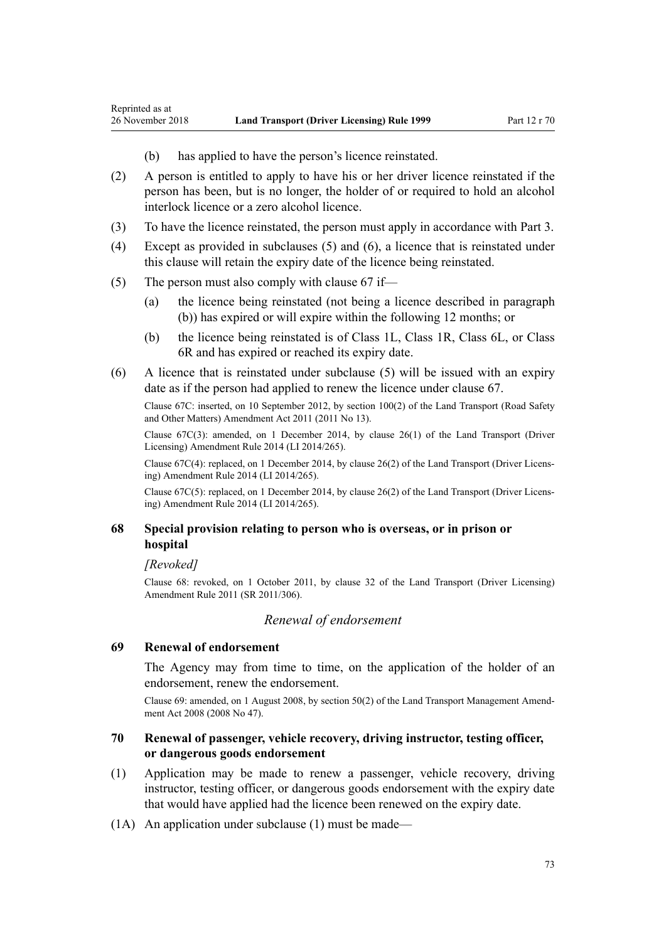- (b) has applied to have the person's licence reinstated.
- (2) A person is entitled to apply to have his or her driver licence reinstated if the person has been, but is no longer, the holder of or required to hold an alcohol interlock licence or a zero alcohol licence.
- (3) To have the licence reinstated, the person must apply in accordance with [Part 3](#page-21-0).
- (4) Except as provided in subclauses (5) and (6), a licence that is reinstated under this clause will retain the expiry date of the licence being reinstated.
- (5) The person must also comply with [clause 67](#page-67-0) if—
	- (a) the licence being reinstated (not being a licence described in paragraph (b)) has expired or will expire within the following 12 months; or
	- (b) the licence being reinstated is of Class 1L, Class 1R, Class 6L, or Class 6R and has expired or reached its expiry date.
- (6) A licence that is reinstated under subclause (5) will be issued with an expiry date as if the person had applied to renew the licence under [clause 67.](#page-67-0)

Clause 67C: inserted, on 10 September 2012, by [section 100\(2\)](http://legislation.govt.nz/pdflink.aspx?id=DLM3231293) of the Land Transport (Road Safety and Other Matters) Amendment Act 2011 (2011 No 13).

Clause 67C(3): amended, on 1 December 2014, by [clause 26\(1\)](http://legislation.govt.nz/pdflink.aspx?id=DLM6216940) of the Land Transport (Driver Licensing) Amendment Rule 2014 (LI 2014/265).

Clause 67C(4): replaced, on 1 December 2014, by [clause 26\(2\)](http://legislation.govt.nz/pdflink.aspx?id=DLM6216940) of the Land Transport (Driver Licensing) Amendment Rule 2014 (LI 2014/265).

Clause 67C(5): replaced, on 1 December 2014, by [clause 26\(2\)](http://legislation.govt.nz/pdflink.aspx?id=DLM6216940) of the Land Transport (Driver Licensing) Amendment Rule 2014 (LI 2014/265).

### **68 Special provision relating to person who is overseas, or in prison or hospital**

*[Revoked]*

<span id="page-72-0"></span>Reprinted as at

Clause 68: revoked, on 1 October 2011, by [clause 32](http://legislation.govt.nz/pdflink.aspx?id=DLM3956737) of the Land Transport (Driver Licensing) Amendment Rule 2011 (SR 2011/306).

#### *Renewal of endorsement*

#### **69 Renewal of endorsement**

The Agency may from time to time, on the application of the holder of an endorsement, renew the endorsement.

Clause 69: amended, on 1 August 2008, by [section 50\(2\)](http://legislation.govt.nz/pdflink.aspx?id=DLM1313622) of the Land Transport Management Amendment Act 2008 (2008 No 47).

### **70 Renewal of passenger, vehicle recovery, driving instructor, testing officer, or dangerous goods endorsement**

- (1) Application may be made to renew a passenger, vehicle recovery, driving instructor, testing officer, or dangerous goods endorsement with the expiry date that would have applied had the licence been renewed on the expiry date.
- (1A) An application under subclause (1) must be made—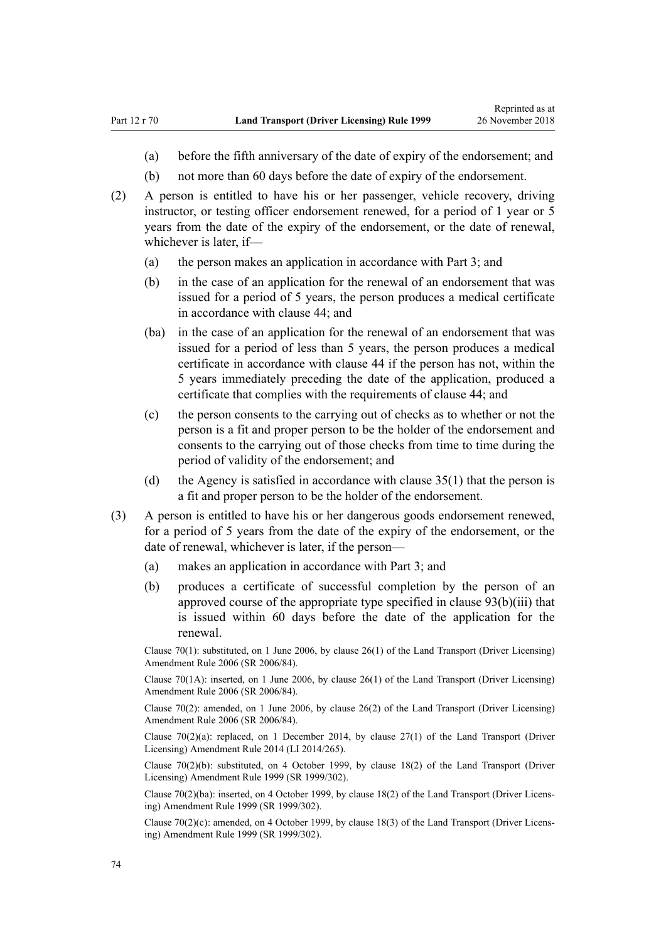- (a) before the fifth anniversary of the date of expiry of the endorsement; and
- (b) not more than 60 days before the date of expiry of the endorsement.
- (2) A person is entitled to have his or her passenger, vehicle recovery, driving instructor, or testing officer endorsement renewed, for a period of 1 year or 5 years from the date of the expiry of the endorsement, or the date of renewal, whichever is later, if—
	- (a) the person makes an application in accordance with [Part 3](#page-21-0); and
	- (b) in the case of an application for the renewal of an endorsement that was issued for a period of 5 years, the person produces a medical certificate in accordance with [clause 44](#page-52-0); and
	- (ba) in the case of an application for the renewal of an endorsement that was issued for a period of less than 5 years, the person produces a medical certificate in accordance with [clause 44](#page-52-0) if the person has not, within the 5 years immediately preceding the date of the application, produced a certificate that complies with the requirements of clause 44; and
	- (c) the person consents to the carrying out of checks as to whether or not the person is a fit and proper person to be the holder of the endorsement and consents to the carrying out of those checks from time to time during the period of validity of the endorsement; and
	- (d) the Agency is satisfied in accordance with [clause 35\(1\)](#page-46-0) that the person is a fit and proper person to be the holder of the endorsement.
- (3) A person is entitled to have his or her dangerous goods endorsement renewed, for a period of 5 years from the date of the expiry of the endorsement, or the date of renewal, whichever is later, if the person—
	- (a) makes an application in accordance with [Part 3](#page-21-0); and
	- (b) produces a certificate of successful completion by the person of an approved course of the appropriate type specified in [clause 93\(b\)\(iii\)](#page-91-0) that is issued within 60 days before the date of the application for the renewal.

Clause 70(1): substituted, on 1 June 2006, by [clause 26\(1\)](http://legislation.govt.nz/pdflink.aspx?id=DLM376119) of the Land Transport (Driver Licensing) Amendment Rule 2006 (SR 2006/84).

Clause 70(1A): inserted, on 1 June 2006, by [clause 26\(1\)](http://legislation.govt.nz/pdflink.aspx?id=DLM376119) of the Land Transport (Driver Licensing) Amendment Rule 2006 (SR 2006/84).

Clause 70(2): amended, on 1 June 2006, by [clause 26\(2\)](http://legislation.govt.nz/pdflink.aspx?id=DLM376119) of the Land Transport (Driver Licensing) Amendment Rule 2006 (SR 2006/84).

Clause  $70(2)(a)$ : replaced, on 1 December 2014, by clause  $27(1)$  of the Land Transport (Driver Licensing) Amendment Rule 2014 (LI 2014/265).

Clause 70(2)(b): substituted, on 4 October 1999, by [clause 18\(2\)](http://legislation.govt.nz/pdflink.aspx?id=DLM293687) of the Land Transport (Driver Licensing) Amendment Rule 1999 (SR 1999/302).

Clause 70(2)(ba): inserted, on 4 October 1999, by [clause 18\(2\)](http://legislation.govt.nz/pdflink.aspx?id=DLM293687) of the Land Transport (Driver Licensing) Amendment Rule 1999 (SR 1999/302).

Clause 70(2)(c): amended, on 4 October 1999, by [clause 18\(3\)](http://legislation.govt.nz/pdflink.aspx?id=DLM293687) of the Land Transport (Driver Licensing) Amendment Rule 1999 (SR 1999/302).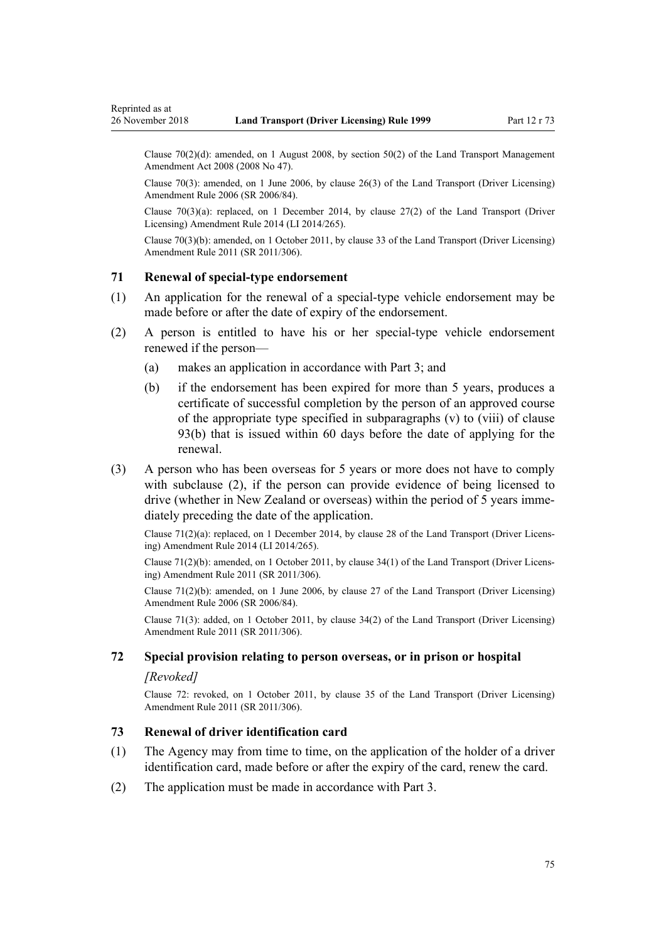Clause 70(2)(d): amended, on 1 August 2008, by [section 50\(2\)](http://legislation.govt.nz/pdflink.aspx?id=DLM1313622) of the Land Transport Management Amendment Act 2008 (2008 No 47).

Clause 70(3): amended, on 1 June 2006, by [clause 26\(3\)](http://legislation.govt.nz/pdflink.aspx?id=DLM376119) of the Land Transport (Driver Licensing) Amendment Rule 2006 (SR 2006/84).

Clause 70(3)(a): replaced, on 1 December 2014, by [clause 27\(2\)](http://legislation.govt.nz/pdflink.aspx?id=DLM6216941) of the Land Transport (Driver Licensing) Amendment Rule 2014 (LI 2014/265).

Clause 70(3)(b): amended, on 1 October 2011, by [clause 33](http://legislation.govt.nz/pdflink.aspx?id=DLM3956738) of the Land Transport (Driver Licensing) Amendment Rule 2011 (SR 2011/306).

#### **71 Renewal of special-type endorsement**

<span id="page-74-0"></span>Reprinted as at

- (1) An application for the renewal of a special-type vehicle endorsement may be made before or after the date of expiry of the endorsement.
- (2) A person is entitled to have his or her special-type vehicle endorsement renewed if the person—
	- (a) makes an application in accordance with [Part 3](#page-21-0); and
	- (b) if the endorsement has been expired for more than 5 years, produces a certificate of successful completion by the person of an approved course of the appropriate type specified in subparagraphs (v) to (viii) of [clause](#page-91-0) [93\(b\)](#page-91-0) that is issued within 60 days before the date of applying for the renewal.
- (3) A person who has been overseas for 5 years or more does not have to comply with subclause (2), if the person can provide evidence of being licensed to drive (whether in New Zealand or overseas) within the period of 5 years immediately preceding the date of the application.

Clause 71(2)(a): replaced, on 1 December 2014, by [clause 28](http://legislation.govt.nz/pdflink.aspx?id=DLM6216942) of the Land Transport (Driver Licensing) Amendment Rule 2014 (LI 2014/265).

Clause 71(2)(b): amended, on 1 October 2011, by [clause 34\(1\)](http://legislation.govt.nz/pdflink.aspx?id=DLM3956739) of the Land Transport (Driver Licensing) Amendment Rule 2011 (SR 2011/306).

Clause  $71(2)(b)$ : amended, on 1 June 2006, by [clause 27](http://legislation.govt.nz/pdflink.aspx?id=DLM376120) of the Land Transport (Driver Licensing) Amendment Rule 2006 (SR 2006/84).

Clause 71(3): added, on 1 October 2011, by [clause 34\(2\)](http://legislation.govt.nz/pdflink.aspx?id=DLM3956739) of the Land Transport (Driver Licensing) Amendment Rule 2011 (SR 2011/306).

### **72 Special provision relating to person overseas, or in prison or hospital**

#### *[Revoked]*

Clause 72: revoked, on 1 October 2011, by [clause 35](http://legislation.govt.nz/pdflink.aspx?id=DLM3956740) of the Land Transport (Driver Licensing) Amendment Rule 2011 (SR 2011/306).

### **73 Renewal of driver identification card**

- (1) The Agency may from time to time, on the application of the holder of a driver identification card, made before or after the expiry of the card, renew the card.
- (2) The application must be made in accordance with [Part 3.](#page-21-0)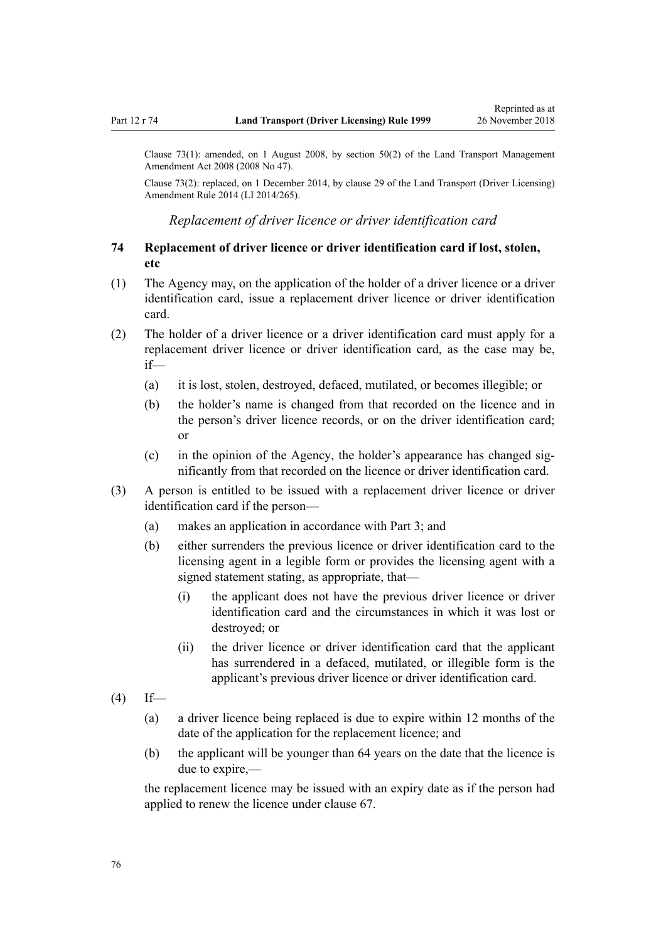<span id="page-75-0"></span>Clause 73(1): amended, on 1 August 2008, by [section 50\(2\)](http://legislation.govt.nz/pdflink.aspx?id=DLM1313622) of the Land Transport Management Amendment Act 2008 (2008 No 47).

Clause 73(2): replaced, on 1 December 2014, by [clause 29](http://legislation.govt.nz/pdflink.aspx?id=DLM6216943) of the Land Transport (Driver Licensing) Amendment Rule 2014 (LI 2014/265).

*Replacement of driver licence or driver identification card*

### **74 Replacement of driver licence or driver identification card if lost, stolen, etc**

- (1) The Agency may, on the application of the holder of a driver licence or a driver identification card, issue a replacement driver licence or driver identification card.
- (2) The holder of a driver licence or a driver identification card must apply for a replacement driver licence or driver identification card, as the case may be, if—
	- (a) it is lost, stolen, destroyed, defaced, mutilated, or becomes illegible; or
	- (b) the holder's name is changed from that recorded on the licence and in the person's driver licence records, or on the driver identification card; or
	- (c) in the opinion of the Agency, the holder's appearance has changed significantly from that recorded on the licence or driver identification card.
- (3) A person is entitled to be issued with a replacement driver licence or driver identification card if the person—
	- (a) makes an application in accordance with [Part 3](#page-21-0); and
	- (b) either surrenders the previous licence or driver identification card to the licensing agent in a legible form or provides the licensing agent with a signed statement stating, as appropriate, that—
		- (i) the applicant does not have the previous driver licence or driver identification card and the circumstances in which it was lost or destroyed; or
		- (ii) the driver licence or driver identification card that the applicant has surrendered in a defaced, mutilated, or illegible form is the applicant's previous driver licence or driver identification card.
- $(4)$  If—
	- (a) a driver licence being replaced is due to expire within 12 months of the date of the application for the replacement licence; and
	- (b) the applicant will be younger than 64 years on the date that the licence is due to expire,—

the replacement licence may be issued with an expiry date as if the person had applied to renew the licence under [clause 67](#page-67-0).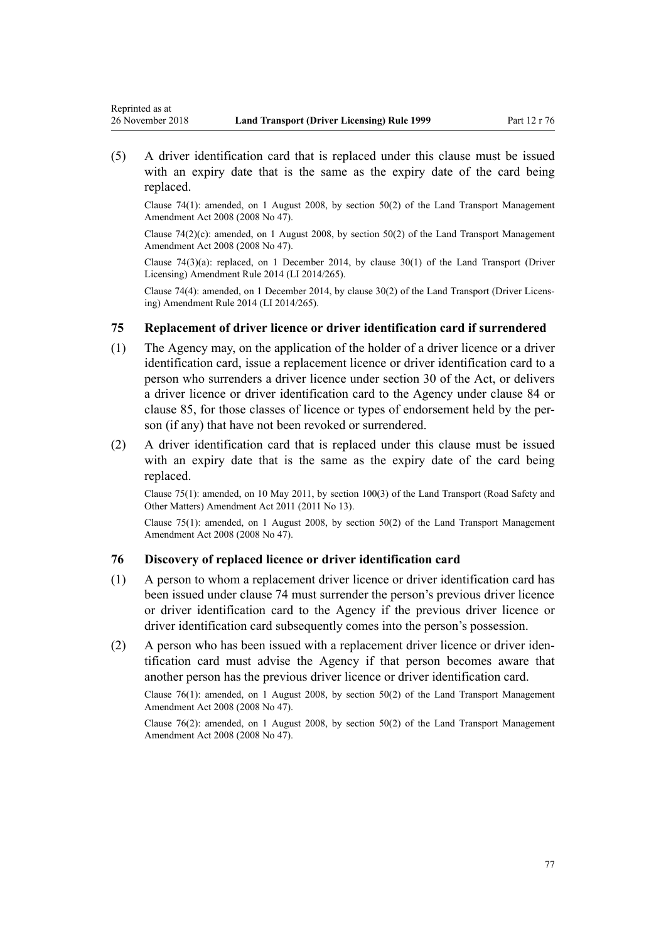Reprinted as at

(5) A driver identification card that is replaced under this clause must be issued with an expiry date that is the same as the expiry date of the card being replaced.

Clause 74(1): amended, on 1 August 2008, by [section 50\(2\)](http://legislation.govt.nz/pdflink.aspx?id=DLM1313622) of the Land Transport Management Amendment Act 2008 (2008 No 47).

Clause  $74(2)(c)$ : amended, on 1 August 2008, by [section 50\(2\)](http://legislation.govt.nz/pdflink.aspx?id=DLM1313622) of the Land Transport Management Amendment Act 2008 (2008 No 47).

Clause  $74(3)(a)$ : replaced, on 1 December 2014, by clause  $30(1)$  of the Land Transport (Driver Licensing) Amendment Rule 2014 (LI 2014/265).

Clause 74(4): amended, on 1 December 2014, by [clause 30\(2\)](http://legislation.govt.nz/pdflink.aspx?id=DLM6216944) of the Land Transport (Driver Licensing) Amendment Rule 2014 (LI 2014/265).

### **75 Replacement of driver licence or driver identification card if surrendered**

- (1) The Agency may, on the application of the holder of a driver licence or a driver identification card, issue a replacement licence or driver identification card to a person who surrenders a driver licence under [section 30](http://legislation.govt.nz/pdflink.aspx?id=DLM434583) of the Act, or delivers a driver licence or driver identification card to the Agency under [clause 84](#page-82-0) or [clause 85,](#page-83-0) for those classes of licence or types of endorsement held by the person (if any) that have not been revoked or surrendered.
- (2) A driver identification card that is replaced under this clause must be issued with an expiry date that is the same as the expiry date of the card being replaced.

Clause 75(1): amended, on 10 May 2011, by [section 100\(3\)](http://legislation.govt.nz/pdflink.aspx?id=DLM3231293) of the Land Transport (Road Safety and Other Matters) Amendment Act 2011 (2011 No 13).

Clause 75(1): amended, on 1 August 2008, by [section 50\(2\)](http://legislation.govt.nz/pdflink.aspx?id=DLM1313622) of the Land Transport Management Amendment Act 2008 (2008 No 47).

#### **76 Discovery of replaced licence or driver identification card**

- (1) A person to whom a replacement driver licence or driver identification card has been issued under [clause 74](#page-75-0) must surrender the person's previous driver licence or driver identification card to the Agency if the previous driver licence or driver identification card subsequently comes into the person's possession.
- (2) A person who has been issued with a replacement driver licence or driver identification card must advise the Agency if that person becomes aware that another person has the previous driver licence or driver identification card.

Clause 76(1): amended, on 1 August 2008, by [section 50\(2\)](http://legislation.govt.nz/pdflink.aspx?id=DLM1313622) of the Land Transport Management Amendment Act 2008 (2008 No 47).

Clause 76(2): amended, on 1 August 2008, by [section 50\(2\)](http://legislation.govt.nz/pdflink.aspx?id=DLM1313622) of the Land Transport Management Amendment Act 2008 (2008 No 47).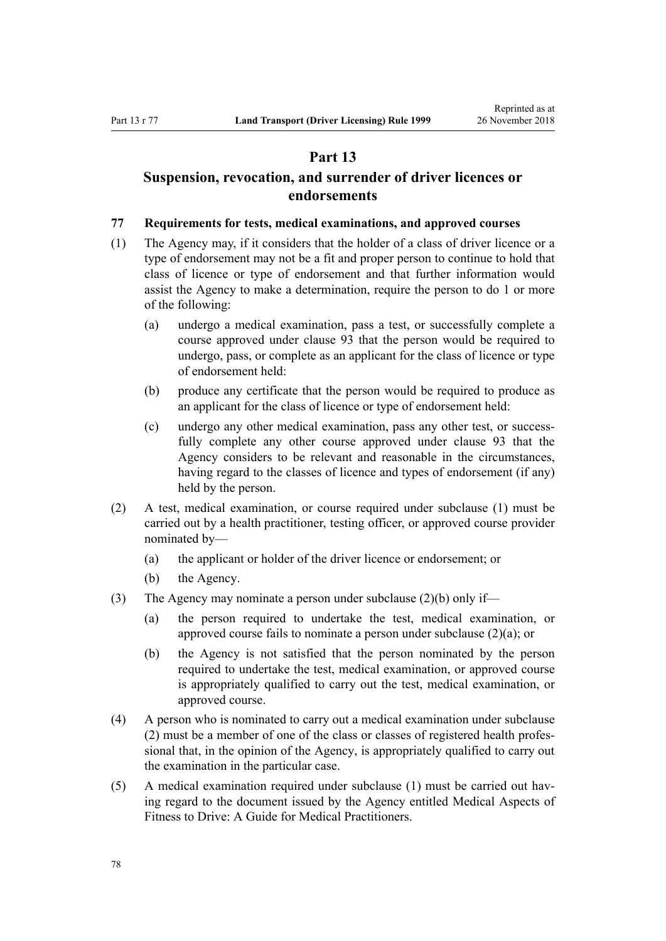### **Part 13**

# <span id="page-77-0"></span>**Suspension, revocation, and surrender of driver licences or endorsements**

#### **77 Requirements for tests, medical examinations, and approved courses**

- (1) The Agency may, if it considers that the holder of a class of driver licence or a type of endorsement may not be a fit and proper person to continue to hold that class of licence or type of endorsement and that further information would assist the Agency to make a determination, require the person to do 1 or more of the following:
	- (a) undergo a medical examination, pass a test, or successfully complete a course approved under [clause 93](#page-91-0) that the person would be required to undergo, pass, or complete as an applicant for the class of licence or type of endorsement held:
	- (b) produce any certificate that the person would be required to produce as an applicant for the class of licence or type of endorsement held:
	- (c) undergo any other medical examination, pass any other test, or successfully complete any other course approved under [clause 93](#page-91-0) that the Agency considers to be relevant and reasonable in the circumstances, having regard to the classes of licence and types of endorsement (if any) held by the person.
- (2) A test, medical examination, or course required under subclause (1) must be carried out by a health practitioner, testing officer, or approved course provider nominated by—
	- (a) the applicant or holder of the driver licence or endorsement; or
	- (b) the Agency.
- (3) The Agency may nominate a person under subclause (2)(b) only if—
	- (a) the person required to undertake the test, medical examination, or approved course fails to nominate a person under subclause (2)(a); or
	- (b) the Agency is not satisfied that the person nominated by the person required to undertake the test, medical examination, or approved course is appropriately qualified to carry out the test, medical examination, or approved course.
- (4) A person who is nominated to carry out a medical examination under subclause (2) must be a member of one of the class or classes of registered health professional that, in the opinion of the Agency, is appropriately qualified to carry out the examination in the particular case.
- (5) A medical examination required under subclause (1) must be carried out having regard to the document issued by the Agency entitled Medical Aspects of Fitness to Drive: A Guide for Medical Practitioners.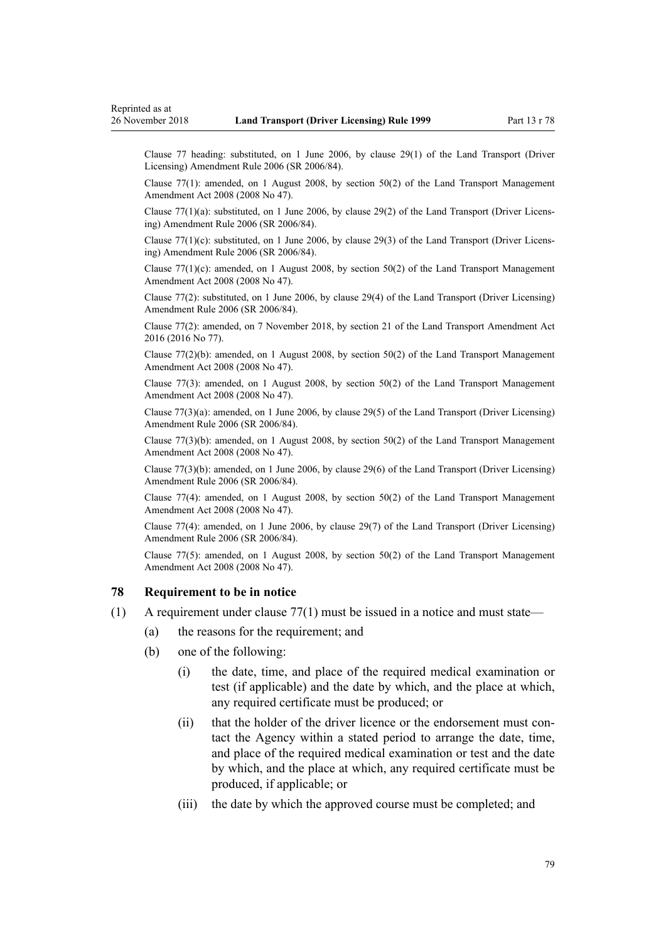<span id="page-78-0"></span>Clause 77 heading: substituted, on 1 June 2006, by [clause 29\(1\)](http://legislation.govt.nz/pdflink.aspx?id=DLM376122) of the Land Transport (Driver Licensing) Amendment Rule 2006 (SR 2006/84).

Clause 77(1): amended, on 1 August 2008, by [section 50\(2\)](http://legislation.govt.nz/pdflink.aspx?id=DLM1313622) of the Land Transport Management Amendment Act 2008 (2008 No 47).

Clause 77(1)(a): substituted, on 1 June 2006, by [clause 29\(2\)](http://legislation.govt.nz/pdflink.aspx?id=DLM376122) of the Land Transport (Driver Licensing) Amendment Rule 2006 (SR 2006/84).

Clause  $77(1)(c)$ : substituted, on 1 June 2006, by [clause 29\(3\)](http://legislation.govt.nz/pdflink.aspx?id=DLM376122) of the Land Transport (Driver Licensing) Amendment Rule 2006 (SR 2006/84).

Clause  $77(1)(c)$ : amended, on 1 August 2008, by section  $50(2)$  of the Land Transport Management Amendment Act 2008 (2008 No 47).

Clause 77(2): substituted, on 1 June 2006, by [clause 29\(4\)](http://legislation.govt.nz/pdflink.aspx?id=DLM376122) of the Land Transport (Driver Licensing) Amendment Rule 2006 (SR 2006/84).

Clause 77(2): amended, on 7 November 2018, by [section 21](http://legislation.govt.nz/pdflink.aspx?id=DLM6984133) of the Land Transport Amendment Act 2016 (2016 No 77).

Clause  $77(2)(b)$ : amended, on 1 August 2008, by [section 50\(2\)](http://legislation.govt.nz/pdflink.aspx?id=DLM1313622) of the Land Transport Management Amendment Act 2008 (2008 No 47).

Clause 77(3): amended, on 1 August 2008, by [section 50\(2\)](http://legislation.govt.nz/pdflink.aspx?id=DLM1313622) of the Land Transport Management Amendment Act 2008 (2008 No 47).

Clause 77(3)(a): amended, on 1 June 2006, by [clause 29\(5\)](http://legislation.govt.nz/pdflink.aspx?id=DLM376122) of the Land Transport (Driver Licensing) Amendment Rule 2006 (SR 2006/84).

Clause 77(3)(b): amended, on 1 August 2008, by [section 50\(2\)](http://legislation.govt.nz/pdflink.aspx?id=DLM1313622) of the Land Transport Management Amendment Act 2008 (2008 No 47).

Clause 77(3)(b): amended, on 1 June 2006, by [clause 29\(6\)](http://legislation.govt.nz/pdflink.aspx?id=DLM376122) of the Land Transport (Driver Licensing) Amendment Rule 2006 (SR 2006/84).

Clause 77(4): amended, on 1 August 2008, by [section 50\(2\)](http://legislation.govt.nz/pdflink.aspx?id=DLM1313622) of the Land Transport Management Amendment Act 2008 (2008 No 47).

Clause 77(4): amended, on 1 June 2006, by [clause 29\(7\)](http://legislation.govt.nz/pdflink.aspx?id=DLM376122) of the Land Transport (Driver Licensing) Amendment Rule 2006 (SR 2006/84).

Clause  $77(5)$ : amended, on 1 August 2008, by section  $50(2)$  of the Land Transport Management Amendment Act 2008 (2008 No 47).

#### **78 Requirement to be in notice**

- (1) A requirement under [clause 77\(1\)](#page-77-0) must be issued in a notice and must state—
	- (a) the reasons for the requirement; and
	- (b) one of the following:
		- (i) the date, time, and place of the required medical examination or test (if applicable) and the date by which, and the place at which, any required certificate must be produced; or
		- (ii) that the holder of the driver licence or the endorsement must contact the Agency within a stated period to arrange the date, time, and place of the required medical examination or test and the date by which, and the place at which, any required certificate must be produced, if applicable; or
		- (iii) the date by which the approved course must be completed; and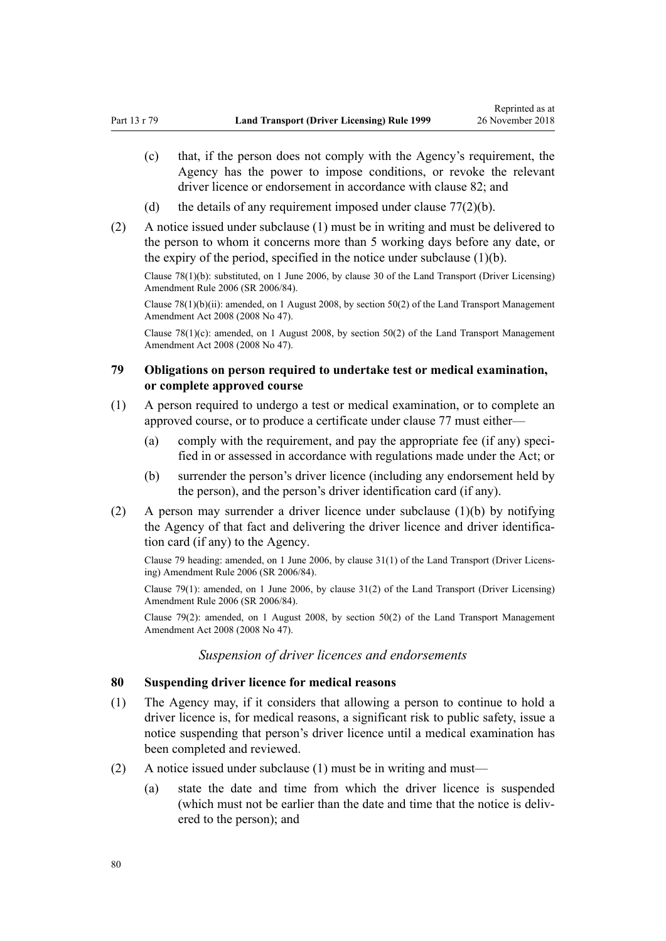- (c) that, if the person does not comply with the Agency's requirement, the Agency has the power to impose conditions, or revoke the relevant driver licence or endorsement in accordance with [clause 82;](#page-80-0) and
- (d) the details of any requirement imposed under clause  $77(2)(b)$ .
- (2) A notice issued under subclause (1) must be in writing and must be delivered to the person to whom it concerns more than 5 working days before any date, or the expiry of the period, specified in the notice under subclause  $(1)(b)$ .

Clause 78(1)(b): substituted, on 1 June 2006, by [clause 30](http://legislation.govt.nz/pdflink.aspx?id=DLM376123) of the Land Transport (Driver Licensing) Amendment Rule 2006 (SR 2006/84).

Clause 78(1)(b)(ii): amended, on 1 August 2008, by [section 50\(2\)](http://legislation.govt.nz/pdflink.aspx?id=DLM1313622) of the Land Transport Management Amendment Act 2008 (2008 No 47).

Clause  $78(1)(c)$ : amended, on 1 August 2008, by [section 50\(2\)](http://legislation.govt.nz/pdflink.aspx?id=DLM1313622) of the Land Transport Management Amendment Act 2008 (2008 No 47).

### **79 Obligations on person required to undertake test or medical examination, or complete approved course**

- (1) A person required to undergo a test or medical examination, or to complete an approved course, or to produce a certificate under [clause 77](#page-77-0) must either—
	- (a) comply with the requirement, and pay the appropriate fee (if any) specified in or assessed in accordance with regulations made under the Act; or
	- (b) surrender the person's driver licence (including any endorsement held by the person), and the person's driver identification card (if any).
- (2) A person may surrender a driver licence under subclause (1)(b) by notifying the Agency of that fact and delivering the driver licence and driver identification card (if any) to the Agency.

Clause 79 heading: amended, on 1 June 2006, by [clause 31\(1\)](http://legislation.govt.nz/pdflink.aspx?id=DLM376124) of the Land Transport (Driver Licensing) Amendment Rule 2006 (SR 2006/84).

Clause 79(1): amended, on 1 June 2006, by [clause 31\(2\)](http://legislation.govt.nz/pdflink.aspx?id=DLM376124) of the Land Transport (Driver Licensing) Amendment Rule 2006 (SR 2006/84).

Clause 79(2): amended, on 1 August 2008, by [section 50\(2\)](http://legislation.govt.nz/pdflink.aspx?id=DLM1313622) of the Land Transport Management Amendment Act 2008 (2008 No 47).

### *Suspension of driver licences and endorsements*

#### **80 Suspending driver licence for medical reasons**

- (1) The Agency may, if it considers that allowing a person to continue to hold a driver licence is, for medical reasons, a significant risk to public safety, issue a notice suspending that person's driver licence until a medical examination has been completed and reviewed.
- (2) A notice issued under subclause (1) must be in writing and must—
	- (a) state the date and time from which the driver licence is suspended (which must not be earlier than the date and time that the notice is delivered to the person); and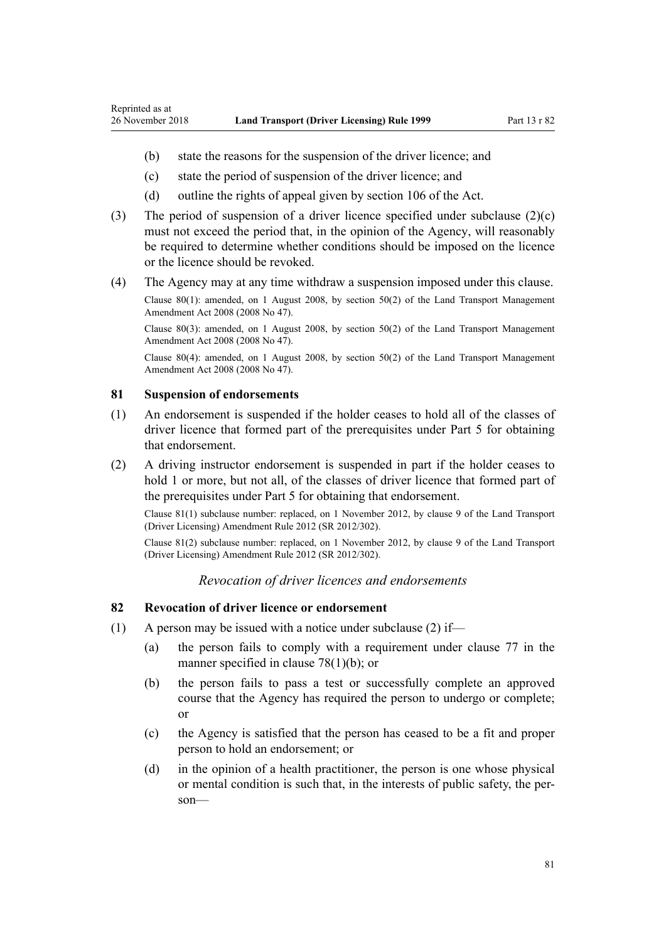- <span id="page-80-0"></span>(b) state the reasons for the suspension of the driver licence; and
- (c) state the period of suspension of the driver licence; and
- (d) outline the rights of appeal given by [section 106](http://legislation.govt.nz/pdflink.aspx?id=DLM435083) of the Act.
- (3) The period of suspension of a driver licence specified under subclause (2)(c) must not exceed the period that, in the opinion of the Agency, will reasonably be required to determine whether conditions should be imposed on the licence or the licence should be revoked.
- (4) The Agency may at any time withdraw a suspension imposed under this clause.

Clause 80(1): amended, on 1 August 2008, by [section 50\(2\)](http://legislation.govt.nz/pdflink.aspx?id=DLM1313622) of the Land Transport Management Amendment Act 2008 (2008 No 47).

Clause 80(3): amended, on 1 August 2008, by [section 50\(2\)](http://legislation.govt.nz/pdflink.aspx?id=DLM1313622) of the Land Transport Management Amendment Act 2008 (2008 No 47).

Clause 80(4): amended, on 1 August 2008, by [section 50\(2\)](http://legislation.govt.nz/pdflink.aspx?id=DLM1313622) of the Land Transport Management Amendment Act 2008 (2008 No 47).

#### **81 Suspension of endorsements**

- (1) An endorsement is suspended if the holder ceases to hold all of the classes of driver licence that formed part of the prerequisites under [Part 5](#page-39-0) for obtaining that endorsement.
- (2) A driving instructor endorsement is suspended in part if the holder ceases to hold 1 or more, but not all, of the classes of driver licence that formed part of the prerequisites under [Part 5](#page-39-0) for obtaining that endorsement.

Clause 81(1) subclause number: replaced, on 1 November 2012, by [clause 9](http://legislation.govt.nz/pdflink.aspx?id=DLM4773441) of the Land Transport (Driver Licensing) Amendment Rule 2012 (SR 2012/302).

Clause 81(2) subclause number: replaced, on 1 November 2012, by [clause 9](http://legislation.govt.nz/pdflink.aspx?id=DLM4773441) of the Land Transport (Driver Licensing) Amendment Rule 2012 (SR 2012/302).

### *Revocation of driver licences and endorsements*

### **82 Revocation of driver licence or endorsement**

- (1) A person may be issued with a notice under subclause (2) if—
	- (a) the person fails to comply with a requirement under [clause 77](#page-77-0) in the manner specified in [clause 78\(1\)\(b\);](#page-78-0) or
	- (b) the person fails to pass a test or successfully complete an approved course that the Agency has required the person to undergo or complete; or
	- (c) the Agency is satisfied that the person has ceased to be a fit and proper person to hold an endorsement; or
	- (d) in the opinion of a health practitioner, the person is one whose physical or mental condition is such that, in the interests of public safety, the person—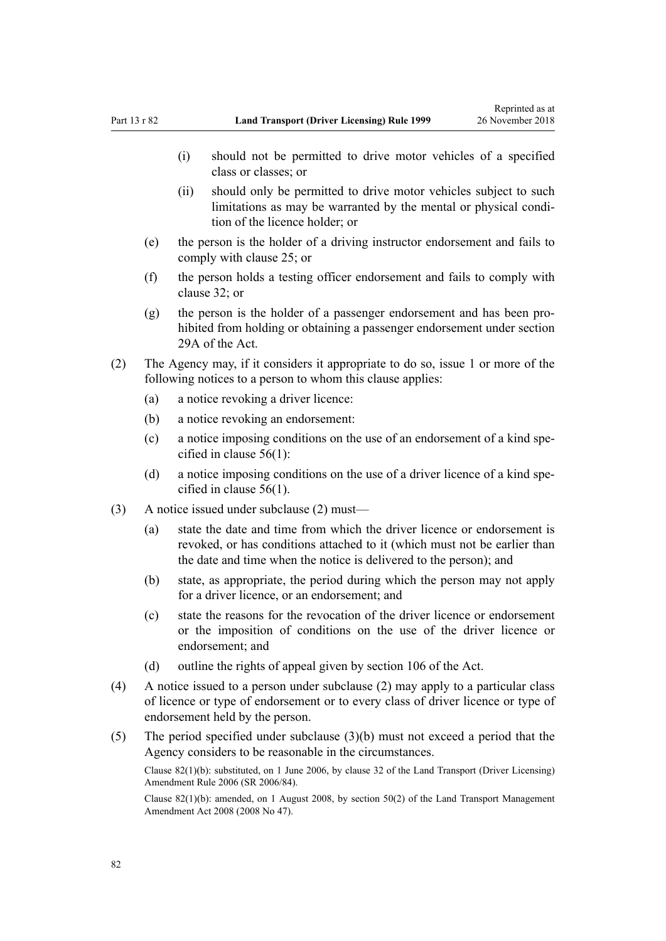- (i) should not be permitted to drive motor vehicles of a specified class or classes; or
- (ii) should only be permitted to drive motor vehicles subject to such limitations as may be warranted by the mental or physical condition of the licence holder; or
- (e) the person is the holder of a driving instructor endorsement and fails to comply with [clause 25](#page-41-0); or
- (f) the person holds a testing officer endorsement and fails to comply with [clause 32](#page-45-0); or
- (g) the person is the holder of a passenger endorsement and has been prohibited from holding or obtaining a passenger endorsement under [section](http://legislation.govt.nz/pdflink.aspx?id=DLM434566) [29A](http://legislation.govt.nz/pdflink.aspx?id=DLM434566) of the Act.
- (2) The Agency may, if it considers it appropriate to do so, issue 1 or more of the following notices to a person to whom this clause applies:
	- (a) a notice revoking a driver licence:
	- (b) a notice revoking an endorsement:
	- (c) a notice imposing conditions on the use of an endorsement of a kind specified in [clause 56\(1\):](#page-58-0)
	- (d) a notice imposing conditions on the use of a driver licence of a kind specified in [clause 56\(1\).](#page-58-0)
- (3) A notice issued under subclause (2) must—
	- (a) state the date and time from which the driver licence or endorsement is revoked, or has conditions attached to it (which must not be earlier than the date and time when the notice is delivered to the person); and
	- (b) state, as appropriate, the period during which the person may not apply for a driver licence, or an endorsement; and
	- (c) state the reasons for the revocation of the driver licence or endorsement or the imposition of conditions on the use of the driver licence or endorsement; and
	- (d) outline the rights of appeal given by [section 106](http://legislation.govt.nz/pdflink.aspx?id=DLM435083) of the Act.
- (4) A notice issued to a person under subclause (2) may apply to a particular class of licence or type of endorsement or to every class of driver licence or type of endorsement held by the person.
- (5) The period specified under subclause (3)(b) must not exceed a period that the Agency considers to be reasonable in the circumstances.

Clause 82(1)(b): substituted, on 1 June 2006, by [clause 32](http://legislation.govt.nz/pdflink.aspx?id=DLM376125) of the Land Transport (Driver Licensing) Amendment Rule 2006 (SR 2006/84).

Clause 82(1)(b): amended, on 1 August 2008, by [section 50\(2\)](http://legislation.govt.nz/pdflink.aspx?id=DLM1313622) of the Land Transport Management Amendment Act 2008 (2008 No 47).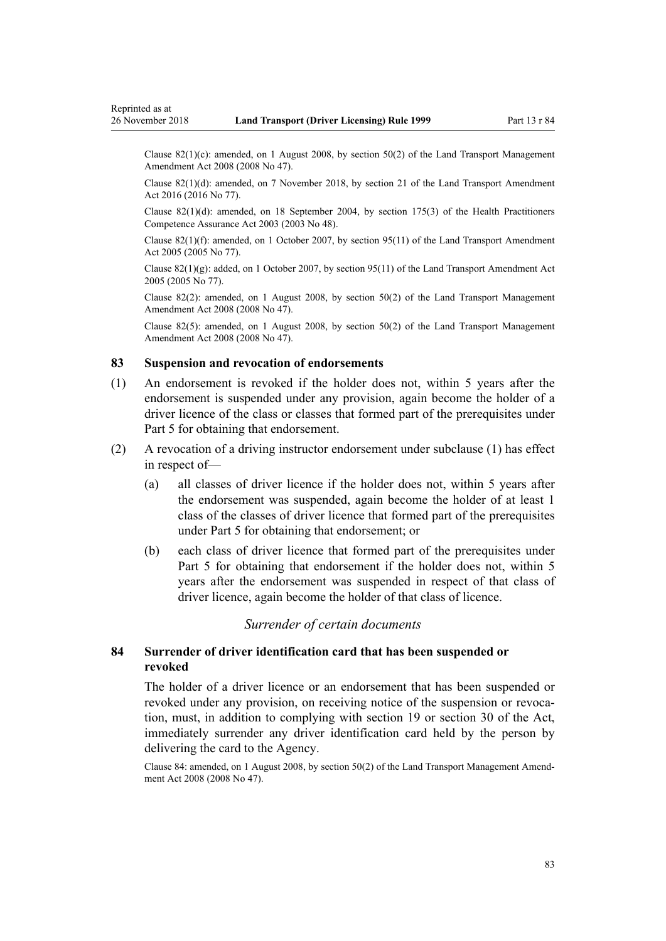<span id="page-82-0"></span>Clause 82(1)(c): amended, on 1 August 2008, by [section 50\(2\)](http://legislation.govt.nz/pdflink.aspx?id=DLM1313622) of the Land Transport Management Amendment Act 2008 (2008 No 47).

Clause 82(1)(d): amended, on 7 November 2018, by [section 21](http://legislation.govt.nz/pdflink.aspx?id=DLM6984133) of the Land Transport Amendment Act 2016 (2016 No 77).

Clause 82(1)(d): amended, on 18 September 2004, by [section 175\(3\)](http://legislation.govt.nz/pdflink.aspx?id=DLM205009) of the Health Practitioners Competence Assurance Act 2003 (2003 No 48).

Clause 82(1)(f): amended, on 1 October 2007, by [section 95\(11\)](http://legislation.govt.nz/pdflink.aspx?id=DLM353501) of the Land Transport Amendment Act 2005 (2005 No 77).

Clause  $82(1)(g)$ : added, on 1 October 2007, by [section 95\(11\)](http://legislation.govt.nz/pdflink.aspx?id=DLM353501) of the Land Transport Amendment Act 2005 (2005 No 77).

Clause 82(2): amended, on 1 August 2008, by [section 50\(2\)](http://legislation.govt.nz/pdflink.aspx?id=DLM1313622) of the Land Transport Management Amendment Act 2008 (2008 No 47).

Clause 82(5): amended, on 1 August 2008, by [section 50\(2\)](http://legislation.govt.nz/pdflink.aspx?id=DLM1313622) of the Land Transport Management Amendment Act 2008 (2008 No 47).

### **83 Suspension and revocation of endorsements**

- (1) An endorsement is revoked if the holder does not, within 5 years after the endorsement is suspended under any provision, again become the holder of a driver licence of the class or classes that formed part of the prerequisites under [Part 5](#page-39-0) for obtaining that endorsement.
- (2) A revocation of a driving instructor endorsement under subclause (1) has effect in respect of—
	- (a) all classes of driver licence if the holder does not, within 5 years after the endorsement was suspended, again become the holder of at least 1 class of the classes of driver licence that formed part of the prerequisites under [Part 5](#page-39-0) for obtaining that endorsement; or
	- (b) each class of driver licence that formed part of the prerequisites under [Part 5](#page-39-0) for obtaining that endorsement if the holder does not, within 5 years after the endorsement was suspended in respect of that class of driver licence, again become the holder of that class of licence.

#### *Surrender of certain documents*

### **84 Surrender of driver identification card that has been suspended or revoked**

The holder of a driver licence or an endorsement that has been suspended or revoked under any provision, on receiving notice of the suspension or revocation, must, in addition to complying with [section 19](http://legislation.govt.nz/pdflink.aspx?id=DLM434536) or [section 30](http://legislation.govt.nz/pdflink.aspx?id=DLM434583) of the Act, immediately surrender any driver identification card held by the person by delivering the card to the Agency.

Clause 84: amended, on 1 August 2008, by [section 50\(2\)](http://legislation.govt.nz/pdflink.aspx?id=DLM1313622) of the Land Transport Management Amendment Act 2008 (2008 No 47).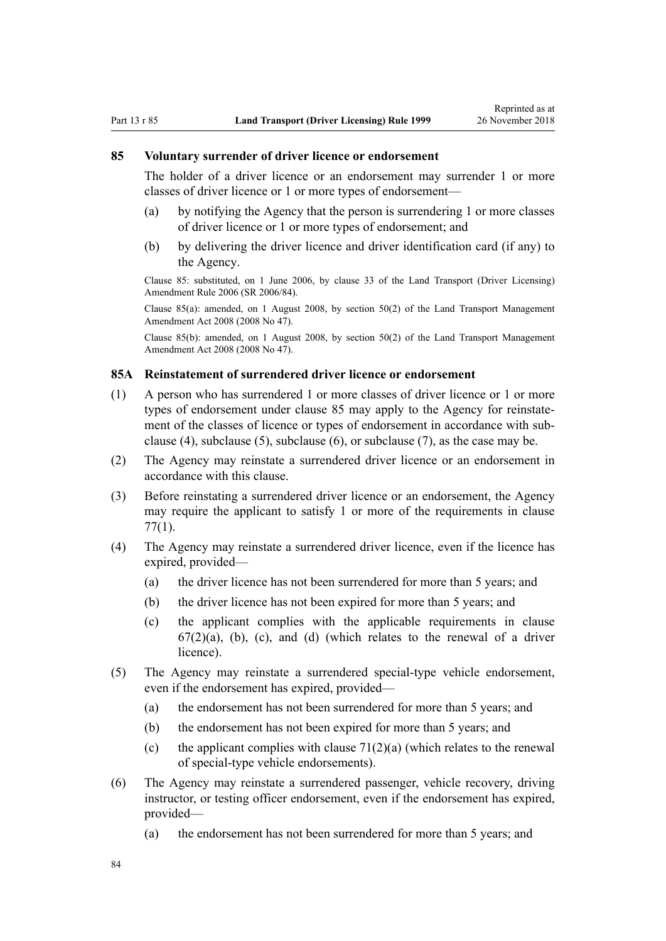#### <span id="page-83-0"></span>**85 Voluntary surrender of driver licence or endorsement**

The holder of a driver licence or an endorsement may surrender 1 or more classes of driver licence or 1 or more types of endorsement—

- (a) by notifying the Agency that the person is surrendering 1 or more classes of driver licence or 1 or more types of endorsement; and
- (b) by delivering the driver licence and driver identification card (if any) to the Agency.

Clause 85: substituted, on 1 June 2006, by [clause 33](http://legislation.govt.nz/pdflink.aspx?id=DLM376126) of the Land Transport (Driver Licensing) Amendment Rule 2006 (SR 2006/84).

Clause 85(a): amended, on 1 August 2008, by [section 50\(2\)](http://legislation.govt.nz/pdflink.aspx?id=DLM1313622) of the Land Transport Management Amendment Act 2008 (2008 No 47).

Clause 85(b): amended, on 1 August 2008, by [section 50\(2\)](http://legislation.govt.nz/pdflink.aspx?id=DLM1313622) of the Land Transport Management Amendment Act 2008 (2008 No 47).

### **85A Reinstatement of surrendered driver licence or endorsement**

- (1) A person who has surrendered 1 or more classes of driver licence or 1 or more types of endorsement under clause 85 may apply to the Agency for reinstatement of the classes of licence or types of endorsement in accordance with subclause (4), subclause (5), subclause (6), or subclause (7), as the case may be.
- (2) The Agency may reinstate a surrendered driver licence or an endorsement in accordance with this clause.
- (3) Before reinstating a surrendered driver licence or an endorsement, the Agency may require the applicant to satisfy 1 or more of the requirements in [clause](#page-77-0) [77\(1\)](#page-77-0).
- (4) The Agency may reinstate a surrendered driver licence, even if the licence has expired, provided—
	- (a) the driver licence has not been surrendered for more than 5 years; and
	- (b) the driver licence has not been expired for more than 5 years; and
	- (c) the applicant complies with the applicable requirements in [clause](#page-67-0)  $67(2)(a)$ , (b), (c), and (d) (which relates to the renewal of a driver licence).
- (5) The Agency may reinstate a surrendered special-type vehicle endorsement, even if the endorsement has expired, provided—
	- (a) the endorsement has not been surrendered for more than 5 years; and
	- (b) the endorsement has not been expired for more than 5 years; and
	- (c) the applicant complies with clause  $71(2)(a)$  (which relates to the renewal of special-type vehicle endorsements).
- (6) The Agency may reinstate a surrendered passenger, vehicle recovery, driving instructor, or testing officer endorsement, even if the endorsement has expired, provided—
	- (a) the endorsement has not been surrendered for more than 5 years; and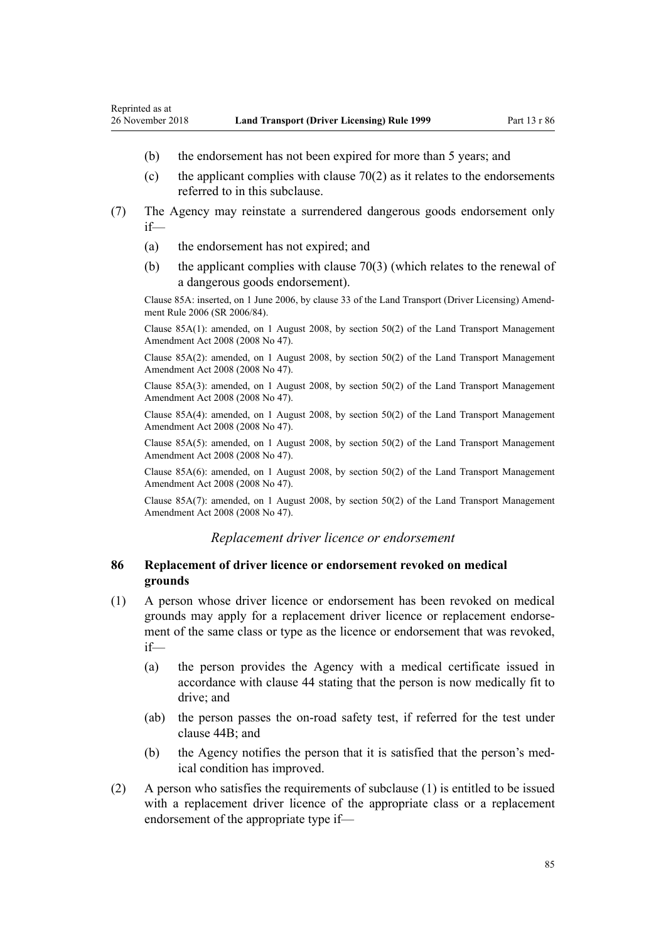- (b) the endorsement has not been expired for more than 5 years; and
- (c) the applicant complies with clause  $70(2)$  as it relates to the endorsements referred to in this subclause.
- (7) The Agency may reinstate a surrendered dangerous goods endorsement only if—
	- (a) the endorsement has not expired; and
	- (b) the applicant complies with [clause 70\(3\)](#page-72-0) (which relates to the renewal of a dangerous goods endorsement).

Clause 85A: inserted, on 1 June 2006, by [clause 33](http://legislation.govt.nz/pdflink.aspx?id=DLM376126) of the Land Transport (Driver Licensing) Amendment Rule 2006 (SR 2006/84).

Clause 85A(1): amended, on 1 August 2008, by [section 50\(2\)](http://legislation.govt.nz/pdflink.aspx?id=DLM1313622) of the Land Transport Management Amendment Act 2008 (2008 No 47).

Clause 85A(2): amended, on 1 August 2008, by [section 50\(2\)](http://legislation.govt.nz/pdflink.aspx?id=DLM1313622) of the Land Transport Management Amendment Act 2008 (2008 No 47).

Clause 85A(3): amended, on 1 August 2008, by [section 50\(2\)](http://legislation.govt.nz/pdflink.aspx?id=DLM1313622) of the Land Transport Management Amendment Act 2008 (2008 No 47).

Clause 85A(4): amended, on 1 August 2008, by [section 50\(2\)](http://legislation.govt.nz/pdflink.aspx?id=DLM1313622) of the Land Transport Management Amendment Act 2008 (2008 No 47).

Clause 85A(5): amended, on 1 August 2008, by [section 50\(2\)](http://legislation.govt.nz/pdflink.aspx?id=DLM1313622) of the Land Transport Management Amendment Act 2008 (2008 No 47).

Clause 85A(6): amended, on 1 August 2008, by [section 50\(2\)](http://legislation.govt.nz/pdflink.aspx?id=DLM1313622) of the Land Transport Management Amendment Act 2008 (2008 No 47).

Clause 85A(7): amended, on 1 August 2008, by [section 50\(2\)](http://legislation.govt.nz/pdflink.aspx?id=DLM1313622) of the Land Transport Management Amendment Act 2008 (2008 No 47).

### *Replacement driver licence or endorsement*

### **86 Replacement of driver licence or endorsement revoked on medical grounds**

- (1) A person whose driver licence or endorsement has been revoked on medical grounds may apply for a replacement driver licence or replacement endorsement of the same class or type as the licence or endorsement that was revoked, if—
	- (a) the person provides the Agency with a medical certificate issued in accordance with [clause 44](#page-52-0) stating that the person is now medically fit to drive; and
	- (ab) the person passes the on-road safety test, if referred for the test under [clause 44B;](#page-53-0) and
	- (b) the Agency notifies the person that it is satisfied that the person's medical condition has improved.
- (2) A person who satisfies the requirements of subclause (1) is entitled to be issued with a replacement driver licence of the appropriate class or a replacement endorsement of the appropriate type if—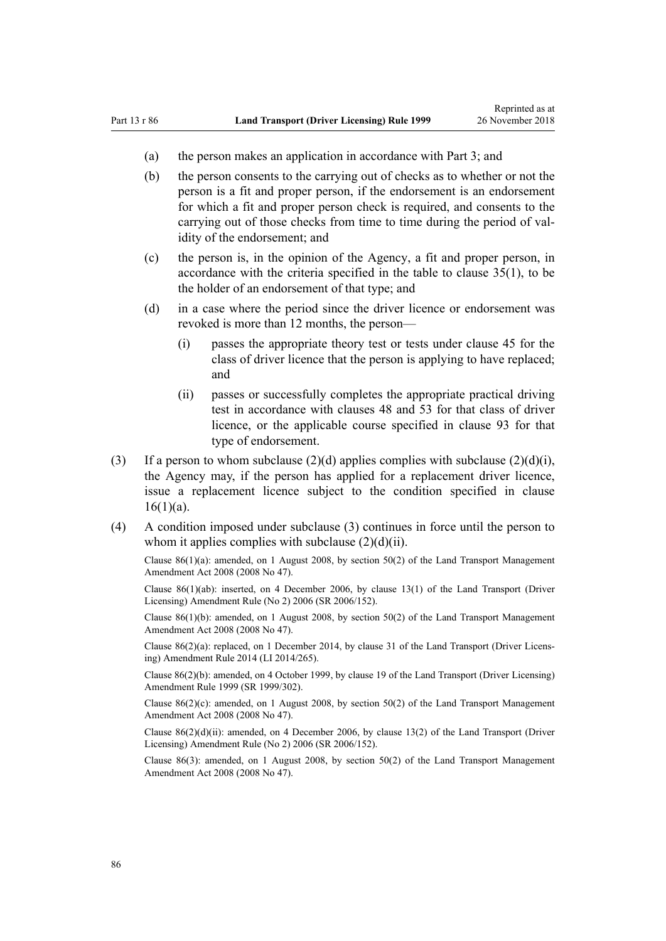- (a) the person makes an application in accordance with [Part 3](#page-21-0); and
- (b) the person consents to the carrying out of checks as to whether or not the person is a fit and proper person, if the endorsement is an endorsement for which a fit and proper person check is required, and consents to the carrying out of those checks from time to time during the period of validity of the endorsement; and
- (c) the person is, in the opinion of the Agency, a fit and proper person, in accordance with the criteria specified in the table to [clause 35\(1\),](#page-46-0) to be the holder of an endorsement of that type; and
- (d) in a case where the period since the driver licence or endorsement was revoked is more than 12 months, the person—
	- (i) passes the appropriate theory test or tests under [clause 45](#page-54-0) for the class of driver licence that the person is applying to have replaced; and
	- (ii) passes or successfully completes the appropriate practical driving test in accordance with [clauses 48](#page-55-0) and [53](#page-57-0) for that class of driver licence, or the applicable course specified in [clause 93](#page-91-0) for that type of endorsement.
- (3) If a person to whom subclause  $(2)(d)$  applies complies with subclause  $(2)(d)(i)$ , the Agency may, if the person has applied for a replacement driver licence, issue a replacement licence subject to the condition specified in [clause](#page-26-0)  $16(1)(a)$ .
- (4) A condition imposed under subclause (3) continues in force until the person to whom it applies complies with subclause  $(2)(d)(ii)$ .

Clause 86(1)(a): amended, on 1 August 2008, by [section 50\(2\)](http://legislation.govt.nz/pdflink.aspx?id=DLM1313622) of the Land Transport Management Amendment Act 2008 (2008 No 47).

Clause 86(1)(ab): inserted, on 4 December 2006, by [clause 13\(1\)](http://legislation.govt.nz/pdflink.aspx?id=DLM386154) of the Land Transport (Driver Licensing) Amendment Rule (No 2) 2006 (SR 2006/152).

Clause 86(1)(b): amended, on 1 August 2008, by [section 50\(2\)](http://legislation.govt.nz/pdflink.aspx?id=DLM1313622) of the Land Transport Management Amendment Act 2008 (2008 No 47).

Clause 86(2)(a): replaced, on 1 December 2014, by [clause 31](http://legislation.govt.nz/pdflink.aspx?id=DLM6216945) of the Land Transport (Driver Licensing) Amendment Rule 2014 (LI 2014/265).

Clause 86(2)(b): amended, on 4 October 1999, by [clause 19](http://legislation.govt.nz/pdflink.aspx?id=DLM293688) of the Land Transport (Driver Licensing) Amendment Rule 1999 (SR 1999/302).

Clause 86(2)(c): amended, on 1 August 2008, by [section 50\(2\)](http://legislation.govt.nz/pdflink.aspx?id=DLM1313622) of the Land Transport Management Amendment Act 2008 (2008 No 47).

Clause 86(2)(d)(ii): amended, on 4 December 2006, by [clause 13\(2\)](http://legislation.govt.nz/pdflink.aspx?id=DLM386154) of the Land Transport (Driver Licensing) Amendment Rule (No 2) 2006 (SR 2006/152).

Clause 86(3): amended, on 1 August 2008, by [section 50\(2\)](http://legislation.govt.nz/pdflink.aspx?id=DLM1313622) of the Land Transport Management Amendment Act 2008 (2008 No 47).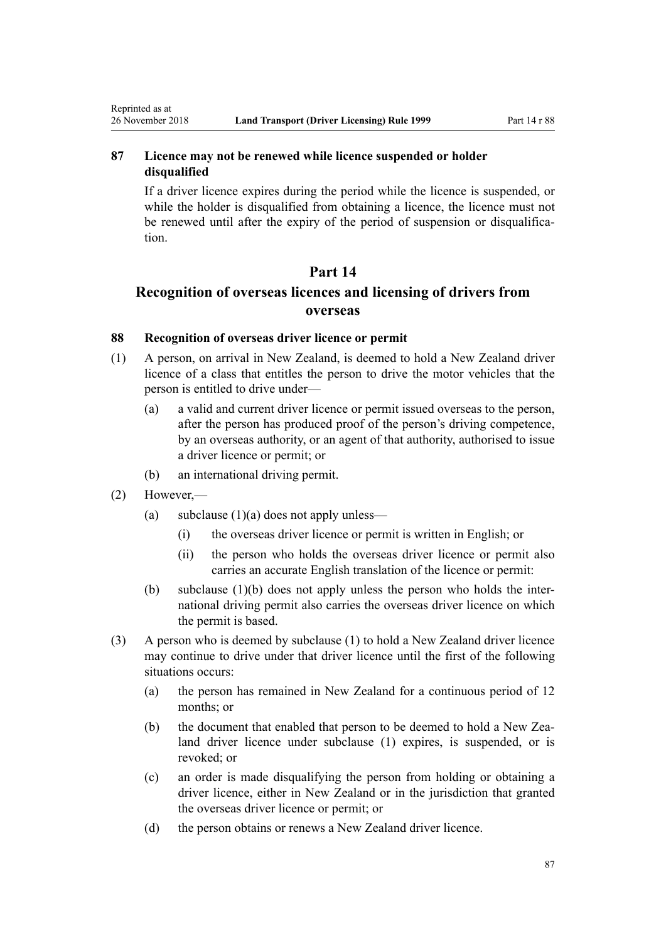### **87 Licence may not be renewed while licence suspended or holder disqualified**

If a driver licence expires during the period while the licence is suspended, or while the holder is disqualified from obtaining a licence, the licence must not be renewed until after the expiry of the period of suspension or disqualification.

### **Part 14**

# **Recognition of overseas licences and licensing of drivers from overseas**

### **88 Recognition of overseas driver licence or permit**

- (1) A person, on arrival in New Zealand, is deemed to hold a New Zealand driver licence of a class that entitles the person to drive the motor vehicles that the person is entitled to drive under—
	- (a) a valid and current driver licence or permit issued overseas to the person, after the person has produced proof of the person's driving competence, by an overseas authority, or an agent of that authority, authorised to issue a driver licence or permit; or
	- (b) an international driving permit.
- (2) However,—

<span id="page-86-0"></span>Reprinted as at

- (a) subclause  $(1)(a)$  does not apply unless—
	- (i) the overseas driver licence or permit is written in English; or
	- (ii) the person who holds the overseas driver licence or permit also carries an accurate English translation of the licence or permit:
- (b) subclause (1)(b) does not apply unless the person who holds the international driving permit also carries the overseas driver licence on which the permit is based.
- (3) A person who is deemed by subclause (1) to hold a New Zealand driver licence may continue to drive under that driver licence until the first of the following situations occurs:
	- (a) the person has remained in New Zealand for a continuous period of 12 months; or
	- (b) the document that enabled that person to be deemed to hold a New Zealand driver licence under subclause (1) expires, is suspended, or is revoked; or
	- (c) an order is made disqualifying the person from holding or obtaining a driver licence, either in New Zealand or in the jurisdiction that granted the overseas driver licence or permit; or
	- (d) the person obtains or renews a New Zealand driver licence.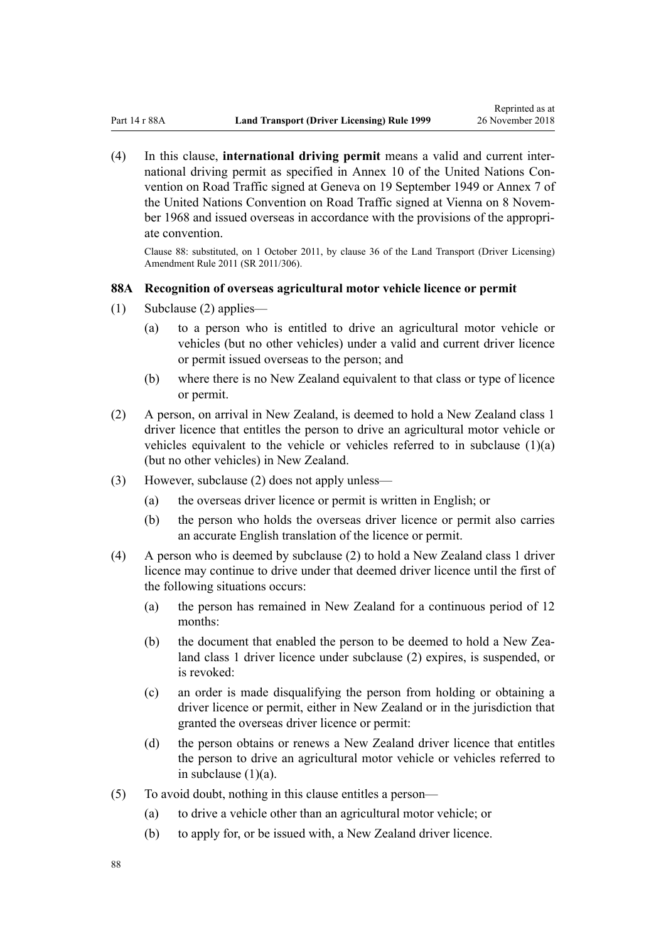(4) In this clause, **international driving permit** means a valid and current international driving permit as specified in Annex 10 of the United Nations Convention on Road Traffic signed at Geneva on 19 September 1949 or Annex 7 of the United Nations Convention on Road Traffic signed at Vienna on 8 November 1968 and issued overseas in accordance with the provisions of the appropriate convention.

Clause 88: substituted, on 1 October 2011, by [clause 36](http://legislation.govt.nz/pdflink.aspx?id=DLM3956741) of the Land Transport (Driver Licensing) Amendment Rule 2011 (SR 2011/306).

### **88A Recognition of overseas agricultural motor vehicle licence or permit**

- (1) Subclause (2) applies—
	- (a) to a person who is entitled to drive an agricultural motor vehicle or vehicles (but no other vehicles) under a valid and current driver licence or permit issued overseas to the person; and
	- (b) where there is no New Zealand equivalent to that class or type of licence or permit.
- (2) A person, on arrival in New Zealand, is deemed to hold a New Zealand class 1 driver licence that entitles the person to drive an agricultural motor vehicle or vehicles equivalent to the vehicle or vehicles referred to in subclause  $(1)(a)$ (but no other vehicles) in New Zealand.
- (3) However, subclause (2) does not apply unless—
	- (a) the overseas driver licence or permit is written in English; or
	- (b) the person who holds the overseas driver licence or permit also carries an accurate English translation of the licence or permit.
- (4) A person who is deemed by subclause (2) to hold a New Zealand class 1 driver licence may continue to drive under that deemed driver licence until the first of the following situations occurs:
	- (a) the person has remained in New Zealand for a continuous period of 12 months:
	- (b) the document that enabled the person to be deemed to hold a New Zealand class 1 driver licence under subclause (2) expires, is suspended, or is revoked:
	- (c) an order is made disqualifying the person from holding or obtaining a driver licence or permit, either in New Zealand or in the jurisdiction that granted the overseas driver licence or permit:
	- (d) the person obtains or renews a New Zealand driver licence that entitles the person to drive an agricultural motor vehicle or vehicles referred to in subclause  $(1)(a)$ .
- (5) To avoid doubt, nothing in this clause entitles a person—
	- (a) to drive a vehicle other than an agricultural motor vehicle; or
	- (b) to apply for, or be issued with, a New Zealand driver licence.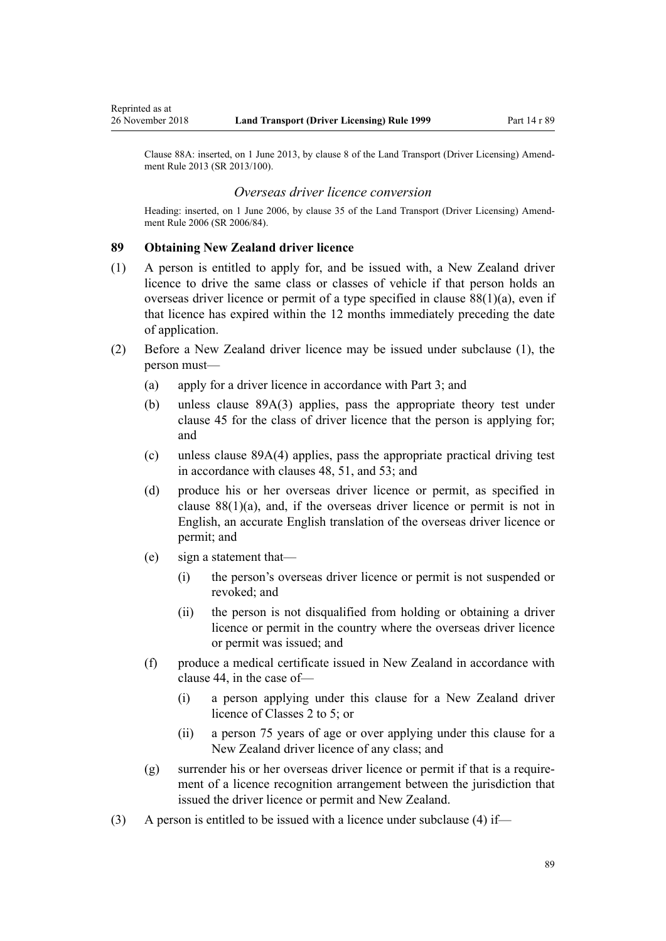Clause 88A: inserted, on 1 June 2013, by [clause 8](http://legislation.govt.nz/pdflink.aspx?id=DLM5102244) of the Land Transport (Driver Licensing) Amendment Rule 2013 (SR 2013/100).

#### *Overseas driver licence conversion*

Heading: inserted, on 1 June 2006, by [clause 35](http://legislation.govt.nz/pdflink.aspx?id=DLM376131) of the Land Transport (Driver Licensing) Amendment Rule 2006 (SR 2006/84).

#### **89 Obtaining New Zealand driver licence**

<span id="page-88-0"></span>Reprinted as at

- (1) A person is entitled to apply for, and be issued with, a New Zealand driver licence to drive the same class or classes of vehicle if that person holds an overseas driver licence or permit of a type specified in clause  $88(1)(a)$ , even if that licence has expired within the 12 months immediately preceding the date of application.
- (2) Before a New Zealand driver licence may be issued under subclause (1), the person must—
	- (a) apply for a driver licence in accordance with [Part 3;](#page-21-0) and
	- (b) unless [clause 89A\(3\)](#page-89-0) applies, pass the appropriate theory test under [clause 45](#page-54-0) for the class of driver licence that the person is applying for; and
	- (c) unless [clause 89A\(4\)](#page-89-0) applies, pass the appropriate practical driving test in accordance with [clauses 48,](#page-55-0) [51,](#page-56-0) and [53](#page-57-0); and
	- (d) produce his or her overseas driver licence or permit, as specified in clause  $88(1)(a)$ , and, if the overseas driver licence or permit is not in English, an accurate English translation of the overseas driver licence or permit; and
	- (e) sign a statement that—
		- (i) the person's overseas driver licence or permit is not suspended or revoked; and
		- (ii) the person is not disqualified from holding or obtaining a driver licence or permit in the country where the overseas driver licence or permit was issued; and
	- (f) produce a medical certificate issued in New Zealand in accordance with [clause 44](#page-52-0), in the case of—
		- (i) a person applying under this clause for a New Zealand driver licence of Classes 2 to 5; or
		- (ii) a person 75 years of age or over applying under this clause for a New Zealand driver licence of any class; and
	- (g) surrender his or her overseas driver licence or permit if that is a requirement of a licence recognition arrangement between the jurisdiction that issued the driver licence or permit and New Zealand.
- (3) A person is entitled to be issued with a licence under subclause (4) if—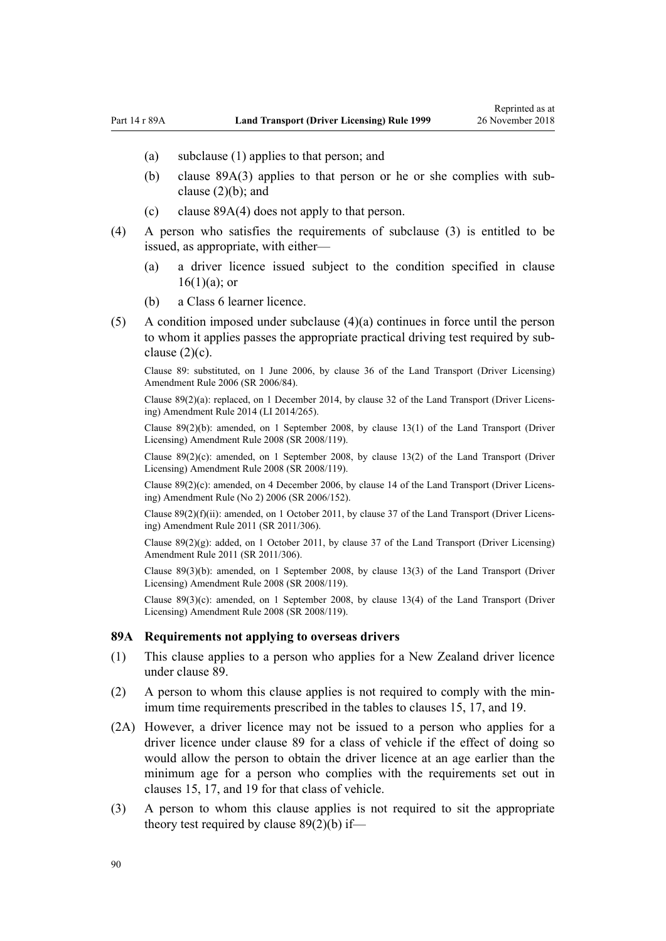- <span id="page-89-0"></span>(a) subclause (1) applies to that person; and
- (b) clause 89A(3) applies to that person or he or she complies with subclause (2)(b); and
- (c) clause 89A(4) does not apply to that person.
- (4) A person who satisfies the requirements of subclause (3) is entitled to be issued, as appropriate, with either—
	- (a) a driver licence issued subject to the condition specified in [clause](#page-26-0)  $16(1)(a)$ ; or
	- (b) a Class 6 learner licence.
- (5) A condition imposed under subclause (4)(a) continues in force until the person to whom it applies passes the appropriate practical driving test required by subclause  $(2)(c)$ .

Clause 89: substituted, on 1 June 2006, by [clause 36](http://legislation.govt.nz/pdflink.aspx?id=DLM376133) of the Land Transport (Driver Licensing) Amendment Rule 2006 (SR 2006/84).

Clause 89(2)(a): replaced, on 1 December 2014, by [clause 32](http://legislation.govt.nz/pdflink.aspx?id=DLM6216946) of the Land Transport (Driver Licensing) Amendment Rule 2014 (LI 2014/265).

Clause 89(2)(b): amended, on 1 September 2008, by [clause 13\(1\)](http://legislation.govt.nz/pdflink.aspx?id=DLM1317919) of the Land Transport (Driver Licensing) Amendment Rule 2008 (SR 2008/119).

Clause  $89(2)(c)$ : amended, on 1 September 2008, by [clause 13\(2\)](http://legislation.govt.nz/pdflink.aspx?id=DLM1317919) of the Land Transport (Driver Licensing) Amendment Rule 2008 (SR 2008/119).

Clause 89(2)(c): amended, on 4 December 2006, by [clause 14](http://legislation.govt.nz/pdflink.aspx?id=DLM386155) of the Land Transport (Driver Licensing) Amendment Rule (No 2) 2006 (SR 2006/152).

Clause  $89(2)(f)(ii)$ : amended, on 1 October 2011, by [clause 37](http://legislation.govt.nz/pdflink.aspx?id=DLM3956744) of the Land Transport (Driver Licensing) Amendment Rule 2011 (SR 2011/306).

Clause  $89(2)(g)$ : added, on 1 October 2011, by [clause 37](http://legislation.govt.nz/pdflink.aspx?id=DLM3956744) of the Land Transport (Driver Licensing) Amendment Rule 2011 (SR 2011/306).

Clause 89(3)(b): amended, on 1 September 2008, by [clause 13\(3\)](http://legislation.govt.nz/pdflink.aspx?id=DLM1317919) of the Land Transport (Driver Licensing) Amendment Rule 2008 (SR 2008/119).

Clause 89(3)(c): amended, on 1 September 2008, by [clause 13\(4\)](http://legislation.govt.nz/pdflink.aspx?id=DLM1317919) of the Land Transport (Driver Licensing) Amendment Rule 2008 (SR 2008/119).

#### **89A Requirements not applying to overseas drivers**

- (1) This clause applies to a person who applies for a New Zealand driver licence under [clause 89](#page-88-0).
- (2) A person to whom this clause applies is not required to comply with the minimum time requirements prescribed in the tables to [clauses 15,](#page-25-0) [17](#page-28-0), and [19.](#page-30-0)
- (2A) However, a driver licence may not be issued to a person who applies for a driver licence under [clause 89](#page-88-0) for a class of vehicle if the effect of doing so would allow the person to obtain the driver licence at an age earlier than the minimum age for a person who complies with the requirements set out in [clauses 15,](#page-25-0) [17](#page-28-0), and [19](#page-30-0) for that class of vehicle.
- (3) A person to whom this clause applies is not required to sit the appropriate theory test required by [clause 89\(2\)\(b\)](#page-88-0) if—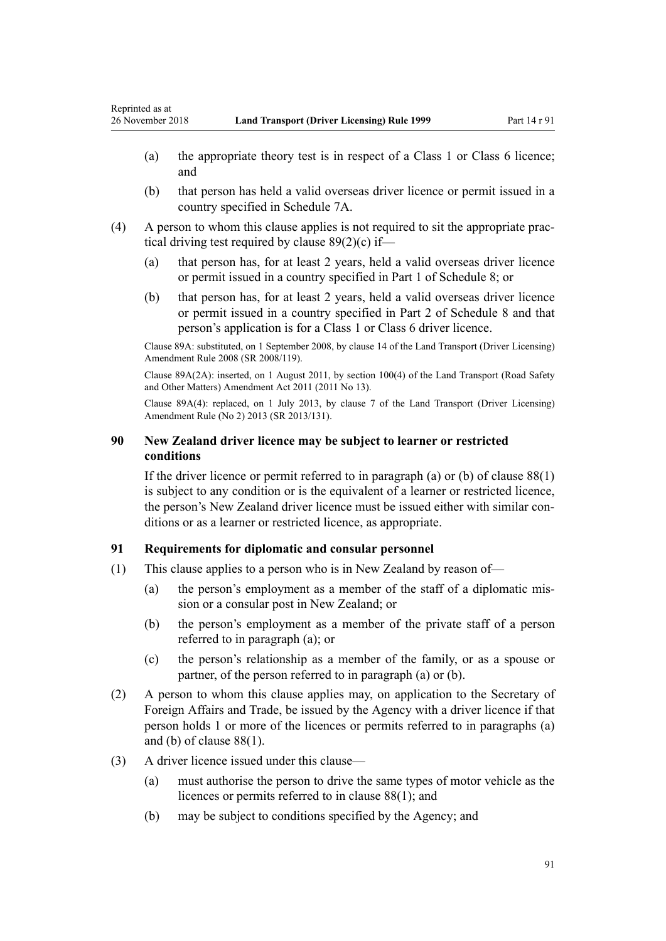- (a) the appropriate theory test is in respect of a Class 1 or Class 6 licence; and
- (b) that person has held a valid overseas driver licence or permit issued in a country specified in [Schedule 7A.](#page-114-0)
- (4) A person to whom this clause applies is not required to sit the appropriate practical driving test required by [clause 89\(2\)\(c\)](#page-88-0) if—
	- (a) that person has, for at least 2 years, held a valid overseas driver licence or permit issued in a country specified in [Part 1](#page-115-0) of Schedule 8; or
	- (b) that person has, for at least 2 years, held a valid overseas driver licence or permit issued in a country specified in [Part 2](#page-116-0) of Schedule 8 and that person's application is for a Class 1 or Class 6 driver licence.

Clause 89A: substituted, on 1 September 2008, by [clause 14](http://legislation.govt.nz/pdflink.aspx?id=DLM1317920) of the Land Transport (Driver Licensing) Amendment Rule 2008 (SR 2008/119).

Clause 89A(2A): inserted, on 1 August 2011, by [section 100\(4\)](http://legislation.govt.nz/pdflink.aspx?id=DLM3231293) of the Land Transport (Road Safety and Other Matters) Amendment Act 2011 (2011 No 13).

Clause 89A(4): replaced, on 1 July 2013, by [clause 7](http://legislation.govt.nz/pdflink.aspx?id=DLM5159812) of the Land Transport (Driver Licensing) Amendment Rule (No 2) 2013 (SR 2013/131).

### **90 New Zealand driver licence may be subject to learner or restricted conditions**

If the driver licence or permit referred to in paragraph (a) or (b) of clause  $88(1)$ is subject to any condition or is the equivalent of a learner or restricted licence, the person's New Zealand driver licence must be issued either with similar conditions or as a learner or restricted licence, as appropriate.

### **91 Requirements for diplomatic and consular personnel**

- (1) This clause applies to a person who is in New Zealand by reason of—
	- (a) the person's employment as a member of the staff of a diplomatic mission or a consular post in New Zealand; or
	- (b) the person's employment as a member of the private staff of a person referred to in paragraph (a); or
	- (c) the person's relationship as a member of the family, or as a spouse or partner, of the person referred to in paragraph (a) or (b).
- (2) A person to whom this clause applies may, on application to the Secretary of Foreign Affairs and Trade, be issued by the Agency with a driver licence if that person holds 1 or more of the licences or permits referred to in paragraphs (a) and (b) of [clause 88\(1\).](#page-86-0)
- (3) A driver licence issued under this clause—
	- (a) must authorise the person to drive the same types of motor vehicle as the licences or permits referred to in [clause 88\(1\)](#page-86-0); and
	- (b) may be subject to conditions specified by the Agency; and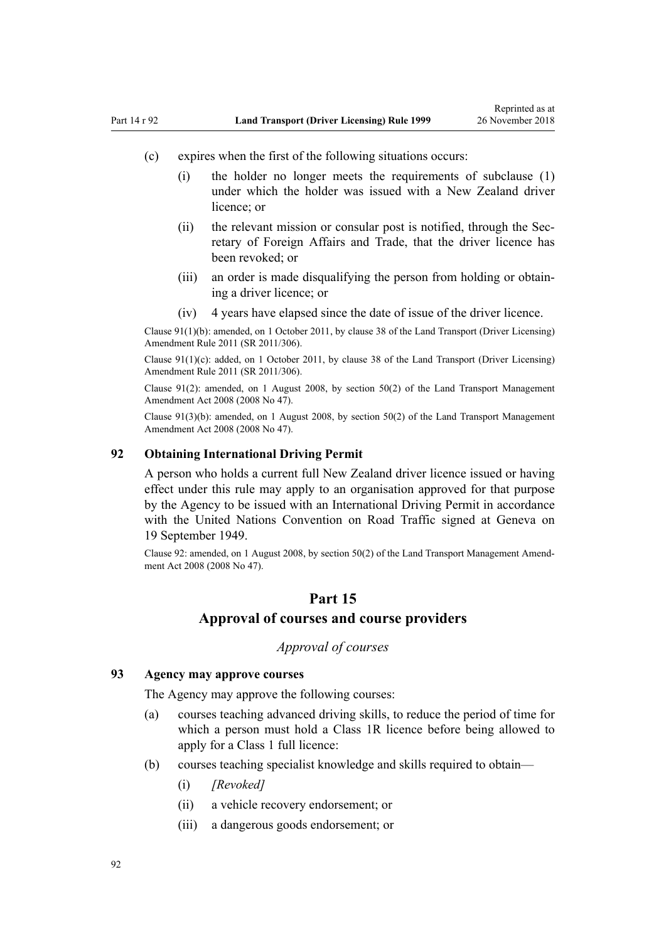- <span id="page-91-0"></span>(c) expires when the first of the following situations occurs:
	- (i) the holder no longer meets the requirements of subclause (1) under which the holder was issued with a New Zealand driver licence; or
	- (ii) the relevant mission or consular post is notified, through the Secretary of Foreign Affairs and Trade, that the driver licence has been revoked; or
	- (iii) an order is made disqualifying the person from holding or obtaining a driver licence; or
	- (iv) 4 years have elapsed since the date of issue of the driver licence.

Clause 91(1)(b): amended, on 1 October 2011, by [clause 38](http://legislation.govt.nz/pdflink.aspx?id=DLM3956745) of the Land Transport (Driver Licensing) Amendment Rule 2011 (SR 2011/306).

Clause 91(1)(c): added, on 1 October 2011, by [clause 38](http://legislation.govt.nz/pdflink.aspx?id=DLM3956745) of the Land Transport (Driver Licensing) Amendment Rule 2011 (SR 2011/306).

Clause 91(2): amended, on 1 August 2008, by [section 50\(2\)](http://legislation.govt.nz/pdflink.aspx?id=DLM1313622) of the Land Transport Management Amendment Act 2008 (2008 No 47).

Clause 91(3)(b): amended, on 1 August 2008, by [section 50\(2\)](http://legislation.govt.nz/pdflink.aspx?id=DLM1313622) of the Land Transport Management Amendment Act 2008 (2008 No 47).

### **92 Obtaining International Driving Permit**

A person who holds a current full New Zealand driver licence issued or having effect under this rule may apply to an organisation approved for that purpose by the Agency to be issued with an International Driving Permit in accordance with the United Nations Convention on Road Traffic signed at Geneva on 19 September 1949.

Clause 92: amended, on 1 August 2008, by [section 50\(2\)](http://legislation.govt.nz/pdflink.aspx?id=DLM1313622) of the Land Transport Management Amendment Act 2008 (2008 No 47).

### **Part 15**

### **Approval of courses and course providers**

### *Approval of courses*

#### **93 Agency may approve courses**

The Agency may approve the following courses:

- (a) courses teaching advanced driving skills, to reduce the period of time for which a person must hold a Class 1R licence before being allowed to apply for a Class 1 full licence:
- (b) courses teaching specialist knowledge and skills required to obtain—
	- (i) *[Revoked]*
	- (ii) a vehicle recovery endorsement; or
	- (iii) a dangerous goods endorsement; or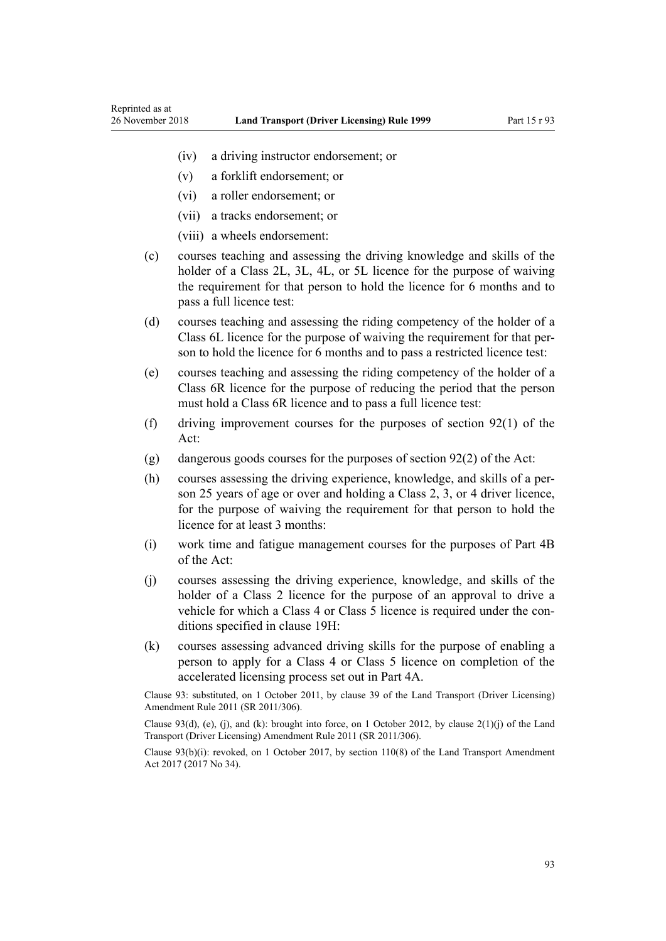- (iv) a driving instructor endorsement; or
- (v) a forklift endorsement; or
- (vi) a roller endorsement; or

Reprinted as at

- (vii) a tracks endorsement; or
- (viii) a wheels endorsement:
- (c) courses teaching and assessing the driving knowledge and skills of the holder of a Class 2L, 3L, 4L, or 5L licence for the purpose of waiving the requirement for that person to hold the licence for 6 months and to pass a full licence test:
- (d) courses teaching and assessing the riding competency of the holder of a Class 6L licence for the purpose of waiving the requirement for that person to hold the licence for 6 months and to pass a restricted licence test:
- (e) courses teaching and assessing the riding competency of the holder of a Class 6R licence for the purpose of reducing the period that the person must hold a Class 6R licence and to pass a full licence test:
- (f) driving improvement courses for the purposes of [section 92\(1\)](http://legislation.govt.nz/pdflink.aspx?id=DLM435016) of the Act:
- (g) dangerous goods courses for the purposes of [section 92\(2\)](http://legislation.govt.nz/pdflink.aspx?id=DLM435016) of the Act:
- (h) courses assessing the driving experience, knowledge, and skills of a person 25 years of age or over and holding a Class 2, 3, or 4 driver licence, for the purpose of waiving the requirement for that person to hold the licence for at least 3 months:
- (i) work time and fatigue management courses for the purposes of [Part 4B](http://legislation.govt.nz/pdflink.aspx?id=DLM434620) of the Act:
- (j) courses assessing the driving experience, knowledge, and skills of the holder of a Class 2 licence for the purpose of an approval to drive a vehicle for which a Class 4 or Class 5 licence is required under the conditions specified in [clause 19H](#page-35-0):
- (k) courses assessing advanced driving skills for the purpose of enabling a person to apply for a Class 4 or Class 5 licence on completion of the accelerated licensing process set out in [Part 4A](#page-33-0).

Clause 93: substituted, on 1 October 2011, by [clause 39](http://legislation.govt.nz/pdflink.aspx?id=DLM3956519) of the Land Transport (Driver Licensing) Amendment Rule 2011 (SR 2011/306).

Clause 93(d), (e), (j), and (k): brought into force, on 1 October 2012, by clause  $2(1)(i)$  of the Land Transport (Driver Licensing) Amendment Rule 2011 (SR 2011/306).

Clause 93(b)(i): revoked, on 1 October 2017, by [section 110\(8\)](http://legislation.govt.nz/pdflink.aspx?id=DLM6960929) of the Land Transport Amendment Act 2017 (2017 No 34).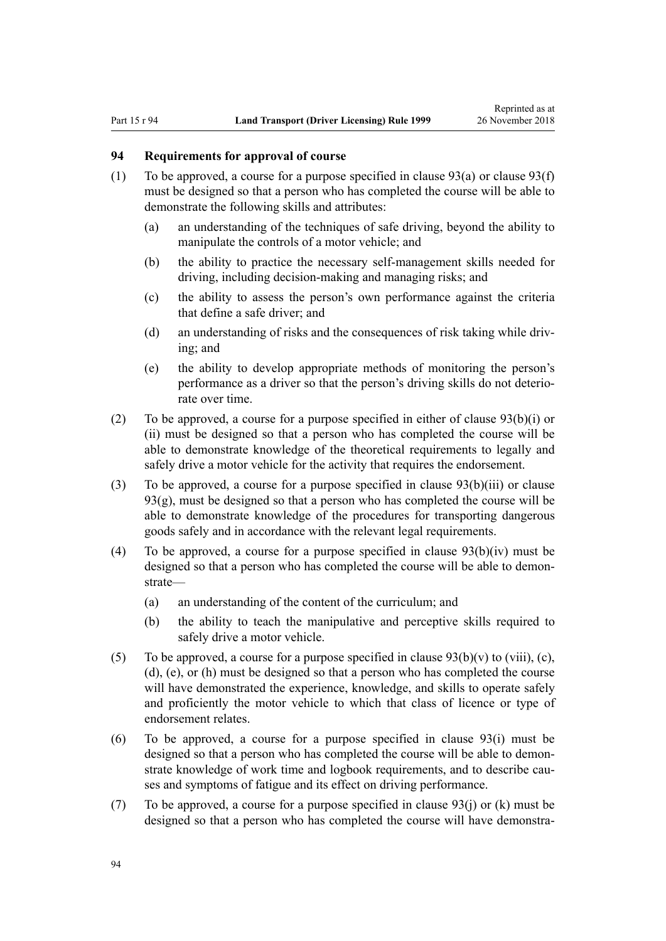### <span id="page-93-0"></span>**94 Requirements for approval of course**

- (1) To be approved, a course for a purpose specified in clause  $93(a)$  or clause  $93(f)$ must be designed so that a person who has completed the course will be able to demonstrate the following skills and attributes:
	- (a) an understanding of the techniques of safe driving, beyond the ability to manipulate the controls of a motor vehicle; and
	- (b) the ability to practice the necessary self-management skills needed for driving, including decision-making and managing risks; and
	- (c) the ability to assess the person's own performance against the criteria that define a safe driver; and
	- (d) an understanding of risks and the consequences of risk taking while driving; and
	- (e) the ability to develop appropriate methods of monitoring the person's performance as a driver so that the person's driving skills do not deteriorate over time.
- (2) To be approved, a course for a purpose specified in either of [clause 93\(b\)\(i\) or](#page-91-0) [\(ii\)](#page-91-0) must be designed so that a person who has completed the course will be able to demonstrate knowledge of the theoretical requirements to legally and safely drive a motor vehicle for the activity that requires the endorsement.
- (3) To be approved, a course for a purpose specified in [clause 93\(b\)\(iii\)](#page-91-0) or clause 93(g), must be designed so that a person who has completed the course will be able to demonstrate knowledge of the procedures for transporting dangerous goods safely and in accordance with the relevant legal requirements.
- (4) To be approved, a course for a purpose specified in clause  $93(b)(iv)$  must be designed so that a person who has completed the course will be able to demonstrate—
	- (a) an understanding of the content of the curriculum; and
	- (b) the ability to teach the manipulative and perceptive skills required to safely drive a motor vehicle.
- (5) To be approved, a course for a purpose specified in clause  $93(b)(v)$  to (viii), (c), [\(d\), \(e\), or \(h\)](#page-91-0) must be designed so that a person who has completed the course will have demonstrated the experience, knowledge, and skills to operate safely and proficiently the motor vehicle to which that class of licence or type of endorsement relates.
- (6) To be approved, a course for a purpose specified in [clause 93\(i\)](#page-91-0) must be designed so that a person who has completed the course will be able to demonstrate knowledge of work time and logbook requirements, and to describe causes and symptoms of fatigue and its effect on driving performance.
- (7) To be approved, a course for a purpose specified in [clause 93\(j\) or \(k\)](#page-91-0) must be designed so that a person who has completed the course will have demonstra-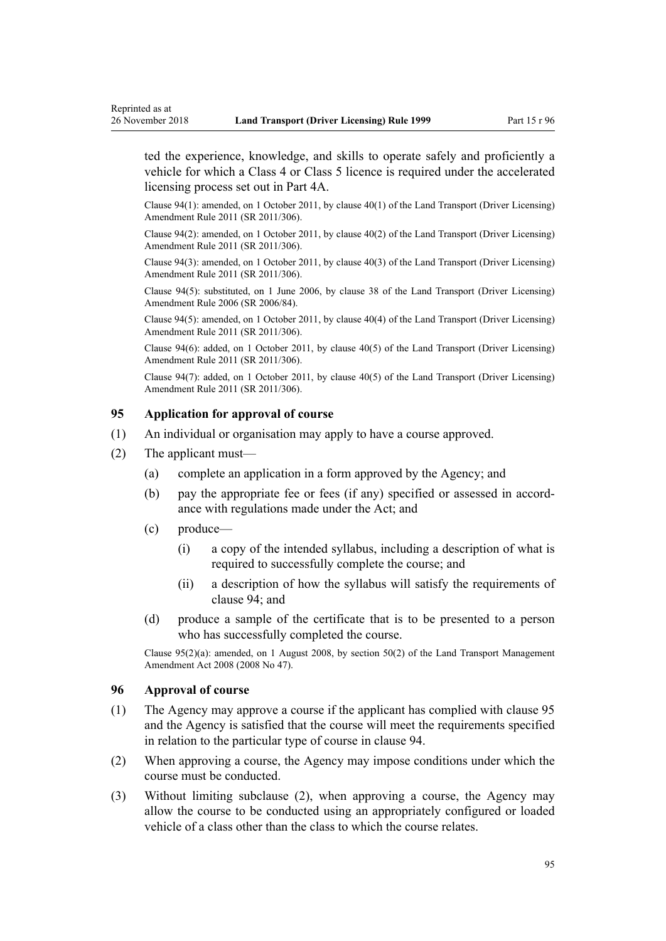<span id="page-94-0"></span>Reprinted as at

ted the experience, knowledge, and skills to operate safely and proficiently a vehicle for which a Class 4 or Class 5 licence is required under the accelerated licensing process set out in [Part 4A](#page-33-0).

Clause 94(1): amended, on 1 October 2011, by [clause 40\(1\)](http://legislation.govt.nz/pdflink.aspx?id=DLM3956521) of the Land Transport (Driver Licensing) Amendment Rule 2011 (SR 2011/306).

Clause 94(2): amended, on 1 October 2011, by [clause 40\(2\)](http://legislation.govt.nz/pdflink.aspx?id=DLM3956521) of the Land Transport (Driver Licensing) Amendment Rule 2011 (SR 2011/306).

Clause 94(3): amended, on 1 October 2011, by [clause 40\(3\)](http://legislation.govt.nz/pdflink.aspx?id=DLM3956521) of the Land Transport (Driver Licensing) Amendment Rule 2011 (SR 2011/306).

Clause 94(5): substituted, on 1 June 2006, by [clause 38](http://legislation.govt.nz/pdflink.aspx?id=DLM376137) of the Land Transport (Driver Licensing) Amendment Rule 2006 (SR 2006/84).

Clause 94(5): amended, on 1 October 2011, by [clause 40\(4\)](http://legislation.govt.nz/pdflink.aspx?id=DLM3956521) of the Land Transport (Driver Licensing) Amendment Rule 2011 (SR 2011/306).

Clause 94(6): added, on 1 October 2011, by [clause 40\(5\)](http://legislation.govt.nz/pdflink.aspx?id=DLM3956521) of the Land Transport (Driver Licensing) Amendment Rule 2011 (SR 2011/306).

Clause 94(7): added, on 1 October 2011, by [clause 40\(5\)](http://legislation.govt.nz/pdflink.aspx?id=DLM3956521) of the Land Transport (Driver Licensing) Amendment Rule 2011 (SR 2011/306).

### **95 Application for approval of course**

- (1) An individual or organisation may apply to have a course approved.
- (2) The applicant must—
	- (a) complete an application in a form approved by the Agency; and
	- (b) pay the appropriate fee or fees (if any) specified or assessed in accordance with regulations made under the Act; and
	- (c) produce—
		- (i) a copy of the intended syllabus, including a description of what is required to successfully complete the course; and
		- (ii) a description of how the syllabus will satisfy the requirements of [clause 94](#page-93-0); and
	- (d) produce a sample of the certificate that is to be presented to a person who has successfully completed the course.

Clause 95(2)(a): amended, on 1 August 2008, by [section 50\(2\)](http://legislation.govt.nz/pdflink.aspx?id=DLM1313622) of the Land Transport Management Amendment Act 2008 (2008 No 47).

#### **96 Approval of course**

- (1) The Agency may approve a course if the applicant has complied with clause 95 and the Agency is satisfied that the course will meet the requirements specified in relation to the particular type of course in [clause 94.](#page-93-0)
- (2) When approving a course, the Agency may impose conditions under which the course must be conducted.
- (3) Without limiting subclause (2), when approving a course, the Agency may allow the course to be conducted using an appropriately configured or loaded vehicle of a class other than the class to which the course relates.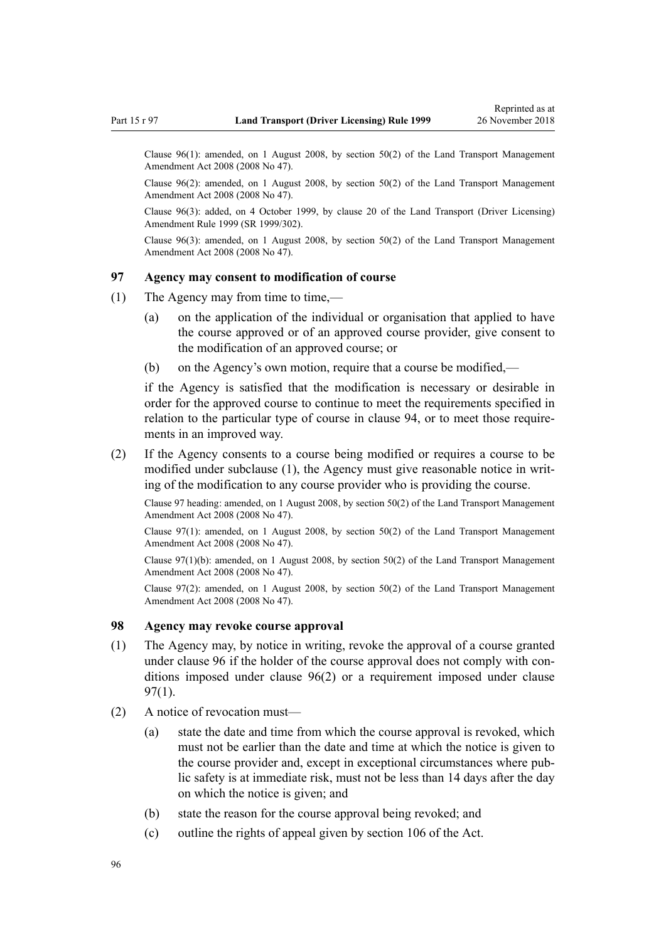Clause 96(1): amended, on 1 August 2008, by [section 50\(2\)](http://legislation.govt.nz/pdflink.aspx?id=DLM1313622) of the Land Transport Management Amendment Act 2008 (2008 No 47).

Clause 96(2): amended, on 1 August 2008, by [section 50\(2\)](http://legislation.govt.nz/pdflink.aspx?id=DLM1313622) of the Land Transport Management Amendment Act 2008 (2008 No 47).

Clause 96(3): added, on 4 October 1999, by [clause 20](http://legislation.govt.nz/pdflink.aspx?id=DLM293689) of the Land Transport (Driver Licensing) Amendment Rule 1999 (SR 1999/302).

Clause  $96(3)$ : amended, on 1 August 2008, by [section 50\(2\)](http://legislation.govt.nz/pdflink.aspx?id=DLM1313622) of the Land Transport Management Amendment Act 2008 (2008 No 47).

### **97 Agency may consent to modification of course**

- (1) The Agency may from time to time,—
	- (a) on the application of the individual or organisation that applied to have the course approved or of an approved course provider, give consent to the modification of an approved course; or
	- (b) on the Agency's own motion, require that a course be modified,—

if the Agency is satisfied that the modification is necessary or desirable in order for the approved course to continue to meet the requirements specified in relation to the particular type of course in [clause 94](#page-93-0), or to meet those requirements in an improved way.

(2) If the Agency consents to a course being modified or requires a course to be modified under subclause (1), the Agency must give reasonable notice in writing of the modification to any course provider who is providing the course.

Clause 97 heading: amended, on 1 August 2008, by [section 50\(2\)](http://legislation.govt.nz/pdflink.aspx?id=DLM1313622) of the Land Transport Management Amendment Act 2008 (2008 No 47).

Clause 97(1): amended, on 1 August 2008, by [section 50\(2\)](http://legislation.govt.nz/pdflink.aspx?id=DLM1313622) of the Land Transport Management Amendment Act 2008 (2008 No 47).

Clause 97(1)(b): amended, on 1 August 2008, by [section 50\(2\)](http://legislation.govt.nz/pdflink.aspx?id=DLM1313622) of the Land Transport Management Amendment Act 2008 (2008 No 47).

Clause 97(2): amended, on 1 August 2008, by [section 50\(2\)](http://legislation.govt.nz/pdflink.aspx?id=DLM1313622) of the Land Transport Management Amendment Act 2008 (2008 No 47).

#### **98 Agency may revoke course approval**

- (1) The Agency may, by notice in writing, revoke the approval of a course granted under [clause 96](#page-94-0) if the holder of the course approval does not comply with conditions imposed under [clause 96\(2\)](#page-94-0) or a requirement imposed under clause 97(1).
- (2) A notice of revocation must—
	- (a) state the date and time from which the course approval is revoked, which must not be earlier than the date and time at which the notice is given to the course provider and, except in exceptional circumstances where public safety is at immediate risk, must not be less than 14 days after the day on which the notice is given; and
	- (b) state the reason for the course approval being revoked; and
	- (c) outline the rights of appeal given by [section 106](http://legislation.govt.nz/pdflink.aspx?id=DLM435083) of the Act.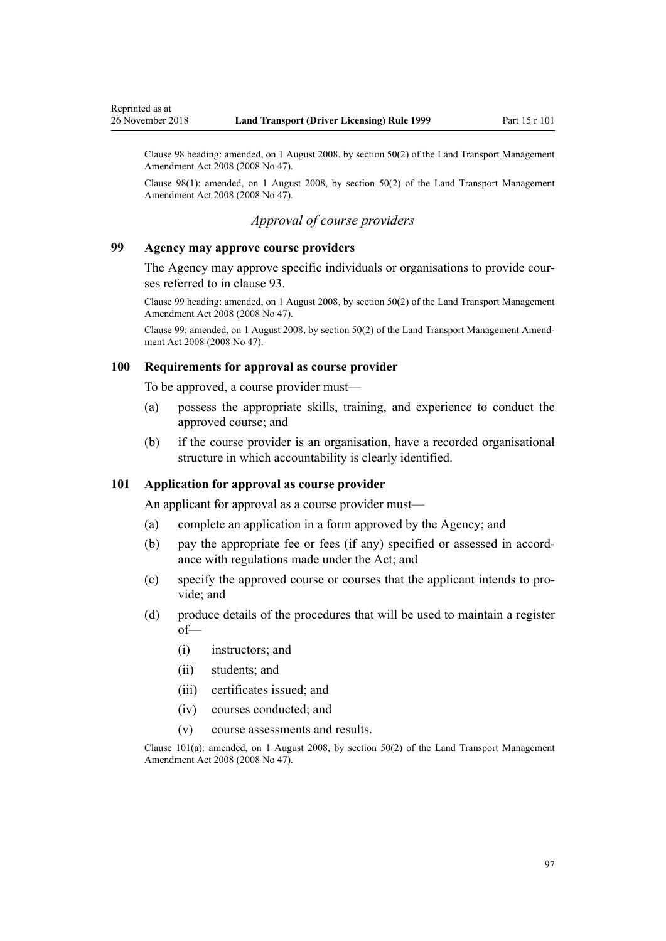<span id="page-96-0"></span>Clause 98 heading: amended, on 1 August 2008, by [section 50\(2\)](http://legislation.govt.nz/pdflink.aspx?id=DLM1313622) of the Land Transport Management Amendment Act 2008 (2008 No 47).

Clause 98(1): amended, on 1 August 2008, by [section 50\(2\)](http://legislation.govt.nz/pdflink.aspx?id=DLM1313622) of the Land Transport Management Amendment Act 2008 (2008 No 47).

### *Approval of course providers*

#### **99 Agency may approve course providers**

The Agency may approve specific individuals or organisations to provide courses referred to in [clause 93](#page-91-0).

Clause 99 heading: amended, on 1 August 2008, by [section 50\(2\)](http://legislation.govt.nz/pdflink.aspx?id=DLM1313622) of the Land Transport Management Amendment Act 2008 (2008 No 47).

Clause 99: amended, on 1 August 2008, by [section 50\(2\)](http://legislation.govt.nz/pdflink.aspx?id=DLM1313622) of the Land Transport Management Amendment Act 2008 (2008 No 47).

#### **100 Requirements for approval as course provider**

To be approved, a course provider must—

- (a) possess the appropriate skills, training, and experience to conduct the approved course; and
- (b) if the course provider is an organisation, have a recorded organisational structure in which accountability is clearly identified.

### **101 Application for approval as course provider**

An applicant for approval as a course provider must—

- (a) complete an application in a form approved by the Agency; and
- (b) pay the appropriate fee or fees (if any) specified or assessed in accordance with regulations made under the Act; and
- (c) specify the approved course or courses that the applicant intends to provide; and
- (d) produce details of the procedures that will be used to maintain a register of—
	- (i) instructors; and
	- (ii) students; and
	- (iii) certificates issued; and
	- (iv) courses conducted; and
	- (v) course assessments and results.

Clause  $101(a)$ : amended, on 1 August 2008, by [section 50\(2\)](http://legislation.govt.nz/pdflink.aspx?id=DLM1313622) of the Land Transport Management Amendment Act 2008 (2008 No 47).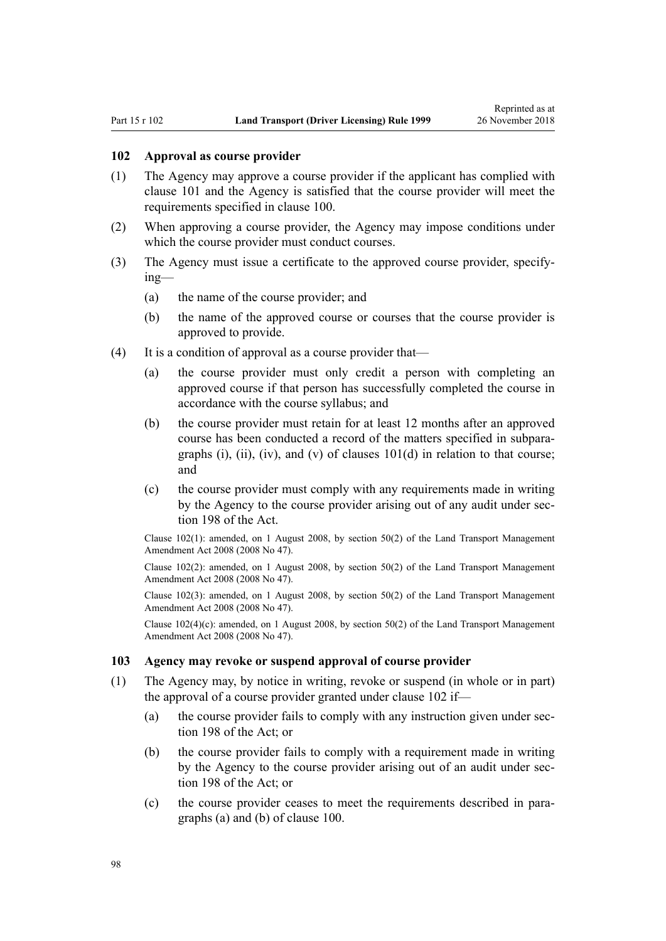#### **102 Approval as course provider**

- (1) The Agency may approve a course provider if the applicant has complied with [clause 101](#page-96-0) and the Agency is satisfied that the course provider will meet the requirements specified in [clause 100](#page-96-0).
- (2) When approving a course provider, the Agency may impose conditions under which the course provider must conduct courses.
- (3) The Agency must issue a certificate to the approved course provider, specifying—
	- (a) the name of the course provider; and
	- (b) the name of the approved course or courses that the course provider is approved to provide.
- (4) It is a condition of approval as a course provider that—
	- (a) the course provider must only credit a person with completing an approved course if that person has successfully completed the course in accordance with the course syllabus; and
	- (b) the course provider must retain for at least 12 months after an approved course has been conducted a record of the matters specified in subparagraphs (i), (ii), (iv), and (v) of clauses  $101(d)$  in relation to that course; and
	- (c) the course provider must comply with any requirements made in writing by the Agency to the course provider arising out of any audit under [sec](http://legislation.govt.nz/pdflink.aspx?id=DLM435602)[tion 198](http://legislation.govt.nz/pdflink.aspx?id=DLM435602) of the Act.

Clause 102(1): amended, on 1 August 2008, by [section 50\(2\)](http://legislation.govt.nz/pdflink.aspx?id=DLM1313622) of the Land Transport Management Amendment Act 2008 (2008 No 47).

Clause 102(2): amended, on 1 August 2008, by [section 50\(2\)](http://legislation.govt.nz/pdflink.aspx?id=DLM1313622) of the Land Transport Management Amendment Act 2008 (2008 No 47).

Clause 102(3): amended, on 1 August 2008, by [section 50\(2\)](http://legislation.govt.nz/pdflink.aspx?id=DLM1313622) of the Land Transport Management Amendment Act 2008 (2008 No 47).

Clause  $102(4)(c)$ : amended, on 1 August 2008, by [section 50\(2\)](http://legislation.govt.nz/pdflink.aspx?id=DLM1313622) of the Land Transport Management Amendment Act 2008 (2008 No 47).

#### **103 Agency may revoke or suspend approval of course provider**

- (1) The Agency may, by notice in writing, revoke or suspend (in whole or in part) the approval of a course provider granted under clause 102 if—
	- (a) the course provider fails to comply with any instruction given under [sec](http://legislation.govt.nz/pdflink.aspx?id=DLM435602)[tion 198](http://legislation.govt.nz/pdflink.aspx?id=DLM435602) of the Act: or
	- (b) the course provider fails to comply with a requirement made in writing by the Agency to the course provider arising out of an audit under [sec](http://legislation.govt.nz/pdflink.aspx?id=DLM435602)[tion 198](http://legislation.govt.nz/pdflink.aspx?id=DLM435602) of the Act; or
	- (c) the course provider ceases to meet the requirements described in paragraphs (a) and (b) of [clause 100](#page-96-0).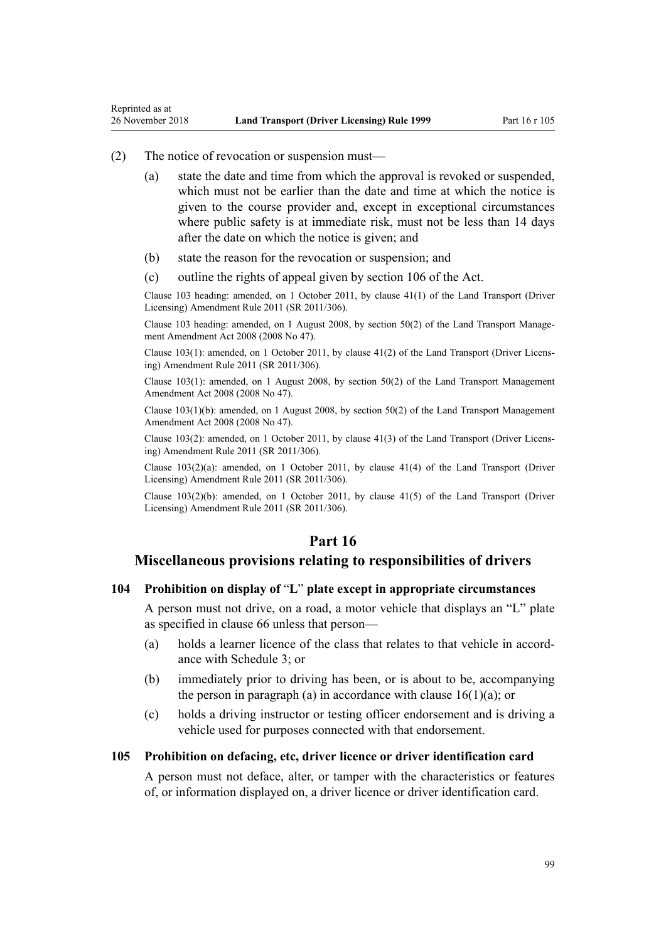#### (2) The notice of revocation or suspension must—

Reprinted as at

- (a) state the date and time from which the approval is revoked or suspended, which must not be earlier than the date and time at which the notice is given to the course provider and, except in exceptional circumstances where public safety is at immediate risk, must not be less than 14 days after the date on which the notice is given; and
- (b) state the reason for the revocation or suspension; and
- (c) outline the rights of appeal given by [section 106](http://legislation.govt.nz/pdflink.aspx?id=DLM435083) of the Act.

Clause 103 heading: amended, on 1 October 2011, by [clause 41\(1\)](http://legislation.govt.nz/pdflink.aspx?id=DLM3956747) of the Land Transport (Driver Licensing) Amendment Rule 2011 (SR 2011/306).

Clause 103 heading: amended, on 1 August 2008, by [section 50\(2\)](http://legislation.govt.nz/pdflink.aspx?id=DLM1313622) of the Land Transport Management Amendment Act 2008 (2008 No 47).

Clause 103(1): amended, on 1 October 2011, by [clause 41\(2\)](http://legislation.govt.nz/pdflink.aspx?id=DLM3956747) of the Land Transport (Driver Licensing) Amendment Rule 2011 (SR 2011/306).

Clause 103(1): amended, on 1 August 2008, by [section 50\(2\)](http://legislation.govt.nz/pdflink.aspx?id=DLM1313622) of the Land Transport Management Amendment Act 2008 (2008 No 47).

Clause 103(1)(b): amended, on 1 August 2008, by [section 50\(2\)](http://legislation.govt.nz/pdflink.aspx?id=DLM1313622) of the Land Transport Management Amendment Act 2008 (2008 No 47).

Clause 103(2): amended, on 1 October 2011, by [clause 41\(3\)](http://legislation.govt.nz/pdflink.aspx?id=DLM3956747) of the Land Transport (Driver Licensing) Amendment Rule 2011 (SR 2011/306).

Clause 103(2)(a): amended, on 1 October 2011, by [clause 41\(4\)](http://legislation.govt.nz/pdflink.aspx?id=DLM3956747) of the Land Transport (Driver Licensing) Amendment Rule 2011 (SR 2011/306).

Clause  $103(2)(b)$ : amended, on 1 October 2011, by clause  $41(5)$  of the Land Transport (Driver Licensing) Amendment Rule 2011 (SR 2011/306).

### **Part 16**

### **Miscellaneous provisions relating to responsibilities of drivers**

#### **104 Prohibition on display of** "**L**" **plate except in appropriate circumstances**

A person must not drive, on a road, a motor vehicle that displays an "L" plate as specified in [clause 66](#page-66-0) unless that person—

- (a) holds a learner licence of the class that relates to that vehicle in accordance with [Schedule 3](#page-110-0); or
- (b) immediately prior to driving has been, or is about to be, accompanying the person in paragraph (a) in accordance with clause  $16(1)(a)$ ; or
- (c) holds a driving instructor or testing officer endorsement and is driving a vehicle used for purposes connected with that endorsement.

### **105 Prohibition on defacing, etc, driver licence or driver identification card**

A person must not deface, alter, or tamper with the characteristics or features of, or information displayed on, a driver licence or driver identification card.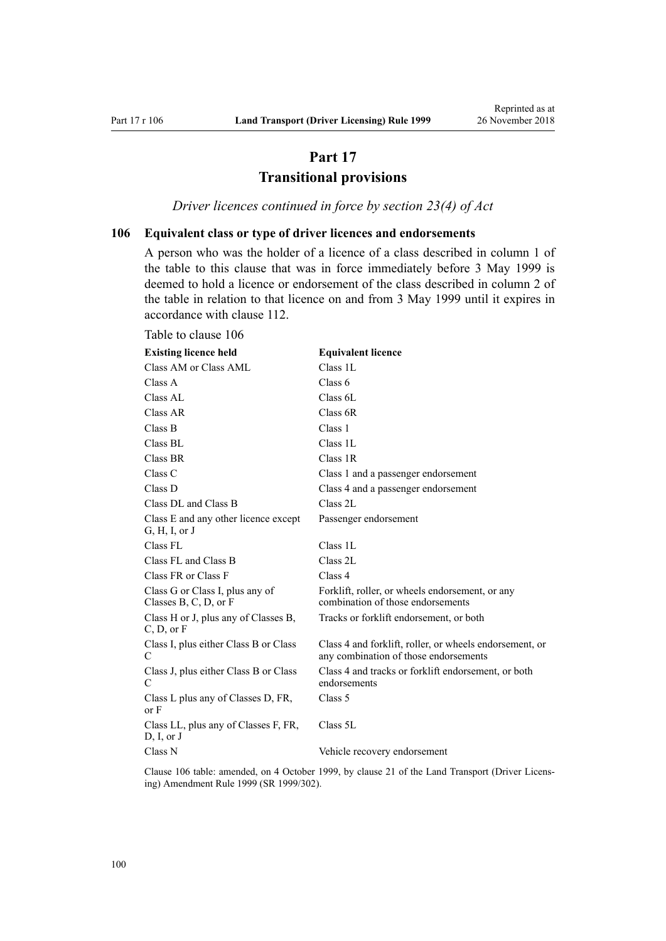# **Part 17 Transitional provisions**

*Driver licences continued in force by section 23(4) of Act*

### <span id="page-99-0"></span>**106 Equivalent class or type of driver licences and endorsements**

A person who was the holder of a licence of a class described in column 1 of the table to this clause that was in force immediately before 3 May 1999 is deemed to hold a licence or endorsement of the class described in column 2 of the table in relation to that licence on and from 3 May 1999 until it expires in accordance with [clause 112.](#page-101-0)

| <b>Existing licence held</b>                               | <b>Equivalent licence</b>                                                                        |
|------------------------------------------------------------|--------------------------------------------------------------------------------------------------|
| Class AM or Class AML                                      | Class 1L                                                                                         |
| Class A                                                    | Class 6                                                                                          |
| Class AL                                                   | Class 6L                                                                                         |
| Class AR                                                   | Class 6R                                                                                         |
| Class B                                                    | Class 1                                                                                          |
| Class BL                                                   | Class 1L                                                                                         |
| Class BR                                                   | Class 1R                                                                                         |
| Class C                                                    | Class 1 and a passenger endorsement                                                              |
| Class D                                                    | Class 4 and a passenger endorsement                                                              |
| Class DL and Class B                                       | Class 2L                                                                                         |
| Class E and any other licence except<br>G, H, I, or J      | Passenger endorsement                                                                            |
| Class FL                                                   | Class 1L                                                                                         |
| Class FL and Class B                                       | Class 2L                                                                                         |
| Class FR or Class F                                        | Class 4                                                                                          |
| Class G or Class I, plus any of<br>Classes B, C, D, or $F$ | Forklift, roller, or wheels endorsement, or any<br>combination of those endorsements             |
| Class H or J, plus any of Classes B,<br>C, D, or F         | Tracks or forklift endorsement, or both                                                          |
| Class I, plus either Class B or Class<br>C                 | Class 4 and forklift, roller, or wheels endorsement, or<br>any combination of those endorsements |
| Class J, plus either Class B or Class<br>C                 | Class 4 and tracks or forklift endorsement, or both<br>endorsements                              |
| Class L plus any of Classes D, FR,<br>or F                 | Class 5                                                                                          |
| Class LL, plus any of Classes F, FR,<br>D, I, or J         | Class 5L                                                                                         |
| Class N                                                    | Vehicle recovery endorsement                                                                     |

Clause 106 table: amended, on 4 October 1999, by [clause 21](http://legislation.govt.nz/pdflink.aspx?id=DLM293690) of the Land Transport (Driver Licensing) Amendment Rule 1999 (SR 1999/302).

#### Table to clause 106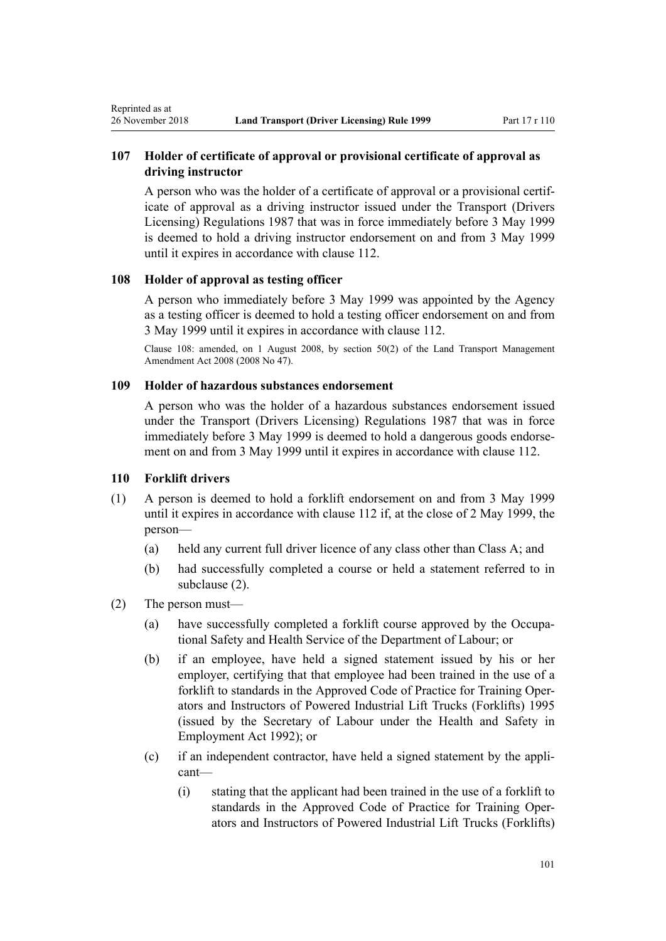### **107 Holder of certificate of approval or provisional certificate of approval as driving instructor**

A person who was the holder of a certificate of approval or a provisional certificate of approval as a driving instructor issued under the Transport (Drivers Licensing) Regulations 1987 that was in force immediately before 3 May 1999 is deemed to hold a driving instructor endorsement on and from 3 May 1999 until it expires in accordance with [clause 112.](#page-101-0)

### **108 Holder of approval as testing officer**

A person who immediately before 3 May 1999 was appointed by the Agency as a testing officer is deemed to hold a testing officer endorsement on and from 3 May 1999 until it expires in accordance with [clause 112](#page-101-0).

Clause 108: amended, on 1 August 2008, by [section 50\(2\)](http://legislation.govt.nz/pdflink.aspx?id=DLM1313622) of the Land Transport Management Amendment Act 2008 (2008 No 47).

### **109 Holder of hazardous substances endorsement**

A person who was the holder of a hazardous substances endorsement issued under the Transport (Drivers Licensing) Regulations 1987 that was in force immediately before 3 May 1999 is deemed to hold a dangerous goods endorsement on and from 3 May 1999 until it expires in accordance with [clause 112](#page-101-0).

#### **110 Forklift drivers**

<span id="page-100-0"></span>Reprinted as at

- (1) A person is deemed to hold a forklift endorsement on and from 3 May 1999 until it expires in accordance with [clause 112](#page-101-0) if, at the close of 2 May 1999, the person—
	- (a) held any current full driver licence of any class other than Class A; and
	- (b) had successfully completed a course or held a statement referred to in subclause (2).
- (2) The person must—
	- (a) have successfully completed a forklift course approved by the Occupational Safety and Health Service of the Department of Labour; or
	- (b) if an employee, have held a signed statement issued by his or her employer, certifying that that employee had been trained in the use of a forklift to standards in the Approved Code of Practice for Training Operators and Instructors of Powered Industrial Lift Trucks (Forklifts) 1995 (issued by the Secretary of Labour under the [Health and Safety in](http://legislation.govt.nz/pdflink.aspx?id=DLM278828) [Employment Act 1992\)](http://legislation.govt.nz/pdflink.aspx?id=DLM278828); or
	- (c) if an independent contractor, have held a signed statement by the applicant—
		- (i) stating that the applicant had been trained in the use of a forklift to standards in the Approved Code of Practice for Training Operators and Instructors of Powered Industrial Lift Trucks (Forklifts)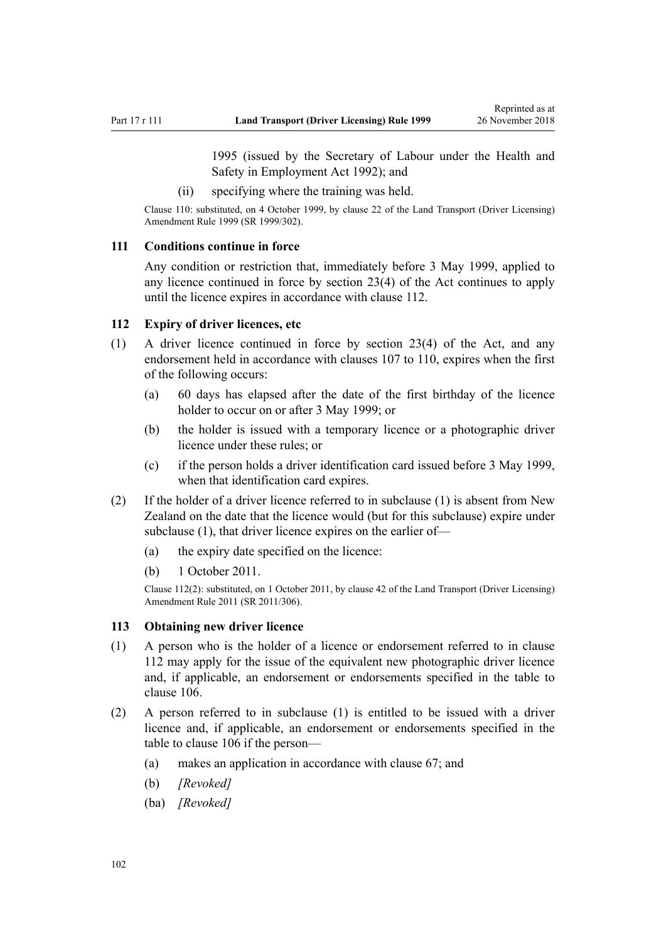1995 (issued by the Secretary of Labour under the [Health and](http://legislation.govt.nz/pdflink.aspx?id=DLM278828) [Safety in Employment Act 1992](http://legislation.govt.nz/pdflink.aspx?id=DLM278828)); and

(ii) specifying where the training was held.

<span id="page-101-0"></span>Clause 110: substituted, on 4 October 1999, by [clause 22](http://legislation.govt.nz/pdflink.aspx?id=DLM293692) of the Land Transport (Driver Licensing) Amendment Rule 1999 (SR 1999/302).

#### **111 Conditions continue in force**

Any condition or restriction that, immediately before 3 May 1999, applied to any licence continued in force by [section 23\(4\)](http://legislation.govt.nz/pdflink.aspx?id=DLM434552) of the Act continues to apply until the licence expires in accordance with clause 112.

#### **112 Expiry of driver licences, etc**

- (1) A driver licence continued in force by [section 23\(4\)](http://legislation.govt.nz/pdflink.aspx?id=DLM434552) of the Act, and any endorsement held in accordance with [clauses 107 to 110](#page-100-0), expires when the first of the following occurs:
	- (a) 60 days has elapsed after the date of the first birthday of the licence holder to occur on or after 3 May 1999; or
	- (b) the holder is issued with a temporary licence or a photographic driver licence under these rules; or
	- (c) if the person holds a driver identification card issued before 3 May 1999, when that identification card expires.
- (2) If the holder of a driver licence referred to in subclause (1) is absent from New Zealand on the date that the licence would (but for this subclause) expire under subclause (1), that driver licence expires on the earlier of—
	- (a) the expiry date specified on the licence:
	- (b) 1 October 2011.

Clause 112(2): substituted, on 1 October 2011, by [clause 42](http://legislation.govt.nz/pdflink.aspx?id=DLM3956748) of the Land Transport (Driver Licensing) Amendment Rule 2011 (SR 2011/306).

#### **113 Obtaining new driver licence**

- (1) A person who is the holder of a licence or endorsement referred to in clause 112 may apply for the issue of the equivalent new photographic driver licence and, if applicable, an endorsement or endorsements specified in the table to [clause 106](#page-99-0).
- (2) A person referred to in subclause (1) is entitled to be issued with a driver licence and, if applicable, an endorsement or endorsements specified in the table to [clause 106](#page-99-0) if the person—
	- (a) makes an application in accordance with [clause 67;](#page-67-0) and
	- (b) *[Revoked]*
	- (ba) *[Revoked]*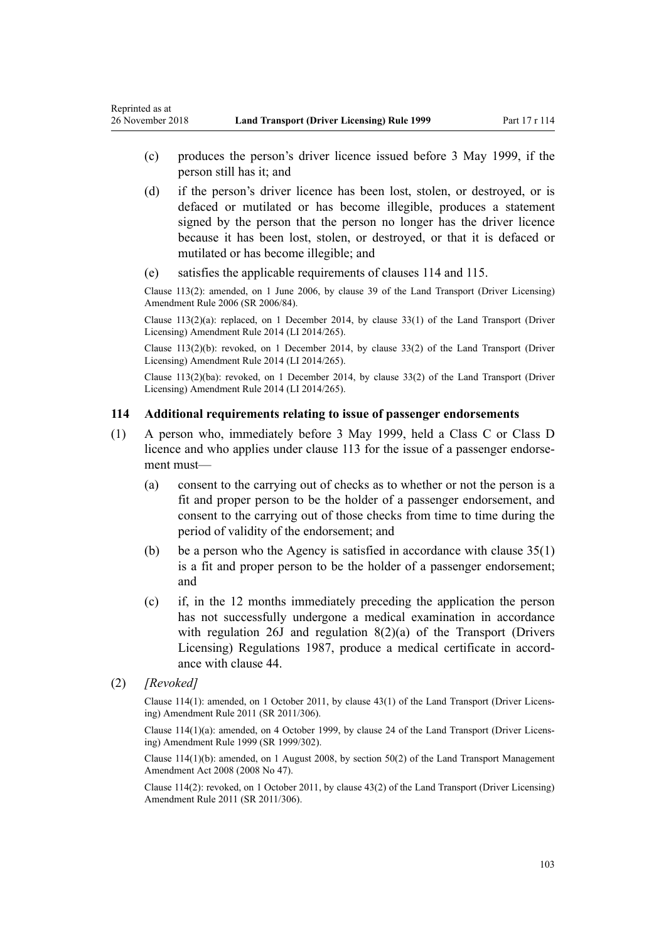- (c) produces the person's driver licence issued before 3 May 1999, if the person still has it; and
- (d) if the person's driver licence has been lost, stolen, or destroyed, or is defaced or mutilated or has become illegible, produces a statement signed by the person that the person no longer has the driver licence because it has been lost, stolen, or destroyed, or that it is defaced or mutilated or has become illegible; and
- (e) satisfies the applicable requirements of clauses 114 and [115.](#page-103-0)

Clause 113(2): amended, on 1 June 2006, by [clause 39](http://legislation.govt.nz/pdflink.aspx?id=DLM376138) of the Land Transport (Driver Licensing) Amendment Rule 2006 (SR 2006/84).

Clause  $113(2)(a)$ : replaced, on 1 December 2014, by [clause 33\(1\)](http://legislation.govt.nz/pdflink.aspx?id=DLM6216947) of the Land Transport (Driver Licensing) Amendment Rule 2014 (LI 2014/265).

Clause 113(2)(b): revoked, on 1 December 2014, by [clause 33\(2\)](http://legislation.govt.nz/pdflink.aspx?id=DLM6216947) of the Land Transport (Driver Licensing) Amendment Rule 2014 (LI 2014/265).

Clause 113(2)(ba): revoked, on 1 December 2014, by [clause 33\(2\)](http://legislation.govt.nz/pdflink.aspx?id=DLM6216947) of the Land Transport (Driver Licensing) Amendment Rule 2014 (LI 2014/265).

#### **114 Additional requirements relating to issue of passenger endorsements**

- (1) A person who, immediately before 3 May 1999, held a Class C or Class D licence and who applies under [clause 113](#page-101-0) for the issue of a passenger endorsement must—
	- (a) consent to the carrying out of checks as to whether or not the person is a fit and proper person to be the holder of a passenger endorsement, and consent to the carrying out of those checks from time to time during the period of validity of the endorsement; and
	- (b) be a person who the Agency is satisfied in accordance with [clause 35\(1\)](#page-46-0) is a fit and proper person to be the holder of a passenger endorsement; and
	- (c) if, in the 12 months immediately preceding the application the person has not successfully undergone a medical examination in accordance with regulation 26J and regulation 8(2)(a) of the Transport (Drivers Licensing) Regulations 1987, produce a medical certificate in accordance with [clause 44.](#page-52-0)
- (2) *[Revoked]*

Clause 114(1): amended, on 1 October 2011, by [clause 43\(1\)](http://legislation.govt.nz/pdflink.aspx?id=DLM3956749) of the Land Transport (Driver Licensing) Amendment Rule 2011 (SR 2011/306).

Clause 114(1)(a): amended, on 4 October 1999, by [clause 24](http://legislation.govt.nz/pdflink.aspx?id=DLM293695) of the Land Transport (Driver Licensing) Amendment Rule 1999 (SR 1999/302).

Clause 114(1)(b): amended, on 1 August 2008, by [section 50\(2\)](http://legislation.govt.nz/pdflink.aspx?id=DLM1313622) of the Land Transport Management Amendment Act 2008 (2008 No 47).

Clause 114(2): revoked, on 1 October 2011, by [clause 43\(2\)](http://legislation.govt.nz/pdflink.aspx?id=DLM3956749) of the Land Transport (Driver Licensing) Amendment Rule 2011 (SR 2011/306).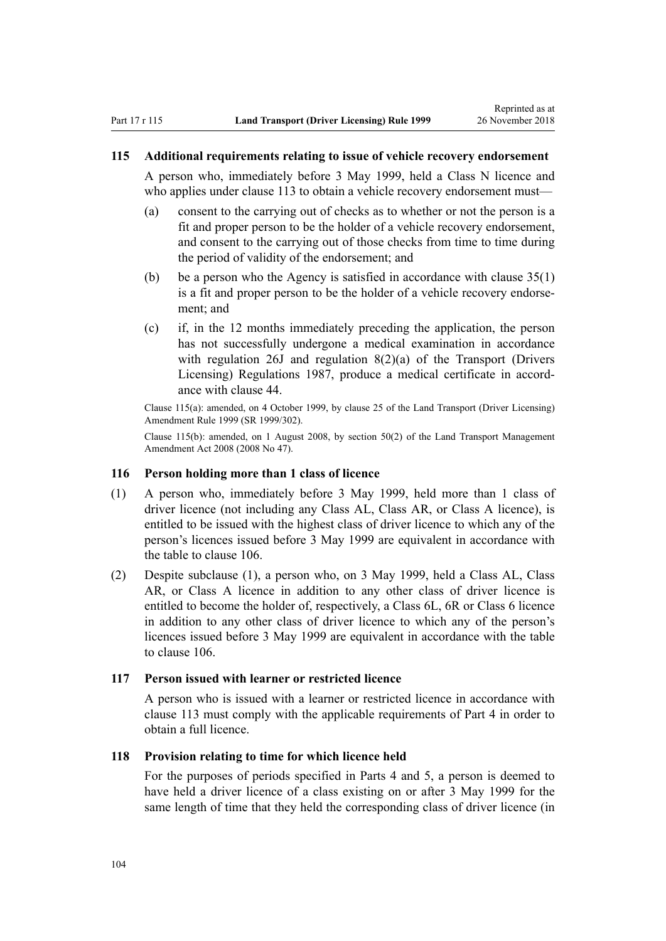#### <span id="page-103-0"></span>**115 Additional requirements relating to issue of vehicle recovery endorsement**

A person who, immediately before 3 May 1999, held a Class N licence and who applies under [clause 113](#page-101-0) to obtain a vehicle recovery endorsement must—

- (a) consent to the carrying out of checks as to whether or not the person is a fit and proper person to be the holder of a vehicle recovery endorsement, and consent to the carrying out of those checks from time to time during the period of validity of the endorsement; and
- (b) be a person who the Agency is satisfied in accordance with [clause 35\(1\)](#page-46-0) is a fit and proper person to be the holder of a vehicle recovery endorsement; and
- (c) if, in the 12 months immediately preceding the application, the person has not successfully undergone a medical examination in accordance with regulation 26J and regulation 8(2)(a) of the Transport (Drivers Licensing) Regulations 1987, produce a medical certificate in accordance with [clause 44.](#page-52-0)

Clause 115(a): amended, on 4 October 1999, by [clause 25](http://legislation.govt.nz/pdflink.aspx?id=DLM293696) of the Land Transport (Driver Licensing) Amendment Rule 1999 (SR 1999/302).

Clause 115(b): amended, on 1 August 2008, by [section 50\(2\)](http://legislation.govt.nz/pdflink.aspx?id=DLM1313622) of the Land Transport Management Amendment Act 2008 (2008 No 47).

#### **116 Person holding more than 1 class of licence**

- (1) A person who, immediately before 3 May 1999, held more than 1 class of driver licence (not including any Class AL, Class AR, or Class A licence), is entitled to be issued with the highest class of driver licence to which any of the person's licences issued before 3 May 1999 are equivalent in accordance with the table to [clause 106](#page-99-0).
- (2) Despite subclause (1), a person who, on 3 May 1999, held a Class AL, Class AR, or Class A licence in addition to any other class of driver licence is entitled to become the holder of, respectively, a Class 6L, 6R or Class 6 licence in addition to any other class of driver licence to which any of the person's licences issued before 3 May 1999 are equivalent in accordance with the table to [clause 106.](#page-99-0)

### **117 Person issued with learner or restricted licence**

A person who is issued with a learner or restricted licence in accordance with [clause 113](#page-101-0) must comply with the applicable requirements of [Part 4](#page-25-0) in order to obtain a full licence.

### **118 Provision relating to time for which licence held**

For the purposes of periods specified in [Parts 4](#page-25-0) and [5](#page-39-0), a person is deemed to have held a driver licence of a class existing on or after 3 May 1999 for the same length of time that they held the corresponding class of driver licence (in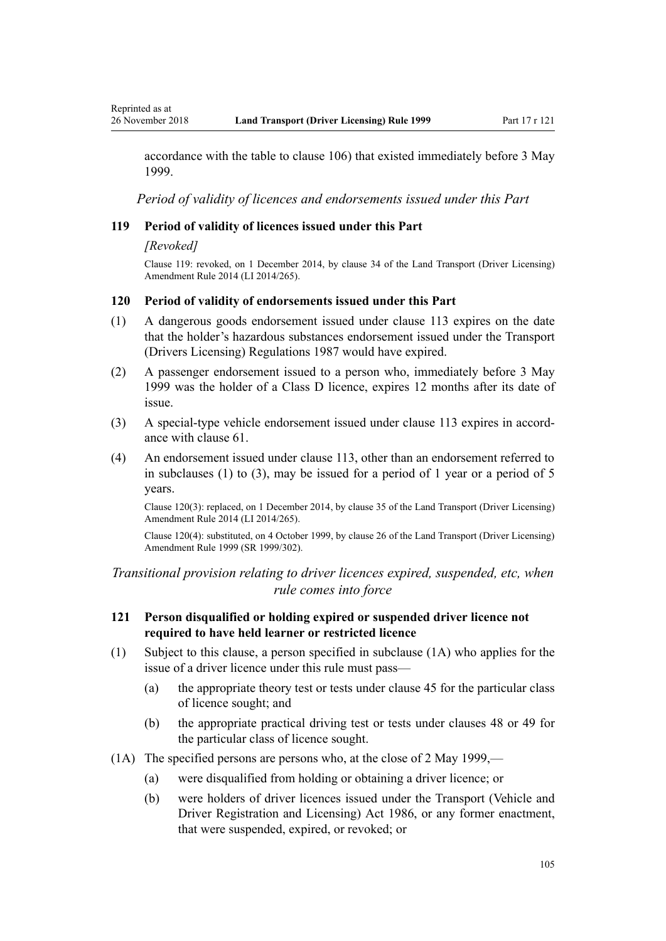accordance with the table to [clause 106\)](#page-99-0) that existed immediately before 3 May 1999.

*Period of validity of licences and endorsements issued under this Part*

### **119 Period of validity of licences issued under this Part**

#### *[Revoked]*

Clause 119: revoked, on 1 December 2014, by [clause 34](http://legislation.govt.nz/pdflink.aspx?id=DLM6216948) of the Land Transport (Driver Licensing) Amendment Rule 2014 (LI 2014/265).

#### **120 Period of validity of endorsements issued under this Part**

- (1) A dangerous goods endorsement issued under [clause 113](#page-101-0) expires on the date that the holder's hazardous substances endorsement issued under the Transport (Drivers Licensing) Regulations 1987 would have expired.
- (2) A passenger endorsement issued to a person who, immediately before 3 May 1999 was the holder of a Class D licence, expires 12 months after its date of issue.
- (3) A special-type vehicle endorsement issued under [clause 113](#page-101-0) expires in accordance with [clause 61.](#page-62-0)
- (4) An endorsement issued under [clause 113](#page-101-0), other than an endorsement referred to in subclauses (1) to (3), may be issued for a period of 1 year or a period of 5 years.

Clause 120(3): replaced, on 1 December 2014, by [clause 35](http://legislation.govt.nz/pdflink.aspx?id=DLM6216949) of the Land Transport (Driver Licensing) Amendment Rule 2014 (LI 2014/265).

Clause 120(4): substituted, on 4 October 1999, by [clause 26](http://legislation.govt.nz/pdflink.aspx?id=DLM293697) of the Land Transport (Driver Licensing) Amendment Rule 1999 (SR 1999/302).

*Transitional provision relating to driver licences expired, suspended, etc, when rule comes into force*

### **121 Person disqualified or holding expired or suspended driver licence not required to have held learner or restricted licence**

- (1) Subject to this clause, a person specified in subclause (1A) who applies for the issue of a driver licence under this rule must pass—
	- (a) the appropriate theory test or tests under [clause 45](#page-54-0) for the particular class of licence sought; and
	- (b) the appropriate practical driving test or tests under [clauses 48](#page-55-0) or [49](#page-55-0) for the particular class of licence sought.
- (1A) The specified persons are persons who, at the close of 2 May 1999,—
	- (a) were disqualified from holding or obtaining a driver licence; or
	- (b) were holders of driver licences issued under the [Transport \(Vehicle and](http://legislation.govt.nz/pdflink.aspx?id=DLM90414) [Driver Registration and Licensing\) Act 1986](http://legislation.govt.nz/pdflink.aspx?id=DLM90414), or any former enactment, that were suspended, expired, or revoked; or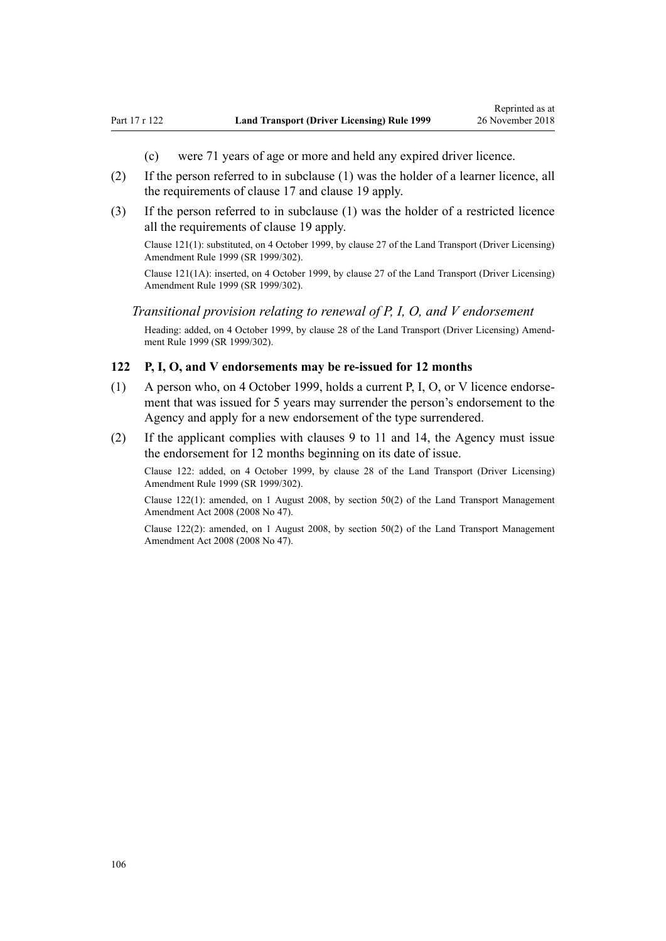- (c) were 71 years of age or more and held any expired driver licence.
- (2) If the person referred to in subclause (1) was the holder of a learner licence, all the requirements of [clause 17](#page-28-0) and [clause 19](#page-30-0) apply.
- (3) If the person referred to in subclause (1) was the holder of a restricted licence all the requirements of [clause 19](#page-30-0) apply.

Clause 121(1): substituted, on 4 October 1999, by [clause 27](http://legislation.govt.nz/pdflink.aspx?id=DLM293698) of the Land Transport (Driver Licensing) Amendment Rule 1999 (SR 1999/302).

Clause 121(1A): inserted, on 4 October 1999, by [clause 27](http://legislation.govt.nz/pdflink.aspx?id=DLM293698) of the Land Transport (Driver Licensing) Amendment Rule 1999 (SR 1999/302).

### *Transitional provision relating to renewal of P, I, O, and V endorsement*

Heading: added, on 4 October 1999, by [clause 28](http://legislation.govt.nz/pdflink.aspx?id=DLM293699) of the Land Transport (Driver Licensing) Amendment Rule 1999 (SR 1999/302).

#### **122 P, I, O, and V endorsements may be re-issued for 12 months**

- (1) A person who, on 4 October 1999, holds a current P, I, O, or V licence endorsement that was issued for 5 years may surrender the person's endorsement to the Agency and apply for a new endorsement of the type surrendered.
- (2) If the applicant complies with [clauses 9 to 11](#page-21-0) and [14](#page-25-0), the Agency must issue the endorsement for 12 months beginning on its date of issue.

Clause 122: added, on 4 October 1999, by [clause 28](http://legislation.govt.nz/pdflink.aspx?id=DLM293699) of the Land Transport (Driver Licensing) Amendment Rule 1999 (SR 1999/302).

Clause 122(1): amended, on 1 August 2008, by [section 50\(2\)](http://legislation.govt.nz/pdflink.aspx?id=DLM1313622) of the Land Transport Management Amendment Act 2008 (2008 No 47).

Clause 122(2): amended, on 1 August 2008, by [section 50\(2\)](http://legislation.govt.nz/pdflink.aspx?id=DLM1313622) of the Land Transport Management Amendment Act 2008 (2008 No 47).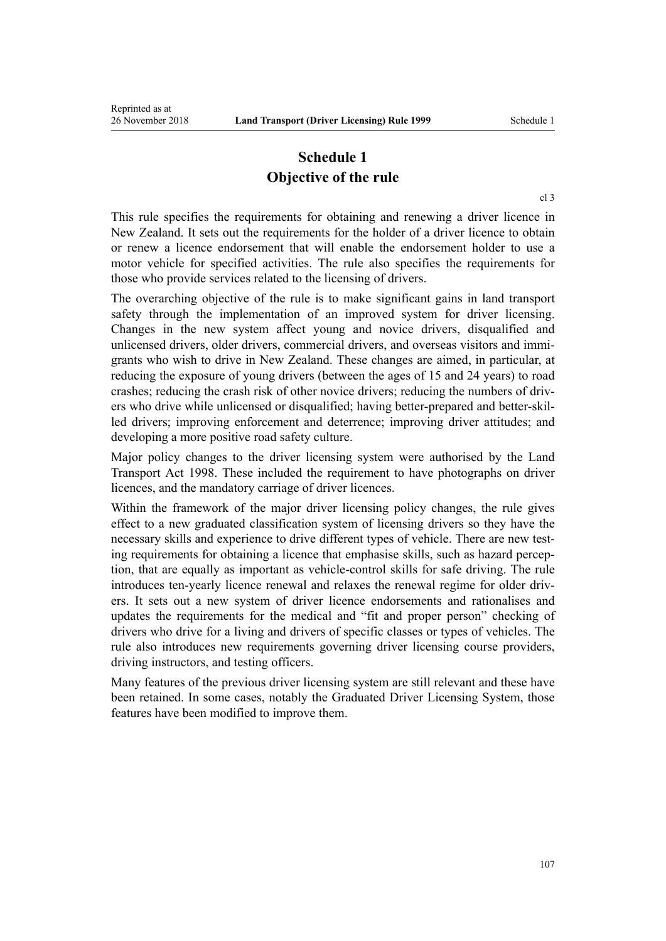# **Schedule 1 Objective of the rule**

[cl 3](#page-18-0)

This rule specifies the requirements for obtaining and renewing a driver licence in New Zealand. It sets out the requirements for the holder of a driver licence to obtain or renew a licence endorsement that will enable the endorsement holder to use a motor vehicle for specified activities. The rule also specifies the requirements for those who provide services related to the licensing of drivers.

The overarching objective of the rule is to make significant gains in land transport safety through the implementation of an improved system for driver licensing. Changes in the new system affect young and novice drivers, disqualified and unlicensed drivers, older drivers, commercial drivers, and overseas visitors and immigrants who wish to drive in New Zealand. These changes are aimed, in particular, at reducing the exposure of young drivers (between the ages of 15 and 24 years) to road crashes; reducing the crash risk of other novice drivers; reducing the numbers of drivers who drive while unlicensed or disqualified; having better-prepared and better-skilled drivers; improving enforcement and deterrence; improving driver attitudes; and developing a more positive road safety culture.

Major policy changes to the driver licensing system were authorised by the [Land](http://legislation.govt.nz/pdflink.aspx?id=DLM433612) [Transport Act 1998.](http://legislation.govt.nz/pdflink.aspx?id=DLM433612) These included the requirement to have photographs on driver licences, and the mandatory carriage of driver licences.

Within the framework of the major driver licensing policy changes, the rule gives effect to a new graduated classification system of licensing drivers so they have the necessary skills and experience to drive different types of vehicle. There are new testing requirements for obtaining a licence that emphasise skills, such as hazard perception, that are equally as important as vehicle-control skills for safe driving. The rule introduces ten-yearly licence renewal and relaxes the renewal regime for older drivers. It sets out a new system of driver licence endorsements and rationalises and updates the requirements for the medical and "fit and proper person" checking of drivers who drive for a living and drivers of specific classes or types of vehicles. The rule also introduces new requirements governing driver licensing course providers, driving instructors, and testing officers.

Many features of the previous driver licensing system are still relevant and these have been retained. In some cases, notably the Graduated Driver Licensing System, those features have been modified to improve them.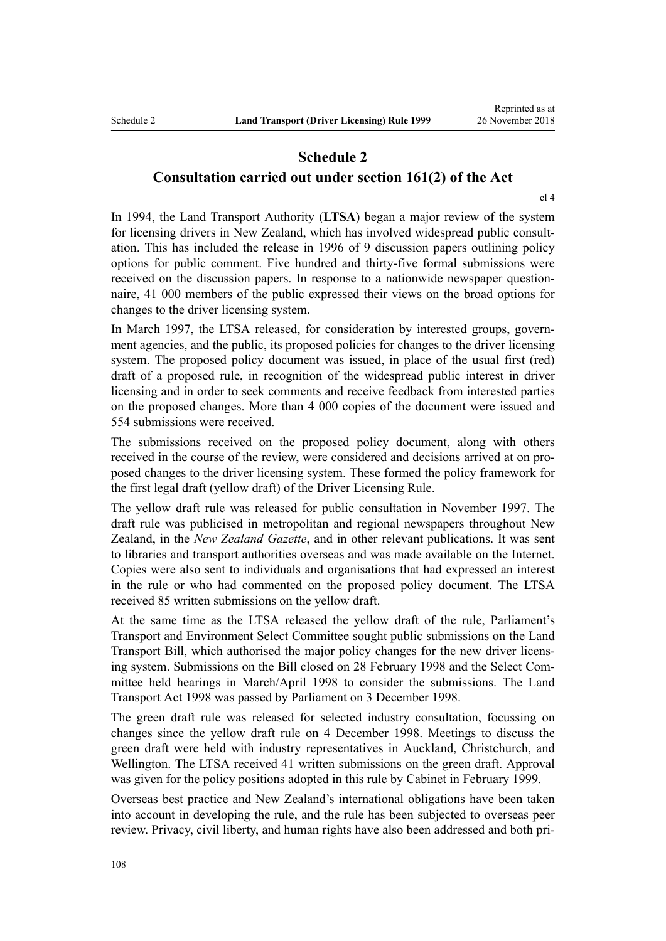## **Schedule 2 Consultation carried out under section 161(2) of the Act**

[cl 4](#page-19-0)

In 1994, the Land Transport Authority (**LTSA**) began a major review of the system for licensing drivers in New Zealand, which has involved widespread public consultation. This has included the release in 1996 of 9 discussion papers outlining policy options for public comment. Five hundred and thirty-five formal submissions were received on the discussion papers. In response to a nationwide newspaper questionnaire, 41 000 members of the public expressed their views on the broad options for changes to the driver licensing system.

In March 1997, the LTSA released, for consideration by interested groups, government agencies, and the public, its proposed policies for changes to the driver licensing system. The proposed policy document was issued, in place of the usual first (red) draft of a proposed rule, in recognition of the widespread public interest in driver licensing and in order to seek comments and receive feedback from interested parties on the proposed changes. More than 4 000 copies of the document were issued and 554 submissions were received.

The submissions received on the proposed policy document, along with others received in the course of the review, were considered and decisions arrived at on proposed changes to the driver licensing system. These formed the policy framework for the first legal draft (yellow draft) of the Driver Licensing Rule.

The yellow draft rule was released for public consultation in November 1997. The draft rule was publicised in metropolitan and regional newspapers throughout New Zealand, in the *New Zealand Gazette*, and in other relevant publications. It was sent to libraries and transport authorities overseas and was made available on the Internet. Copies were also sent to individuals and organisations that had expressed an interest in the rule or who had commented on the proposed policy document. The LTSA received 85 written submissions on the yellow draft.

At the same time as the LTSA released the yellow draft of the rule, Parliament's Transport and Environment Select Committee sought public submissions on the Land Transport Bill, which authorised the major policy changes for the new driver licensing system. Submissions on the Bill closed on 28 February 1998 and the Select Committee held hearings in March/April 1998 to consider the submissions. The [Land](http://legislation.govt.nz/pdflink.aspx?id=DLM433612) [Transport Act 1998](http://legislation.govt.nz/pdflink.aspx?id=DLM433612) was passed by Parliament on 3 December 1998.

The green draft rule was released for selected industry consultation, focussing on changes since the yellow draft rule on 4 December 1998. Meetings to discuss the green draft were held with industry representatives in Auckland, Christchurch, and Wellington. The LTSA received 41 written submissions on the green draft. Approval was given for the policy positions adopted in this rule by Cabinet in February 1999.

Overseas best practice and New Zealand's international obligations have been taken into account in developing the rule, and the rule has been subjected to overseas peer review. Privacy, civil liberty, and human rights have also been addressed and both pri-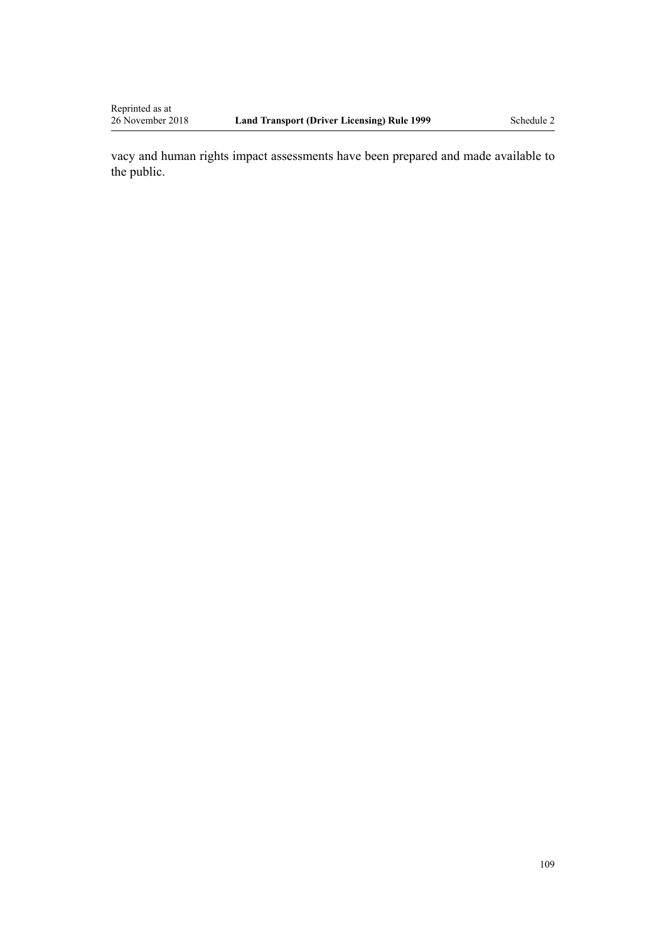vacy and human rights impact assessments have been prepared and made available to the public.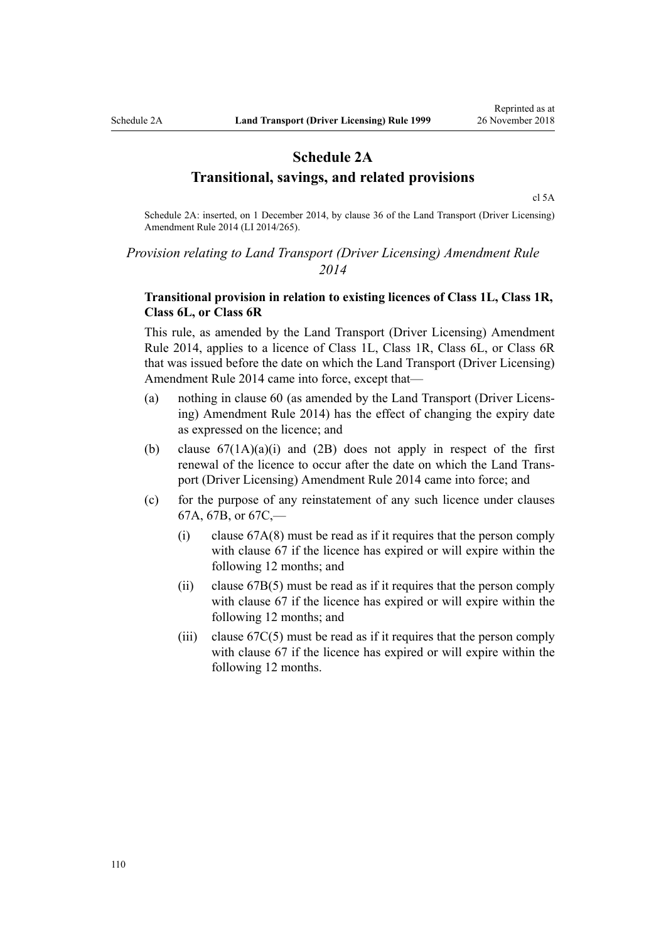## **Schedule 2A Transitional, savings, and related provisions**

[cl 5A](#page-20-0)

Schedule 2A: inserted, on 1 December 2014, by [clause 36](http://legislation.govt.nz/pdflink.aspx?id=DLM6216950) of the Land Transport (Driver Licensing) Amendment Rule 2014 (LI 2014/265).

### *Provision relating to Land Transport (Driver Licensing) Amendment Rule 2014*

### **Transitional provision in relation to existing licences of Class 1L, Class 1R, Class 6L, or Class 6R**

This rule, as amended by the [Land Transport \(Driver Licensing\) Amendment](http://legislation.govt.nz/pdflink.aspx?id=DLM6216900) [Rule 2014,](http://legislation.govt.nz/pdflink.aspx?id=DLM6216900) applies to a licence of Class 1L, Class 1R, Class 6L, or Class 6R that was issued before the date on which the Land Transport (Driver Licensing) Amendment Rule 2014 came into force, except that—

- (a) nothing in [clause 60](#page-60-0) (as amended by the [Land Transport \(Driver Licens](http://legislation.govt.nz/pdflink.aspx?id=DLM6216900)[ing\) Amendment Rule 2014](http://legislation.govt.nz/pdflink.aspx?id=DLM6216900)) has the effect of changing the expiry date as expressed on the licence; and
- (b) clause  $67(1A)(a)(i)$  and  $(2B)$  does not apply in respect of the first renewal of the licence to occur after the date on which the [Land Trans](http://legislation.govt.nz/pdflink.aspx?id=DLM6216900)[port \(Driver Licensing\) Amendment Rule 2014](http://legislation.govt.nz/pdflink.aspx?id=DLM6216900) came into force; and
- (c) for the purpose of any reinstatement of any such licence under [clauses](#page-69-0) [67A](#page-69-0), [67B,](#page-71-0) or [67C](#page-71-0),—
	- (i) [clause 67A\(8\)](#page-69-0) must be read as if it requires that the person comply with [clause 67](#page-67-0) if the licence has expired or will expire within the following 12 months; and
	- (ii) [clause 67B\(5\)](#page-71-0) must be read as if it requires that the person comply with [clause 67](#page-67-0) if the licence has expired or will expire within the following 12 months; and
	- (iii) clause  $67C(5)$  must be read as if it requires that the person comply with [clause 67](#page-67-0) if the licence has expired or will expire within the following 12 months.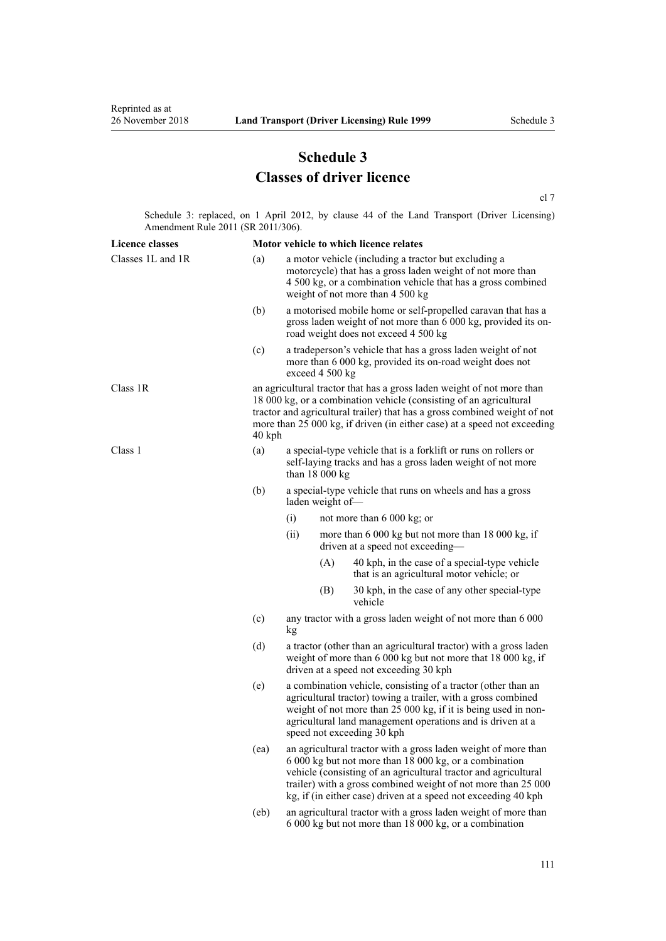# **Schedule 3 Classes of driver licence**

[cl 7](#page-20-0)

Schedule 3: replaced, on 1 April 2012, by [clause 44](http://legislation.govt.nz/pdflink.aspx?id=DLM3956523) of the Land Transport (Driver Licensing) Amendment Rule 2011 (SR 2011/306).

| <b>Licence classes</b> |        | Motor vehicle to which licence relates                                                                                                                                                                                                                                                                                         |     |                                                                                            |  |
|------------------------|--------|--------------------------------------------------------------------------------------------------------------------------------------------------------------------------------------------------------------------------------------------------------------------------------------------------------------------------------|-----|--------------------------------------------------------------------------------------------|--|
| Classes 1L and 1R      | (a)    | a motor vehicle (including a tractor but excluding a<br>motorcycle) that has a gross laden weight of not more than<br>4 500 kg, or a combination vehicle that has a gross combined<br>weight of not more than 4 500 kg                                                                                                         |     |                                                                                            |  |
|                        | (b)    | a motorised mobile home or self-propelled caravan that has a<br>gross laden weight of not more than 6 000 kg, provided its on-<br>road weight does not exceed 4 500 kg                                                                                                                                                         |     |                                                                                            |  |
|                        | (c)    | a tradeperson's vehicle that has a gross laden weight of not<br>more than 6 000 kg, provided its on-road weight does not<br>exceed 4 500 kg                                                                                                                                                                                    |     |                                                                                            |  |
| Class 1R               | 40 kph | an agricultural tractor that has a gross laden weight of not more than<br>18 000 kg, or a combination vehicle (consisting of an agricultural<br>tractor and agricultural trailer) that has a gross combined weight of not<br>more than 25 000 kg, if driven (in either case) at a speed not exceeding                          |     |                                                                                            |  |
| Class 1                | (a)    | a special-type vehicle that is a forklift or runs on rollers or<br>self-laying tracks and has a gross laden weight of not more<br>than $18000 kg$                                                                                                                                                                              |     |                                                                                            |  |
|                        | (b)    | a special-type vehicle that runs on wheels and has a gross<br>laden weight of-                                                                                                                                                                                                                                                 |     |                                                                                            |  |
|                        |        | (i)                                                                                                                                                                                                                                                                                                                            |     | not more than $6000 \text{ kg}$ ; or                                                       |  |
|                        |        | (ii)                                                                                                                                                                                                                                                                                                                           |     | more than 6 000 kg but not more than 18 000 kg, if<br>driven at a speed not exceeding-     |  |
|                        |        |                                                                                                                                                                                                                                                                                                                                | (A) | 40 kph, in the case of a special-type vehicle<br>that is an agricultural motor vehicle; or |  |
|                        |        |                                                                                                                                                                                                                                                                                                                                | (B) | 30 kph, in the case of any other special-type<br>vehicle                                   |  |
|                        | (c)    | any tractor with a gross laden weight of not more than 6 000<br>kg                                                                                                                                                                                                                                                             |     |                                                                                            |  |
|                        | (d)    | a tractor (other than an agricultural tractor) with a gross laden<br>weight of more than 6 000 kg but not more that 18 000 kg, if<br>driven at a speed not exceeding 30 kph                                                                                                                                                    |     |                                                                                            |  |
|                        | (e)    | a combination vehicle, consisting of a tractor (other than an<br>agricultural tractor) towing a trailer, with a gross combined<br>weight of not more than 25 000 kg, if it is being used in non-<br>agricultural land management operations and is driven at a<br>speed not exceeding 30 kph                                   |     |                                                                                            |  |
|                        | (ea)   | an agricultural tractor with a gross laden weight of more than<br>6 000 kg but not more than 18 000 kg, or a combination<br>vehicle (consisting of an agricultural tractor and agricultural<br>trailer) with a gross combined weight of not more than 25 000<br>kg, if (in either case) driven at a speed not exceeding 40 kph |     |                                                                                            |  |
|                        | (eb)   | an agricultural tractor with a gross laden weight of more than<br>6 000 kg but not more than 18 000 kg, or a combination                                                                                                                                                                                                       |     |                                                                                            |  |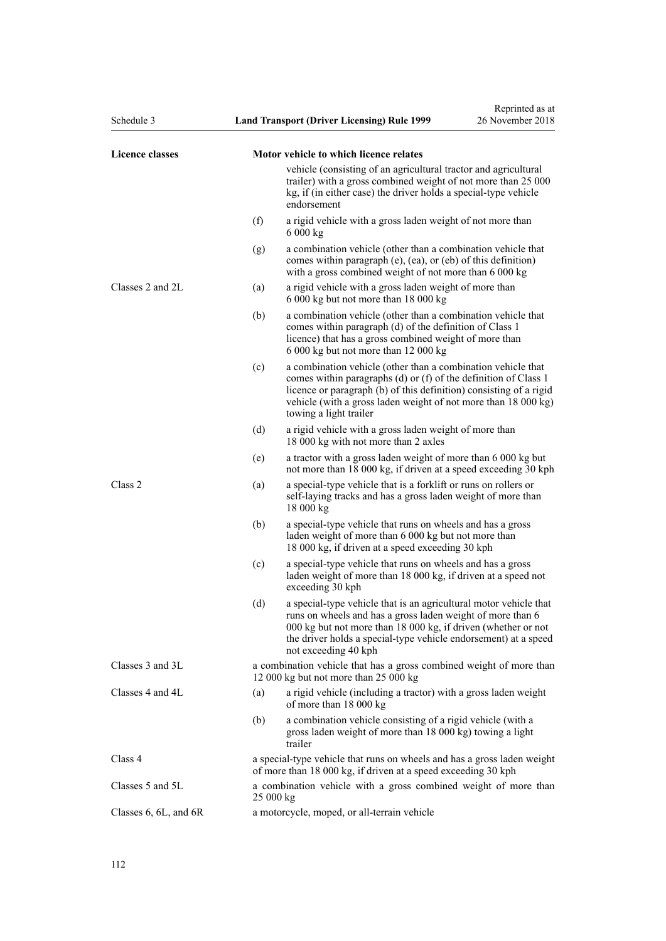| Schedule 3                |     | <b>Land Transport (Driver Licensing) Rule 1999</b>                                                                                                                                                                                                                                                | Reprinted as at<br>26 November 2018 |  |
|---------------------------|-----|---------------------------------------------------------------------------------------------------------------------------------------------------------------------------------------------------------------------------------------------------------------------------------------------------|-------------------------------------|--|
| Licence classes           |     | Motor vehicle to which licence relates                                                                                                                                                                                                                                                            |                                     |  |
|                           |     | vehicle (consisting of an agricultural tractor and agricultural<br>trailer) with a gross combined weight of not more than 25 000<br>kg, if (in either case) the driver holds a special-type vehicle<br>endorsement                                                                                |                                     |  |
|                           | (f) | a rigid vehicle with a gross laden weight of not more than<br>6000 kg                                                                                                                                                                                                                             |                                     |  |
|                           | (g) | a combination vehicle (other than a combination vehicle that<br>comes within paragraph (e), (ea), or (eb) of this definition)<br>with a gross combined weight of not more than 6 000 kg                                                                                                           |                                     |  |
| Classes 2 and 2L          | (a) | a rigid vehicle with a gross laden weight of more than<br>6 000 kg but not more than 18 000 kg                                                                                                                                                                                                    |                                     |  |
|                           | (b) | a combination vehicle (other than a combination vehicle that<br>comes within paragraph (d) of the definition of Class 1<br>licence) that has a gross combined weight of more than<br>6 000 kg but not more than 12 000 kg                                                                         |                                     |  |
|                           | (c) | a combination vehicle (other than a combination vehicle that<br>comes within paragraphs (d) or (f) of the definition of Class 1<br>licence or paragraph (b) of this definition) consisting of a rigid<br>vehicle (with a gross laden weight of not more than 18 000 kg)<br>towing a light trailer |                                     |  |
|                           | (d) | a rigid vehicle with a gross laden weight of more than<br>18 000 kg with not more than 2 axles                                                                                                                                                                                                    |                                     |  |
|                           | (e) | a tractor with a gross laden weight of more than 6 000 kg but<br>not more than 18 000 kg, if driven at a speed exceeding 30 kph                                                                                                                                                                   |                                     |  |
| Class 2                   | (a) | a special-type vehicle that is a forklift or runs on rollers or<br>self-laying tracks and has a gross laden weight of more than<br>18 000 kg                                                                                                                                                      |                                     |  |
|                           | (b) | a special-type vehicle that runs on wheels and has a gross<br>laden weight of more than 6 000 kg but not more than<br>18 000 kg, if driven at a speed exceeding 30 kph                                                                                                                            |                                     |  |
|                           | (c) | a special-type vehicle that runs on wheels and has a gross<br>laden weight of more than 18 000 kg, if driven at a speed not<br>exceeding 30 kph                                                                                                                                                   |                                     |  |
|                           | (d) | a special-type vehicle that is an agricultural motor vehicle that<br>runs on wheels and has a gross laden weight of more than 6<br>000 kg but not more than 18 000 kg, if driven (whether or not<br>the driver holds a special-type vehicle endorsement) at a speed<br>not exceeding 40 kph       |                                     |  |
| Classes 3 and 3L          |     | a combination vehicle that has a gross combined weight of more than<br>12 000 kg but not more than 25 000 kg                                                                                                                                                                                      |                                     |  |
| Classes 4 and 4L          | (a) | a rigid vehicle (including a tractor) with a gross laden weight<br>of more than 18 000 kg                                                                                                                                                                                                         |                                     |  |
|                           | (b) | a combination vehicle consisting of a rigid vehicle (with a<br>gross laden weight of more than 18 000 kg) towing a light<br>trailer                                                                                                                                                               |                                     |  |
| Class 4                   |     | a special-type vehicle that runs on wheels and has a gross laden weight<br>of more than 18 000 kg, if driven at a speed exceeding 30 kph                                                                                                                                                          |                                     |  |
| Classes 5 and 5L          |     | a combination vehicle with a gross combined weight of more than<br>25 000 kg                                                                                                                                                                                                                      |                                     |  |
| Classes $6, 6L,$ and $6R$ |     | a motorcycle, moped, or all-terrain vehicle                                                                                                                                                                                                                                                       |                                     |  |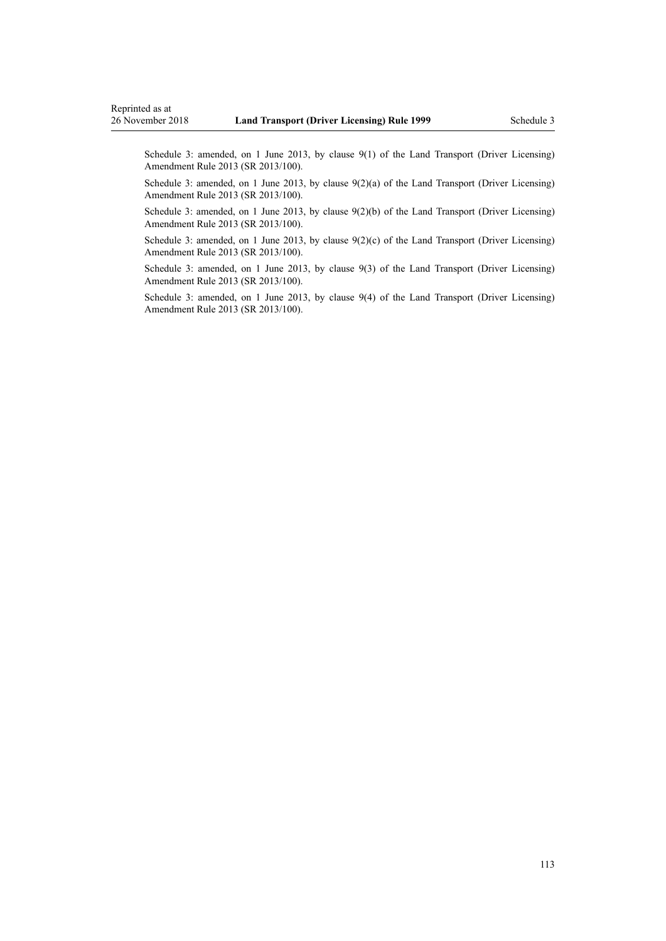Schedule 3: amended, on 1 June 2013, by [clause 9\(1\)](http://legislation.govt.nz/pdflink.aspx?id=DLM5102246) of the Land Transport (Driver Licensing) Amendment Rule 2013 (SR 2013/100).

Schedule 3: amended, on 1 June 2013, by [clause 9\(2\)\(a\)](http://legislation.govt.nz/pdflink.aspx?id=DLM5102246) of the Land Transport (Driver Licensing) Amendment Rule 2013 (SR 2013/100).

Schedule 3: amended, on 1 June 2013, by [clause 9\(2\)\(b\)](http://legislation.govt.nz/pdflink.aspx?id=DLM5102246) of the Land Transport (Driver Licensing) Amendment Rule 2013 (SR 2013/100).

Schedule 3: amended, on 1 June 2013, by clause  $9(2)(c)$  of the Land Transport (Driver Licensing) Amendment Rule 2013 (SR 2013/100).

Schedule 3: amended, on 1 June 2013, by [clause 9\(3\)](http://legislation.govt.nz/pdflink.aspx?id=DLM5102246) of the Land Transport (Driver Licensing) Amendment Rule 2013 (SR 2013/100).

Schedule 3: amended, on 1 June 2013, by [clause 9\(4\)](http://legislation.govt.nz/pdflink.aspx?id=DLM5102246) of the Land Transport (Driver Licensing) Amendment Rule 2013 (SR 2013/100).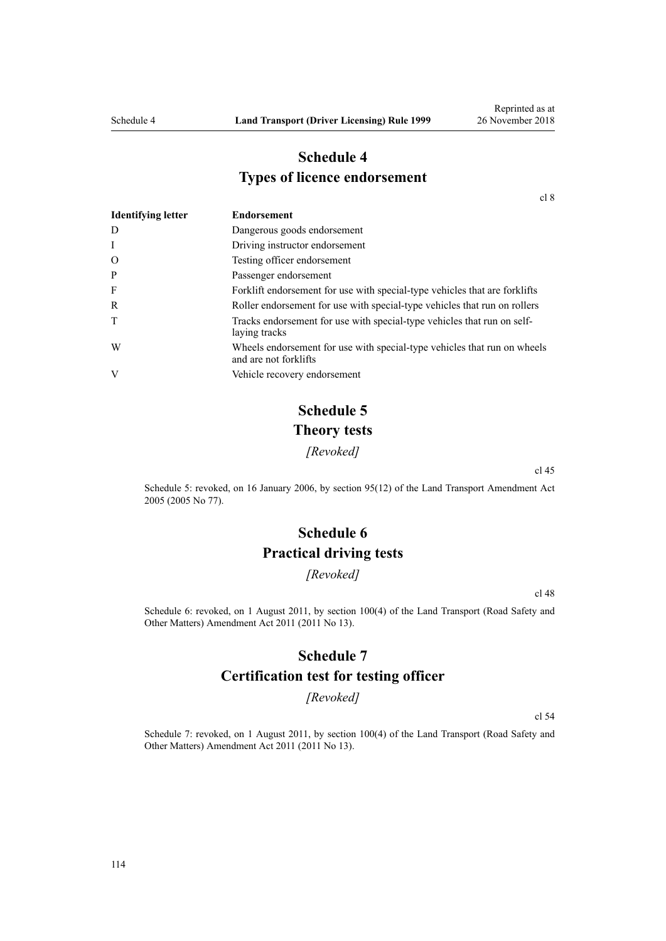## **Schedule 4 Types of licence endorsement**

[cl 8](#page-20-0)

| <b>Identifying letter</b> | <b>Endorsement</b>                                                                                |
|---------------------------|---------------------------------------------------------------------------------------------------|
| D                         | Dangerous goods endorsement                                                                       |
| I                         | Driving instructor endorsement                                                                    |
| $\Omega$                  | Testing officer endorsement                                                                       |
| P                         | Passenger endorsement                                                                             |
| F                         | Forklift endorsement for use with special-type vehicles that are forklifts                        |
| R                         | Roller endorsement for use with special-type vehicles that run on rollers                         |
| T                         | Tracks endorsement for use with special-type vehicles that run on self-<br>laying tracks          |
| W                         | Wheels endorsement for use with special-type vehicles that run on wheels<br>and are not forklifts |
| V                         | Vehicle recovery endorsement                                                                      |

# **Schedule 5 Theory tests**

*[Revoked]*

[cl 45](#page-54-0)

Schedule 5: revoked, on 16 January 2006, by [section 95\(12\)](http://legislation.govt.nz/pdflink.aspx?id=DLM353501) of the Land Transport Amendment Act 2005 (2005 No 77).

# **Schedule 6 Practical driving tests**

*[Revoked]*

[cl 48](#page-55-0)

Schedule 6: revoked, on 1 August 2011, by [section 100\(4\)](http://legislation.govt.nz/pdflink.aspx?id=DLM3231293) of the Land Transport (Road Safety and Other Matters) Amendment Act 2011 (2011 No 13).

### **Schedule 7**

### **Certification test for testing officer**

*[Revoked]*

[cl 54](#page-57-0)

Schedule 7: revoked, on 1 August 2011, by [section 100\(4\)](http://legislation.govt.nz/pdflink.aspx?id=DLM3231293) of the Land Transport (Road Safety and Other Matters) Amendment Act 2011 (2011 No 13).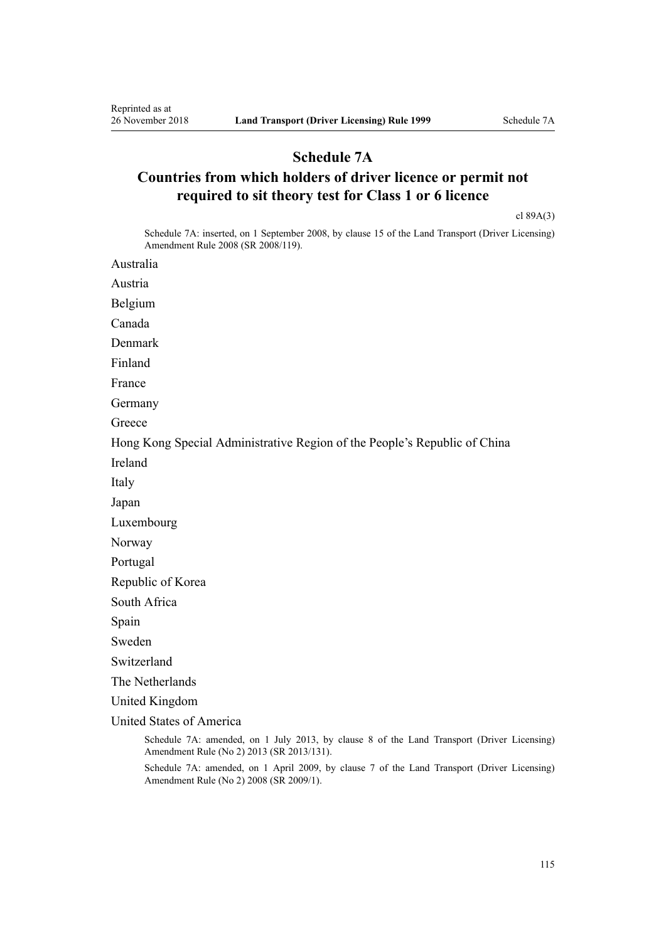## **Schedule 7A**

# **Countries from which holders of driver licence or permit not required to sit theory test for Class 1 or 6 licence**

[cl 89A\(3\)](#page-89-0)

Schedule 7A: inserted, on 1 September 2008, by [clause 15](http://legislation.govt.nz/pdflink.aspx?id=DLM1317922) of the Land Transport (Driver Licensing) Amendment Rule 2008 (SR 2008/119).

Australia

Austria

Belgium

Canada

Denmark

Finland

France

Germany

**Greece** 

Hong Kong Special Administrative Region of the People's Republic of China

Ireland

Italy

Japan

Luxembourg

Norway

Portugal

Republic of Korea

South Africa

Spain

Sweden

Switzerland

The Netherlands

United Kingdom

United States of America

Schedule 7A: amended, on 1 July 2013, by [clause 8](http://legislation.govt.nz/pdflink.aspx?id=DLM5159813) of the Land Transport (Driver Licensing) Amendment Rule (No 2) 2013 (SR 2013/131).

Schedule 7A: amended, on 1 April 2009, by [clause 7](http://legislation.govt.nz/pdflink.aspx?id=DLM1783613) of the Land Transport (Driver Licensing) Amendment Rule (No 2) 2008 (SR 2009/1).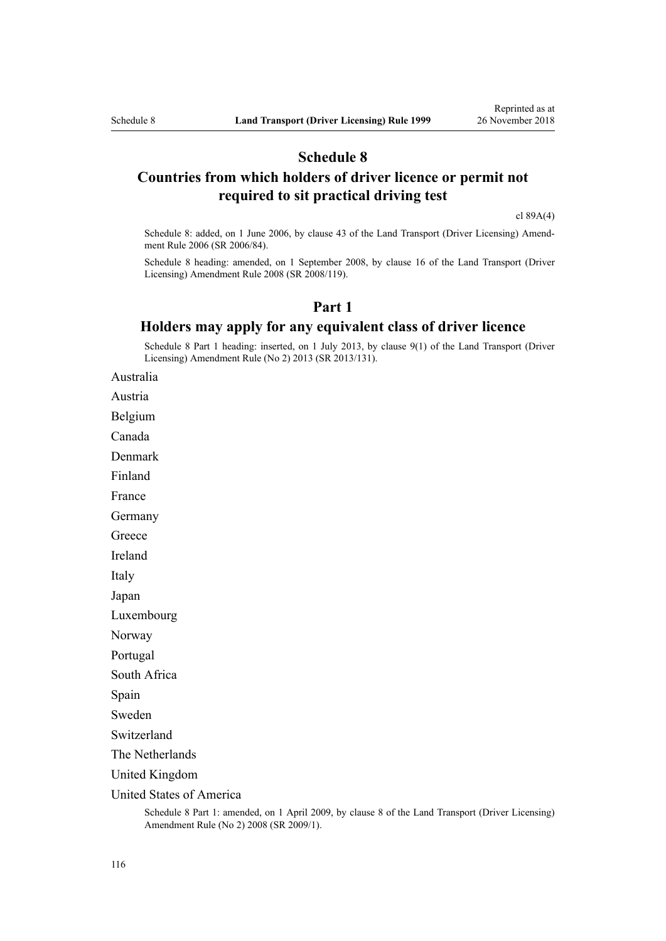### **Schedule 8**

## **Countries from which holders of driver licence or permit not required to sit practical driving test**

[cl 89A\(4\)](#page-89-0)

Schedule 8: added, on 1 June 2006, by [clause 43](http://legislation.govt.nz/pdflink.aspx?id=DLM376146) of the Land Transport (Driver Licensing) Amendment Rule 2006 (SR 2006/84).

Schedule 8 heading: amended, on 1 September 2008, by [clause 16](http://legislation.govt.nz/pdflink.aspx?id=DLM1317923) of the Land Transport (Driver Licensing) Amendment Rule 2008 (SR 2008/119).

### **Part 1**

### **Holders may apply for any equivalent class of driver licence**

Schedule 8 Part 1 heading: inserted, on 1 July 2013, by [clause 9\(1\)](http://legislation.govt.nz/pdflink.aspx?id=DLM5159814) of the Land Transport (Driver Licensing) Amendment Rule (No 2) 2013 (SR 2013/131).

Australia

Austria

Belgium

Canada

Denmark

Finland

France

Germany

**Greece** 

Ireland

Italy

Japan

Luxembourg

Norway

Portugal

South Africa

Spain

Sweden

Switzerland

The Netherlands

United Kingdom

United States of America

Schedule 8 Part 1: amended, on 1 April 2009, by [clause 8](http://legislation.govt.nz/pdflink.aspx?id=DLM1783614) of the Land Transport (Driver Licensing) Amendment Rule (No 2) 2008 (SR 2009/1).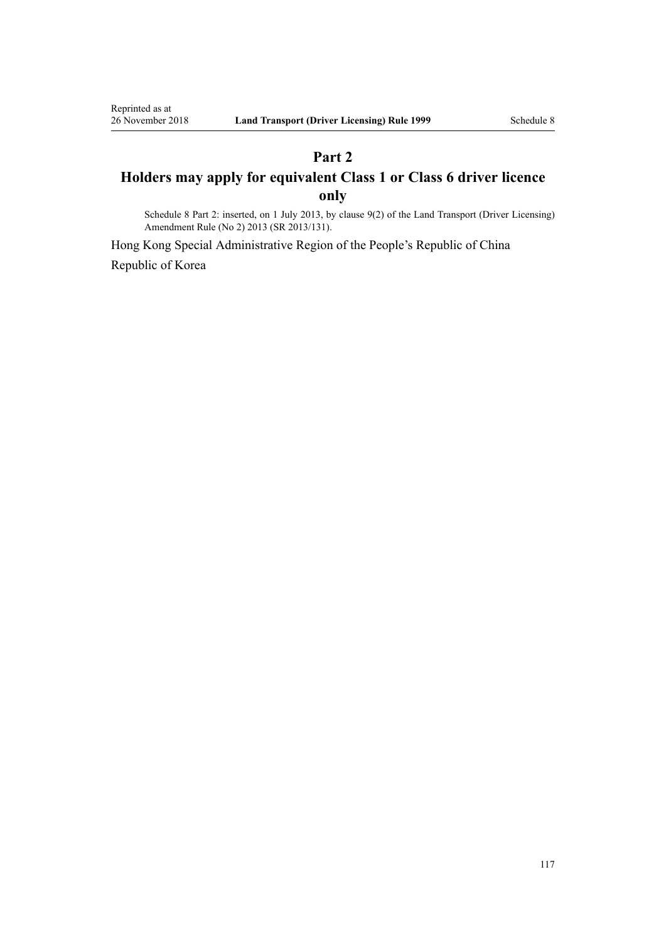# **Part 2 Holders may apply for equivalent Class 1 or Class 6 driver licence only**

Schedule 8 Part 2: inserted, on 1 July 2013, by [clause 9\(2\)](http://legislation.govt.nz/pdflink.aspx?id=DLM5159814) of the Land Transport (Driver Licensing) Amendment Rule (No 2) 2013 (SR 2013/131).

Hong Kong Special Administrative Region of the People's Republic of China Republic of Korea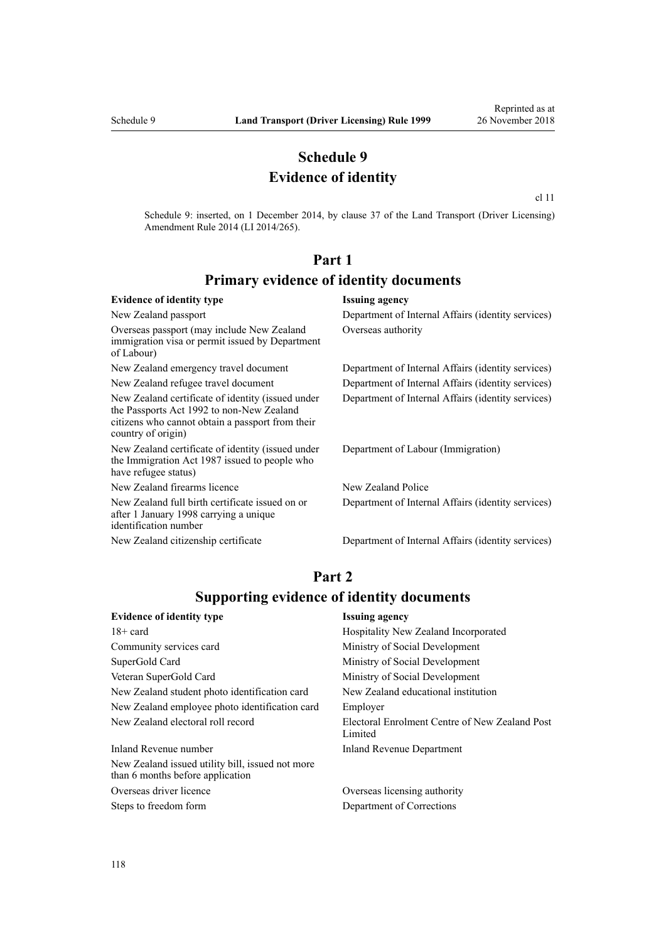## **Schedule 9 Evidence of identity**

[cl 11](http://legislation.govt.nz/pdflink.aspx?id=DLM6216924)

Schedule 9: inserted, on 1 December 2014, by [clause 37](http://legislation.govt.nz/pdflink.aspx?id=DLM6216951) of the Land Transport (Driver Licensing) Amendment Rule 2014 (LI 2014/265).

# **Part 1 Primary evidence of identity documents**

#### **Evidence of identity type Issuing agency** New Zealand passport Department of Internal Affairs (identity services) Overseas passport (may include New Zealand immigration visa or permit issued by Department of Labour) Overseas authority New Zealand emergency travel document Department of Internal Affairs (identity services) New Zealand refugee travel document Department of Internal Affairs (identity services) New Zealand certificate of identity (issued under the [Passports Act 1992](http://legislation.govt.nz/pdflink.aspx?id=DLM277432) to non-New Zealand citizens who cannot obtain a passport from their country of origin) Department of Internal Affairs (identity services) New Zealand certificate of identity (issued under the [Immigration Act 1987](http://legislation.govt.nz/pdflink.aspx?id=DLM108017) issued to people who have refugee status) Department of Labour (Immigration) New Zealand firearms licence New Zealand Police New Zealand full birth certificate issued on or after 1 January 1998 carrying a unique identification number Department of Internal Affairs (identity services) New Zealand citizenship certificate Department of Internal Affairs (identity services)

## **Part 2 Supporting evidence of identity documents**

| <b>Issuing agency</b>                                     |  |
|-----------------------------------------------------------|--|
| Hospitality New Zealand Incorporated                      |  |
| Ministry of Social Development                            |  |
| Ministry of Social Development                            |  |
| Ministry of Social Development                            |  |
| New Zealand educational institution                       |  |
| Employer                                                  |  |
| Electoral Enrolment Centre of New Zealand Post<br>Limited |  |
| Inland Revenue Department                                 |  |
|                                                           |  |
|                                                           |  |

Overseas driver licence Overseas licensing authority Steps to freedom form Department of Corrections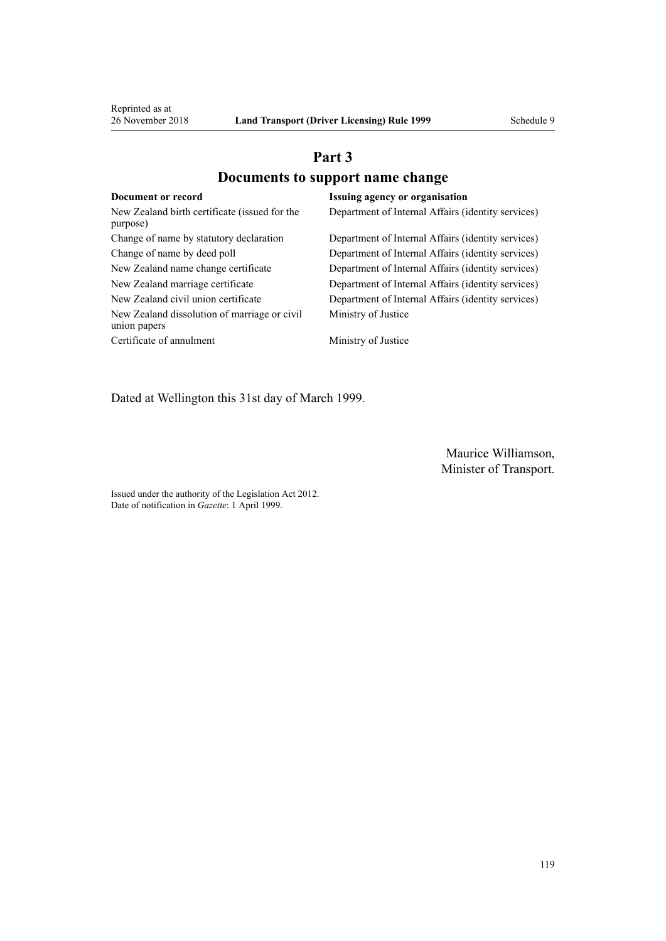# **Part 3 Documents to support name change**

| Document or record                                           | <b>Issuing agency or organisation</b>              |
|--------------------------------------------------------------|----------------------------------------------------|
| New Zealand birth certificate (issued for the<br>purpose)    | Department of Internal Affairs (identity services) |
| Change of name by statutory declaration                      | Department of Internal Affairs (identity services) |
| Change of name by deed poll                                  | Department of Internal Affairs (identity services) |
| New Zealand name change certificate                          | Department of Internal Affairs (identity services) |
| New Zealand marriage certificate                             | Department of Internal Affairs (identity services) |
| New Zealand civil union certificate                          | Department of Internal Affairs (identity services) |
| New Zealand dissolution of marriage or civil<br>union papers | Ministry of Justice                                |
| Certificate of annulment                                     | Ministry of Justice                                |

Dated at Wellington this 31st day of March 1999.

Maurice Williamson, Minister of Transport.

Issued under the authority of the [Legislation Act 2012](http://legislation.govt.nz/pdflink.aspx?id=DLM2997643). Date of notification in *Gazette*: 1 April 1999.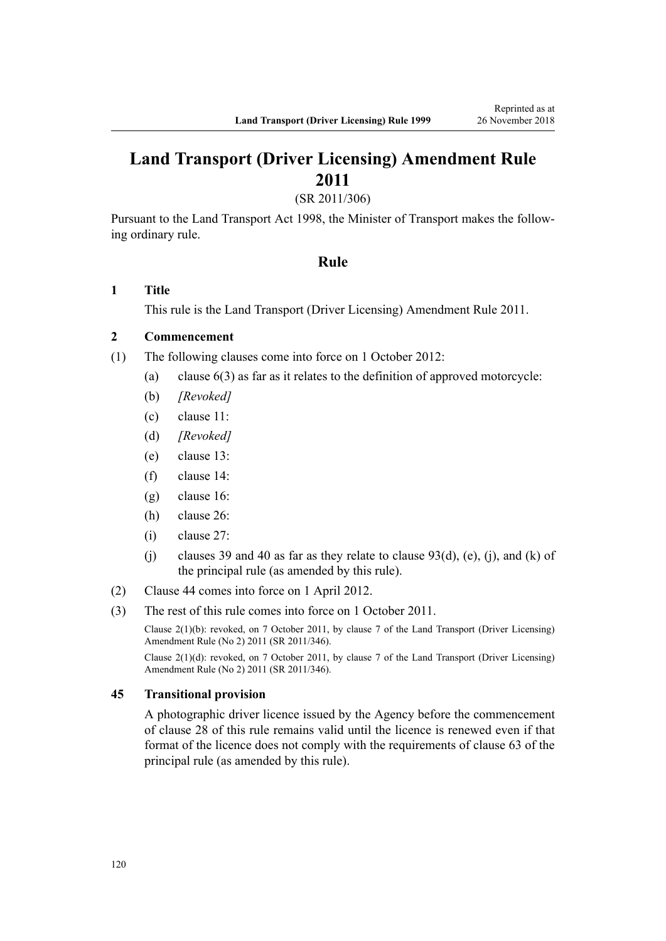# **Land Transport (Driver Licensing) Amendment Rule 2011**

(SR 2011/306)

Pursuant to the Land Transport Act 1998, the Minister of Transport makes the following ordinary rule.

### **Rule**

### **1 Title**

This rule is the [Land Transport \(Driver Licensing\) Amendment Rule 2011](http://legislation.govt.nz/pdflink.aspx?id=DLM3956573).

### **2 Commencement**

- (1) The following clauses come into force on 1 October 2012:
	- (a) clause 6(3) as far as it relates to the definition of approved motorcycle:
	- (b) *[Revoked]*
	- (c) clause 11:
	- (d) *[Revoked]*
	- (e) clause 13:
	- (f) clause 14:
	- (g) clause 16:
	- (h) clause 26:
	- (i) clause 27:
	- (j) clauses 39 and 40 as far as they relate to clause  $93(d)$ , (e), (j), and (k) of the principal rule (as amended by this rule).
- (2) Clause 44 comes into force on 1 April 2012.
- (3) The rest of this rule comes into force on 1 October 2011.

Clause 2(1)(b): revoked, on 7 October 2011, by [clause 7](http://legislation.govt.nz/pdflink.aspx?id=DLM4067013) of the Land Transport (Driver Licensing) Amendment Rule (No 2) 2011 (SR 2011/346).

Clause 2(1)(d): revoked, on 7 October 2011, by [clause 7](http://legislation.govt.nz/pdflink.aspx?id=DLM4067013) of the Land Transport (Driver Licensing) Amendment Rule (No 2) 2011 (SR 2011/346).

#### **45 Transitional provision**

A photographic driver licence issued by the Agency before the commencement of clause 28 of this rule remains valid until the licence is renewed even if that format of the licence does not comply with the requirements of clause 63 of the principal rule (as amended by this rule).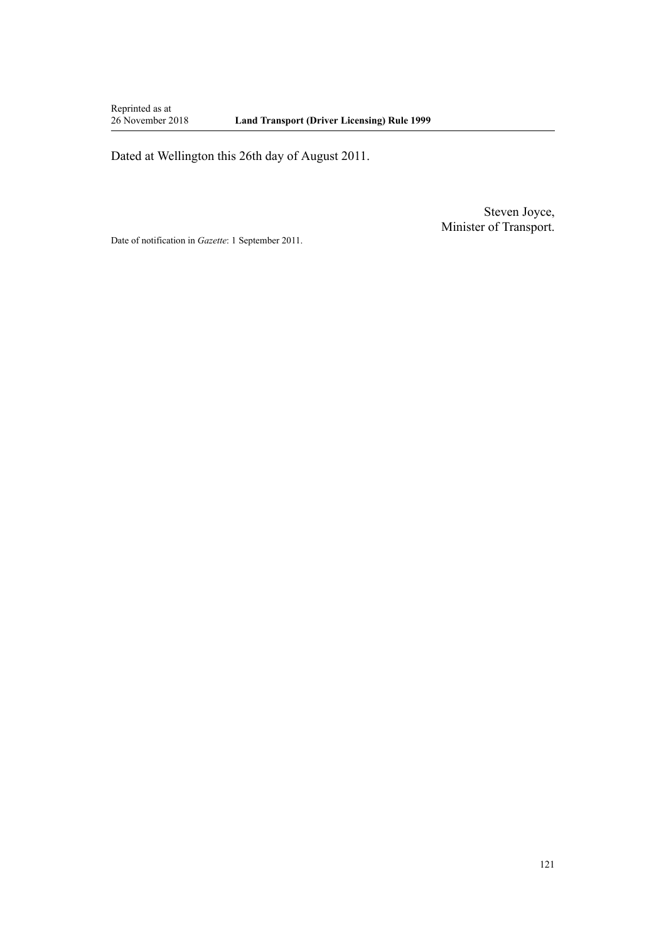Reprinted as at<br>26 November 2018

Dated at Wellington this 26th day of August 2011.

Steven Joyce, Minister of Transport.

Date of notification in *Gazette*: 1 September 2011.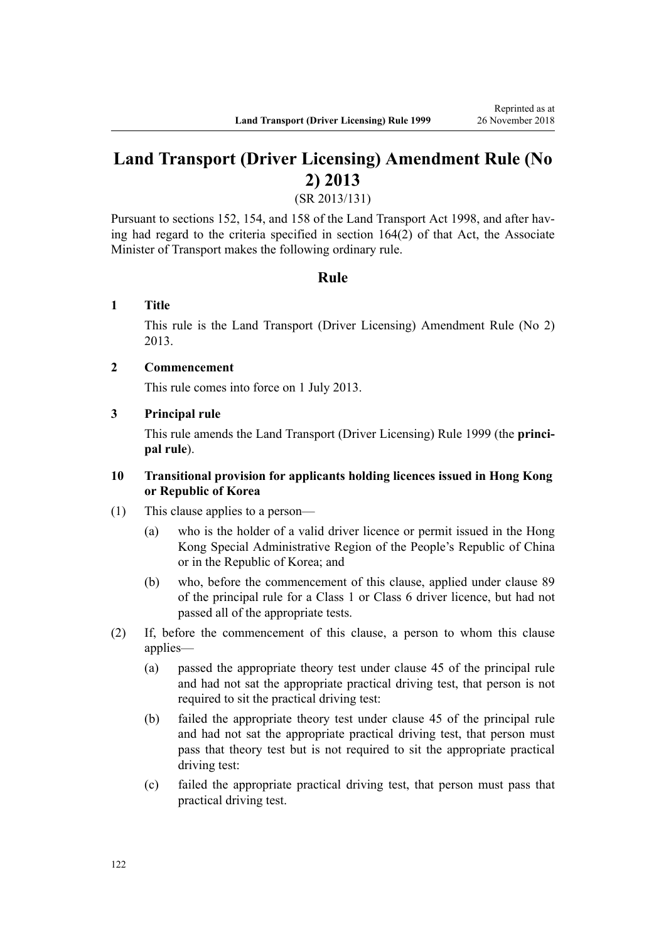# **Land Transport (Driver Licensing) Amendment Rule (No 2) 2013**

(SR 2013/131)

Pursuant to sections 152, 154, and 158 of the Land Transport Act 1998, and after having had regard to the criteria specified in section 164(2) of that Act, the Associate Minister of Transport makes the following ordinary rule.

### **Rule**

### **1 Title**

This rule is the [Land Transport \(Driver Licensing\) Amendment Rule \(No 2\)](http://legislation.govt.nz/pdflink.aspx?id=DLM5159800) [2013](http://legislation.govt.nz/pdflink.aspx?id=DLM5159800).

### **2 Commencement**

This rule comes into force on 1 July 2013.

### **3 Principal rule**

This rule amends the Land Transport (Driver Licensing) Rule 1999 (the **principal rule**).

### **10 Transitional provision for applicants holding licences issued in Hong Kong or Republic of Korea**

- (1) This clause applies to a person—
	- (a) who is the holder of a valid driver licence or permit issued in the Hong Kong Special Administrative Region of the People's Republic of China or in the Republic of Korea; and
	- (b) who, before the commencement of this clause, applied under clause 89 of the principal rule for a Class 1 or Class 6 driver licence, but had not passed all of the appropriate tests.
- (2) If, before the commencement of this clause, a person to whom this clause applies—
	- (a) passed the appropriate theory test under clause 45 of the principal rule and had not sat the appropriate practical driving test, that person is not required to sit the practical driving test:
	- (b) failed the appropriate theory test under clause 45 of the principal rule and had not sat the appropriate practical driving test, that person must pass that theory test but is not required to sit the appropriate practical driving test:
	- (c) failed the appropriate practical driving test, that person must pass that practical driving test.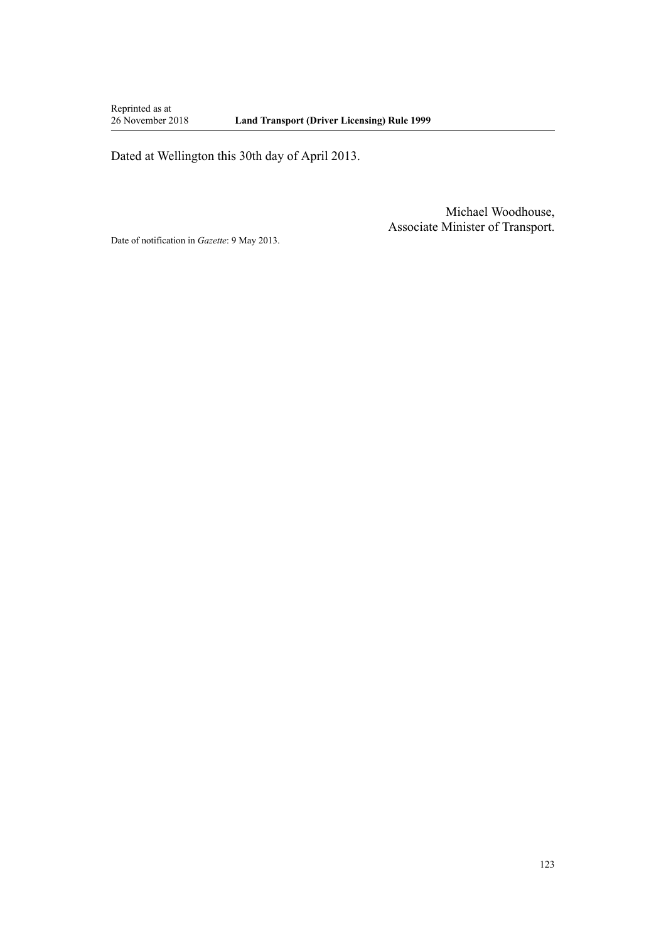Reprinted as at<br>26 November 2018

Dated at Wellington this 30th day of April 2013.

Michael Woodhouse, Associate Minister of Transport.

Date of notification in *Gazette*: 9 May 2013.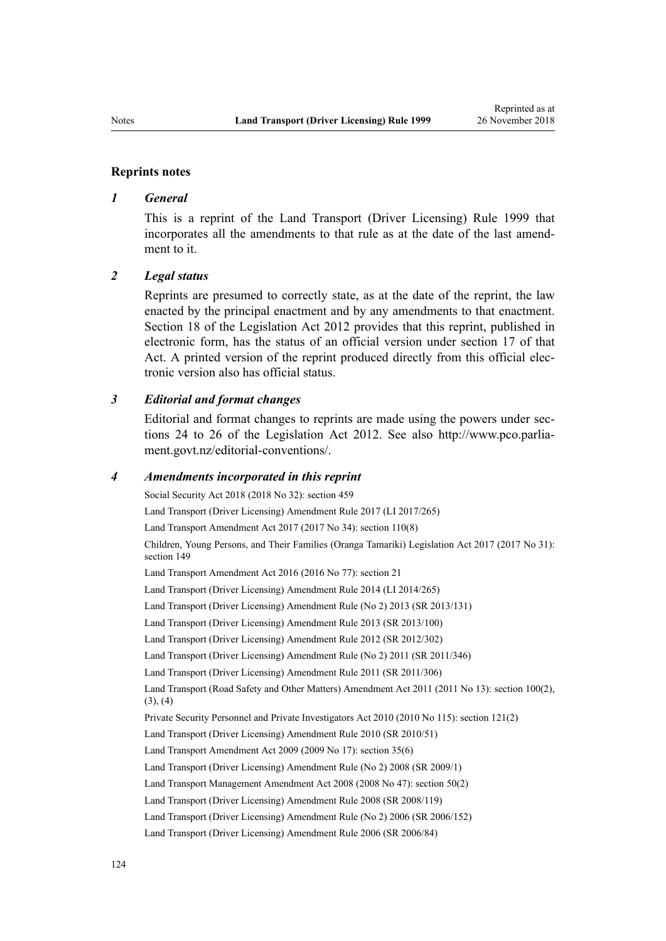#### **Reprints notes**

#### *1 General*

This is a reprint of the Land Transport (Driver Licensing) Rule 1999 that incorporates all the amendments to that rule as at the date of the last amendment to it.

#### *2 Legal status*

Reprints are presumed to correctly state, as at the date of the reprint, the law enacted by the principal enactment and by any amendments to that enactment. [Section 18](http://legislation.govt.nz/pdflink.aspx?id=DLM2998516) of the Legislation Act 2012 provides that this reprint, published in electronic form, has the status of an official version under [section 17](http://legislation.govt.nz/pdflink.aspx?id=DLM2998515) of that Act. A printed version of the reprint produced directly from this official electronic version also has official status.

#### *3 Editorial and format changes*

Editorial and format changes to reprints are made using the powers under [sec](http://legislation.govt.nz/pdflink.aspx?id=DLM2998532)[tions 24 to 26](http://legislation.govt.nz/pdflink.aspx?id=DLM2998532) of the Legislation Act 2012. See also [http://www.pco.parlia](http://www.pco.parliament.govt.nz/editorial-conventions/)[ment.govt.nz/editorial-conventions/](http://www.pco.parliament.govt.nz/editorial-conventions/).

#### *4 Amendments incorporated in this reprint*

Social Security Act 2018 (2018 No 32): [section 459](http://legislation.govt.nz/pdflink.aspx?id=DLM6784038) [Land Transport \(Driver Licensing\) Amendment Rule 2017](http://legislation.govt.nz/pdflink.aspx?id=DLM7420922) (LI 2017/265) Land Transport Amendment Act 2017 (2017 No 34): [section 110\(8\)](http://legislation.govt.nz/pdflink.aspx?id=DLM6960929) Children, Young Persons, and Their Families (Oranga Tamariki) Legislation Act 2017 (2017 No 31): [section 149](http://legislation.govt.nz/pdflink.aspx?id=DLM7287401) Land Transport Amendment Act 2016 (2016 No 77): [section 21](http://legislation.govt.nz/pdflink.aspx?id=DLM6984133) [Land Transport \(Driver Licensing\) Amendment Rule 2014](http://legislation.govt.nz/pdflink.aspx?id=DLM6216900) (LI 2014/265) [Land Transport \(Driver Licensing\) Amendment Rule \(No 2\) 2013](http://legislation.govt.nz/pdflink.aspx?id=DLM5159800) (SR 2013/131) [Land Transport \(Driver Licensing\) Amendment Rule 2013](http://legislation.govt.nz/pdflink.aspx?id=DLM5102226) (SR 2013/100) [Land Transport \(Driver Licensing\) Amendment Rule 2012](http://legislation.govt.nz/pdflink.aspx?id=DLM4773428) (SR 2012/302) [Land Transport \(Driver Licensing\) Amendment Rule \(No 2\) 2011](http://legislation.govt.nz/pdflink.aspx?id=DLM4067006) (SR 2011/346) [Land Transport \(Driver Licensing\) Amendment Rule 2011](http://legislation.govt.nz/pdflink.aspx?id=DLM3956573) (SR 2011/306) Land Transport (Road Safety and Other Matters) Amendment Act 2011 (2011 No 13): [section 100\(2\),](http://legislation.govt.nz/pdflink.aspx?id=DLM3231293)  $(3), (4)$ Private Security Personnel and Private Investigators Act 2010 (2010 No 115): [section 121\(2\)](http://legislation.govt.nz/pdflink.aspx?id=DLM1594656) [Land Transport \(Driver Licensing\) Amendment Rule 2010](http://legislation.govt.nz/pdflink.aspx?id=DLM2740170) (SR 2010/51) Land Transport Amendment Act 2009 (2009 No 17): [section 35\(6\)](http://legislation.govt.nz/pdflink.aspx?id=DLM2015063) [Land Transport \(Driver Licensing\) Amendment Rule \(No 2\) 2008](http://legislation.govt.nz/pdflink.aspx?id=DLM1783600) (SR 2009/1) Land Transport Management Amendment Act 2008 (2008 No 47): [section 50\(2\)](http://legislation.govt.nz/pdflink.aspx?id=DLM1313622) [Land Transport \(Driver Licensing\) Amendment Rule 2008](http://legislation.govt.nz/pdflink.aspx?id=DLM1317900) (SR 2008/119) [Land Transport \(Driver Licensing\) Amendment Rule \(No 2\) 2006](http://legislation.govt.nz/pdflink.aspx?id=DLM386132) (SR 2006/152) [Land Transport \(Driver Licensing\) Amendment Rule 2006](http://legislation.govt.nz/pdflink.aspx?id=DLM375672) (SR 2006/84)